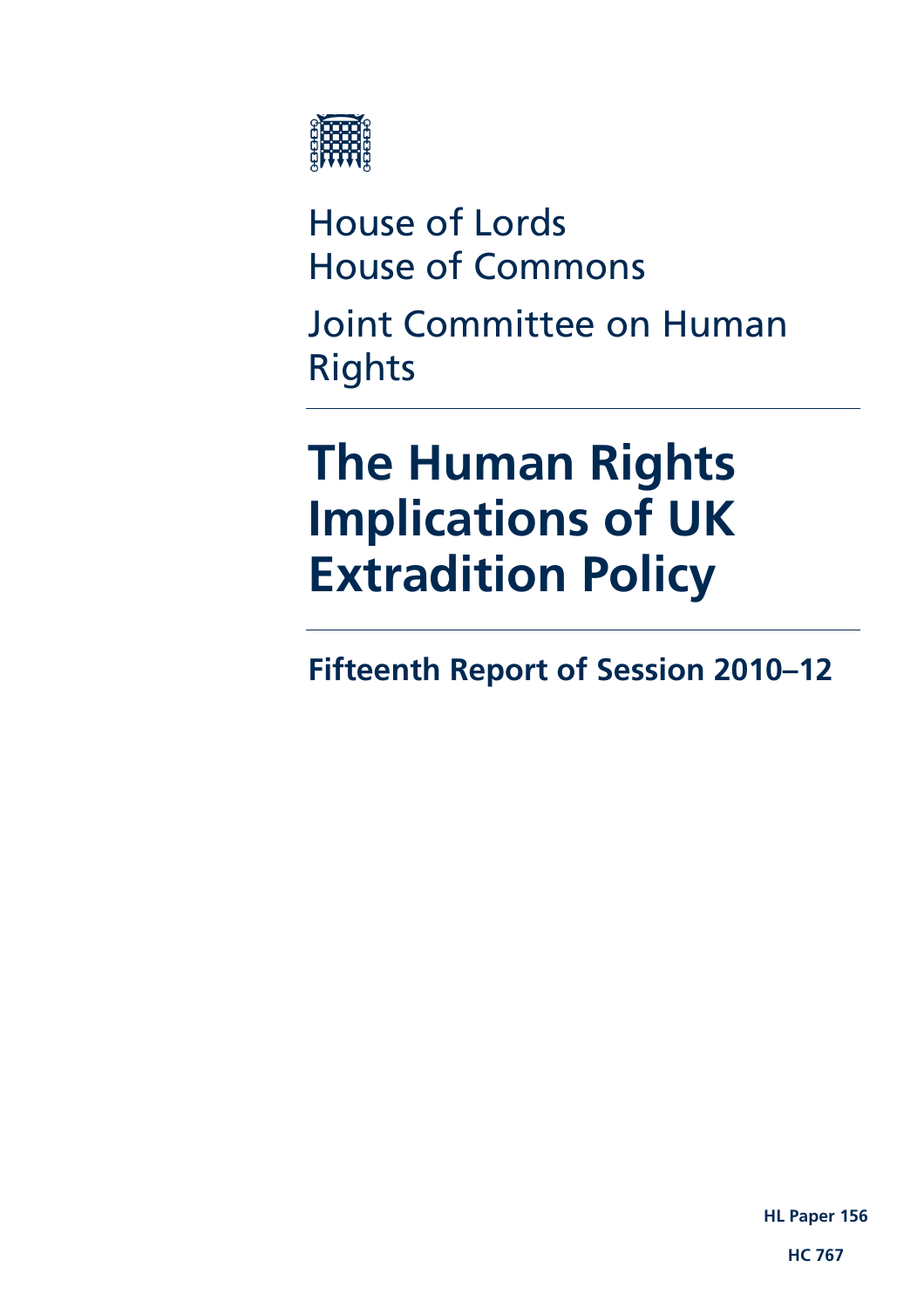

House of Lords House of Commons

Joint Committee on Human Rights

# **The Human Rights Implications of UK Extradition Policy**

**Fifteenth Report of Session 2010–12** 

**HL Paper 156** 

**HC 767**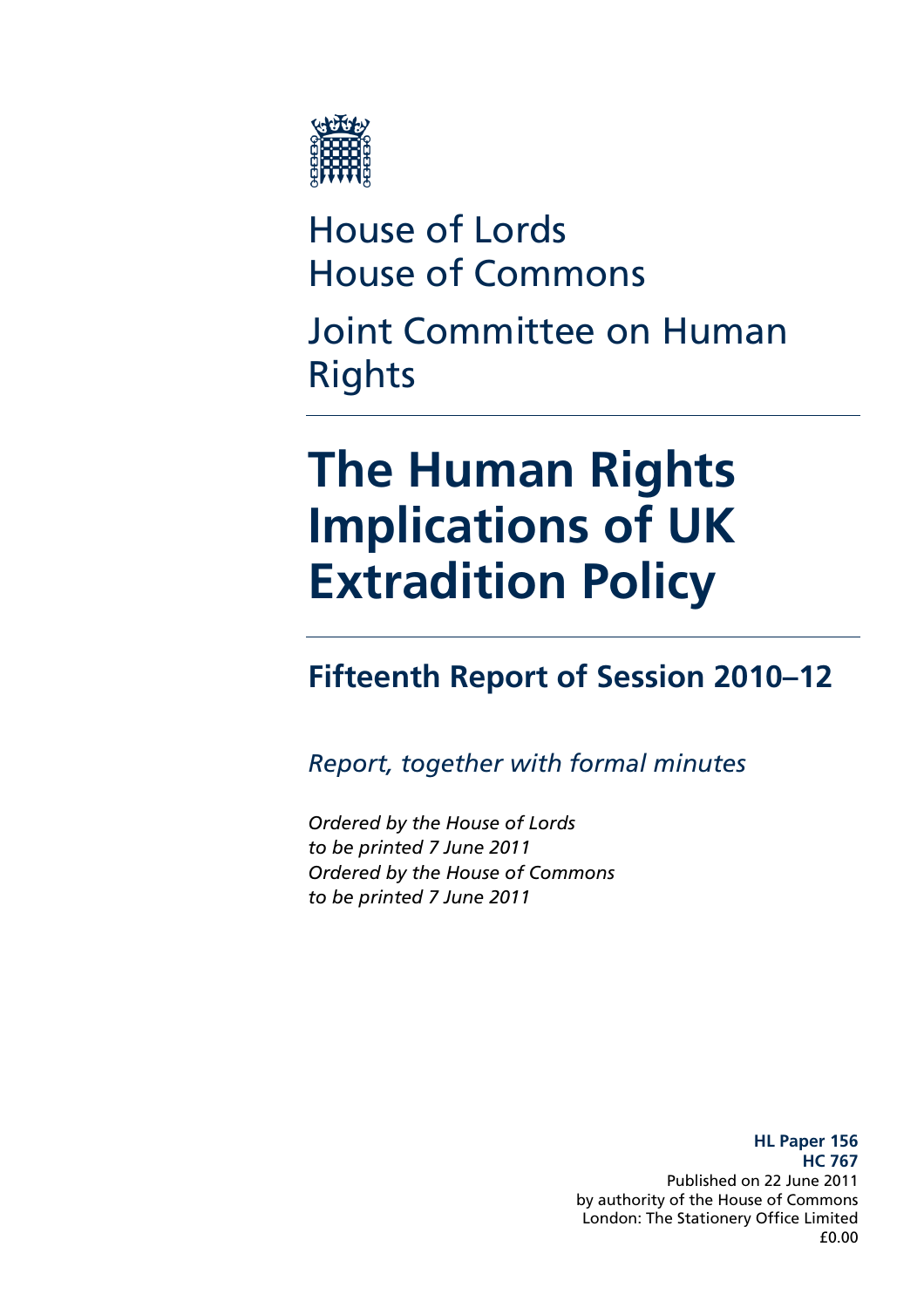

## House of Lords House of Commons

Joint Committee on Human Rights

## **The Human Rights Implications of UK Extradition Policy**

### **Fifteenth Report of Session 2010–12**

*Report, together with formal minutes* 

*Ordered by the House of Lords to be printed 7 June 2011 Ordered by the House of Commons to be printed 7 June 2011* 

> **HL Paper 156 HC 767**  Published on 22 June 2011 by authority of the House of Commons London: The Stationery Office Limited £0.00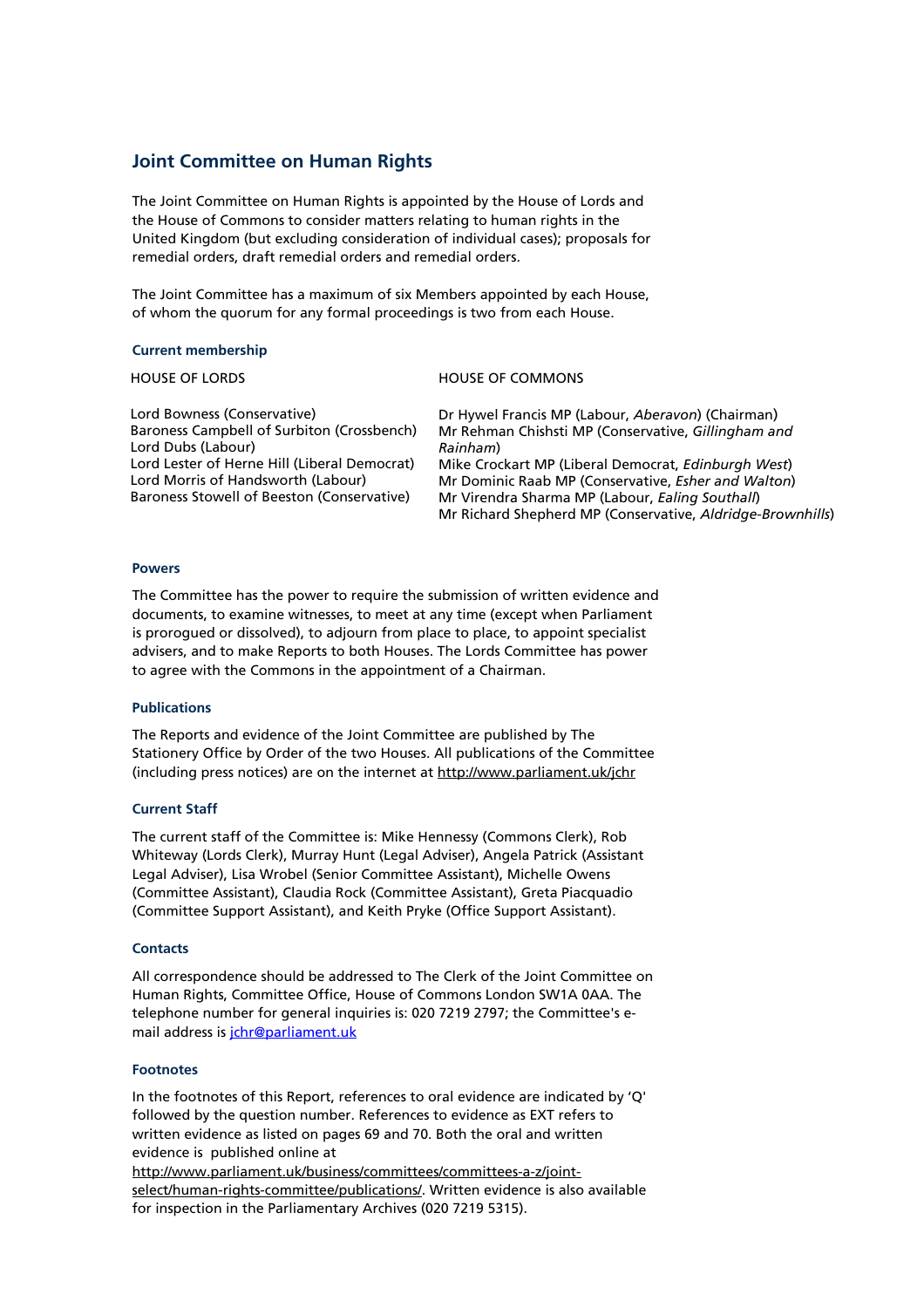#### **Joint Committee on Human Rights**

The Joint Committee on Human Rights is appointed by the House of Lords and the House of Commons to consider matters relating to human rights in the United Kingdom (but excluding consideration of individual cases); proposals for remedial orders, draft remedial orders and remedial orders.

The Joint Committee has a maximum of six Members appointed by each House, of whom the quorum for any formal proceedings is two from each House.

#### **Current membership**

HOUSE OF LORDS HOUSE OF COMMONS

Lord Bowness (Conservative) Baroness Campbell of Surbiton (Crossbench) Lord Dubs (Labour) Lord Lester of Herne Hill (Liberal Democrat) Lord Morris of Handsworth (Labour) Baroness Stowell of Beeston (Conservative)

Dr Hywel Francis MP (Labour, *Aberavon*) (Chairman) Mr Rehman Chishsti MP (Conservative, *Gillingham and Rainham*) Mike Crockart MP (Liberal Democrat, *Edinburgh West*) Mr Dominic Raab MP (Conservative, *Esher and Walton*) Mr Virendra Sharma MP (Labour, *Ealing Southall*) Mr Richard Shepherd MP (Conservative, *Aldridge-Brownhills*)

#### **Powers**

The Committee has the power to require the submission of written evidence and documents, to examine witnesses, to meet at any time (except when Parliament is prorogued or dissolved), to adjourn from place to place, to appoint specialist advisers, and to make Reports to both Houses. The Lords Committee has power to agree with the Commons in the appointment of a Chairman.

#### **Publications**

The Reports and evidence of the Joint Committee are published by The Stationery Office by Order of the two Houses. All publications of the Committee (including press notices) are on the internet at http://www.parliament.uk/jchr

#### **Current Staff**

The current staff of the Committee is: Mike Hennessy (Commons Clerk), Rob Whiteway (Lords Clerk), Murray Hunt (Legal Adviser), Angela Patrick (Assistant Legal Adviser), Lisa Wrobel (Senior Committee Assistant), Michelle Owens (Committee Assistant), Claudia Rock (Committee Assistant), Greta Piacquadio (Committee Support Assistant), and Keith Pryke (Office Support Assistant).

#### **Contacts**

All correspondence should be addressed to The Clerk of the Joint Committee on Human Rights, Committee Office, House of Commons London SW1A 0AA. The telephone number for general inquiries is: 020 7219 2797; the Committee's email address is *jchr@parliament.uk* 

#### **Footnotes**

In the footnotes of this Report, references to oral evidence are indicated by 'Q' followed by the question number. References to evidence as EXT refers to written evidence as listed on pages 69 and 70. Both the oral and written evidence is published online at

http://www.parliament.uk/business/committees/committees-a-z/jointselect/human-rights-committee/publications/. Written evidence is also available for inspection in the Parliamentary Archives (020 7219 5315).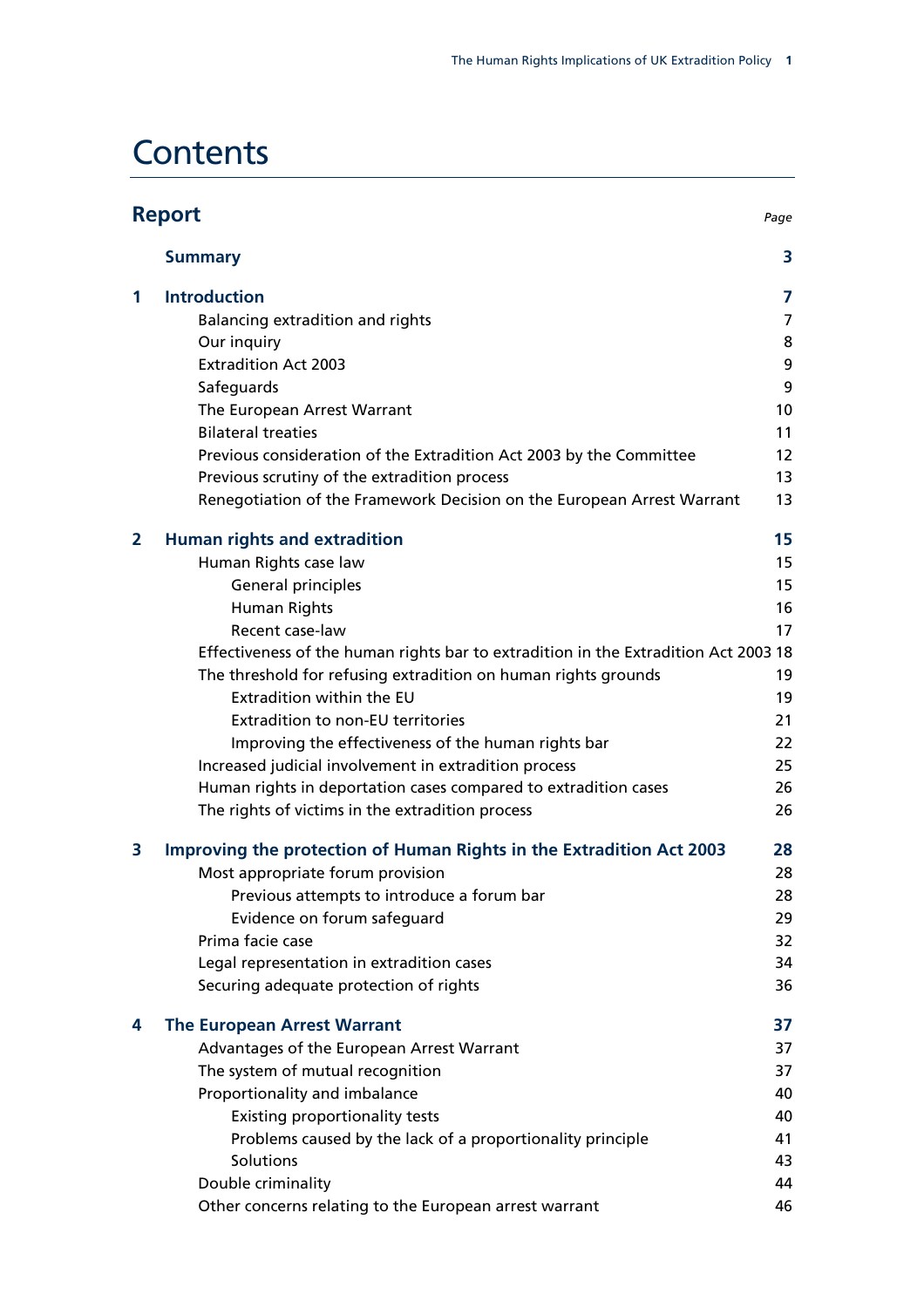### **Contents**

| <b>Report</b><br>Page |                                                                                     |                |
|-----------------------|-------------------------------------------------------------------------------------|----------------|
|                       | <b>Summary</b>                                                                      | 3              |
| 1                     | <b>Introduction</b>                                                                 | $\overline{7}$ |
|                       | Balancing extradition and rights                                                    | 7              |
|                       | Our inquiry                                                                         | 8              |
|                       | <b>Extradition Act 2003</b>                                                         | 9              |
|                       | Safeguards                                                                          | 9              |
|                       | The European Arrest Warrant                                                         | 10             |
|                       | <b>Bilateral treaties</b>                                                           | 11             |
|                       | Previous consideration of the Extradition Act 2003 by the Committee                 | 12             |
|                       | Previous scrutiny of the extradition process                                        | 13             |
|                       | Renegotiation of the Framework Decision on the European Arrest Warrant              | 13             |
| $\overline{2}$        | <b>Human rights and extradition</b>                                                 | 15             |
|                       | Human Rights case law                                                               | 15             |
|                       | General principles                                                                  | 15             |
|                       | Human Rights                                                                        | 16             |
|                       | Recent case-law                                                                     | 17             |
|                       | Effectiveness of the human rights bar to extradition in the Extradition Act 2003 18 |                |
|                       | The threshold for refusing extradition on human rights grounds                      | 19             |
|                       | Extradition within the EU                                                           | 19             |
|                       | <b>Extradition to non-EU territories</b>                                            | 21             |
|                       | Improving the effectiveness of the human rights bar                                 | 22             |
|                       | Increased judicial involvement in extradition process                               | 25             |
|                       | Human rights in deportation cases compared to extradition cases                     | 26             |
|                       | The rights of victims in the extradition process                                    | 26             |
| 3                     | Improving the protection of Human Rights in the Extradition Act 2003                | 28             |
|                       | Most appropriate forum provision                                                    | 28             |
|                       | Previous attempts to introduce a forum bar                                          | 28             |
|                       | Evidence on forum safeguard                                                         | 29             |
|                       | Prima facie case                                                                    | 32             |
|                       | Legal representation in extradition cases                                           | 34             |
|                       | Securing adequate protection of rights                                              | 36             |
| 4                     | <b>The European Arrest Warrant</b>                                                  | 37             |
|                       | Advantages of the European Arrest Warrant                                           | 37             |
|                       | The system of mutual recognition                                                    | 37             |
|                       | Proportionality and imbalance                                                       | 40             |
|                       | <b>Existing proportionality tests</b>                                               | 40             |
|                       | Problems caused by the lack of a proportionality principle                          | 41             |
|                       | Solutions                                                                           | 43             |
|                       | Double criminality                                                                  | 44             |
|                       | Other concerns relating to the European arrest warrant                              | 46             |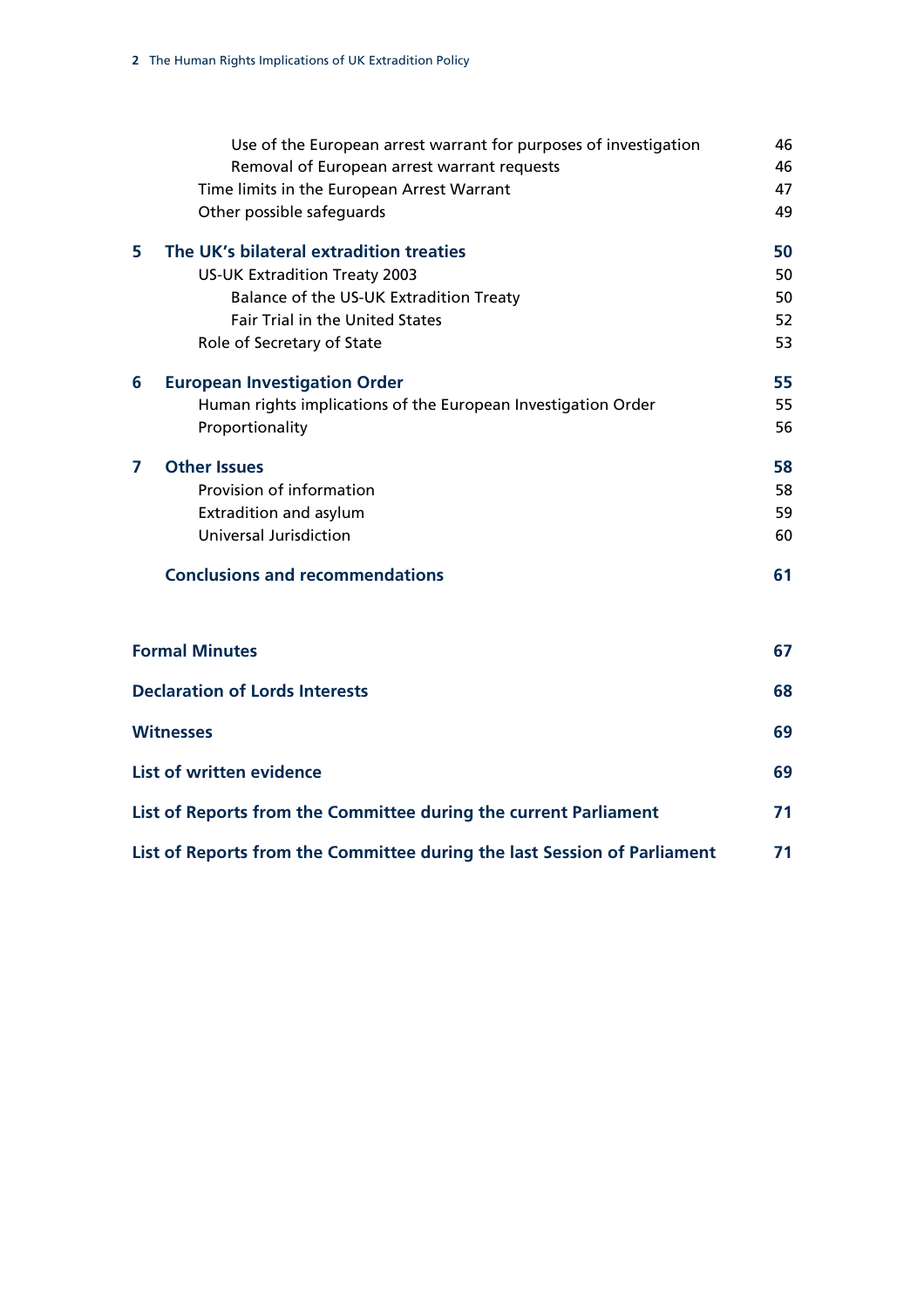|                                                                  | Use of the European arrest warrant for purposes of investigation<br>Removal of European arrest warrant requests | 46<br>46 |  |
|------------------------------------------------------------------|-----------------------------------------------------------------------------------------------------------------|----------|--|
|                                                                  | Time limits in the European Arrest Warrant                                                                      | 47       |  |
|                                                                  | Other possible safeguards                                                                                       | 49       |  |
| 5                                                                | The UK's bilateral extradition treaties                                                                         | 50       |  |
|                                                                  | <b>US-UK Extradition Treaty 2003</b>                                                                            | 50       |  |
|                                                                  | Balance of the US-UK Extradition Treaty                                                                         | 50       |  |
|                                                                  | <b>Fair Trial in the United States</b>                                                                          | 52       |  |
|                                                                  | Role of Secretary of State                                                                                      | 53       |  |
| 6                                                                | <b>European Investigation Order</b>                                                                             | 55       |  |
|                                                                  | Human rights implications of the European Investigation Order                                                   | 55       |  |
|                                                                  | Proportionality                                                                                                 | 56       |  |
| 7                                                                | <b>Other Issues</b>                                                                                             | 58       |  |
|                                                                  | Provision of information                                                                                        | 58       |  |
|                                                                  | Extradition and asylum                                                                                          | 59       |  |
|                                                                  | <b>Universal Jurisdiction</b>                                                                                   | 60       |  |
|                                                                  | <b>Conclusions and recommendations</b>                                                                          | 61       |  |
|                                                                  |                                                                                                                 |          |  |
|                                                                  | <b>Formal Minutes</b>                                                                                           |          |  |
|                                                                  | <b>Declaration of Lords Interests</b>                                                                           |          |  |
|                                                                  | <b>Witnesses</b>                                                                                                |          |  |
| List of written evidence                                         |                                                                                                                 |          |  |
| List of Reports from the Committee during the current Parliament |                                                                                                                 |          |  |

**[List of Reports from the Committee during the last Session of Parliament 71](#page-74-0)**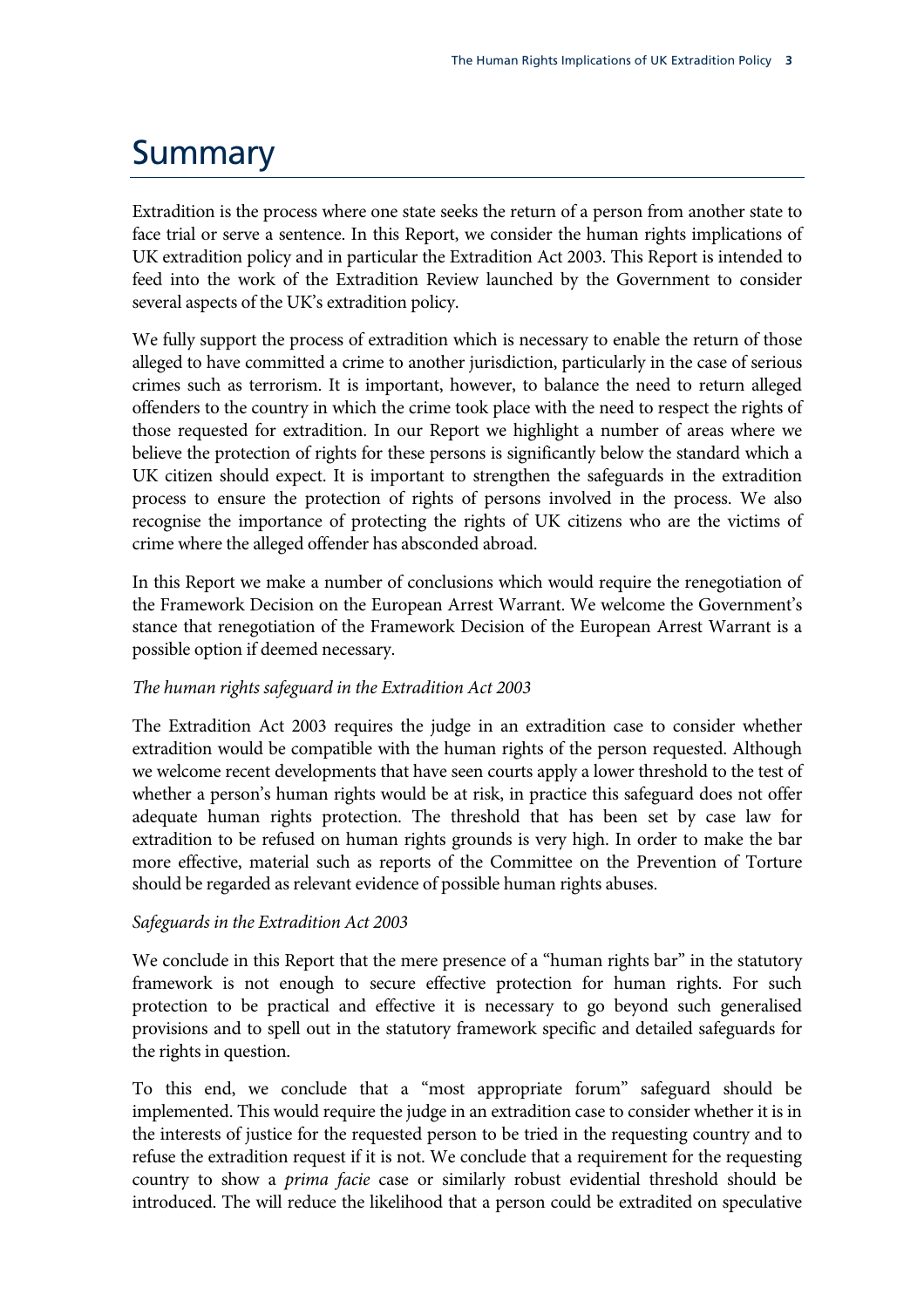### <span id="page-6-0"></span>**Summary**

Extradition is the process where one state seeks the return of a person from another state to face trial or serve a sentence. In this Report, we consider the human rights implications of UK extradition policy and in particular the Extradition Act 2003. This Report is intended to feed into the work of the Extradition Review launched by the Government to consider several aspects of the UK's extradition policy.

We fully support the process of extradition which is necessary to enable the return of those alleged to have committed a crime to another jurisdiction, particularly in the case of serious crimes such as terrorism. It is important, however, to balance the need to return alleged offenders to the country in which the crime took place with the need to respect the rights of those requested for extradition. In our Report we highlight a number of areas where we believe the protection of rights for these persons is significantly below the standard which a UK citizen should expect. It is important to strengthen the safeguards in the extradition process to ensure the protection of rights of persons involved in the process. We also recognise the importance of protecting the rights of UK citizens who are the victims of crime where the alleged offender has absconded abroad.

In this Report we make a number of conclusions which would require the renegotiation of the Framework Decision on the European Arrest Warrant. We welcome the Government's stance that renegotiation of the Framework Decision of the European Arrest Warrant is a possible option if deemed necessary.

#### *The human rights safeguard in the Extradition Act 2003*

The Extradition Act 2003 requires the judge in an extradition case to consider whether extradition would be compatible with the human rights of the person requested. Although we welcome recent developments that have seen courts apply a lower threshold to the test of whether a person's human rights would be at risk, in practice this safeguard does not offer adequate human rights protection. The threshold that has been set by case law for extradition to be refused on human rights grounds is very high. In order to make the bar more effective, material such as reports of the Committee on the Prevention of Torture should be regarded as relevant evidence of possible human rights abuses.

#### *Safeguards in the Extradition Act 2003*

We conclude in this Report that the mere presence of a "human rights bar" in the statutory framework is not enough to secure effective protection for human rights. For such protection to be practical and effective it is necessary to go beyond such generalised provisions and to spell out in the statutory framework specific and detailed safeguards for the rights in question.

To this end, we conclude that a "most appropriate forum" safeguard should be implemented. This would require the judge in an extradition case to consider whether it is in the interests of justice for the requested person to be tried in the requesting country and to refuse the extradition request if it is not. We conclude that a requirement for the requesting country to show a *prima facie* case or similarly robust evidential threshold should be introduced. The will reduce the likelihood that a person could be extradited on speculative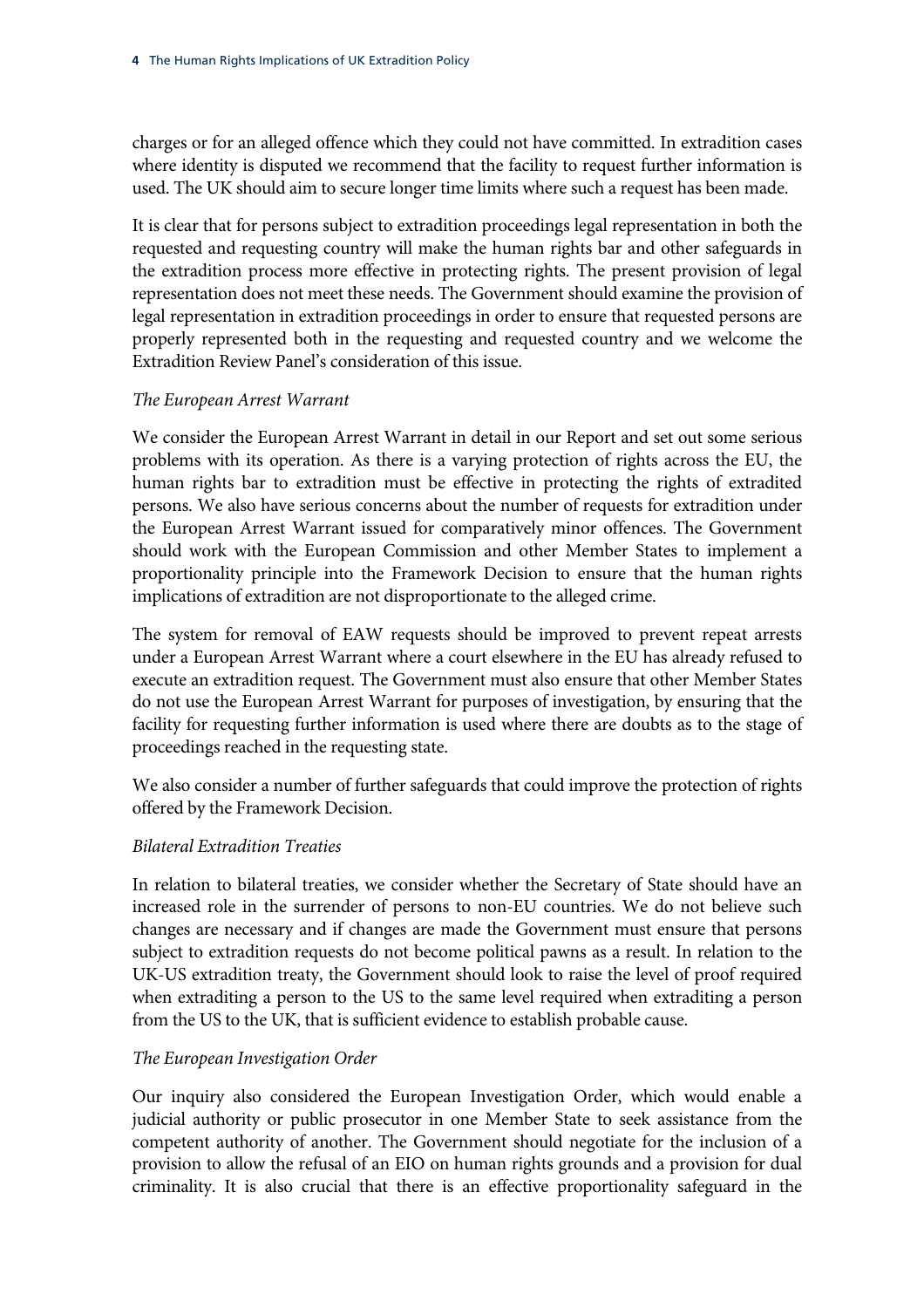charges or for an alleged offence which they could not have committed. In extradition cases where identity is disputed we recommend that the facility to request further information is used. The UK should aim to secure longer time limits where such a request has been made.

It is clear that for persons subject to extradition proceedings legal representation in both the requested and requesting country will make the human rights bar and other safeguards in the extradition process more effective in protecting rights. The present provision of legal representation does not meet these needs. The Government should examine the provision of legal representation in extradition proceedings in order to ensure that requested persons are properly represented both in the requesting and requested country and we welcome the Extradition Review Panel's consideration of this issue.

#### *The European Arrest Warrant*

We consider the European Arrest Warrant in detail in our Report and set out some serious problems with its operation. As there is a varying protection of rights across the EU, the human rights bar to extradition must be effective in protecting the rights of extradited persons. We also have serious concerns about the number of requests for extradition under the European Arrest Warrant issued for comparatively minor offences. The Government should work with the European Commission and other Member States to implement a proportionality principle into the Framework Decision to ensure that the human rights implications of extradition are not disproportionate to the alleged crime.

The system for removal of EAW requests should be improved to prevent repeat arrests under a European Arrest Warrant where a court elsewhere in the EU has already refused to execute an extradition request. The Government must also ensure that other Member States do not use the European Arrest Warrant for purposes of investigation, by ensuring that the facility for requesting further information is used where there are doubts as to the stage of proceedings reached in the requesting state.

We also consider a number of further safeguards that could improve the protection of rights offered by the Framework Decision.

#### *Bilateral Extradition Treaties*

In relation to bilateral treaties, we consider whether the Secretary of State should have an increased role in the surrender of persons to non-EU countries. We do not believe such changes are necessary and if changes are made the Government must ensure that persons subject to extradition requests do not become political pawns as a result. In relation to the UK-US extradition treaty, the Government should look to raise the level of proof required when extraditing a person to the US to the same level required when extraditing a person from the US to the UK, that is sufficient evidence to establish probable cause.

#### *The European Investigation Order*

Our inquiry also considered the European Investigation Order, which would enable a judicial authority or public prosecutor in one Member State to seek assistance from the competent authority of another. The Government should negotiate for the inclusion of a provision to allow the refusal of an EIO on human rights grounds and a provision for dual criminality. It is also crucial that there is an effective proportionality safeguard in the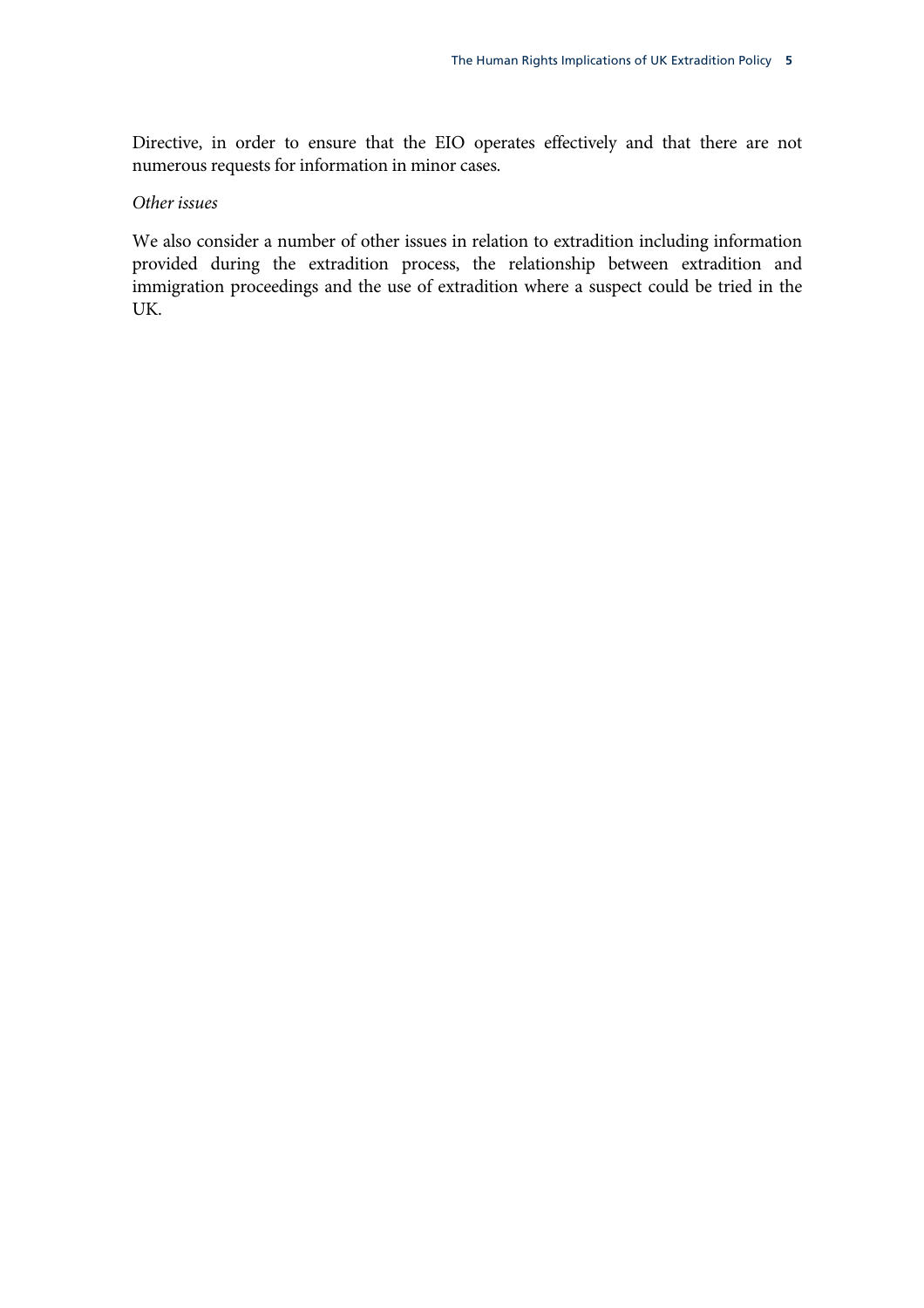Directive, in order to ensure that the EIO operates effectively and that there are not numerous requests for information in minor cases.

#### *Other issues*

We also consider a number of other issues in relation to extradition including information provided during the extradition process, the relationship between extradition and immigration proceedings and the use of extradition where a suspect could be tried in the UK.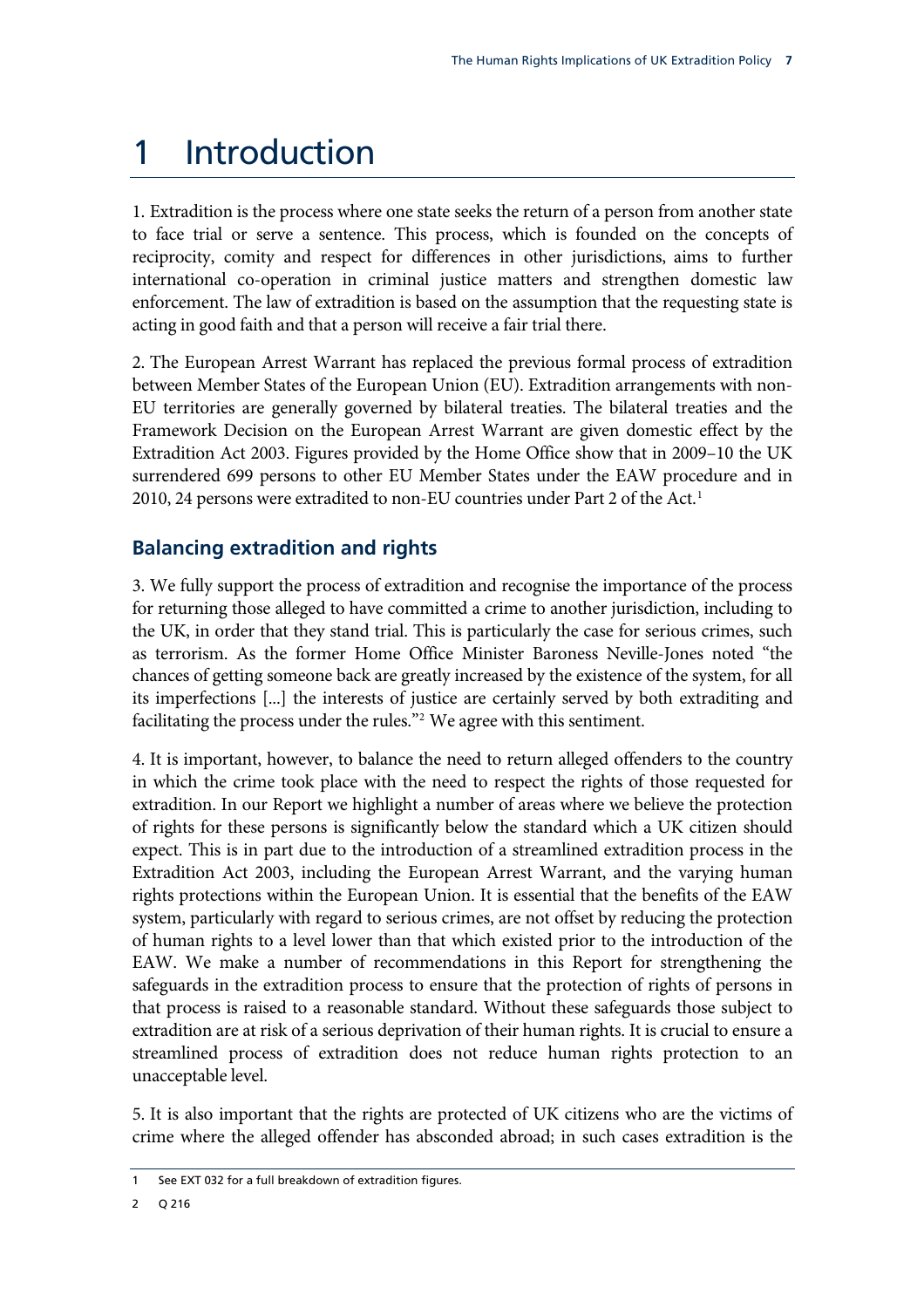### <span id="page-10-1"></span><span id="page-10-0"></span>1 Introduction

1. Extradition is the process where one state seeks the return of a person from another state to face trial or serve a sentence. This process, which is founded on the concepts of reciprocity, comity and respect for differences in other jurisdictions, aims to further international co-operation in criminal justice matters and strengthen domestic law enforcement. The law of extradition is based on the assumption that the requesting state is acting in good faith and that a person will receive a fair trial there.

2. The European Arrest Warrant has replaced the previous formal process of extradition between Member States of the European Union (EU). Extradition arrangements with non-EU territories are generally governed by bilateral treaties. The bilateral treaties and the Framework Decision on the European Arrest Warrant are given domestic effect by the Extradition Act 2003. Figures provided by the Home Office show that in 2009–10 the UK surrendered 699 persons to other EU Member States under the EAW procedure and in 20[1](#page-10-1)0, 24 persons were extradited to non-EU countries under Part 2 of the Act.<sup>1</sup>

#### **Balancing extradition and rights**

3. We fully support the process of extradition and recognise the importance of the process for returning those alleged to have committed a crime to another jurisdiction, including to the UK, in order that they stand trial. This is particularly the case for serious crimes, such as terrorism. As the former Home Office Minister Baroness Neville-Jones noted "the chances of getting someone back are greatly increased by the existence of the system, for all its imperfections [...] the interests of justice are certainly served by both extraditing and facilitating the process under the rules."<sup>[2](#page-10-2)</sup> We agree with this sentiment.

4. It is important, however, to balance the need to return alleged offenders to the country in which the crime took place with the need to respect the rights of those requested for extradition. In our Report we highlight a number of areas where we believe the protection of rights for these persons is significantly below the standard which a UK citizen should expect. This is in part due to the introduction of a streamlined extradition process in the Extradition Act 2003, including the European Arrest Warrant, and the varying human rights protections within the European Union. It is essential that the benefits of the EAW system, particularly with regard to serious crimes, are not offset by reducing the protection of human rights to a level lower than that which existed prior to the introduction of the EAW. We make a number of recommendations in this Report for strengthening the safeguards in the extradition process to ensure that the protection of rights of persons in that process is raised to a reasonable standard. Without these safeguards those subject to extradition are at risk of a serious deprivation of their human rights. It is crucial to ensure a streamlined process of extradition does not reduce human rights protection to an unacceptable level.

5. It is also important that the rights are protected of UK citizens who are the victims of crime where the alleged offender has absconded abroad; in such cases extradition is the

<span id="page-10-2"></span>See EXT 032 for a full breakdown of extradition figures.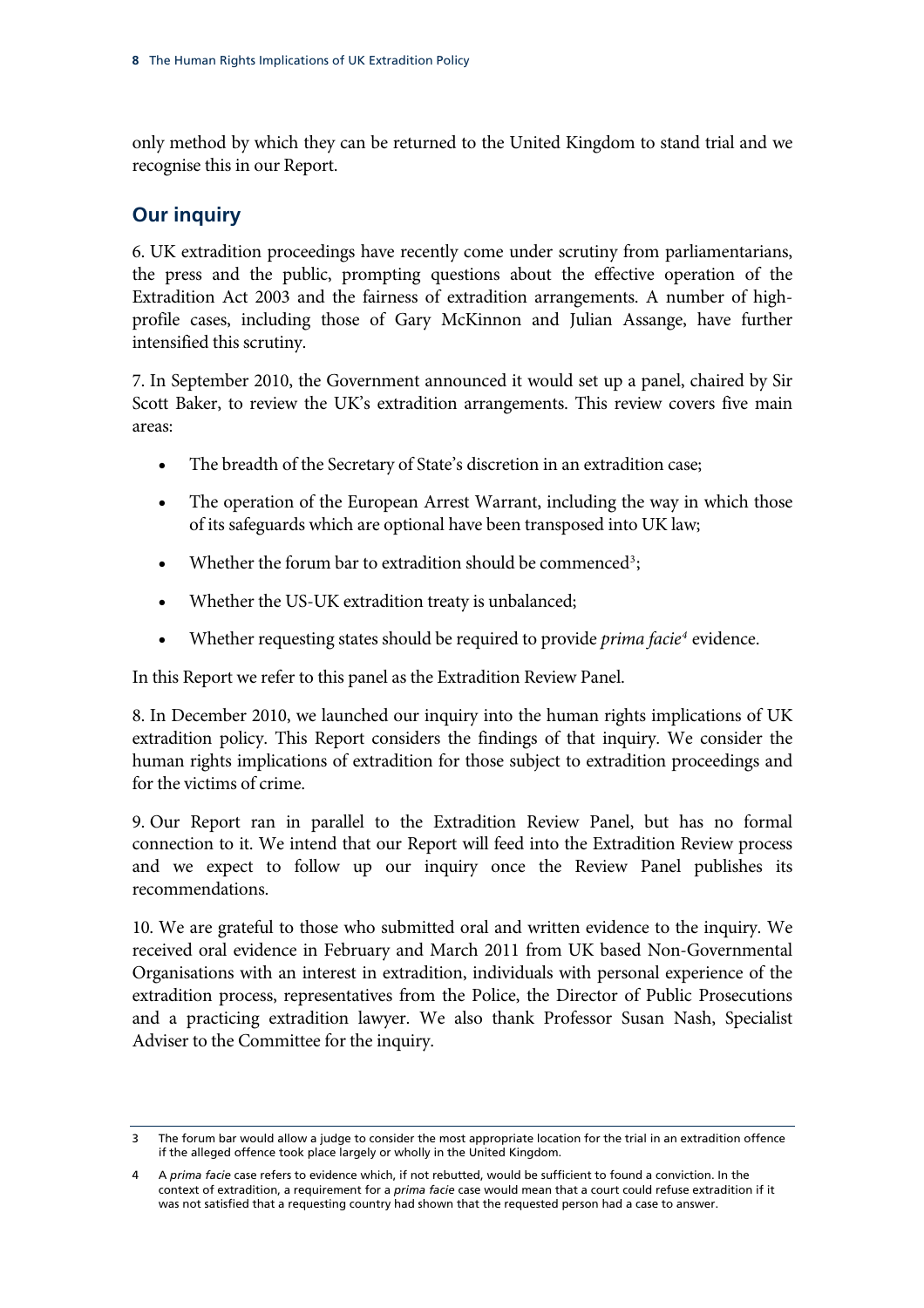<span id="page-11-0"></span>only method by which they can be returned to the United Kingdom to stand trial and we recognise this in our Report.

#### **Our inquiry**

6. UK extradition proceedings have recently come under scrutiny from parliamentarians, the press and the public, prompting questions about the effective operation of the Extradition Act 2003 and the fairness of extradition arrangements. A number of highprofile cases, including those of Gary McKinnon and Julian Assange, have further intensified this scrutiny.

7. In September 2010, the Government announced it would set up a panel, chaired by Sir Scott Baker, to review the UK's extradition arrangements. This review covers five main areas:

- The breadth of the Secretary of State's discretion in an extradition case;
- The operation of the European Arrest Warrant, including the way in which those of its safeguards which are optional have been transposed into UK law;
- Whether the forum bar to extradition should be commenced<sup>[3](#page-11-1)</sup>;
- Whether the US-UK extradition treaty is unbalanced;
- Whether requesting states should be required to provide *prima facie<sup>[4](#page-11-2)</sup>* evidence.

In this Report we refer to this panel as the Extradition Review Panel.

8. In December 2010, we launched our inquiry into the human rights implications of UK extradition policy. This Report considers the findings of that inquiry. We consider the human rights implications of extradition for those subject to extradition proceedings and for the victims of crime.

9. Our Report ran in parallel to the Extradition Review Panel, but has no formal connection to it. We intend that our Report will feed into the Extradition Review process and we expect to follow up our inquiry once the Review Panel publishes its recommendations.

10. We are grateful to those who submitted oral and written evidence to the inquiry. We received oral evidence in February and March 2011 from UK based Non-Governmental Organisations with an interest in extradition, individuals with personal experience of the extradition process, representatives from the Police, the Director of Public Prosecutions and a practicing extradition lawyer. We also thank Professor Susan Nash, Specialist Adviser to the Committee for the inquiry.

<span id="page-11-1"></span><sup>3</sup> The forum bar would allow a judge to consider the most appropriate location for the trial in an extradition offence if the alleged offence took place largely or wholly in the United Kingdom.

<span id="page-11-2"></span><sup>4</sup> A *prima facie* case refers to evidence which, if not rebutted, would be sufficient to found a conviction. In the context of extradition, a requirement for a *prima facie* case would mean that a court could refuse extradition if it was not satisfied that a requesting country had shown that the requested person had a case to answer.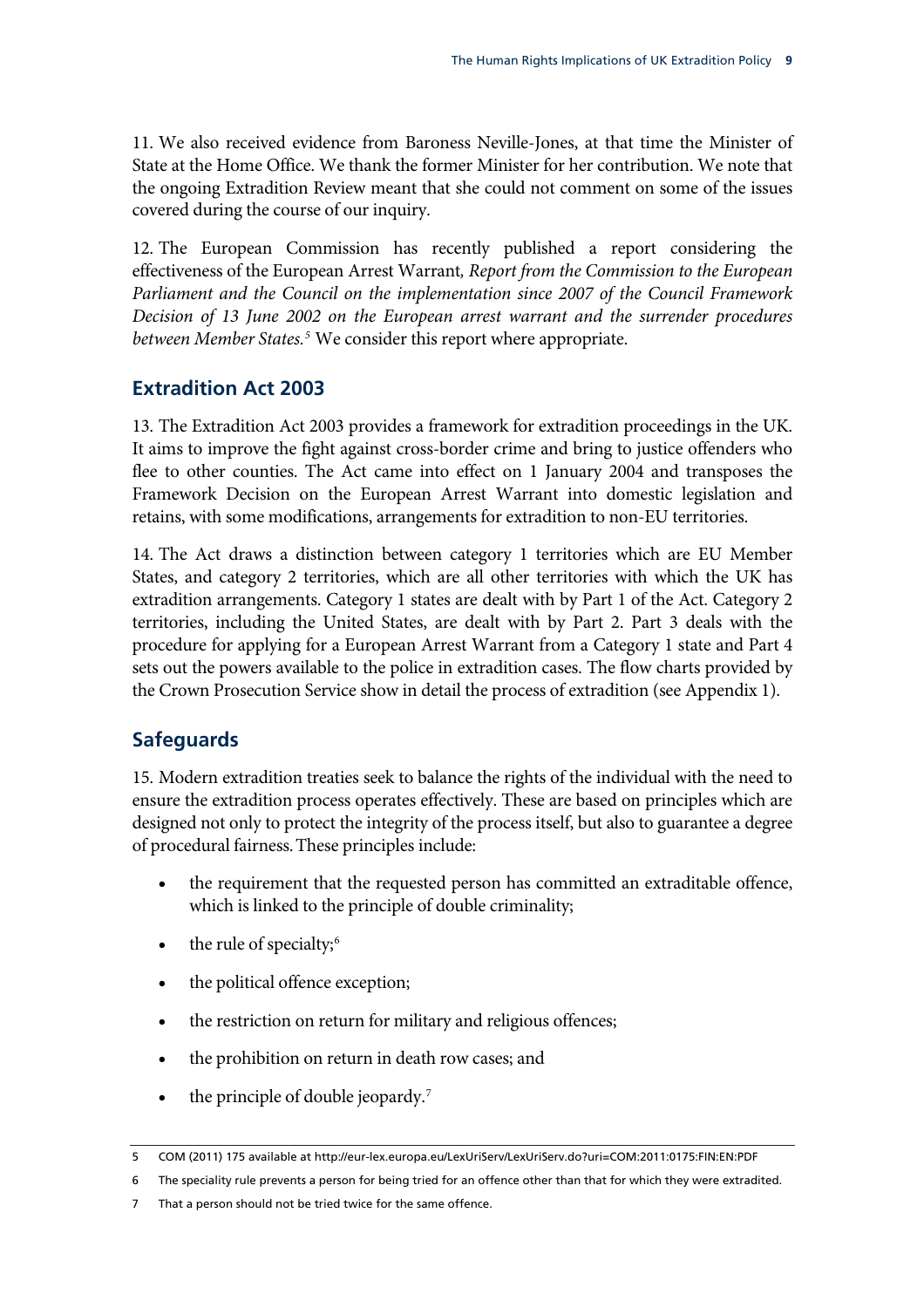<span id="page-12-0"></span>11. We also received evidence from Baroness Neville-Jones, at that time the Minister of State at the Home Office. We thank the former Minister for her contribution. We note that the ongoing Extradition Review meant that she could not comment on some of the issues covered during the course of our inquiry.

12. The European Commission has recently published a report considering the effectiveness of the European Arrest Warrant*, Report from the Commission to the European Parliament and the Council on the implementation since 2007 of the Council Framework Decision of 13 June 2002 on the European arrest warrant and the surrender procedures between Member States[.5](#page-12-1)* We consider this report where appropriate.

#### **Extradition Act 2003**

13. The Extradition Act 2003 provides a framework for extradition proceedings in the UK. It aims to improve the fight against cross-border crime and bring to justice offenders who flee to other counties. The Act came into effect on 1 January 2004 and transposes the Framework Decision on the European Arrest Warrant into domestic legislation and retains, with some modifications, arrangements for extradition to non-EU territories.

14. The Act draws a distinction between category 1 territories which are EU Member States, and category 2 territories, which are all other territories with which the UK has extradition arrangements. Category 1 states are dealt with by Part 1 of the Act. Category 2 territories, including the United States, are dealt with by Part 2. Part 3 deals with the procedure for applying for a European Arrest Warrant from a Category 1 state and Part 4 sets out the powers available to the police in extradition cases. The flow charts provided by the Crown Prosecution Service show in detail the process of extradition (see Appendix 1).

#### **Safeguards**

15. Modern extradition treaties seek to balance the rights of the individual with the need to ensure the extradition process operates effectively. These are based on principles which are designed not only to protect the integrity of the process itself, but also to guarantee a degree of procedural fairness.These principles include:

- the requirement that the requested person has committed an extraditable offence, which is linked to the principle of double criminality;
- the rule of specialty;<sup>[6](#page-12-2)</sup>
- the political offence exception;
- the restriction on return for military and religious offences;
- the prohibition on return in death row cases; and
- the principle of double jeopardy. $7$

<span id="page-12-2"></span>6 The speciality rule prevents a person for being tried for an offence other than that for which they were extradited.

<span id="page-12-1"></span><sup>5</sup> COM (2011) 175 available at http://eur-lex.europa.eu/LexUriServ/LexUriServ.do?uri=COM:2011:0175:FIN:EN:PDF

<span id="page-12-3"></span><sup>7</sup> That a person should not be tried twice for the same offence.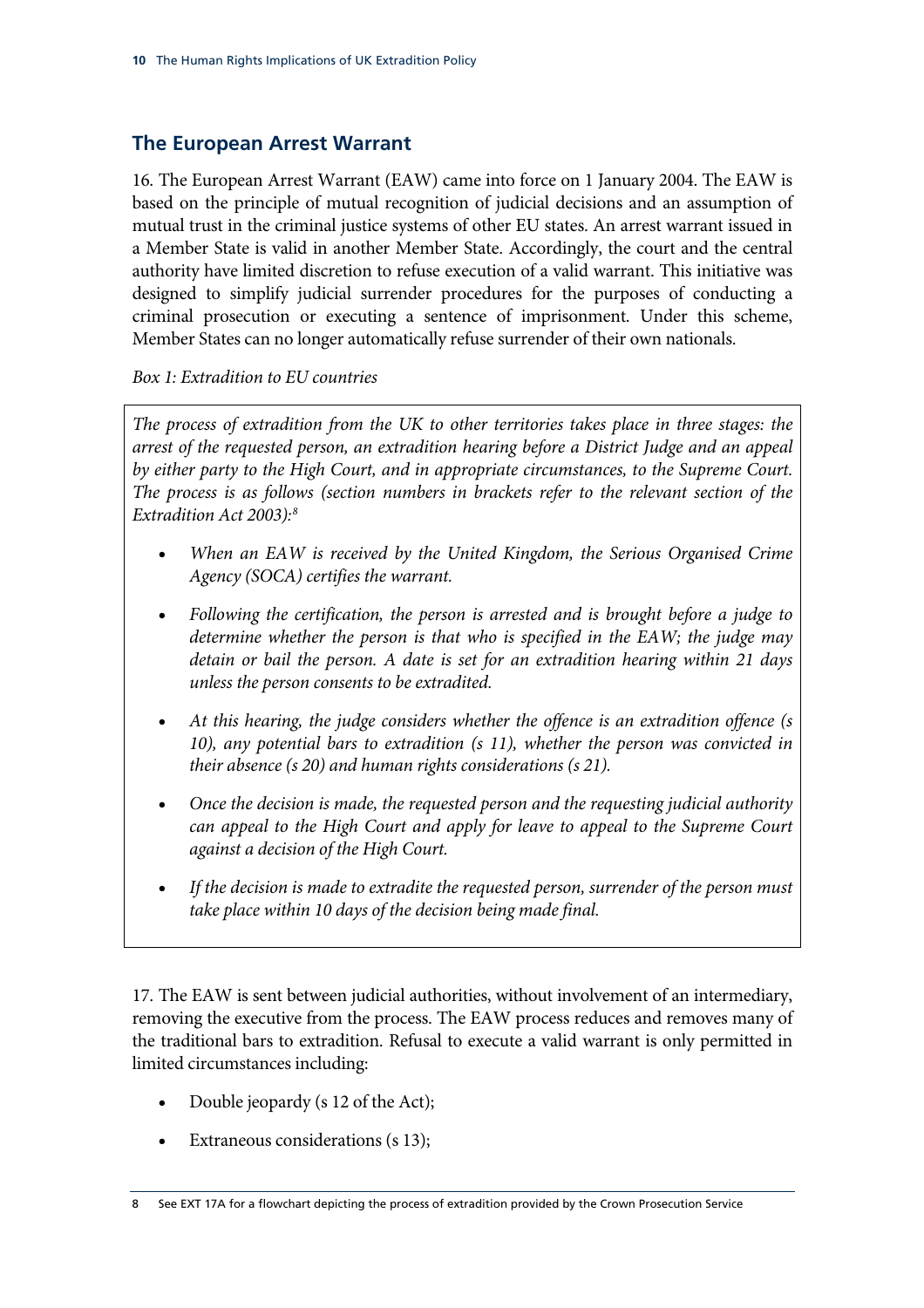#### <span id="page-13-0"></span>**The European Arrest Warrant**

16. The European Arrest Warrant (EAW) came into force on 1 January 2004. The EAW is based on the principle of mutual recognition of judicial decisions and an assumption of mutual trust in the criminal justice systems of other EU states. An arrest warrant issued in a Member State is valid in another Member State. Accordingly, the court and the central authority have limited discretion to refuse execution of a valid warrant. This initiative was designed to simplify judicial surrender procedures for the purposes of conducting a criminal prosecution or executing a sentence of imprisonment. Under this scheme, Member States can no longer automatically refuse surrender of their own nationals.

*Box 1: Extradition to EU countries* 

*The process of extradition from the UK to other territories takes place in three stages: the arrest of the requested person, an extradition hearing before a District Judge and an appeal by either party to the High Court, and in appropriate circumstances, to the Supreme Court. The process is as follows (section numbers in brackets refer to the relevant section of the Extradition Act 2003)[:8](#page-13-1)*

- *When an EAW is received by the United Kingdom, the Serious Organised Crime Agency (SOCA) certifies the warrant.*
- *Following the certification, the person is arrested and is brought before a judge to determine whether the person is that who is specified in the EAW; the judge may detain or bail the person. A date is set for an extradition hearing within 21 days unless the person consents to be extradited.*
- *At this hearing, the judge considers whether the offence is an extradition offence (s 10), any potential bars to extradition (s 11), whether the person was convicted in their absence (s 20) and human rights considerations (s 21).*
- *Once the decision is made, the requested person and the requesting judicial authority can appeal to the High Court and apply for leave to appeal to the Supreme Court against a decision of the High Court.*
- *If the decision is made to extradite the requested person, surrender of the person must take place within 10 days of the decision being made final.*

17. The EAW is sent between judicial authorities, without involvement of an intermediary, removing the executive from the process. The EAW process reduces and removes many of the traditional bars to extradition. Refusal to execute a valid warrant is only permitted in limited circumstances including:

- Double jeopardy (s 12 of the Act);
- Extraneous considerations (s 13);

<span id="page-13-1"></span><sup>8</sup> See EXT 17A for a flowchart depicting the process of extradition provided by the Crown Prosecution Service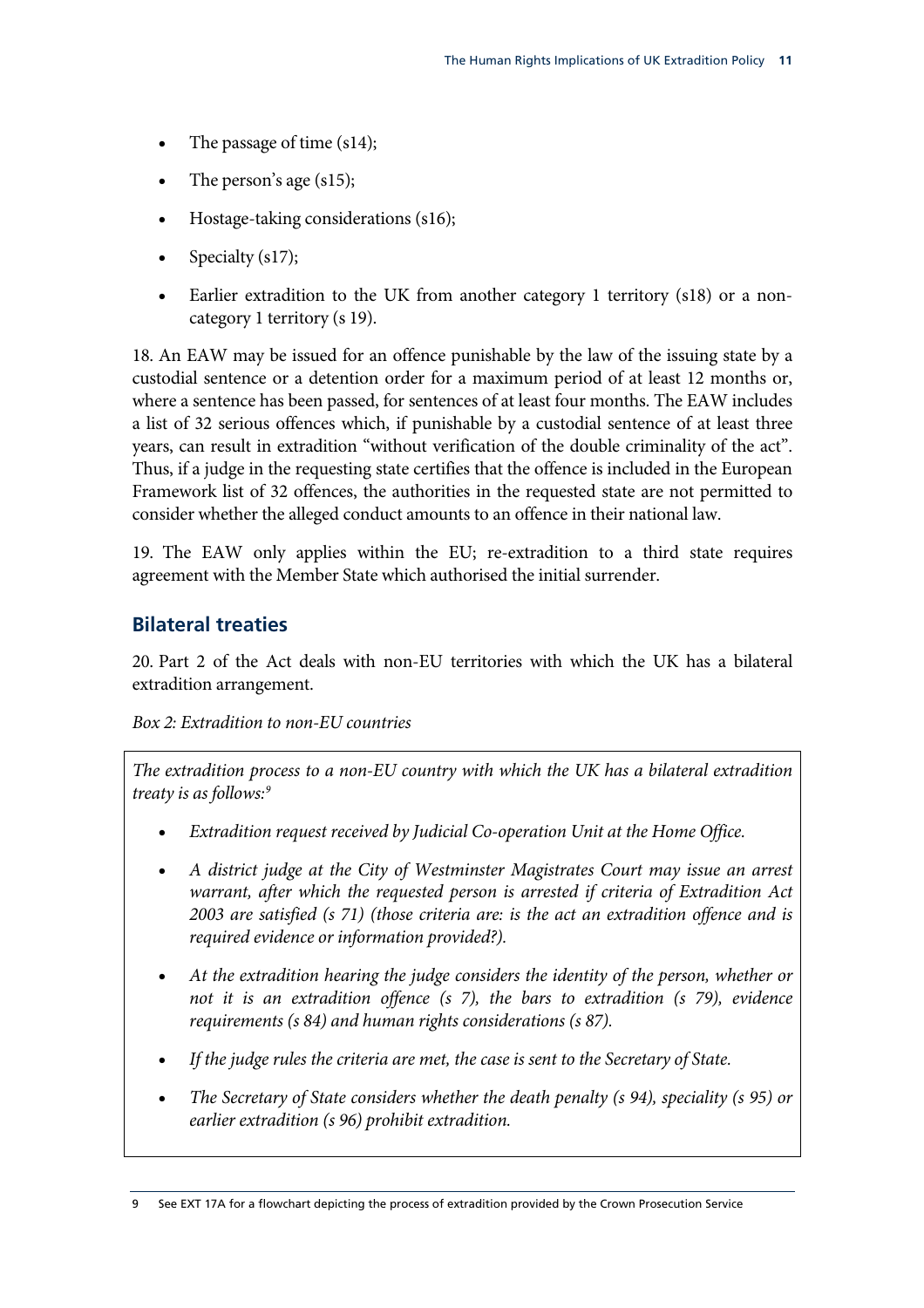- <span id="page-14-0"></span>The passage of time (s14);
- The person's age  $(s15)$ ;
- Hostage-taking considerations (s16);
- Specialty (s17);
- Earlier extradition to the UK from another category 1 territory (s18) or a noncategory 1 territory (s 19).

18. An EAW may be issued for an offence punishable by the law of the issuing state by a custodial sentence or a detention order for a maximum period of at least 12 months or, where a sentence has been passed, for sentences of at least four months. The EAW includes a list of 32 serious offences which, if punishable by a custodial sentence of at least three years, can result in extradition "without verification of the double criminality of the act". Thus, if a judge in the requesting state certifies that the offence is included in the European Framework list of 32 offences, the authorities in the requested state are not permitted to consider whether the alleged conduct amounts to an offence in their national law.

19. The EAW only applies within the EU; re-extradition to a third state requires agreement with the Member State which authorised the initial surrender.

#### **Bilateral treaties**

20. Part 2 of the Act deals with non-EU territories with which the UK has a bilateral extradition arrangement.

#### *Box 2: Extradition to non-EU countries*

*The extradition process to a non-EU country with which the UK has a bilateral extradition treaty is as follows:[9](#page-14-1)*

- *Extradition request received by Judicial Co-operation Unit at the Home Office.*
- *A district judge at the City of Westminster Magistrates Court may issue an arrest warrant, after which the requested person is arrested if criteria of Extradition Act 2003 are satisfied (s 71) (those criteria are: is the act an extradition offence and is required evidence or information provided?).*
- *At the extradition hearing the judge considers the identity of the person, whether or not it is an extradition offence (s 7), the bars to extradition (s 79), evidence requirements (s 84) and human rights considerations (s 87).*
- *If the judge rules the criteria are met, the case is sent to the Secretary of State.*
- *earlier extradition (s 96) prohibit extradition. The Secretary of State considers whether the death penalty (s 94), speciality (s 95) or*

<span id="page-14-1"></span><sup>9</sup> See EXT 17A for a flowchart depicting the process of extradition provided by the Crown Prosecution Service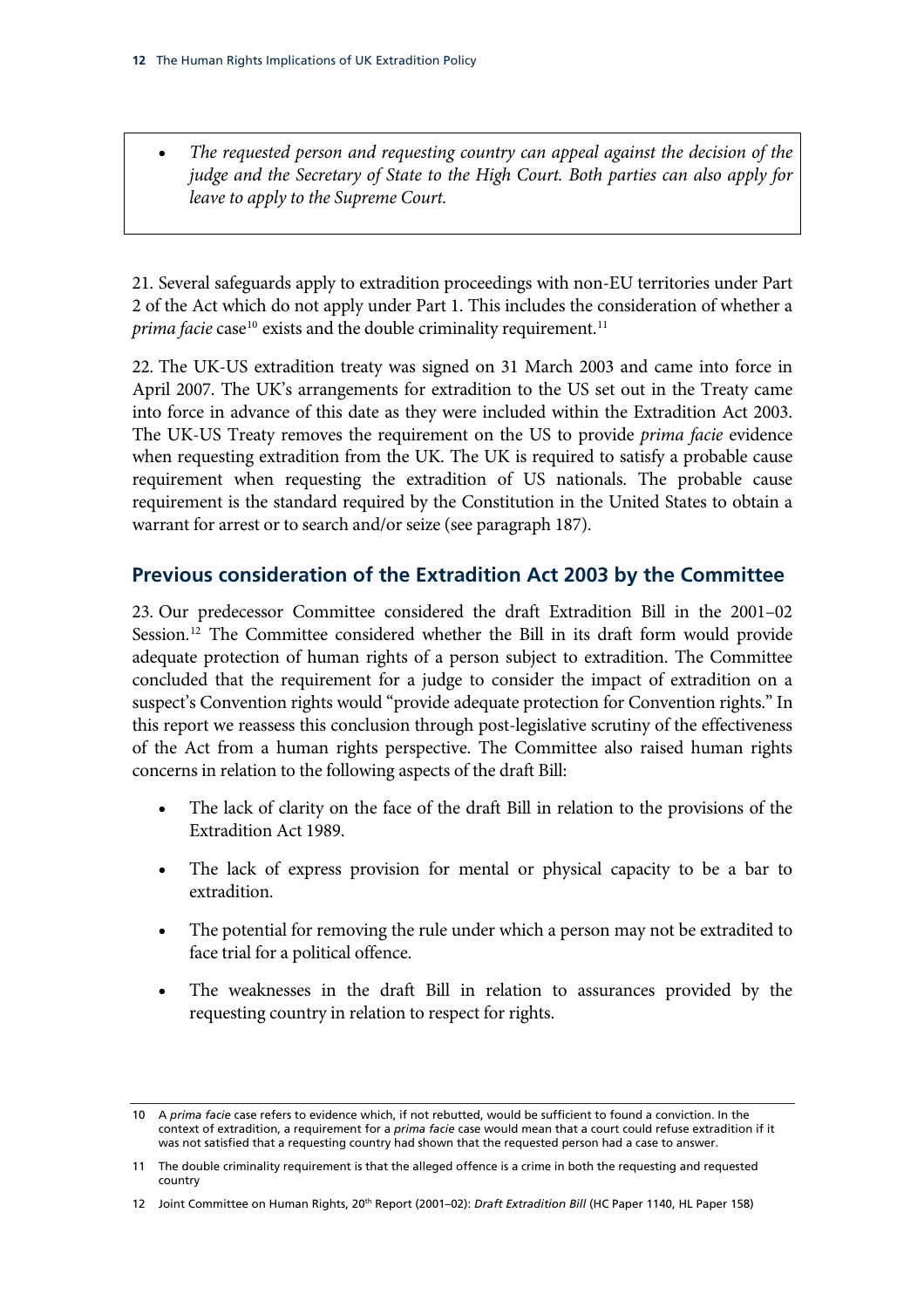<span id="page-15-0"></span>• *The requested person and requesting country can appeal against the decision of the judge and the Secretary of State to the High Court. Both parties can also apply for leave to apply to the Supreme Court.*

21. Several safeguards apply to extradition proceedings with non-EU territories under Part 2 of the Act which do not apply under Part 1. This includes the consideration of whether a *prima facie* case<sup>[10](#page-15-1)</sup> exists and the double criminality requirement.<sup>[11](#page-15-2)</sup>

22. The UK-US extradition treaty was signed on 31 March 2003 and came into force in April 2007. The UK's arrangements for extradition to the US set out in the Treaty came into force in advance of this date as they were included within the Extradition Act 2003. The UK-US Treaty removes the requirement on the US to provide *prima facie* evidence when requesting extradition from the UK. The UK is required to satisfy a probable cause requirement when requesting the extradition of US nationals. The probable cause requirement is the standard required by the Constitution in the United States to obtain a warrant for arrest or to search and/or seize (see paragraph 187).

#### **Previous consideration of the Extradition Act 2003 by the Committee**

23. Our predecessor Committee considered the draft Extradition Bill in the 2001–02 Session.<sup>[12](#page-15-3)</sup> The Committee considered whether the Bill in its draft form would provide adequate protection of human rights of a person subject to extradition. The Committee concluded that the requirement for a judge to consider the impact of extradition on a suspect's Convention rights would "provide adequate protection for Convention rights." In this report we reassess this conclusion through post-legislative scrutiny of the effectiveness of the Act from a human rights perspective. The Committee also raised human rights concerns in relation to the following aspects of the draft Bill:

- The lack of clarity on the face of the draft Bill in relation to the provisions of the Extradition Act 1989.
- The lack of express provision for mental or physical capacity to be a bar to extradition.
- The potential for removing the rule under which a person may not be extradited to face trial for a political offence.
- The weaknesses in the draft Bill in relation to assurances provided by the requesting country in relation to respect for rights.

<span id="page-15-1"></span><sup>10</sup> A *prima facie* case refers to evidence which, if not rebutted, would be sufficient to found a conviction. In the context of extradition, a requirement for a *prima facie* case would mean that a court could refuse extradition if it was not satisfied that a requesting country had shown that the requested person had a case to answer.

<span id="page-15-2"></span><sup>11</sup> The double criminality requirement is that the alleged offence is a crime in both the requesting and requested country

<span id="page-15-3"></span><sup>12</sup> Joint Committee on Human Rights, 20<sup>th</sup> Report (2001–02): *Draft Extradition Bill* (HC Paper 1140, HL Paper 158)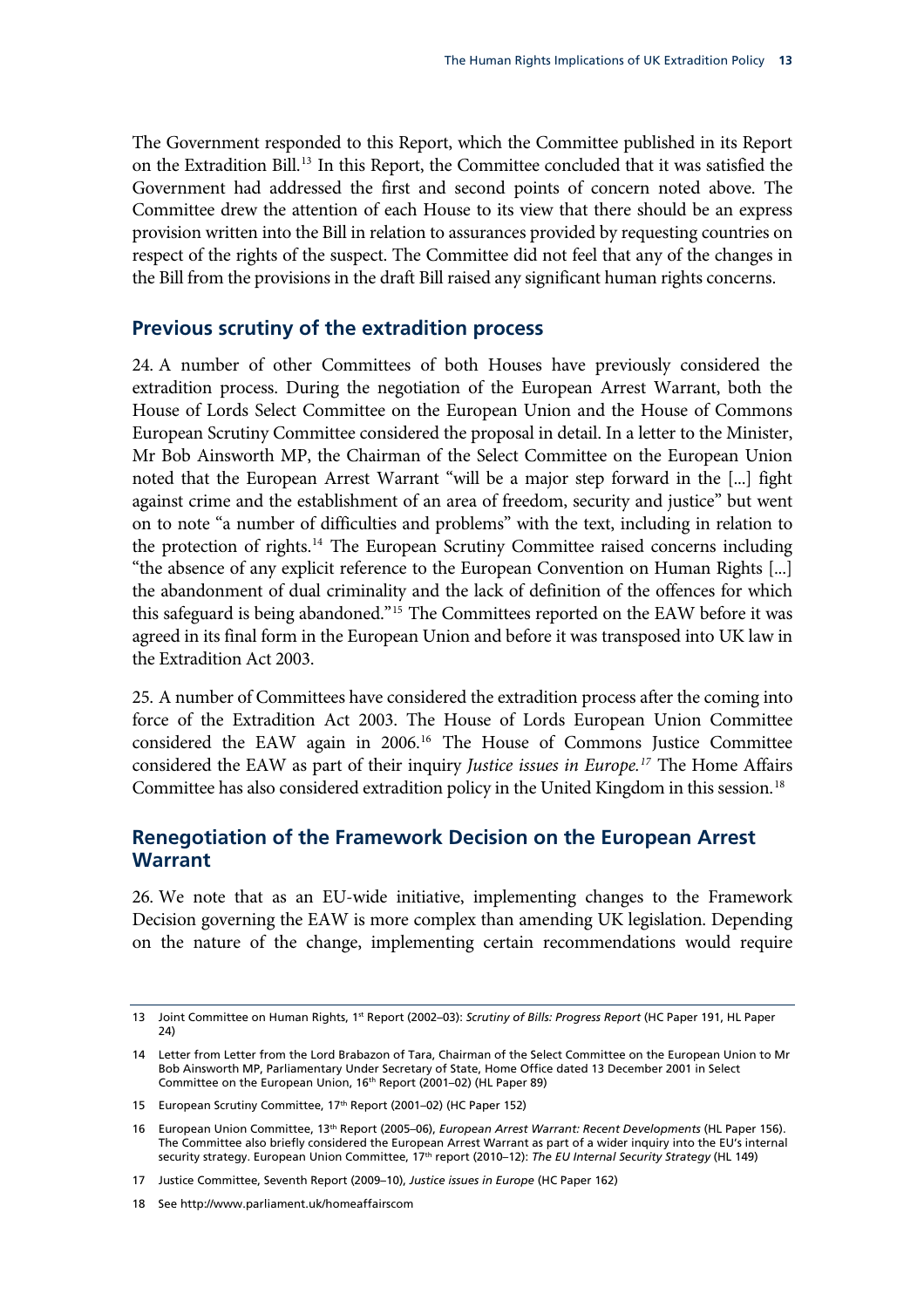<span id="page-16-0"></span>The Government responded to this Report, which the Committee published in its Report on the Extradition Bill.[13](#page-16-1) In this Report, the Committee concluded that it was satisfied the Government had addressed the first and second points of concern noted above. The Committee drew the attention of each House to its view that there should be an express provision written into the Bill in relation to assurances provided by requesting countries on respect of the rights of the suspect. The Committee did not feel that any of the changes in the Bill from the provisions in the draft Bill raised any significant human rights concerns.

#### **Previous scrutiny of the extradition process**

24. A number of other Committees of both Houses have previously considered the extradition process. During the negotiation of the European Arrest Warrant, both the House of Lords Select Committee on the European Union and the House of Commons European Scrutiny Committee considered the proposal in detail. In a letter to the Minister, Mr Bob Ainsworth MP, the Chairman of the Select Committee on the European Union noted that the European Arrest Warrant "will be a major step forward in the [...] fight against crime and the establishment of an area of freedom, security and justice" but went on to note "a number of difficulties and problems" with the text, including in relation to the protection of rights.[14](#page-16-2) The European Scrutiny Committee raised concerns including "the absence of any explicit reference to the European Convention on Human Rights [...] the abandonment of dual criminality and the lack of definition of the offences for which this safeguard is being abandoned."[15](#page-16-3) The Committees reported on the EAW before it was agreed in its final form in the European Union and before it was transposed into UK law in the Extradition Act 2003.

25. A number of Committees have considered the extradition process after the coming into force of the Extradition Act 2003. The House of Lords European Union Committee considered the EAW again in 2006.[16](#page-16-4) The House of Commons Justice Committee considered the EAW as part of their inquiry *Justice issues in Europe[.17](#page-16-5)* The Home Affairs Committee has also considered extradition policy in the United Kingdom in this session.<sup>[18](#page-16-6)</sup>

#### **Renegotiation of the Framework Decision on the European Arrest Warrant**

26. We note that as an EU-wide initiative, implementing changes to the Framework Decision governing the EAW is more complex than amending UK legislation. Depending on the nature of the change, implementing certain recommendations would require

<span id="page-16-1"></span><sup>13</sup> Joint Committee on Human Rights, 1st Report (2002–03): *Scrutiny of Bills: Progress Report* (HC Paper 191, HL Paper 24)

<span id="page-16-2"></span><sup>14</sup> Letter from Letter from the Lord Brabazon of Tara, Chairman of the Select Committee on the European Union to Mr Bob Ainsworth MP, Parliamentary Under Secretary of State, Home Office dated 13 December 2001 in Select Committee on the European Union, 16<sup>th</sup> Report (2001–02) (HL Paper 89)

<span id="page-16-3"></span><sup>15</sup> European Scrutiny Committee, 17<sup>th</sup> Report (2001-02) (HC Paper 152)

<span id="page-16-4"></span><sup>16</sup> European Union Committee, 13th Report (2005–06), *European Arrest Warrant: Recent Developments* (HL Paper 156). The Committee also briefly considered the European Arrest Warrant as part of a wider inquiry into the EU's internal security strategy. European Union Committee, 17th report (2010–12): *The EU Internal Security Strategy* (HL 149)

<span id="page-16-5"></span><sup>17</sup> Justice Committee, Seventh Report (2009–10), *Justice issues in Europe* (HC Paper 162)

<span id="page-16-6"></span><sup>18</sup> See http://www.parliament.uk/homeaffairscom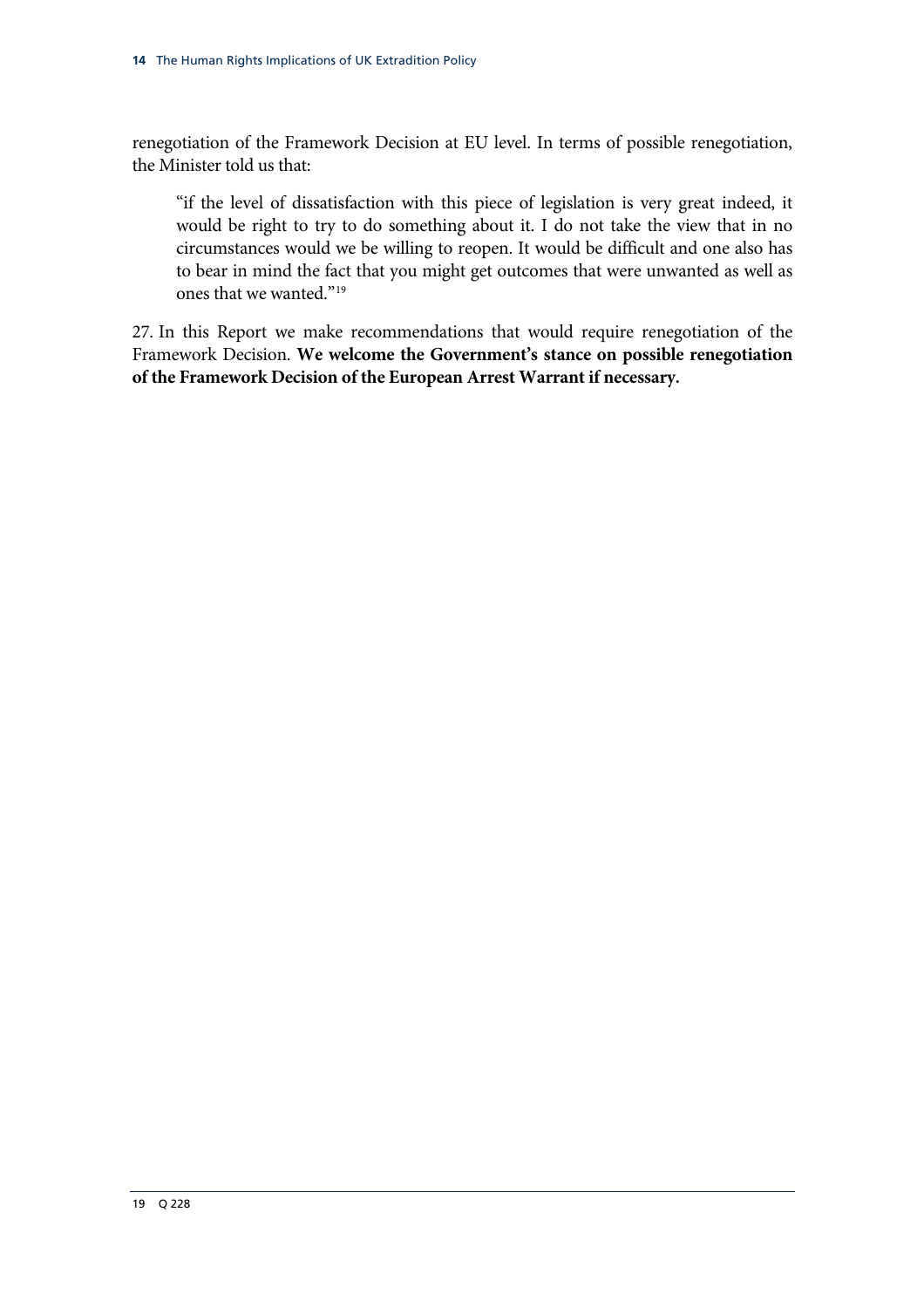renegotiation of the Framework Decision at EU level. In terms of possible renegotiation, the Minister told us that:

"if the level of dissatisfaction with this piece of legislation is very great indeed, it would be right to try to do something about it. I do not take the view that in no circumstances would we be willing to reopen. It would be difficult and one also has to bear in mind the fact that you might get outcomes that were unwanted as well as ones that we wanted."[19](#page-17-0)

<span id="page-17-0"></span>27. In this Report we make recommendations that would require renegotiation of the Framework Decision. **We welcome the Government's stance on possible renegotiation of the Framework Decision of the European Arrest Warrant if necessary.**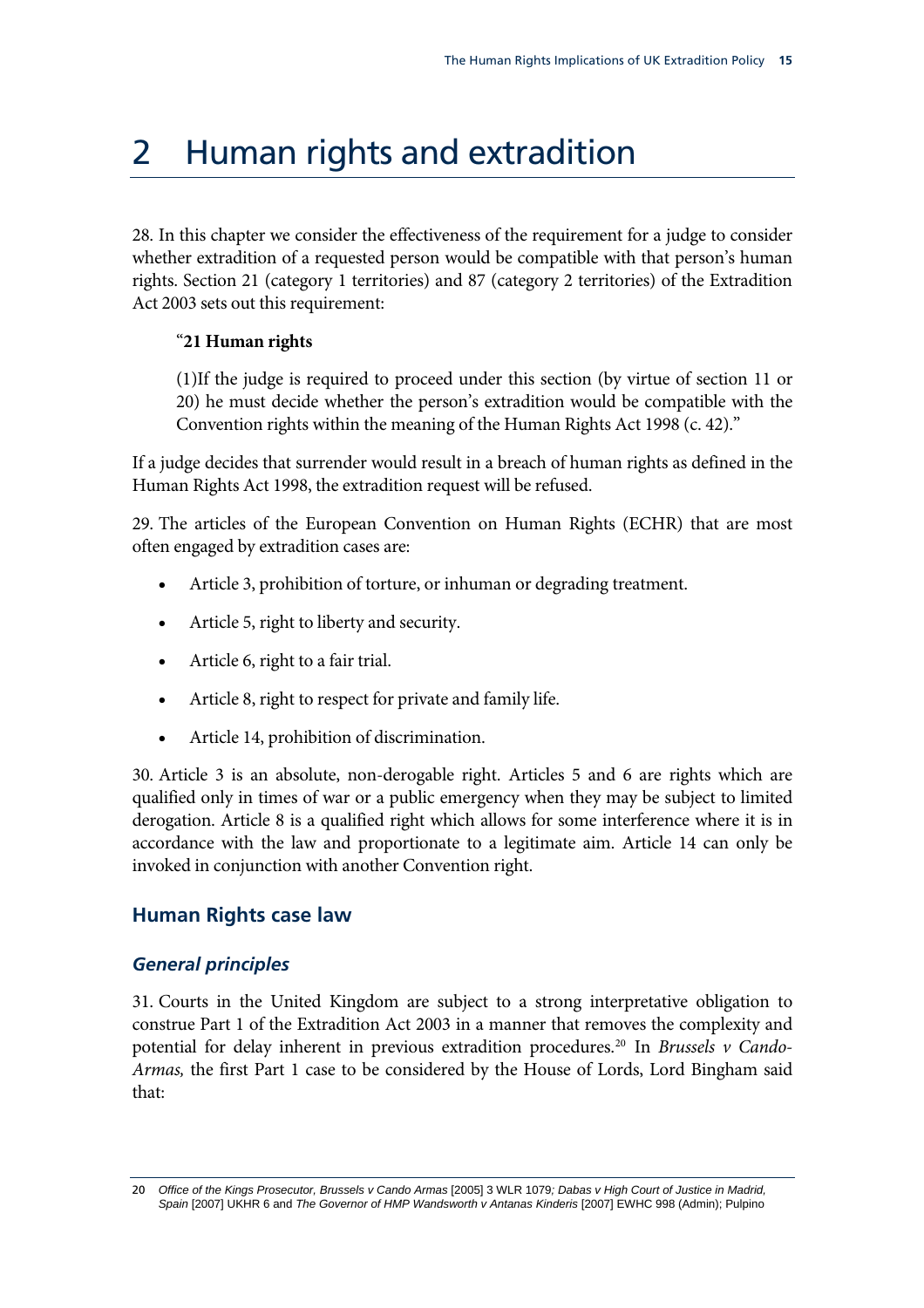### <span id="page-18-0"></span>2 Human rights and extradition

28. In this chapter we consider the effectiveness of the requirement for a judge to consider whether extradition of a requested person would be compatible with that person's human rights. Section 21 (category 1 territories) and 87 (category 2 territories) of the Extradition Act 2003 sets out this requirement:

#### "**21 Human rights**

(1)If the judge is required to proceed under this section (by virtue of section 11 or 20) he must decide whether the person's extradition would be compatible with the Convention rights within the meaning of the Human Rights Act 1998 (c. 42)."

If a judge decides that surrender would result in a breach of human rights as defined in the Human Rights Act 1998, the extradition request will be refused.

29. The articles of the European Convention on Human Rights (ECHR) that are most often engaged by extradition cases are:

- Article 3, prohibition of torture, or inhuman or degrading treatment.
- Article 5, right to liberty and security.
- Article 6, right to a fair trial.
- Article 8, right to respect for private and family life.
- Article 14, prohibition of discrimination.

30. Article 3 is an absolute, non-derogable right. Articles 5 and 6 are rights which are qualified only in times of war or a public emergency when they may be subject to limited derogation. Article 8 is a qualified right which allows for some interference where it is in accordance with the law and proportionate to a legitimate aim. Article 14 can only be invoked in conjunction with another Convention right.

### **Human Rights case law**

#### *General principles*

31. Courts in the United Kingdom are subject to a strong interpretative obligation to construe Part 1 of the Extradition Act 2003 in a manner that removes the complexity and potential for delay inherent in previous extradition procedures.[20](#page-18-1) In *Brussels v Cando-Armas,* the first Part 1 case to be considered by the House of Lords, Lord Bingham said that:

<span id="page-18-1"></span><sup>20</sup> *Office of the Kings Prosecutor, Brussels v Cando Armas* [2005] 3 WLR 1079*; Dabas v High Court of Justice in Madrid, Spain* [2007] UKHR 6 and *The Governor of HMP Wandsworth v Antanas Kinderis* [2007] EWHC 998 (Admin); Pulpino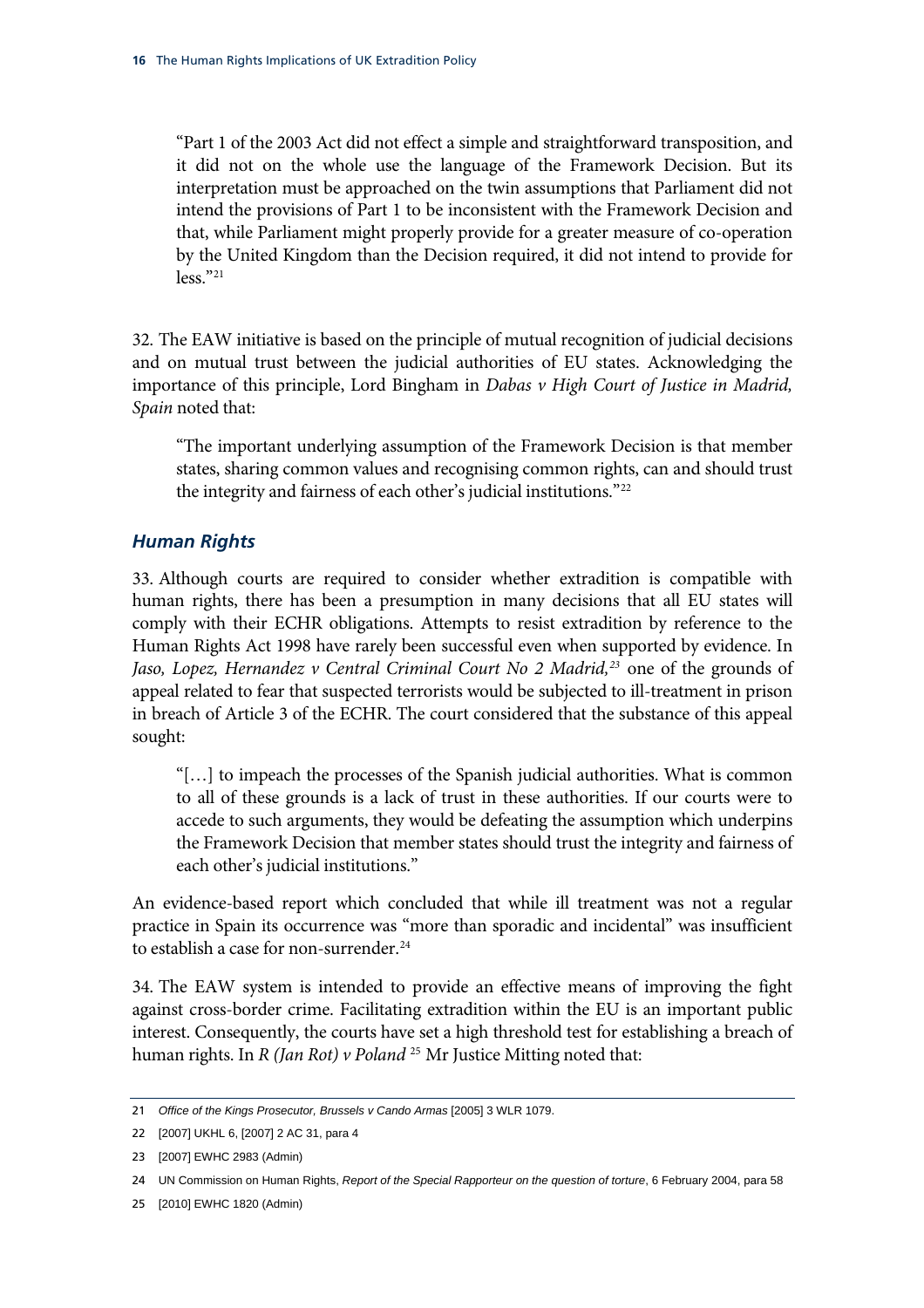<span id="page-19-0"></span>"Part 1 of the 2003 Act did not effect a simple and straightforward transposition, and it did not on the whole use the language of the Framework Decision. But its interpretation must be approached on the twin assumptions that Parliament did not intend the provisions of Part 1 to be inconsistent with the Framework Decision and that, while Parliament might properly provide for a greater measure of co-operation by the United Kingdom than the Decision required, it did not intend to provide for less."[21](#page-19-1)

32. The EAW initiative is based on the principle of mutual recognition of judicial decisions and on mutual trust between the judicial authorities of EU states. Acknowledging the importance of this principle, Lord Bingham in *Dabas v High Court of Justice in Madrid, Spain* noted that:

"The important underlying assumption of the Framework Decision is that member states, sharing common values and recognising common rights, can and should trust the integrity and fairness of each other's judicial institutions."[22](#page-19-2)

#### *Human Rights*

33. Although courts are required to consider whether extradition is compatible with human rights, there has been a presumption in many decisions that all EU states will comply with their ECHR obligations. Attempts to resist extradition by reference to the Human Rights Act 1998 have rarely been successful even when supported by evidence. In *Jaso, Lopez, Hernandez v Central Criminal Court No 2 Madrid,[23](#page-19-3)* one of the grounds of appeal related to fear that suspected terrorists would be subjected to ill-treatment in prison in breach of Article 3 of the ECHR. The court considered that the substance of this appeal sought:

"[…] to impeach the processes of the Spanish judicial authorities. What is common to all of these grounds is a lack of trust in these authorities. If our courts were to accede to such arguments, they would be defeating the assumption which underpins the Framework Decision that member states should trust the integrity and fairness of each other's judicial institutions."

An evidence-based report which concluded that while ill treatment was not a regular practice in Spain its occurrence was "more than sporadic and incidental" was insufficient to establish a case for non-surrender.<sup>[24](#page-19-4)</sup>

34. The EAW system is intended to provide an effective means of improving the fight against cross-border crime. Facilitating extradition within the EU is an important public interest. Consequently, the courts have set a high threshold test for establishing a breach of human rights. In *R (Jan Rot) v Poland* [25](#page-19-5) Mr Justice Mitting noted that:

<span id="page-19-1"></span><sup>21</sup> *Office of the Kings Prosecutor, Brussels v Cando Armas* [2005] 3 WLR 1079.

<span id="page-19-2"></span><sup>22</sup> [2007] UKHL 6, [2007] 2 AC 31, para 4

<span id="page-19-3"></span><sup>23</sup> [2007] EWHC 2983 (Admin)

<span id="page-19-4"></span><sup>24</sup> UN Commission on Human Rights, *Report of the Special Rapporteur on the question of torture*, 6 February 2004, para 58

<span id="page-19-5"></span><sup>25</sup> [2010] EWHC 1820 (Admin)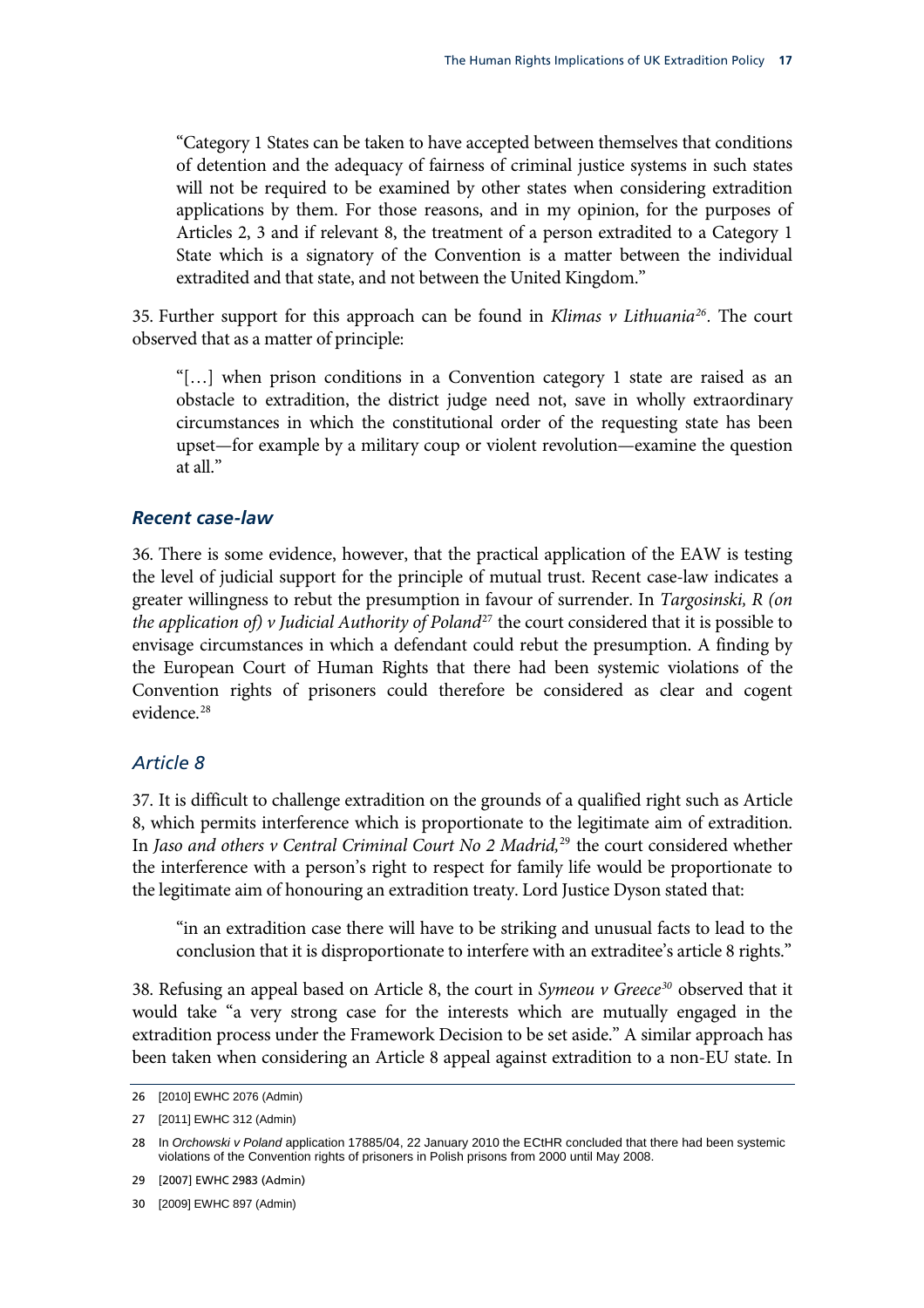<span id="page-20-0"></span>"Category 1 States can be taken to have accepted between themselves that conditions of detention and the adequacy of fairness of criminal justice systems in such states will not be required to be examined by other states when considering extradition applications by them. For those reasons, and in my opinion, for the purposes of Articles 2, 3 and if relevant 8, the treatment of a person extradited to a Category 1 State which is a signatory of the Convention is a matter between the individual extradited and that state, and not between the United Kingdom."

35. Further support for this approach can be found in *Klimas v Lithuania[26](#page-20-1).* The court observed that as a matter of principle:

"[…] when prison conditions in a Convention category 1 state are raised as an obstacle to extradition, the district judge need not, save in wholly extraordinary circumstances in which the constitutional order of the requesting state has been upset—for example by a military coup or violent revolution—examine the question at all."

#### *Recent case-law*

36. There is some evidence, however, that the practical application of the EAW is testing the level of judicial support for the principle of mutual trust. Recent case-law indicates a greater willingness to rebut the presumption in favour of surrender. In *Targosinski, R (on the application of) v Judicial Authority of Poland*[27](#page-20-2) the court considered that it is possible to envisage circumstances in which a defendant could rebut the presumption. A finding by the European Court of Human Rights that there had been systemic violations of the Convention rights of prisoners could therefore be considered as clear and cogent evidence.<sup>[28](#page-20-3)</sup>

#### *Article 8*

37. It is difficult to challenge extradition on the grounds of a qualified right such as Article 8, which permits interference which is proportionate to the legitimate aim of extradition. In *Jaso and others v Central Criminal Court No 2 Madrid,*[29](#page-20-4) the court considered whether the interference with a person's right to respect for family life would be proportionate to the legitimate aim of honouring an extradition treaty. Lord Justice Dyson stated that:

"in an extradition case there will have to be striking and unusual facts to lead to the conclusion that it is disproportionate to interfere with an extraditee's article 8 rights."

38. Refusing an appeal based on Article 8, the court in *Symeou v Greece[30](#page-20-5)* observed that it would take "a very strong case for the interests which are mutually engaged in the extradition process under the Framework Decision to be set aside." A similar approach has been taken when considering an Article 8 appeal against extradition to a non-EU state. In

<span id="page-20-1"></span><sup>26</sup> [2010] EWHC 2076 (Admin)

<span id="page-20-2"></span><sup>27</sup> [2011] EWHC 312 (Admin)

<span id="page-20-3"></span><sup>28</sup> In *Orchowski v Poland* application 17885/04, 22 January 2010 the ECtHR concluded that there had been systemic violations of the Convention rights of prisoners in Polish prisons from 2000 until May 2008.

<span id="page-20-4"></span><sup>29 [2007]</sup> EWHC 2983 (Admin)

<span id="page-20-5"></span><sup>30</sup> [2009] EWHC 897 (Admin)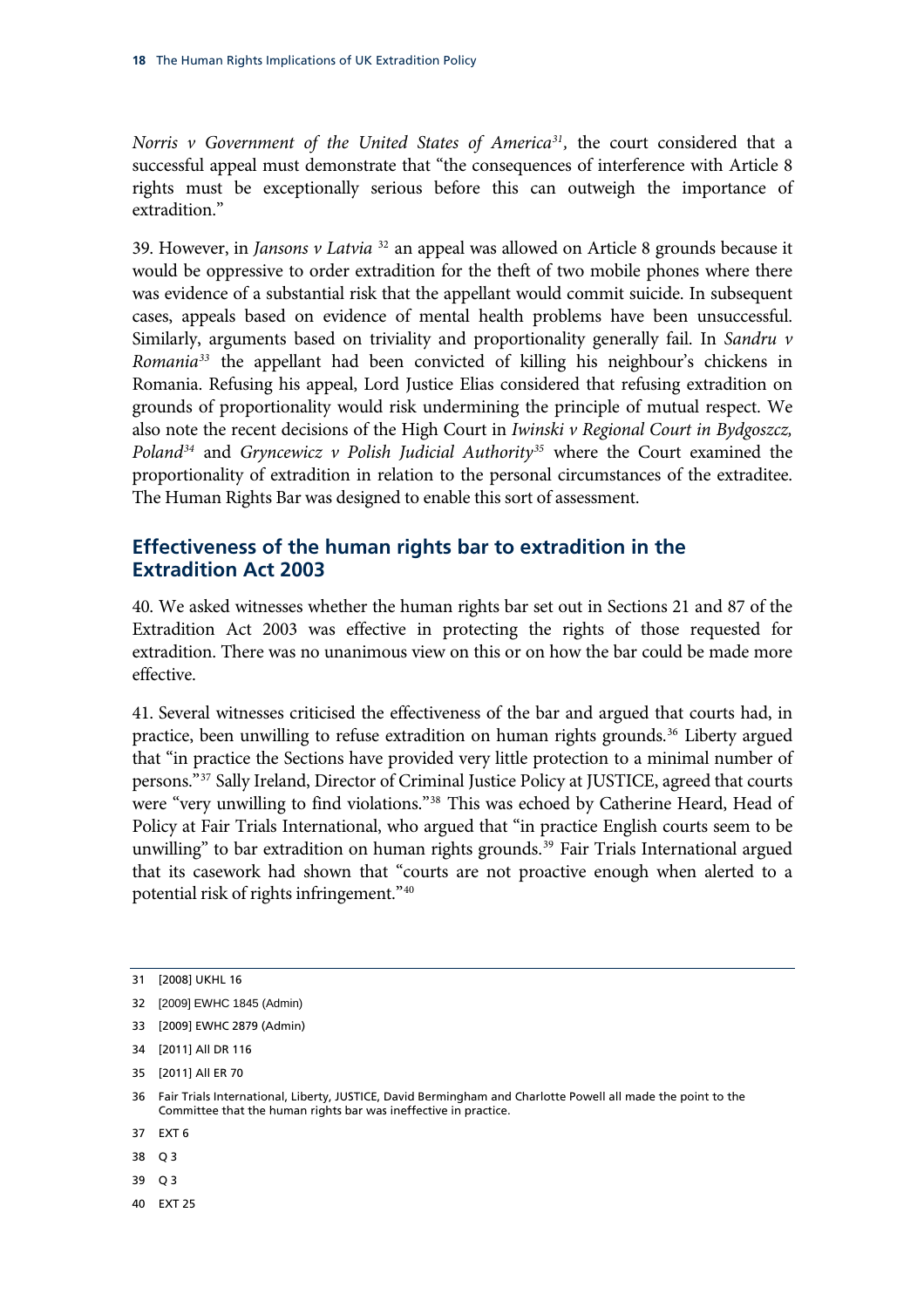<span id="page-21-0"></span>*Norris v Government of the United States of America<sup>31</sup>, the court considered that a* successful appeal must demonstrate that "the consequences of interference with Article 8 rights must be exceptionally serious before this can outweigh the importance of extradition."

39. However, in *Jansons v Latvia* [32](#page-21-1) an appeal was allowed on Article 8 grounds because it would be oppressive to order extradition for the theft of two mobile phones where there was evidence of a substantial risk that the appellant would commit suicide. In subsequent cases, appeals based on evidence of mental health problems have been unsuccessful. Similarly, arguments based on triviality and proportionality generally fail. In *Sandru v Romania[33](#page-21-2)* the appellant had been convicted of killing his neighbour's chickens in Romania. Refusing his appeal, Lord Justice Elias considered that refusing extradition on grounds of proportionality would risk undermining the principle of mutual respect. We also note the recent decisions of the High Court in *Iwinski v Regional Court in Bydgoszcz, Poland[34](#page-21-3)* and *Gryncewicz v Polish Judicial Authority[35](#page-21-4)* where the Court examined the proportionality of extradition in relation to the personal circumstances of the extraditee. The Human Rights Bar was designed to enable this sort of assessment.

#### **Effectiveness of the human rights bar to extradition in the Extradition Act 2003**

40. We asked witnesses whether the human rights bar set out in Sections 21 and 87 of the Extradition Act 2003 was effective in protecting the rights of those requested for extradition. There was no unanimous view on this or on how the bar could be made more effective.

41. Several witnesses criticised the effectiveness of the bar and argued that courts had, in practice, been unwilling to refuse extradition on human rights grounds.<sup>[36](#page-21-5)</sup> Liberty argued that "in practice the Sections have provided very little protection to a minimal number of persons."[37](#page-21-6) Sally Ireland, Director of Criminal Justice Policy at JUSTICE, agreed that courts were "very unwilling to find violations."[38](#page-21-7) This was echoed by Catherine Heard, Head of Policy at Fair Trials International, who argued that "in practice English courts seem to be unwilling" to bar extradition on human rights grounds.<sup>[39](#page-21-8)</sup> Fair Trials International argued that its casework had shown that "courts are not proactive enough when alerted to a potential risk of rights infringement."[40](#page-21-9)

- <span id="page-21-7"></span>38 O 3
- <span id="page-21-8"></span>39 Q 3
- <span id="page-21-9"></span>40 EXT 25

<sup>31 [2008]</sup> UKHL 16

<span id="page-21-1"></span><sup>32</sup> [2009] EWHC 1845 (Admin)

<span id="page-21-2"></span><sup>33 [2009]</sup> EWHC 2879 (Admin)

<span id="page-21-3"></span><sup>34 [2011]</sup> All DR 116

<span id="page-21-4"></span><sup>35 [2011]</sup> All ER 70

<span id="page-21-5"></span><sup>36</sup> Fair Trials International, Liberty, JUSTICE, David Bermingham and Charlotte Powell all made the point to the Committee that the human rights bar was ineffective in practice.

<span id="page-21-6"></span><sup>37</sup> EXT 6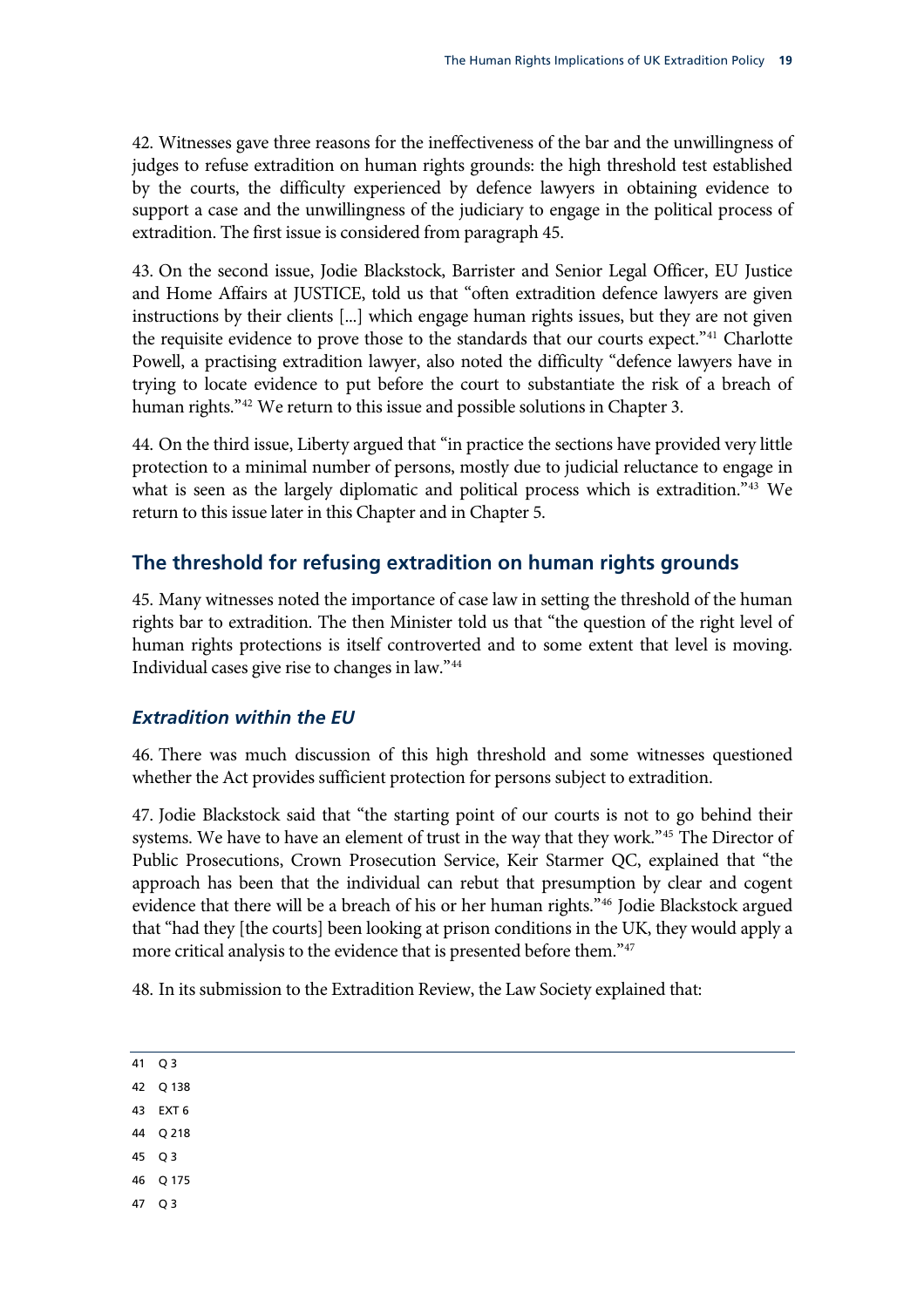<span id="page-22-0"></span>42. Witnesses gave three reasons for the ineffectiveness of the bar and the unwillingness of judges to refuse extradition on human rights grounds: the high threshold test established by the courts, the difficulty experienced by defence lawyers in obtaining evidence to support a case and the unwillingness of the judiciary to engage in the political process of extradition. The first issue is considered from paragraph 45.

43. On the second issue, Jodie Blackstock, Barrister and Senior Legal Officer, EU Justice and Home Affairs at JUSTICE, told us that "often extradition defence lawyers are given instructions by their clients [...] which engage human rights issues, but they are not given the requisite evidence to prove those to the standards that our courts expect."<sup>[41](#page-22-1)</sup> Charlotte Powell, a practising extradition lawyer, also noted the difficulty "defence lawyers have in trying to locate evidence to put before the court to substantiate the risk of a breach of human rights."<sup>[42](#page-22-2)</sup> We return to this issue and possible solutions in Chapter 3.

44. On the third issue, Liberty argued that "in practice the sections have provided very little protection to a minimal number of persons, mostly due to judicial reluctance to engage in what is seen as the largely diplomatic and political process which is extradition."<sup>[43](#page-22-3)</sup> We return to this issue later in this Chapter and in Chapter 5.

#### **The threshold for refusing extradition on human rights grounds**

45. Many witnesses noted the importance of case law in setting the threshold of the human rights bar to extradition. The then Minister told us that "the question of the right level of human rights protections is itself controverted and to some extent that level is moving. Individual cases give rise to changes in law."[44](#page-22-4)

#### *Extradition within the EU*

46. There was much discussion of this high threshold and some witnesses questioned whether the Act provides sufficient protection for persons subject to extradition.

47. Jodie Blackstock said that "the starting point of our courts is not to go behind their systems. We have to have an element of trust in the way that they work."<sup>[45](#page-22-5)</sup> The Director of Public Prosecutions, Crown Prosecution Service, Keir Starmer QC, explained that "the approach has been that the individual can rebut that presumption by clear and cogent evidence that there will be a breach of his or her human rights."[46](#page-22-6) Jodie Blackstock argued that "had they [the courts] been looking at prison conditions in the UK, they would apply a more critical analysis to the evidence that is presented before them."<sup>[47](#page-22-7)</sup>

48. In its submission to the Extradition Review, the Law Society explained that:

<span id="page-22-1"></span>

| ۰.<br>٠ |  |
|---------|--|
|         |  |

- <span id="page-22-2"></span>42 Q 138
- <span id="page-22-3"></span>43 EXT 6
- <span id="page-22-4"></span>44 Q 218
- <span id="page-22-5"></span>45 Q 3
- <span id="page-22-6"></span>46 Q 175
- <span id="page-22-7"></span>47 Q 3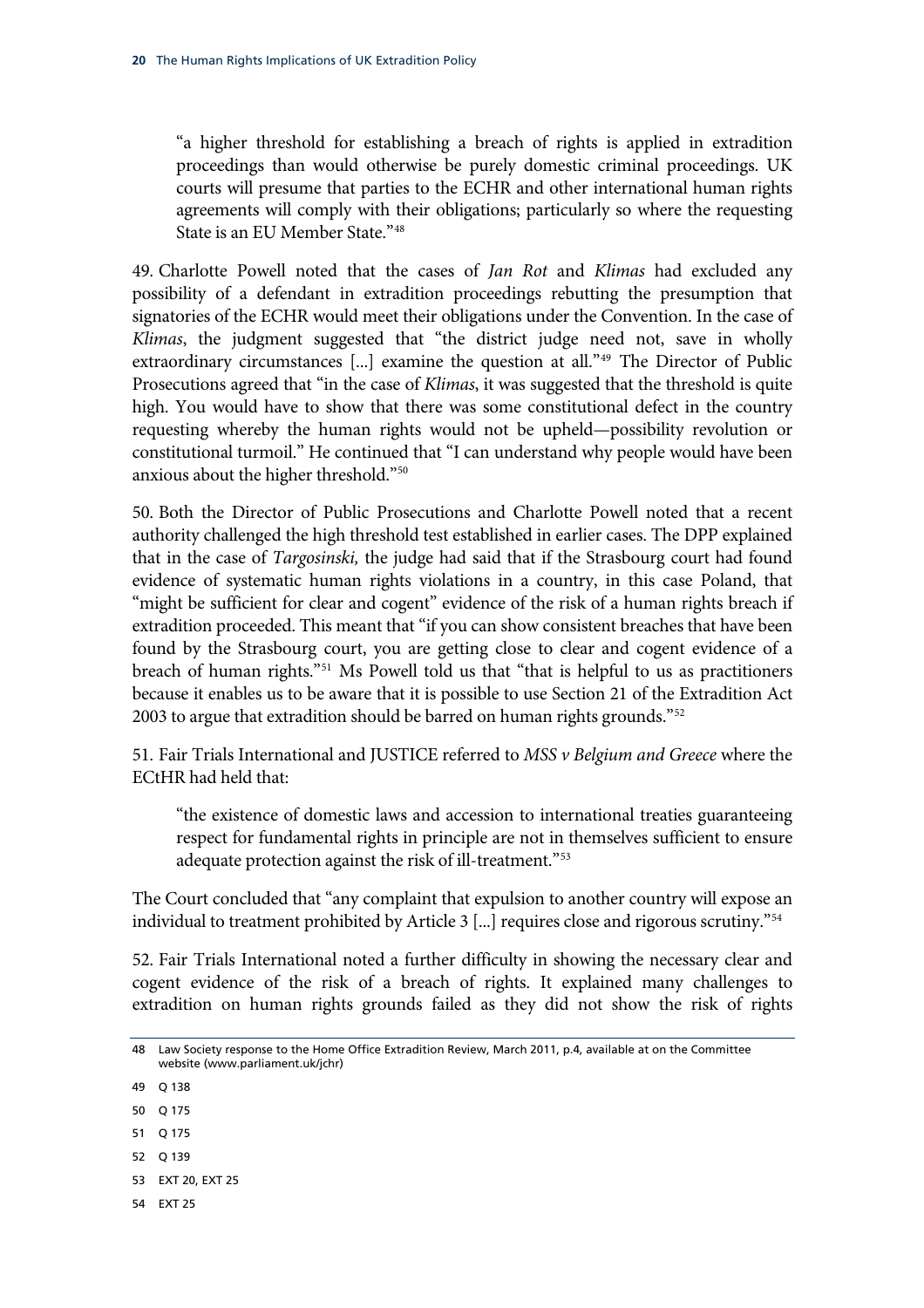"a higher threshold for establishing a breach of rights is applied in extradition proceedings than would otherwise be purely domestic criminal proceedings. UK courts will presume that parties to the ECHR and other international human rights agreements will comply with their obligations; particularly so where the requesting State is an EU Member State."[48](#page-23-0)

49. Charlotte Powell noted that the cases of *Jan Rot* and *Klimas* had excluded any possibility of a defendant in extradition proceedings rebutting the presumption that signatories of the ECHR would meet their obligations under the Convention. In the case of *Klimas*, the judgment suggested that "the district judge need not, save in wholly extraordinary circumstances [...] examine the question at all."<sup>[49](#page-23-1)</sup> The Director of Public Prosecutions agreed that "in the case of *Klimas*, it was suggested that the threshold is quite high. You would have to show that there was some constitutional defect in the country requesting whereby the human rights would not be upheld—possibility revolution or constitutional turmoil." He continued that "I can understand why people would have been anxious about the higher threshold."[50](#page-23-2)

50. Both the Director of Public Prosecutions and Charlotte Powell noted that a recent authority challenged the high threshold test established in earlier cases. The DPP explained that in the case of *Targosinski,* the judge had said that if the Strasbourg court had found evidence of systematic human rights violations in a country, in this case Poland, that "might be sufficient for clear and cogent" evidence of the risk of a human rights breach if extradition proceeded. This meant that "if you can show consistent breaches that have been found by the Strasbourg court, you are getting close to clear and cogent evidence of a breach of human rights."<sup>[51](#page-23-3)</sup> Ms Powell told us that "that is helpful to us as practitioners because it enables us to be aware that it is possible to use Section 21 of the Extradition Act 2003 to argue that extradition should be barred on human rights grounds."<sup>[52](#page-23-4)</sup>

51. Fair Trials International and JUSTICE referred to *MSS v Belgium and Greece* where the ECtHR had held that:

"the existence of domestic laws and accession to international treaties guaranteeing respect for fundamental rights in principle are not in themselves sufficient to ensure adequate protection against the risk of ill-treatment."[53](#page-23-5)

The Court concluded that "any complaint that expulsion to another country will expose an individual to treatment prohibited by Article 3 [...] requires close and rigorous scrutiny."[54](#page-23-6)

52. Fair Trials International noted a further difficulty in showing the necessary clear and cogent evidence of the risk of a breach of rights. It explained many challenges to extradition on human rights grounds failed as they did not show the risk of rights

- <span id="page-23-1"></span>49 Q 138
- <span id="page-23-2"></span>50 Q 175
- <span id="page-23-3"></span>51 Q 175
- <span id="page-23-4"></span>52 Q 139
- <span id="page-23-5"></span>53 EXT 20, EXT 25
- <span id="page-23-6"></span>54 EXT 25

<span id="page-23-0"></span><sup>48</sup> Law Society response to the Home Office Extradition Review, March 2011, p.4, available at on the Committee website (www.parliament.uk/jchr)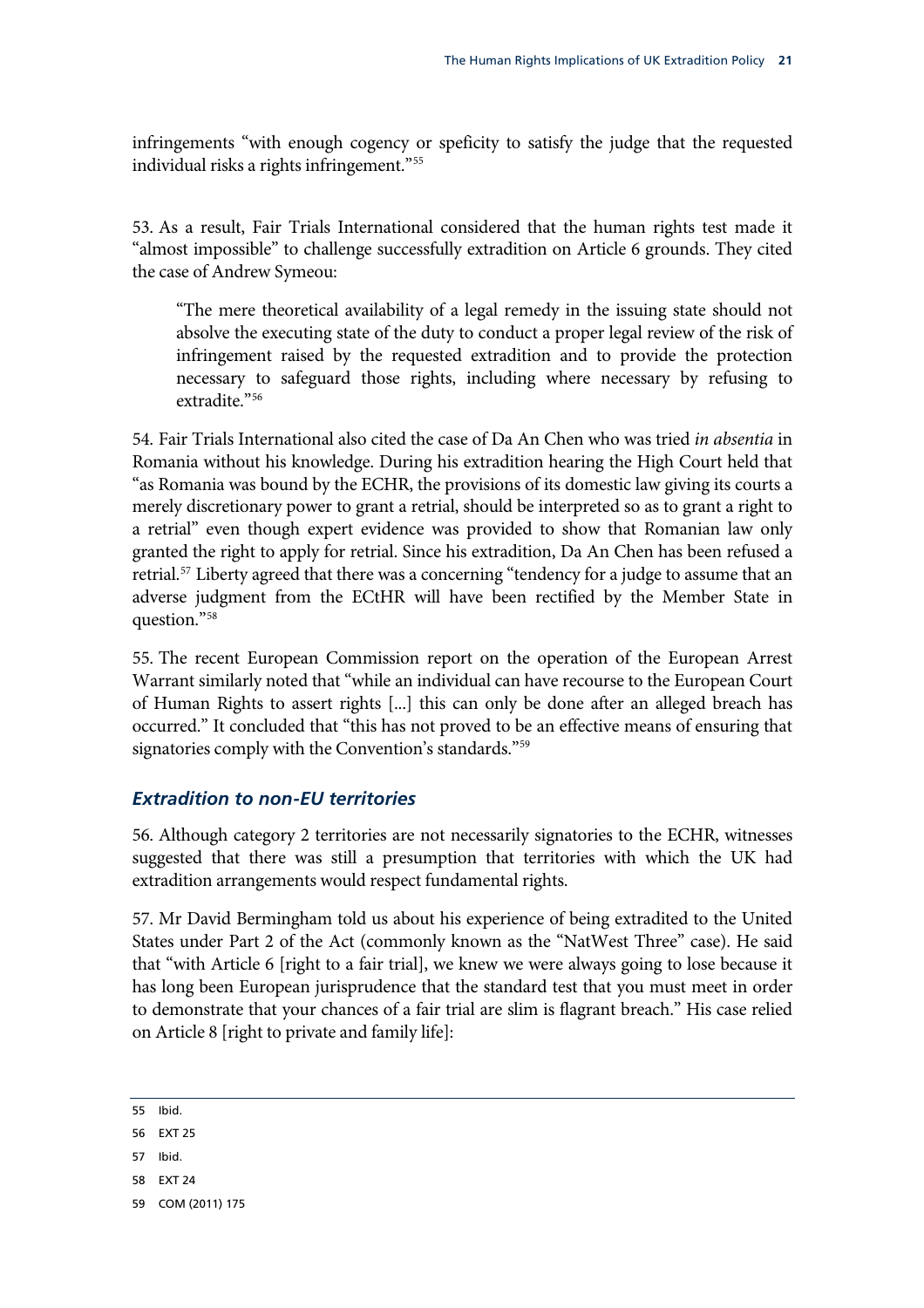<span id="page-24-0"></span>infringements "with enough cogency or speficity to satisfy the judge that the requested individual risks a rights infringement."[55](#page-24-1)

53. As a result, Fair Trials International considered that the human rights test made it "almost impossible" to challenge successfully extradition on Article 6 grounds. They cited the case of Andrew Symeou:

"The mere theoretical availability of a legal remedy in the issuing state should not absolve the executing state of the duty to conduct a proper legal review of the risk of infringement raised by the requested extradition and to provide the protection necessary to safeguard those rights, including where necessary by refusing to extradite."[56](#page-24-2)

54. Fair Trials International also cited the case of Da An Chen who was tried *in absentia* in Romania without his knowledge. During his extradition hearing the High Court held that "as Romania was bound by the ECHR, the provisions of its domestic law giving its courts a merely discretionary power to grant a retrial, should be interpreted so as to grant a right to a retrial" even though expert evidence was provided to show that Romanian law only granted the right to apply for retrial. Since his extradition, Da An Chen has been refused a retrial.[57](#page-24-3) Liberty agreed that there was a concerning "tendency for a judge to assume that an adverse judgment from the ECtHR will have been rectified by the Member State in question."[58](#page-24-4)

55. The recent European Commission report on the operation of the European Arrest Warrant similarly noted that "while an individual can have recourse to the European Court of Human Rights to assert rights [...] this can only be done after an alleged breach has occurred." It concluded that "this has not proved to be an effective means of ensuring that signatories comply with the Convention's standards."<sup>[59](#page-24-5)</sup>

#### *Extradition to non-EU territories*

56. Although category 2 territories are not necessarily signatories to the ECHR, witnesses suggested that there was still a presumption that territories with which the UK had extradition arrangements would respect fundamental rights.

57. Mr David Bermingham told us about his experience of being extradited to the United States under Part 2 of the Act (commonly known as the "NatWest Three" case). He said that "with Article 6 [right to a fair trial], we knew we were always going to lose because it has long been European jurisprudence that the standard test that you must meet in order to demonstrate that your chances of a fair trial are slim is flagrant breach." His case relied on Article 8 [right to private and family life]:

- <span id="page-24-3"></span>57 Ibid.
- <span id="page-24-4"></span>58 EXT 24
- <span id="page-24-5"></span>59 COM (2011) 175

<span id="page-24-1"></span><sup>55</sup> Ibid.

<span id="page-24-2"></span><sup>56</sup> EXT 25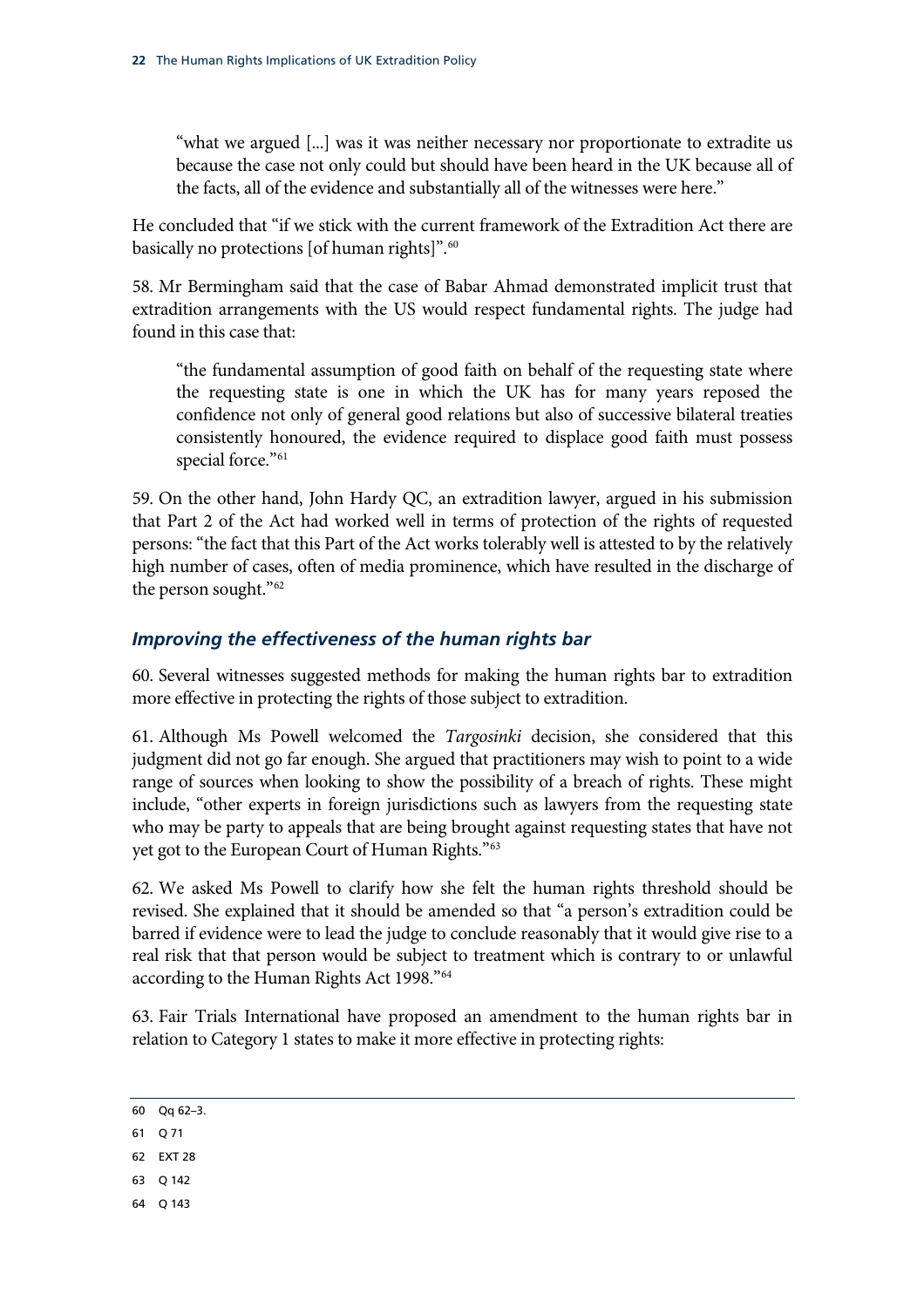<span id="page-25-0"></span>"what we argued [...] was it was neither necessary nor proportionate to extradite us because the case not only could but should have been heard in the UK because all of the facts, all of the evidence and substantially all of the witnesses were here."

He concluded that "if we stick with the current framework of the Extradition Act there are basically no protections [of human rights]".<sup>60</sup>

58. Mr Bermingham said that the case of Babar Ahmad demonstrated implicit trust that extradition arrangements with the US would respect fundamental rights. The judge had found in this case that:

"the fundamental assumption of good faith on behalf of the requesting state where the requesting state is one in which the UK has for many years reposed the confidence not only of general good relations but also of successive bilateral treaties consistently honoured, the evidence required to displace good faith must possess special force."<sup>[61](#page-25-2)</sup>

59. On the other hand, John Hardy QC, an extradition lawyer, argued in his submission that Part 2 of the Act had worked well in terms of protection of the rights of requested persons: "the fact that this Part of the Act works tolerably well is attested to by the relatively high number of cases, often of media prominence, which have resulted in the discharge of the person sought.["62](#page-25-3)

#### *Improving the effectiveness of the human rights bar*

60. Several witnesses suggested methods for making the human rights bar to extradition more effective in protecting the rights of those subject to extradition.

61. Although Ms Powell welcomed the *Targosinki* decision, she considered that this judgment did not go far enough. She argued that practitioners may wish to point to a wide range of sources when looking to show the possibility of a breach of rights. These might include, "other experts in foreign jurisdictions such as lawyers from the requesting state who may be party to appeals that are being brought against requesting states that have not yet got to the European Court of Human Rights."[63](#page-25-4)

62. We asked Ms Powell to clarify how she felt the human rights threshold should be revised. She explained that it should be amended so that "a person's extradition could be barred if evidence were to lead the judge to conclude reasonably that it would give rise to a real risk that that person would be subject to treatment which is contrary to or unlawful according to the Human Rights Act 1998."[64](#page-25-5)

63. Fair Trials International have proposed an amendment to the human rights bar in relation to Category 1 states to make it more effective in protecting rights:

- <span id="page-25-2"></span>61 Q 71
- <span id="page-25-3"></span>62 EXT 28
- <span id="page-25-4"></span>63 Q 142
- <span id="page-25-5"></span>64 Q 143

<span id="page-25-1"></span><sup>60</sup> Qq 62–3.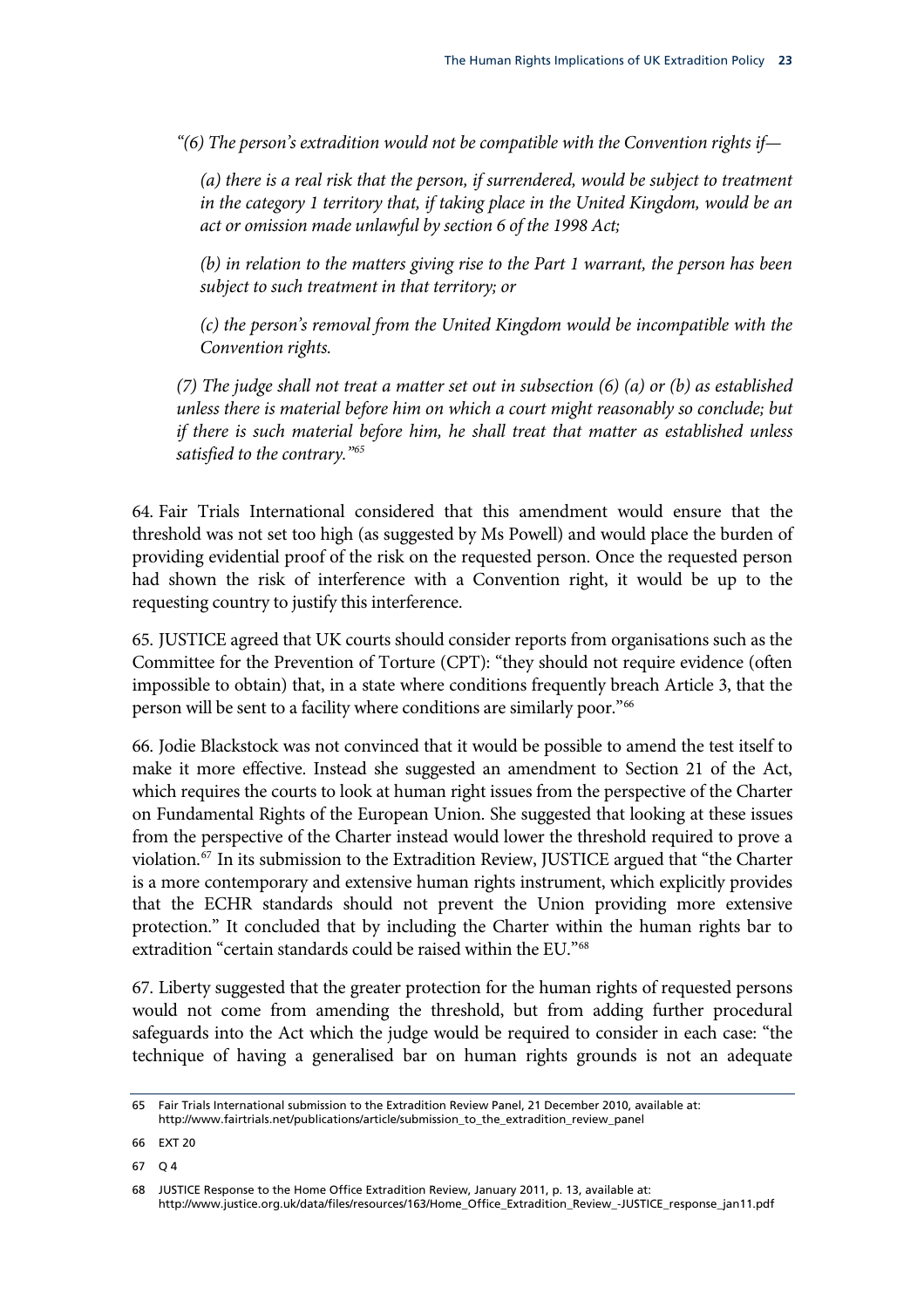*"(6) The person's extradition would not be compatible with the Convention rights if—* 

*(a) there is a real risk that the person, if surrendered, would be subject to treatment*  in the category 1 territory that, if taking place in the United Kingdom, would be an *act or omission made unlawful by section 6 of the 1998 Act;* 

*(b) in relation to the matters giving rise to the Part 1 warrant, the person has been subject to such treatment in that territory; or* 

*(c) the person's removal from the United Kingdom would be incompatible with the Convention rights.* 

*(7) The judge shall not treat a matter set out in subsection (6) (a) or (b) as established unless there is material before him on which a court might reasonably so conclude; but if there is such material before him, he shall treat that matter as established unless satisfied to the contrary."[65](#page-26-0)* 

64. Fair Trials International considered that this amendment would ensure that the threshold was not set too high (as suggested by Ms Powell) and would place the burden of providing evidential proof of the risk on the requested person. Once the requested person had shown the risk of interference with a Convention right, it would be up to the requesting country to justify this interference.

65. JUSTICE agreed that UK courts should consider reports from organisations such as the Committee for the Prevention of Torture (CPT): "they should not require evidence (often impossible to obtain) that, in a state where conditions frequently breach Article 3, that the person will be sent to a facility where conditions are similarly poor."<sup>[66](#page-26-1)</sup>

66. Jodie Blackstock was not convinced that it would be possible to amend the test itself to make it more effective. Instead she suggested an amendment to Section 21 of the Act, which requires the courts to look at human right issues from the perspective of the Charter on Fundamental Rights of the European Union. She suggested that looking at these issues from the perspective of the Charter instead would lower the threshold required to prove a violation.[67](#page-26-2) In its submission to the Extradition Review, JUSTICE argued that "the Charter is a more contemporary and extensive human rights instrument, which explicitly provides that the ECHR standards should not prevent the Union providing more extensive protection." It concluded that by including the Charter within the human rights bar to extradition "certain standards could be raised within the EU."[68](#page-26-3)

67. Liberty suggested that the greater protection for the human rights of requested persons would not come from amending the threshold, but from adding further procedural safeguards into the Act which the judge would be required to consider in each case: "the technique of having a generalised bar on human rights grounds is not an adequate

<span id="page-26-0"></span><sup>65</sup> Fair Trials International submission to the Extradition Review Panel, 21 December 2010, available at: http://www.fairtrials.net/publications/article/submission\_to\_the\_extradition\_review\_panel

<span id="page-26-1"></span><sup>66</sup> EXT 20

<span id="page-26-2"></span><sup>67</sup> Q 4

<span id="page-26-3"></span><sup>68</sup> JUSTICE Response to the Home Office Extradition Review, January 2011, p. 13, available at: http://www.justice.org.uk/data/files/resources/163/Home\_Office\_Extradition\_Review\_-JUSTICE\_response\_jan11.pdf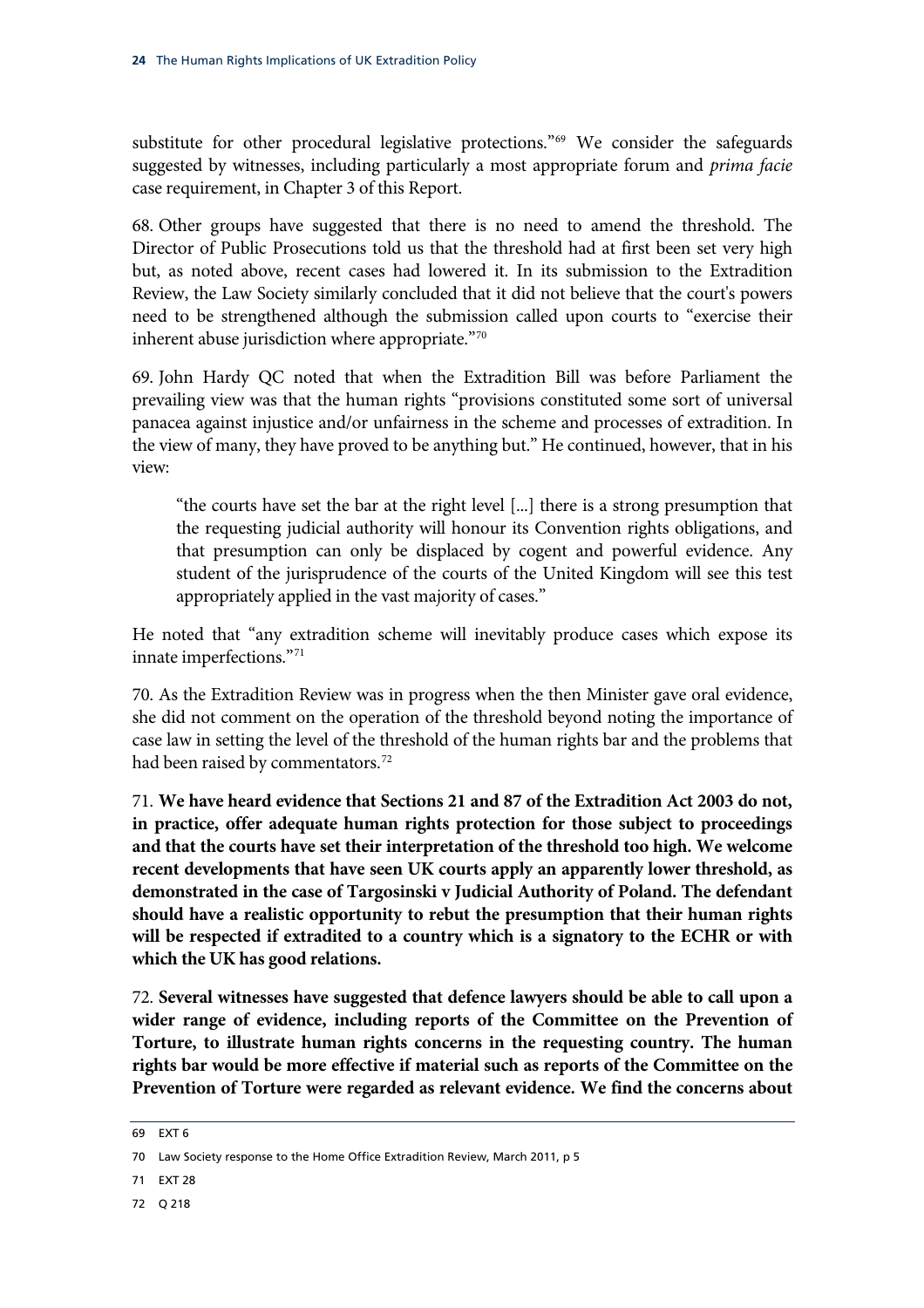substitute for other procedural legislative protections."<sup>69</sup> We consider the safeguards suggested by witnesses, including particularly a most appropriate forum and *prima facie*  case requirement, in Chapter 3 of this Report.

68. Other groups have suggested that there is no need to amend the threshold. The Director of Public Prosecutions told us that the threshold had at first been set very high but, as noted above, recent cases had lowered it. In its submission to the Extradition Review, the Law Society similarly concluded that it did not believe that the court's powers need to be strengthened although the submission called upon courts to "exercise their inherent abuse jurisdiction where appropriate."[70](#page-27-0)

69. John Hardy QC noted that when the Extradition Bill was before Parliament the prevailing view was that the human rights "provisions constituted some sort of universal panacea against injustice and/or unfairness in the scheme and processes of extradition. In the view of many, they have proved to be anything but." He continued, however, that in his view:

"the courts have set the bar at the right level [...] there is a strong presumption that the requesting judicial authority will honour its Convention rights obligations, and that presumption can only be displaced by cogent and powerful evidence. Any student of the jurisprudence of the courts of the United Kingdom will see this test appropriately applied in the vast majority of cases."

He noted that "any extradition scheme will inevitably produce cases which expose its innate imperfections.["71](#page-27-1)

70. As the Extradition Review was in progress when the then Minister gave oral evidence, she did not comment on the operation of the threshold beyond noting the importance of case law in setting the level of the threshold of the human rights bar and the problems that had been raised by commentators.<sup>[72](#page-27-2)</sup>

71. **We have heard evidence that Sections 21 and 87 of the Extradition Act 2003 do not, in practice, offer adequate human rights protection for those subject to proceedings and that the courts have set their interpretation of the threshold too high. We welcome recent developments that have seen UK courts apply an apparently lower threshold, as demonstrated in the case of Targosinski v Judicial Authority of Poland. The defendant should have a realistic opportunity to rebut the presumption that their human rights will be respected if extradited to a country which is a signatory to the ECHR or with which the UK has good relations.**

72. **Several witnesses have suggested that defence lawyers should be able to call upon a wider range of evidence, including reports of the Committee on the Prevention of Torture, to illustrate human rights concerns in the requesting country. The human rights bar would be more effective if material such as reports of the Committee on the Prevention of Torture were regarded as relevant evidence. We find the concerns about** 

<span id="page-27-2"></span>72 Q 218

<sup>69</sup> EXT 6

<span id="page-27-0"></span><sup>70</sup> Law Society response to the Home Office Extradition Review, March 2011, p 5

<span id="page-27-1"></span><sup>71</sup> EXT 28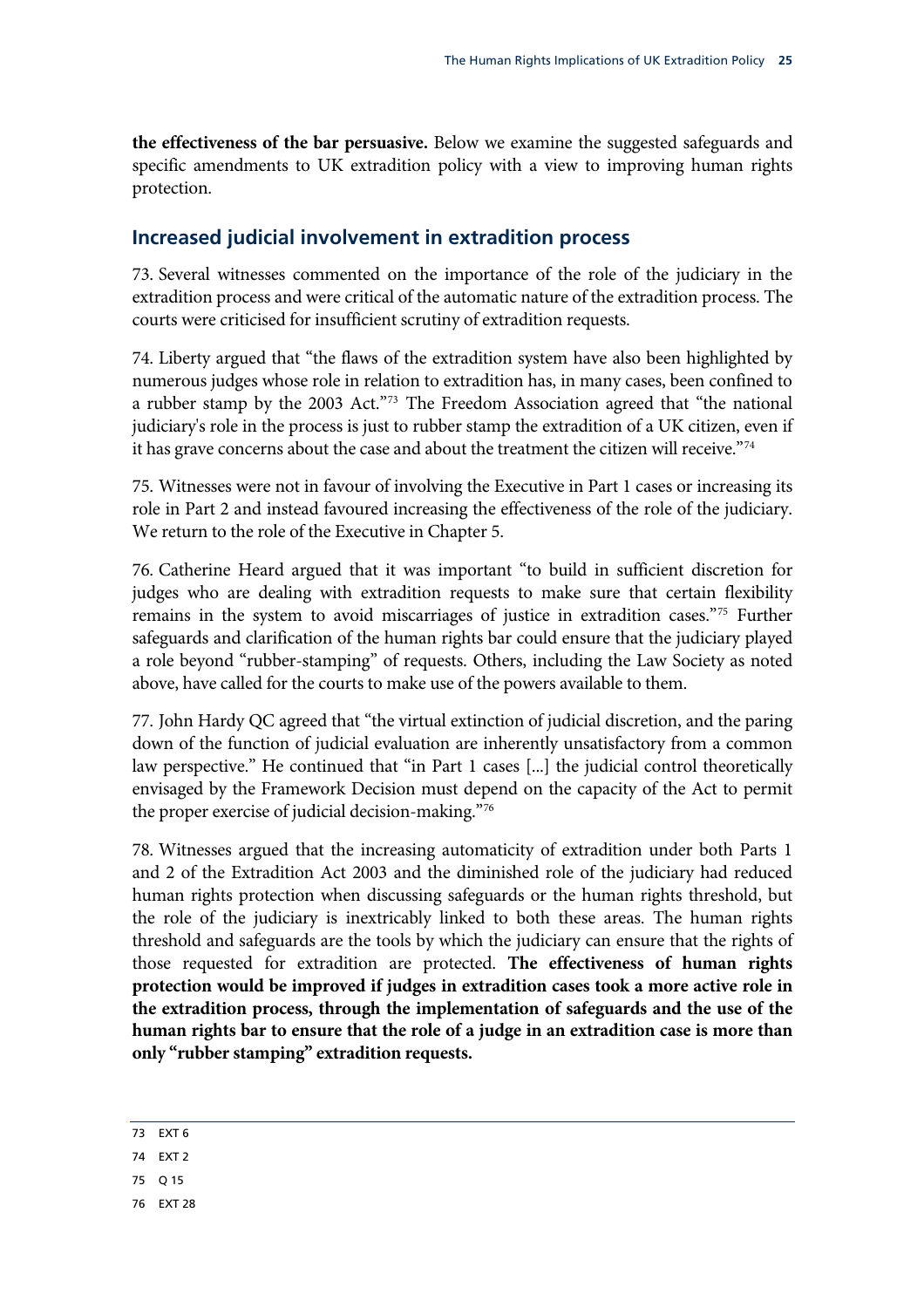<span id="page-28-0"></span>**the effectiveness of the bar persuasive.** Below we examine the suggested safeguards and specific amendments to UK extradition policy with a view to improving human rights protection.

#### **Increased judicial involvement in extradition process**

73. Several witnesses commented on the importance of the role of the judiciary in the extradition process and were critical of the automatic nature of the extradition process. The courts were criticised for insufficient scrutiny of extradition requests.

74. Liberty argued that "the flaws of the extradition system have also been highlighted by numerous judges whose role in relation to extradition has, in many cases, been confined to a rubber stamp by the 2003 Act."[73](#page-28-1) The Freedom Association agreed that "the national judiciary's role in the process is just to rubber stamp the extradition of a UK citizen, even if it has grave concerns about the case and about the treatment the citizen will receive."[74](#page-28-2)

75. Witnesses were not in favour of involving the Executive in Part 1 cases or increasing its role in Part 2 and instead favoured increasing the effectiveness of the role of the judiciary. We return to the role of the Executive in Chapter 5.

76. Catherine Heard argued that it was important "to build in sufficient discretion for judges who are dealing with extradition requests to make sure that certain flexibility remains in the system to avoid miscarriages of justice in extradition cases."[75](#page-28-3) Further safeguards and clarification of the human rights bar could ensure that the judiciary played a role beyond "rubber-stamping" of requests. Others, including the Law Society as noted above, have called for the courts to make use of the powers available to them.

77. John Hardy QC agreed that "the virtual extinction of judicial discretion, and the paring down of the function of judicial evaluation are inherently unsatisfactory from a common law perspective." He continued that "in Part 1 cases [...] the judicial control theoretically envisaged by the Framework Decision must depend on the capacity of the Act to permit the proper exercise of judicial decision-making.["76](#page-28-4)

78. Witnesses argued that the increasing automaticity of extradition under both Parts 1 and 2 of the Extradition Act 2003 and the diminished role of the judiciary had reduced human rights protection when discussing safeguards or the human rights threshold, but the role of the judiciary is inextricably linked to both these areas. The human rights threshold and safeguards are the tools by which the judiciary can ensure that the rights of those requested for extradition are protected. **The effectiveness of human rights protection would be improved if judges in extradition cases took a more active role in the extradition process, through the implementation of safeguards and the use of the human rights bar to ensure that the role of a judge in an extradition case is more than only "rubber stamping" extradition requests.** 

- <span id="page-28-2"></span>74 EXT 2
- <span id="page-28-3"></span>75 Q 15
- <span id="page-28-4"></span>76 EXT 28

<span id="page-28-1"></span><sup>73</sup> EXT 6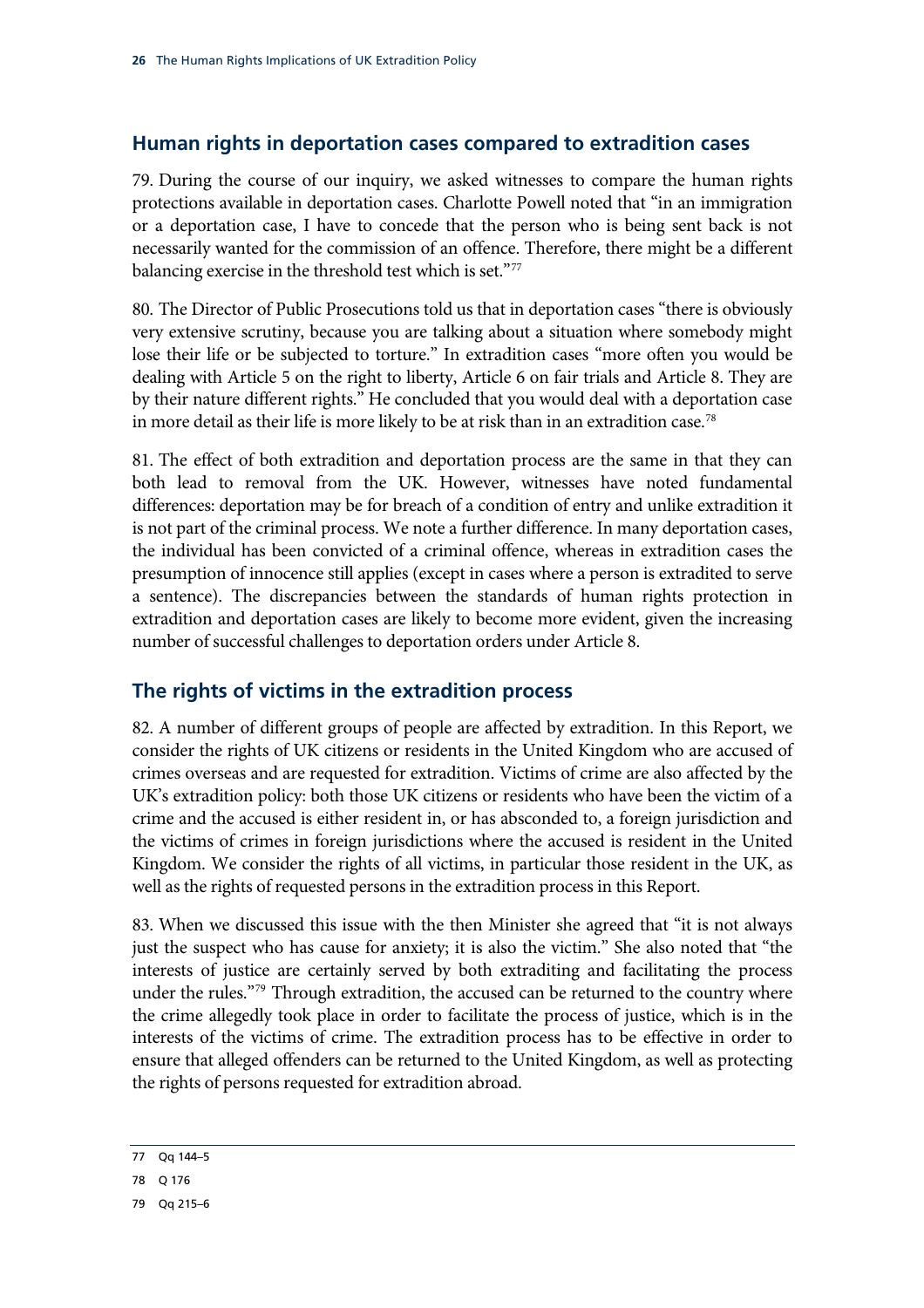#### <span id="page-29-0"></span>**Human rights in deportation cases compared to extradition cases**

79. During the course of our inquiry, we asked witnesses to compare the human rights protections available in deportation cases. Charlotte Powell noted that "in an immigration or a deportation case, I have to concede that the person who is being sent back is not necessarily wanted for the commission of an offence. Therefore, there might be a different balancing exercise in the threshold test which is set."[77](#page-29-1)

80. The Director of Public Prosecutions told us that in deportation cases "there is obviously very extensive scrutiny, because you are talking about a situation where somebody might lose their life or be subjected to torture." In extradition cases "more often you would be dealing with Article 5 on the right to liberty, Article 6 on fair trials and Article 8. They are by their nature different rights." He concluded that you would deal with a deportation case in more detail as their life is more likely to be at risk than in an extradition case.<sup>78</sup>

81. The effect of both extradition and deportation process are the same in that they can both lead to removal from the UK. However, witnesses have noted fundamental differences: deportation may be for breach of a condition of entry and unlike extradition it is not part of the criminal process. We note a further difference. In many deportation cases, the individual has been convicted of a criminal offence, whereas in extradition cases the presumption of innocence still applies (except in cases where a person is extradited to serve a sentence). The discrepancies between the standards of human rights protection in extradition and deportation cases are likely to become more evident, given the increasing number of successful challenges to deportation orders under Article 8.

#### **The rights of victims in the extradition process**

82. A number of different groups of people are affected by extradition. In this Report, we consider the rights of UK citizens or residents in the United Kingdom who are accused of crimes overseas and are requested for extradition. Victims of crime are also affected by the UK's extradition policy: both those UK citizens or residents who have been the victim of a crime and the accused is either resident in, or has absconded to, a foreign jurisdiction and the victims of crimes in foreign jurisdictions where the accused is resident in the United Kingdom. We consider the rights of all victims, in particular those resident in the UK, as well as the rights of requested persons in the extradition process in this Report.

83. When we discussed this issue with the then Minister she agreed that "it is not always just the suspect who has cause for anxiety; it is also the victim." She also noted that "the interests of justice are certainly served by both extraditing and facilitating the process under the rules."<sup>[79](#page-29-3)</sup> Through extradition, the accused can be returned to the country where the crime allegedly took place in order to facilitate the process of justice, which is in the interests of the victims of crime. The extradition process has to be effective in order to ensure that alleged offenders can be returned to the United Kingdom, as well as protecting the rights of persons requested for extradition abroad.

<span id="page-29-1"></span><sup>77</sup> Qq 144–5

<span id="page-29-2"></span><sup>78</sup> Q 176

<span id="page-29-3"></span><sup>79</sup> Qq 215–6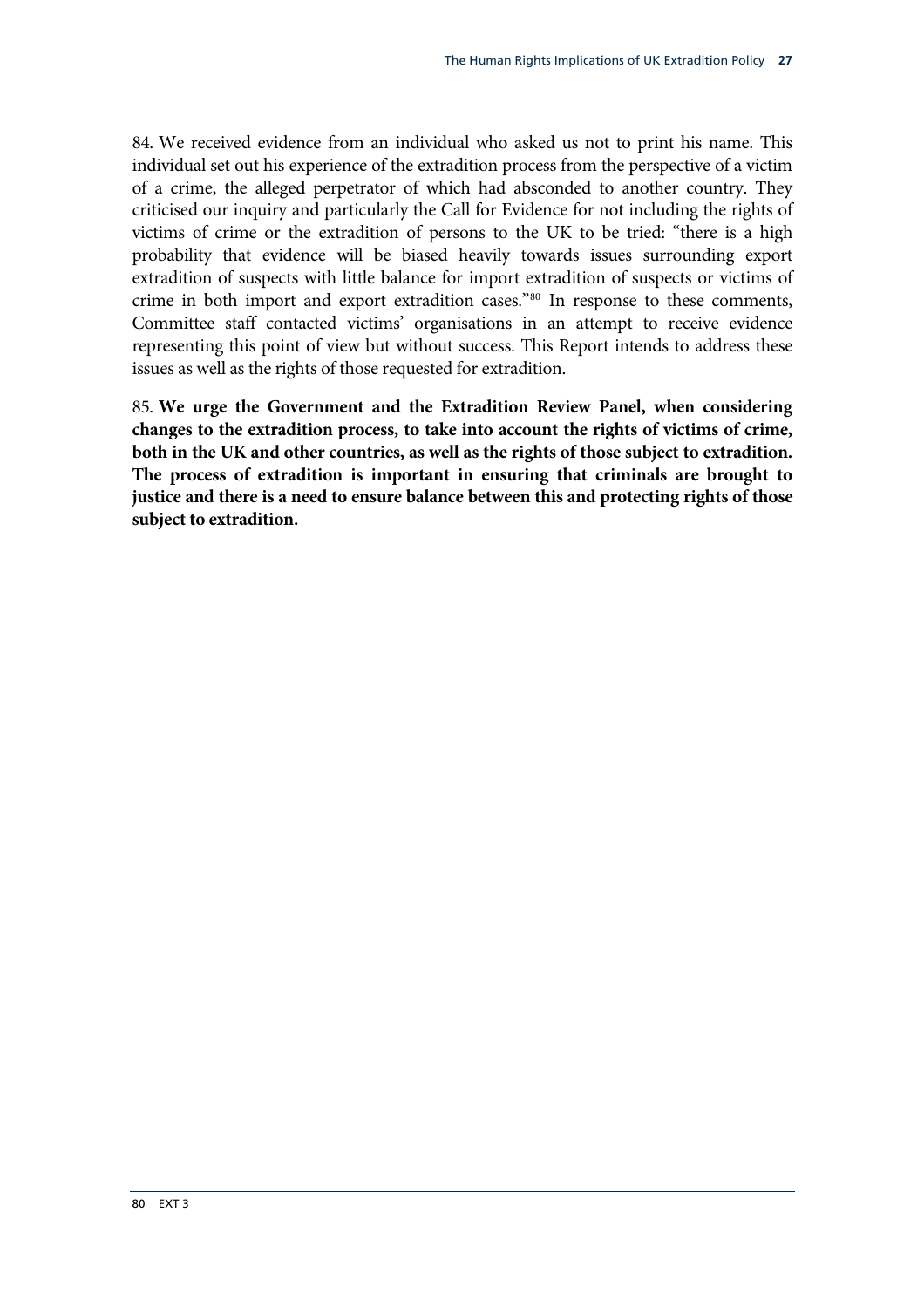84. We received evidence from an individual who asked us not to print his name. This individual set out his experience of the extradition process from the perspective of a victim of a crime, the alleged perpetrator of which had absconded to another country. They criticised our inquiry and particularly the Call for Evidence for not including the rights of victims of crime or the extradition of persons to the UK to be tried: "there is a high probability that evidence will be biased heavily towards issues surrounding export extradition of suspects with little balance for import extradition of suspects or victims of crime in both import and export extradition cases.["80](#page-30-0) In response to these comments, Committee staff contacted victims' organisations in an attempt to receive evidence representing this point of view but without success. This Report intends to address these issues as well as the rights of those requested for extradition.

<span id="page-30-0"></span>85. **We urge the Government and the Extradition Review Panel, when considering changes to the extradition process, to take into account the rights of victims of crime, both in the UK and other countries, as well as the rights of those subject to extradition. The process of extradition is important in ensuring that criminals are brought to justice and there is a need to ensure balance between this and protecting rights of those subject to extradition.**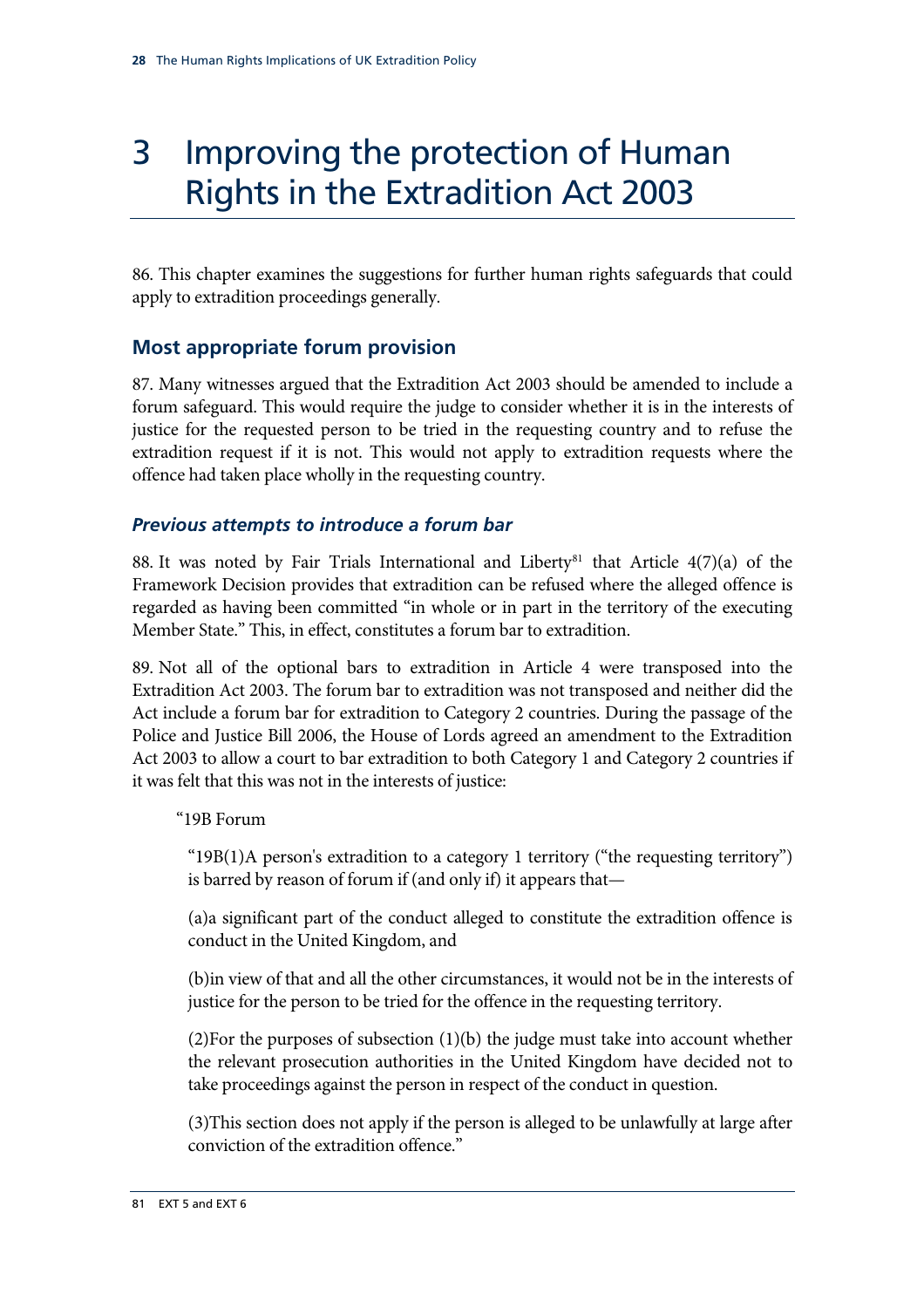### <span id="page-31-0"></span>3 Improving the protection of Human Rights in the Extradition Act 2003

86. This chapter examines the suggestions for further human rights safeguards that could apply to extradition proceedings generally.

#### **Most appropriate forum provision**

87. Many witnesses argued that the Extradition Act 2003 should be amended to include a forum safeguard. This would require the judge to consider whether it is in the interests of justice for the requested person to be tried in the requesting country and to refuse the extradition request if it is not. This would not apply to extradition requests where the offence had taken place wholly in the requesting country.

#### *Previous attempts to introduce a forum bar*

88. It was noted by Fair Trials International and Liberty<sup>[81](#page-31-1)</sup> that Article  $4(7)(a)$  of the Framework Decision provides that extradition can be refused where the alleged offence is regarded as having been committed "in whole or in part in the territory of the executing Member State." This, in effect, constitutes a forum bar to extradition.

89. Not all of the optional bars to extradition in Article 4 were transposed into the Extradition Act 2003. The forum bar to extradition was not transposed and neither did the Act include a forum bar for extradition to Category 2 countries. During the passage of the Police and Justice Bill 2006, the House of Lords agreed an amendment to the Extradition Act 2003 to allow a court to bar extradition to both Category 1 and Category 2 countries if it was felt that this was not in the interests of justice:

"19B Forum

"19B(1)A person's extradition to a category 1 territory ("the requesting territory") is barred by reason of forum if (and only if) it appears that—

(a)a significant part of the conduct alleged to constitute the extradition offence is conduct in the United Kingdom, and

(b)in view of that and all the other circumstances, it would not be in the interests of justice for the person to be tried for the offence in the requesting territory.

(2)For the purposes of subsection (1)(b) the judge must take into account whether the relevant prosecution authorities in the United Kingdom have decided not to take proceedings against the person in respect of the conduct in question.

<span id="page-31-1"></span>(3)This section does not apply if the person is alleged to be unlawfully at large after conviction of the extradition offence."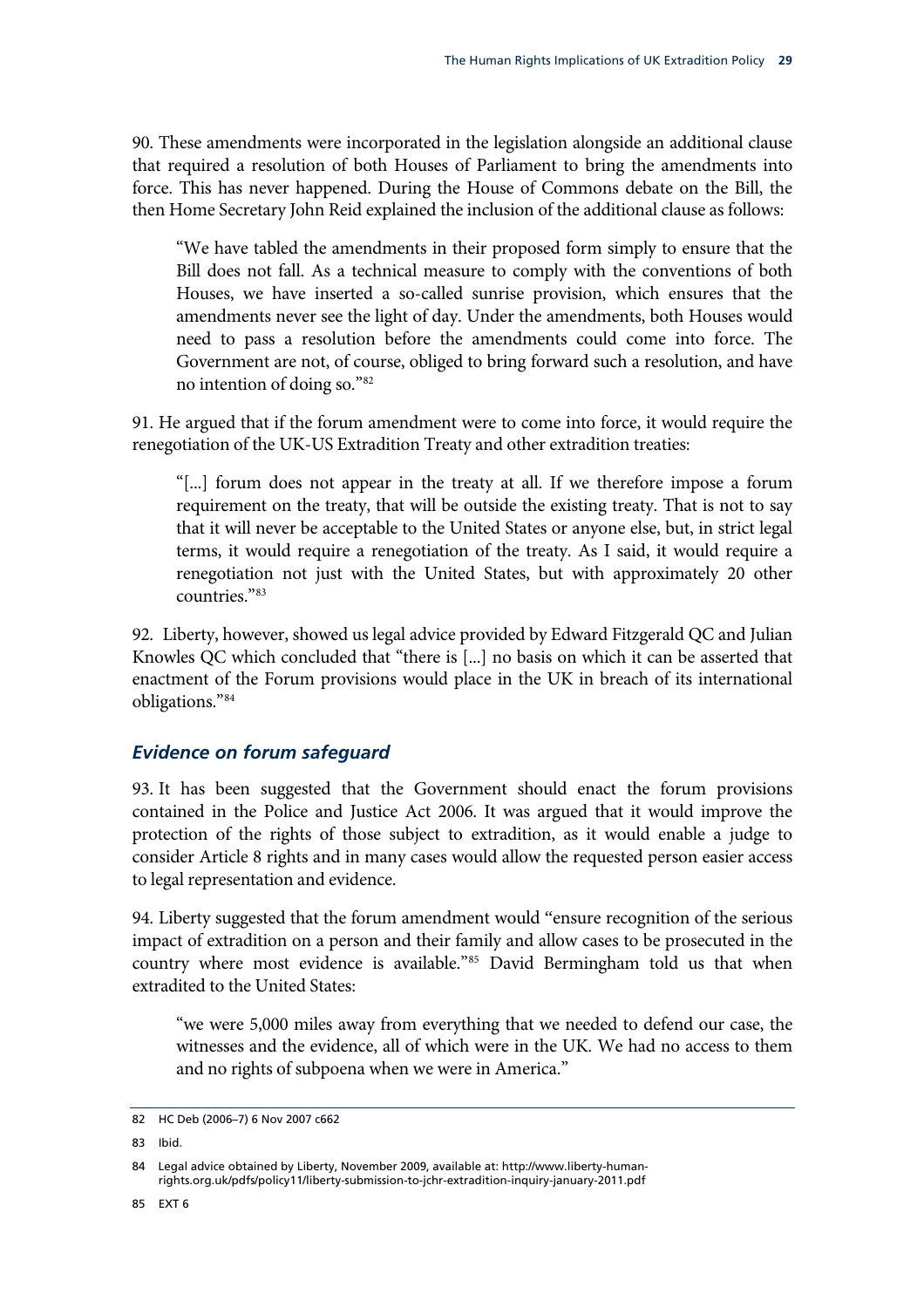<span id="page-32-0"></span>90. These amendments were incorporated in the legislation alongside an additional clause that required a resolution of both Houses of Parliament to bring the amendments into force. This has never happened. During the House of Commons debate on the Bill, the then Home Secretary John Reid explained the inclusion of the additional clause as follows:

"We have tabled the amendments in their proposed form simply to ensure that the Bill does not fall. As a technical measure to comply with the conventions of both Houses, we have inserted a so-called sunrise provision, which ensures that the amendments never see the light of day. Under the amendments, both Houses would need to pass a resolution before the amendments could come into force. The Government are not, of course, obliged to bring forward such a resolution, and have no intention of doing so."[82](#page-32-1)

91. He argued that if the forum amendment were to come into force, it would require the renegotiation of the UK-US Extradition Treaty and other extradition treaties:

"[...] forum does not appear in the treaty at all. If we therefore impose a forum requirement on the treaty, that will be outside the existing treaty. That is not to say that it will never be acceptable to the United States or anyone else, but, in strict legal terms, it would require a renegotiation of the treaty. As I said, it would require a renegotiation not just with the United States, but with approximately 20 other countries."[83](#page-32-2)

92. Liberty, however, showed us legal advice provided by Edward Fitzgerald QC and Julian Knowles QC which concluded that "there is [...] no basis on which it can be asserted that enactment of the Forum provisions would place in the UK in breach of its international obligations.["84](#page-32-3)

#### *Evidence on forum safeguard*

93. It has been suggested that the Government should enact the forum provisions contained in the Police and Justice Act 2006. It was argued that it would improve the protection of the rights of those subject to extradition, as it would enable a judge to consider Article 8 rights and in many cases would allow the requested person easier access to legal representation and evidence.

94. Liberty suggested that the forum amendment would "ensure recognition of the serious impact of extradition on a person and their family and allow cases to be prosecuted in the country where most evidence is available."[85](#page-32-4) David Bermingham told us that when extradited to the United States:

"we were 5,000 miles away from everything that we needed to defend our case, the witnesses and the evidence, all of which were in the UK. We had no access to them and no rights of subpoena when we were in America."

<span id="page-32-1"></span><sup>82</sup> HC Deb (2006–7) 6 Nov 2007 c662

<span id="page-32-2"></span><sup>83</sup> Ibid.

<span id="page-32-4"></span><span id="page-32-3"></span><sup>84</sup> Legal advice obtained by Liberty, November 2009, available at: http://www.liberty-humanrights.org.uk/pdfs/policy11/liberty-submission-to-jchr-extradition-inquiry-january-2011.pdf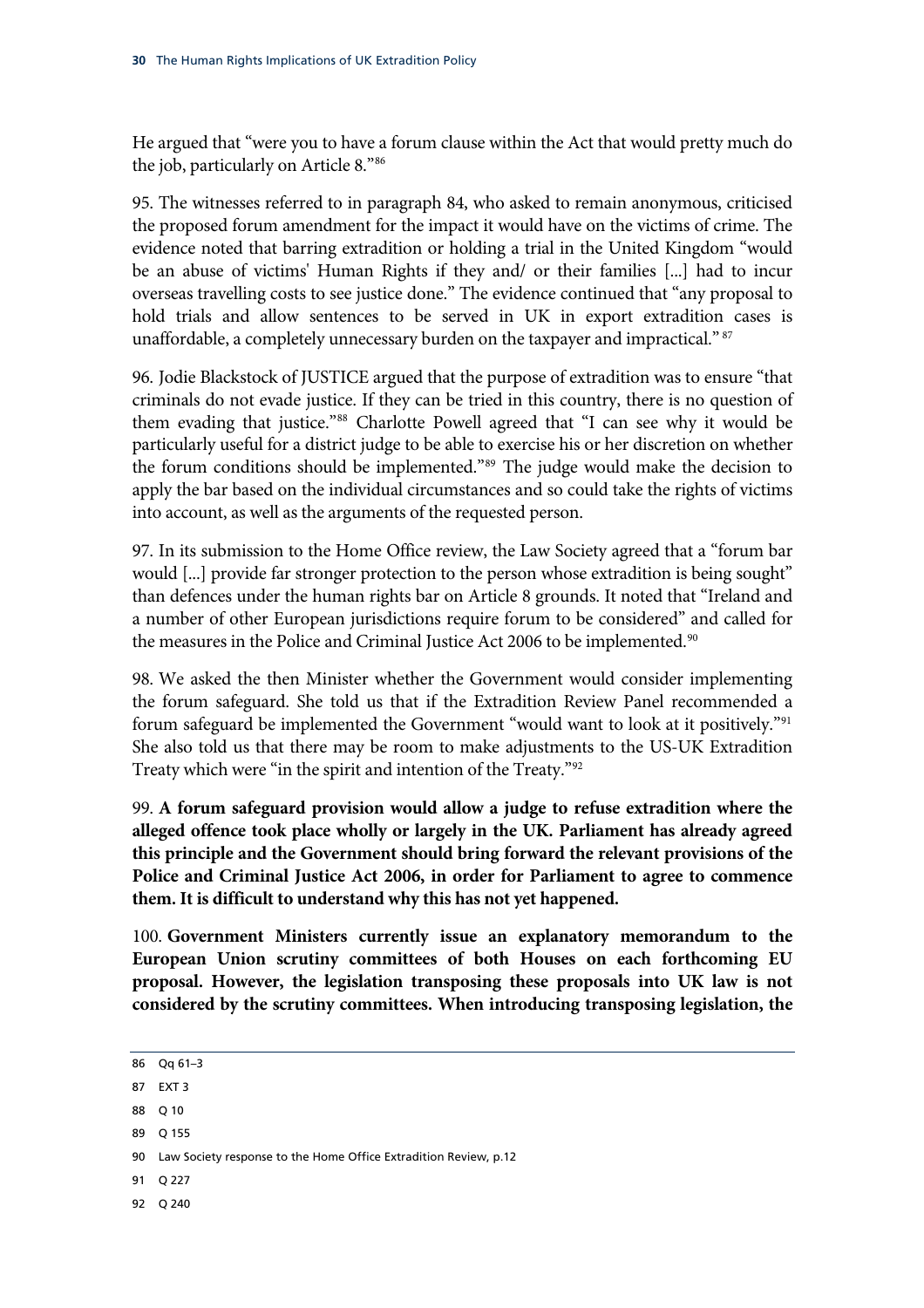He argued that "were you to have a forum clause within the Act that would pretty much do the job, particularly on Article 8.["86](#page-33-0)

95. The witnesses referred to in paragraph 84, who asked to remain anonymous, criticised the proposed forum amendment for the impact it would have on the victims of crime. The evidence noted that barring extradition or holding a trial in the United Kingdom "would be an abuse of victims' Human Rights if they and/ or their families [...] had to incur overseas travelling costs to see justice done." The evidence continued that "any proposal to hold trials and allow sentences to be served in UK in export extradition cases is unaffordable, a completely unnecessary burden on the taxpayer and impractical." [87](#page-33-1)

96. Jodie Blackstock of JUSTICE argued that the purpose of extradition was to ensure "that criminals do not evade justice. If they can be tried in this country, there is no question of them evading that justice."[88](#page-33-2) Charlotte Powell agreed that "I can see why it would be particularly useful for a district judge to be able to exercise his or her discretion on whether the forum conditions should be implemented.["89](#page-33-3) The judge would make the decision to apply the bar based on the individual circumstances and so could take the rights of victims into account, as well as the arguments of the requested person.

97. In its submission to the Home Office review, the Law Society agreed that a "forum bar would [...] provide far stronger protection to the person whose extradition is being sought" than defences under the human rights bar on Article 8 grounds. It noted that "Ireland and a number of other European jurisdictions require forum to be considered" and called for the measures in the Police and Criminal Justice Act 2006 to be implemented.<sup>[90](#page-33-4)</sup>

98. We asked the then Minister whether the Government would consider implementing the forum safeguard. She told us that if the Extradition Review Panel recommended a forum safeguard be implemented the Government "would want to look at it positively."[91](#page-33-5) She also told us that there may be room to make adjustments to the US-UK Extradition Treaty which were "in the spirit and intention of the Treaty."[92](#page-33-6)

99. **A forum safeguard provision would allow a judge to refuse extradition where the alleged offence took place wholly or largely in the UK. Parliament has already agreed this principle and the Government should bring forward the relevant provisions of the Police and Criminal Justice Act 2006, in order for Parliament to agree to commence them. It is difficult to understand why this has not yet happened.**

100. **Government Ministers currently issue an explanatory memorandum to the European Union scrutiny committees of both Houses on each forthcoming EU proposal. However, the legislation transposing these proposals into UK law is not considered by the scrutiny committees. When introducing transposing legislation, the** 

- <span id="page-33-1"></span>87 EXT 3
- <span id="page-33-2"></span>88 Q 10
- <span id="page-33-3"></span>89 Q 155
- <span id="page-33-4"></span>90 Law Society response to the Home Office Extradition Review, p.12
- <span id="page-33-5"></span>91 Q 227
- <span id="page-33-6"></span>92 Q 240

<span id="page-33-0"></span><sup>86</sup> Qq 61–3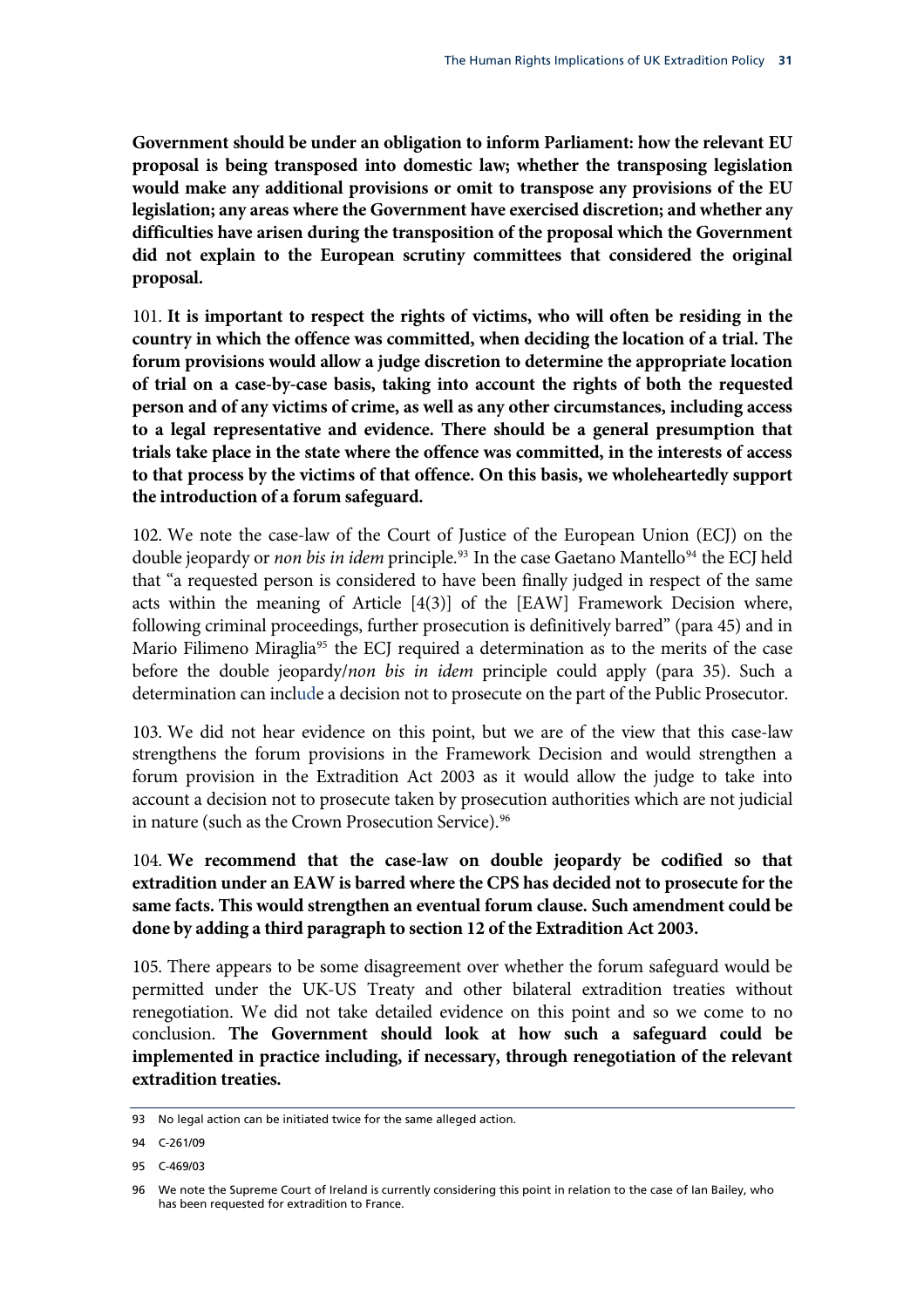**Government should be under an obligation to inform Parliament: how the relevant EU proposal is being transposed into domestic law; whether the transposing legislation would make any additional provisions or omit to transpose any provisions of the EU legislation; any areas where the Government have exercised discretion; and whether any difficulties have arisen during the transposition of the proposal which the Government did not explain to the European scrutiny committees that considered the original proposal.**

101. **It is important to respect the rights of victims, who will often be residing in the country in which the offence was committed, when deciding the location of a trial. The forum provisions would allow a judge discretion to determine the appropriate location of trial on a case-by-case basis, taking into account the rights of both the requested person and of any victims of crime, as well as any other circumstances, including access to a legal representative and evidence. There should be a general presumption that trials take place in the state where the offence was committed, in the interests of access to that process by the victims of that offence. On this basis, we wholeheartedly support the introduction of a forum safeguard.**

102. We note the case-law of the Court of Justice of the European Union (ECJ) on the double jeopardy or *non bis in idem* principle.<sup>[93](#page-34-0)</sup> In the case Gaetano Mantello<sup>[94](#page-34-1)</sup> the ECJ held that "a requested person is considered to have been finally judged in respect of the same acts within the meaning of Article [4(3)] of the [EAW] Framework Decision where, following criminal proceedings, further prosecution is definitively barred" (para 45) and in Mario Filimeno Miraglia<sup>[95](#page-34-2)</sup> the ECJ required a determination as to the merits of the case before the double jeopardy/*non bis in idem* principle could apply (para 35). Such a determination can include a decision not to prosecute on the part of the Public Prosecutor.

103. We did not hear evidence on this point, but we are of the view that this case-law strengthens the forum provisions in the Framework Decision and would strengthen a forum provision in the Extradition Act 2003 as it would allow the judge to take into account a decision not to prosecute taken by prosecution authorities which are not judicial in nature (such as the Crown Prosecution Service).<sup>[96](#page-34-3)</sup>

104. **We recommend that the case-law on double jeopardy be codified so that extradition under an EAW is barred where the CPS has decided not to prosecute for the same facts. This would strengthen an eventual forum clause. Such amendment could be done by adding a third paragraph to section 12 of the Extradition Act 2003.**

105. There appears to be some disagreement over whether the forum safeguard would be permitted under the UK-US Treaty and other bilateral extradition treaties without renegotiation. We did not take detailed evidence on this point and so we come to no conclusion. **The Government should look at how such a safeguard could be implemented in practice including, if necessary, through renegotiation of the relevant extradition treaties.**

<span id="page-34-0"></span><sup>93</sup> No legal action can be initiated twice for the same alleged action.

<span id="page-34-1"></span><sup>94</sup> C-261/09

<span id="page-34-2"></span><sup>95</sup> C-469/03

<span id="page-34-3"></span><sup>96</sup> We note the Supreme Court of Ireland is currently considering this point in relation to the case of Ian Bailey, who has been requested for extradition to France.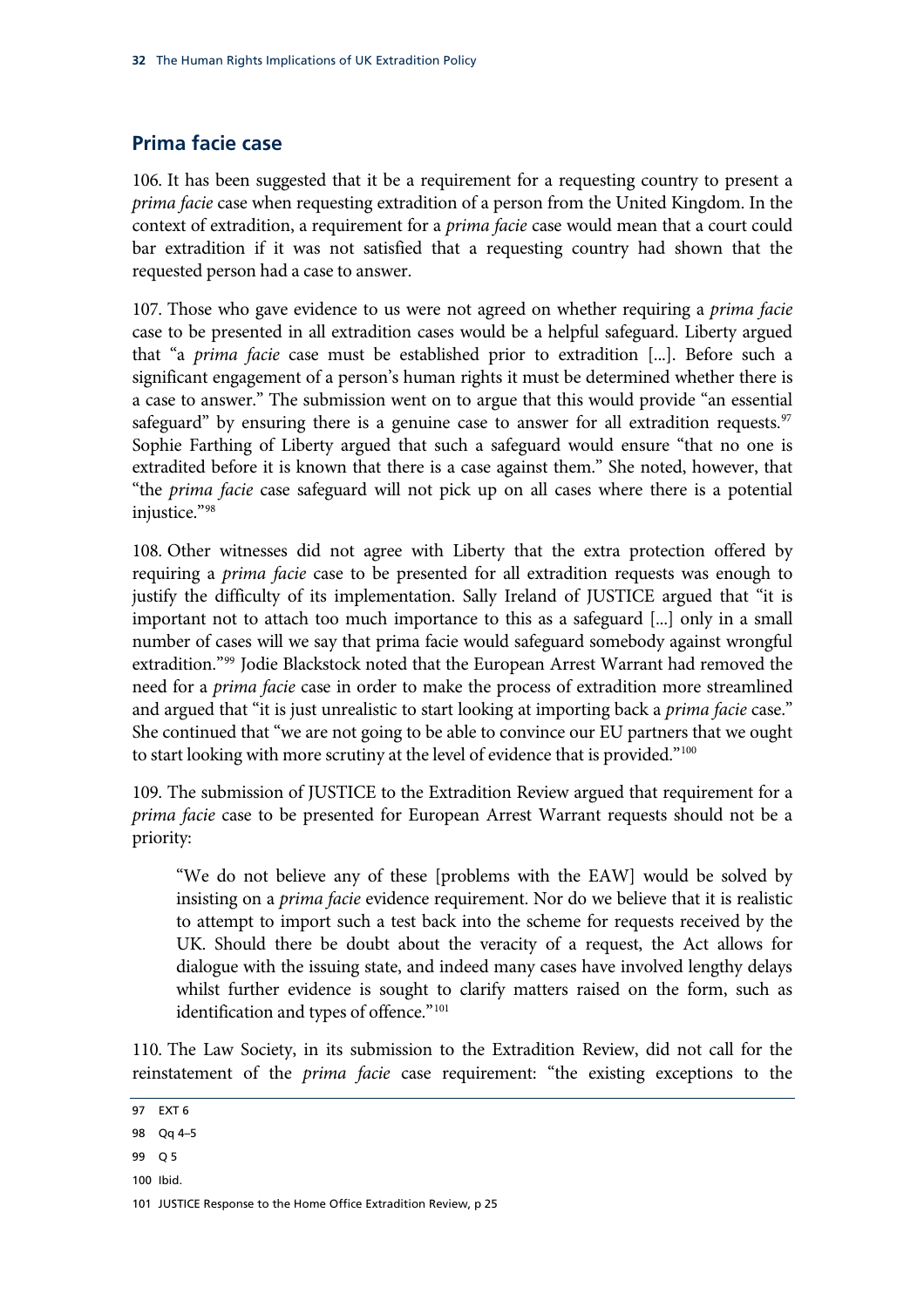#### <span id="page-35-0"></span>**Prima facie case**

106. It has been suggested that it be a requirement for a requesting country to present a *prima facie* case when requesting extradition of a person from the United Kingdom. In the context of extradition, a requirement for a *prima facie* case would mean that a court could bar extradition if it was not satisfied that a requesting country had shown that the requested person had a case to answer.

107. Those who gave evidence to us were not agreed on whether requiring a *prima facie* case to be presented in all extradition cases would be a helpful safeguard. Liberty argued that "a *prima facie* case must be established prior to extradition [...]. Before such a significant engagement of a person's human rights it must be determined whether there is a case to answer." The submission went on to argue that this would provide "an essential safeguard" by ensuring there is a genuine case to answer for all extradition requests.<sup>[97](#page-35-1)</sup> Sophie Farthing of Liberty argued that such a safeguard would ensure "that no one is extradited before it is known that there is a case against them." She noted, however, that "the *prima facie* case safeguard will not pick up on all cases where there is a potential injustice."[98](#page-35-2)

108. Other witnesses did not agree with Liberty that the extra protection offered by requiring a *prima facie* case to be presented for all extradition requests was enough to justify the difficulty of its implementation. Sally Ireland of JUSTICE argued that "it is important not to attach too much importance to this as a safeguard [...] only in a small number of cases will we say that prima facie would safeguard somebody against wrongful extradition.["99](#page-35-3) Jodie Blackstock noted that the European Arrest Warrant had removed the need for a *prima facie* case in order to make the process of extradition more streamlined and argued that "it is just unrealistic to start looking at importing back a *prima facie* case." She continued that "we are not going to be able to convince our EU partners that we ought to start looking with more scrutiny at the level of evidence that is provided."<sup>[100](#page-35-4)</sup>

109. The submission of JUSTICE to the Extradition Review argued that requirement for a *prima facie* case to be presented for European Arrest Warrant requests should not be a priority:

"We do not believe any of these [problems with the EAW] would be solved by insisting on a *prima facie* evidence requirement. Nor do we believe that it is realistic to attempt to import such a test back into the scheme for requests received by the UK. Should there be doubt about the veracity of a request, the Act allows for dialogue with the issuing state, and indeed many cases have involved lengthy delays whilst further evidence is sought to clarify matters raised on the form, such as identification and types of offence."<sup>[101](#page-35-5)</sup>

110. The Law Society, in its submission to the Extradition Review, did not call for the reinstatement of the *prima facie* case requirement: "the existing exceptions to the

- <span id="page-35-3"></span>99 Q 5
- <span id="page-35-4"></span>100 Ibid.

<span id="page-35-5"></span>101 JUSTICE Response to the Home Office Extradition Review, p 25

<span id="page-35-1"></span><sup>97</sup> EXT 6

<span id="page-35-2"></span><sup>98</sup> Qq 4–5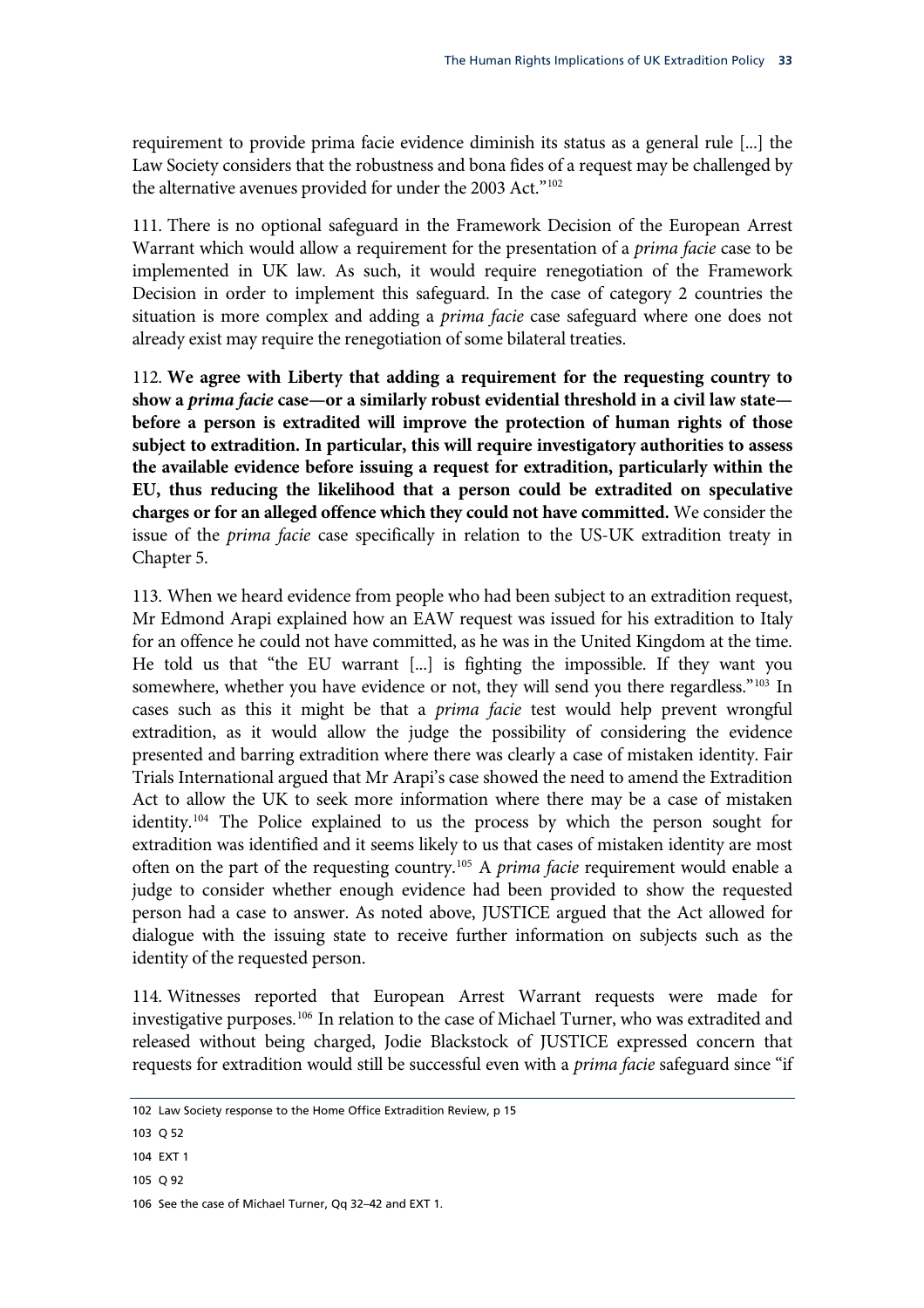requirement to provide prima facie evidence diminish its status as a general rule [...] the Law Society considers that the robustness and bona fides of a request may be challenged by the alternative avenues provided for under the 2003 Act."<sup>102</sup>

111. There is no optional safeguard in the Framework Decision of the European Arrest Warrant which would allow a requirement for the presentation of a *prima facie* case to be implemented in UK law. As such, it would require renegotiation of the Framework Decision in order to implement this safeguard. In the case of category 2 countries the situation is more complex and adding a *prima facie* case safeguard where one does not already exist may require the renegotiation of some bilateral treaties.

<span id="page-36-4"></span>112. **We agree with Liberty that adding a requirement for the requesting country to show a** *prima facie* **case—or a similarly robust evidential threshold in a civil law state before a person is extradited will improve the protection of human rights of those subject to extradition. In particular, this will require investigatory authorities to assess the available evidence before issuing a request for extradition, particularly within the EU, thus reducing the likelihood that a person could be extradited on speculative charges or for an alleged offence which they could not have committed.** We consider the issue of the *prima facie* case specifically in relation to the US-UK extradition treaty in Chapter 5.

113. When we heard evidence from people who had been subject to an extradition request, Mr Edmond Arapi explained how an EAW request was issued for his extradition to Italy for an offence he could not have committed, as he was in the United Kingdom at the time. He told us that "the EU warrant [...] is fighting the impossible. If they want you somewhere, whether you have evidence or not, they will send you there regardless."<sup>[103](#page-36-0)</sup> In cases such as this it might be that a *prima facie* test would help prevent wrongful extradition, as it would allow the judge the possibility of considering the evidence presented and barring extradition where there was clearly a case of mistaken identity. Fair Trials International argued that Mr Arapi's case showed the need to amend the Extradition Act to allow the UK to seek more information where there may be a case of mistaken identity.[104](#page-36-1) The Police explained to us the process by which the person sought for extradition was identified and it seems likely to us that cases of mistaken identity are most often on the part of the requesting country.[105](#page-36-2) A *prima facie* requirement would enable a judge to consider whether enough evidence had been provided to show the requested person had a case to answer. As noted above, JUSTICE argued that the Act allowed for dialogue with the issuing state to receive further information on subjects such as the identity of the requested person.

114. Witnesses reported that European Arrest Warrant requests were made for investigative purposes.[106](#page-36-3) In relation to the case of Michael Turner, who was extradited and released without being charged, Jodie Blackstock of JUSTICE expressed concern that requests for extradition would still be successful even with a *prima facie* safeguard since "if

<sup>102</sup> Law Society response to the Home Office Extradition Review, p 15

<span id="page-36-0"></span><sup>103</sup> Q 52

<span id="page-36-1"></span><sup>104</sup> EXT 1

<span id="page-36-2"></span><sup>105</sup> Q 92

<span id="page-36-3"></span><sup>106</sup> See the case of Michael Turner, Qq 32–42 and EXT 1.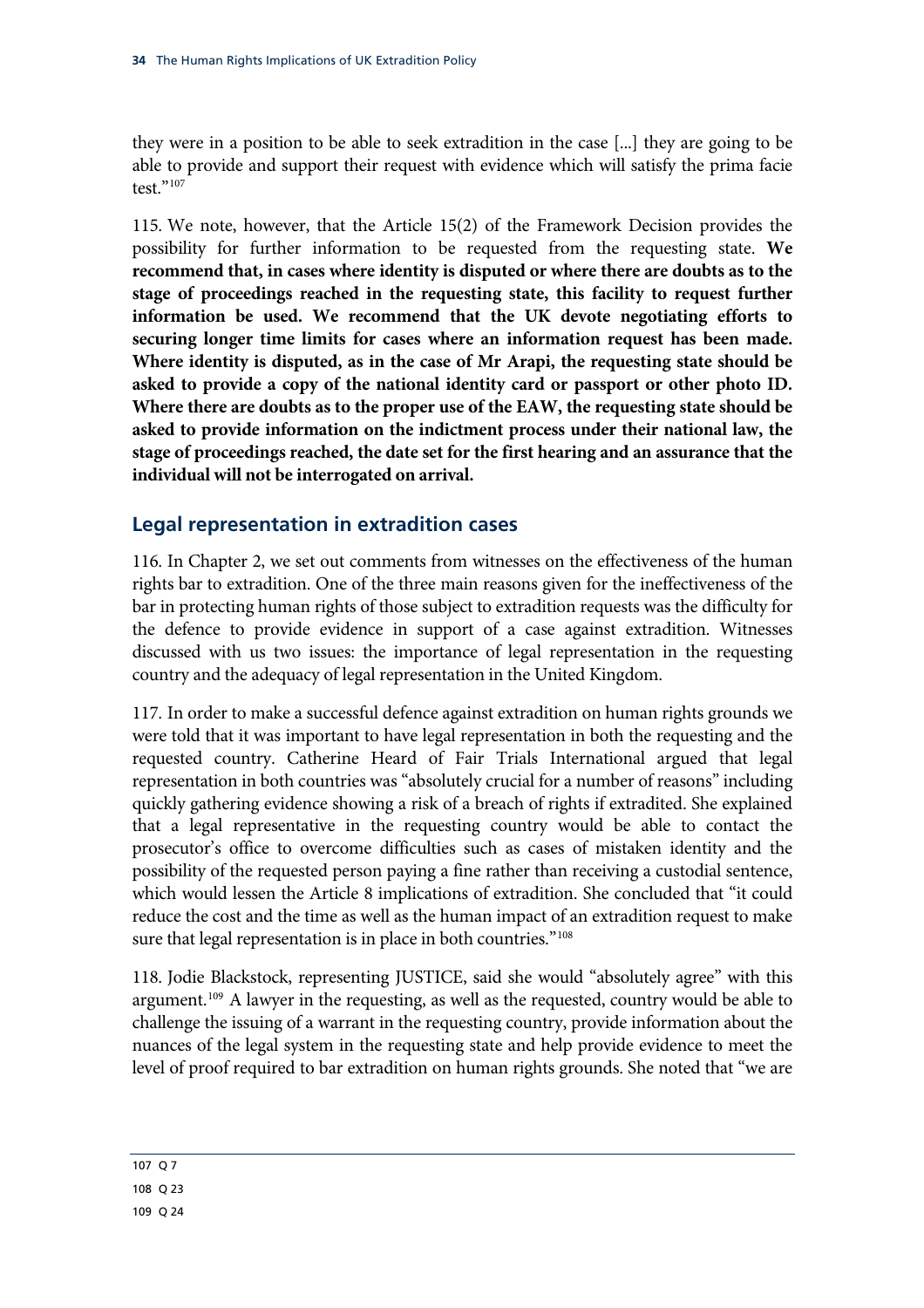they were in a position to be able to seek extradition in the case [...] they are going to be able to provide and support their request with evidence which will satisfy the prima facie test."107

<span id="page-37-2"></span>115. We note, however, that the Article 15(2) of the Framework Decision provides the possibility for further information to be requested from the requesting state. **We recommend that, in cases where identity is disputed or where there are doubts as to the stage of proceedings reached in the requesting state, this facility to request further information be used. We recommend that the UK devote negotiating efforts to securing longer time limits for cases where an information request has been made. Where identity is disputed, as in the case of Mr Arapi, the requesting state should be asked to provide a copy of the national identity card or passport or other photo ID. Where there are doubts as to the proper use of the EAW, the requesting state should be asked to provide information on the indictment process under their national law, the stage of proceedings reached, the date set for the first hearing and an assurance that the individual will not be interrogated on arrival.**

## **Legal representation in extradition cases**

116. In Chapter 2, we set out comments from witnesses on the effectiveness of the human rights bar to extradition. One of the three main reasons given for the ineffectiveness of the bar in protecting human rights of those subject to extradition requests was the difficulty for the defence to provide evidence in support of a case against extradition. Witnesses discussed with us two issues: the importance of legal representation in the requesting country and the adequacy of legal representation in the United Kingdom.

117. In order to make a successful defence against extradition on human rights grounds we were told that it was important to have legal representation in both the requesting and the requested country. Catherine Heard of Fair Trials International argued that legal representation in both countries was "absolutely crucial for a number of reasons" including quickly gathering evidence showing a risk of a breach of rights if extradited. She explained that a legal representative in the requesting country would be able to contact the prosecutor's office to overcome difficulties such as cases of mistaken identity and the possibility of the requested person paying a fine rather than receiving a custodial sentence, which would lessen the Article 8 implications of extradition. She concluded that "it could reduce the cost and the time as well as the human impact of an extradition request to make sure that legal representation is in place in both countries."<sup>[108](#page-37-0)</sup>

118. Jodie Blackstock, representing JUSTICE, said she would "absolutely agree" with this argument.<sup>[109](#page-37-1)</sup> A lawyer in the requesting, as well as the requested, country would be able to challenge the issuing of a warrant in the requesting country, provide information about the nuances of the legal system in the requesting state and help provide evidence to meet the level of proof required to bar extradition on human rights grounds. She noted that "we are

#### <span id="page-37-1"></span><span id="page-37-0"></span>107 Q 7 108 Q 23 109 Q 24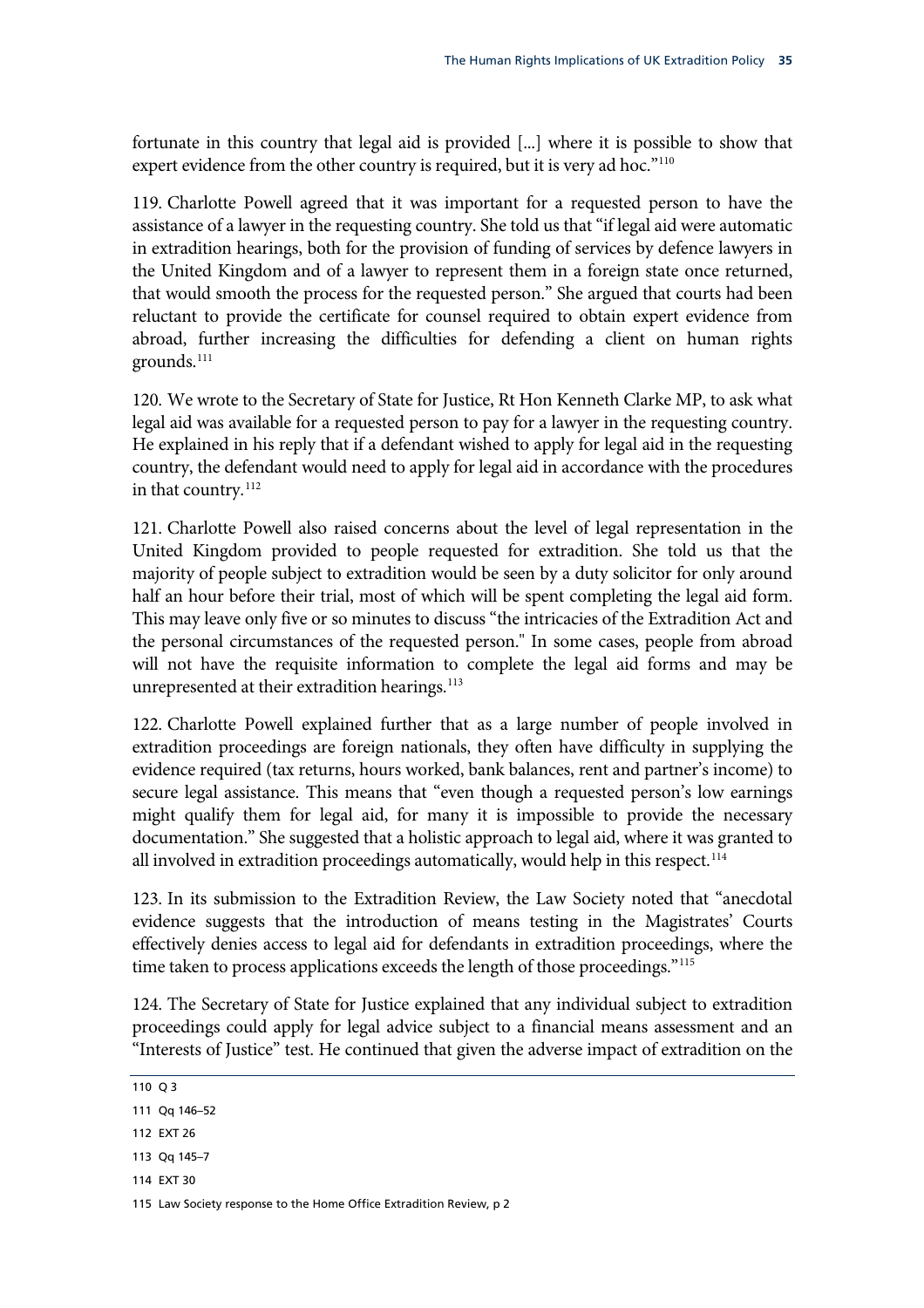fortunate in this country that legal aid is provided [...] where it is possible to show that expert evidence from the other country is required, but it is very ad hoc."<sup>110</sup>

119. Charlotte Powell agreed that it was important for a requested person to have the assistance of a lawyer in the requesting country. She told us that "if legal aid were automatic in extradition hearings, both for the provision of funding of services by defence lawyers in the United Kingdom and of a lawyer to represent them in a foreign state once returned, that would smooth the process for the requested person." She argued that courts had been reluctant to provide the certificate for counsel required to obtain expert evidence from abroad, further increasing the difficulties for defending a client on human rights grounds.[111](#page-38-0)

120. We wrote to the Secretary of State for Justice, Rt Hon Kenneth Clarke MP, to ask what legal aid was available for a requested person to pay for a lawyer in the requesting country. He explained in his reply that if a defendant wished to apply for legal aid in the requesting country, the defendant would need to apply for legal aid in accordance with the procedures in that country.<sup>[112](#page-38-1)</sup>

121. Charlotte Powell also raised concerns about the level of legal representation in the United Kingdom provided to people requested for extradition. She told us that the majority of people subject to extradition would be seen by a duty solicitor for only around half an hour before their trial, most of which will be spent completing the legal aid form. This may leave only five or so minutes to discuss "the intricacies of the Extradition Act and the personal circumstances of the requested person." In some cases, people from abroad will not have the requisite information to complete the legal aid forms and may be unrepresented at their extradition hearings.<sup>[113](#page-38-2)</sup>

122. Charlotte Powell explained further that as a large number of people involved in extradition proceedings are foreign nationals, they often have difficulty in supplying the evidence required (tax returns, hours worked, bank balances, rent and partner's income) to secure legal assistance. This means that "even though a requested person's low earnings might qualify them for legal aid, for many it is impossible to provide the necessary documentation." She suggested that a holistic approach to legal aid, where it was granted to all involved in extradition proceedings automatically, would help in this respect.<sup>[114](#page-38-3)</sup>

123. In its submission to the Extradition Review, the Law Society noted that "anecdotal evidence suggests that the introduction of means testing in the Magistrates' Courts effectively denies access to legal aid for defendants in extradition proceedings, where the time taken to process applications exceeds the length of those proceedings."<sup>[115](#page-38-4)</sup>

124. The Secretary of State for Justice explained that any individual subject to extradition proceedings could apply for legal advice subject to a financial means assessment and an "Interests of Justice" test. He continued that given the adverse impact of extradition on the

<span id="page-38-3"></span>114 EXT 30

<sup>110</sup> Q 3

<span id="page-38-0"></span><sup>111</sup> Qq 146–52

<span id="page-38-1"></span><sup>112</sup> EXT 26

<span id="page-38-2"></span><sup>113</sup> Qq 145–7

<span id="page-38-4"></span><sup>115</sup> Law Society response to the Home Office Extradition Review, p 2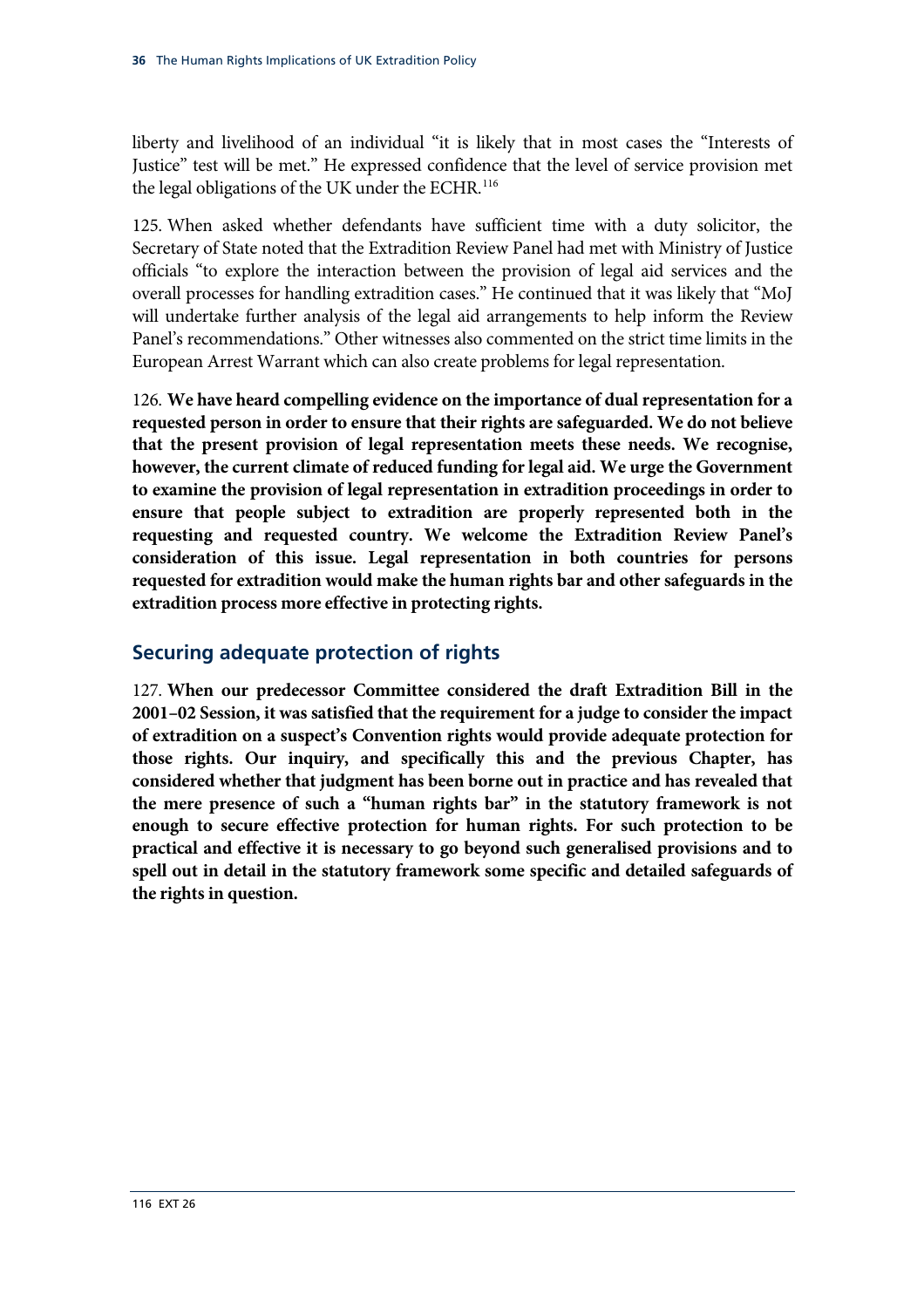liberty and livelihood of an individual "it is likely that in most cases the "Interests of Justice" test will be met." He expressed confidence that the level of service provision met the legal obligations of the UK under the ECHR.<sup>116</sup>

125. When asked whether defendants have sufficient time with a duty solicitor, the Secretary of State noted that the Extradition Review Panel had met with Ministry of Justice officials "to explore the interaction between the provision of legal aid services and the overall processes for handling extradition cases." He continued that it was likely that "MoJ will undertake further analysis of the legal aid arrangements to help inform the Review Panel's recommendations." Other witnesses also commented on the strict time limits in the European Arrest Warrant which can also create problems for legal representation.

<span id="page-39-0"></span>126. **We have heard compelling evidence on the importance of dual representation for a requested person in order to ensure that their rights are safeguarded. We do not believe that the present provision of legal representation meets these needs. We recognise, however, the current climate of reduced funding for legal aid. We urge the Government to examine the provision of legal representation in extradition proceedings in order to ensure that people subject to extradition are properly represented both in the requesting and requested country. We welcome the Extradition Review Panel's consideration of this issue. Legal representation in both countries for persons requested for extradition would make the human rights bar and other safeguards in the extradition process more effective in protecting rights.**

## **Securing adequate protection of rights**

<span id="page-39-1"></span>127. **When our predecessor Committee considered the draft Extradition Bill in the 2001–02 Session, it was satisfied that the requirement for a judge to consider the impact of extradition on a suspect's Convention rights would provide adequate protection for those rights. Our inquiry, and specifically this and the previous Chapter, has considered whether that judgment has been borne out in practice and has revealed that the mere presence of such a "human rights bar" in the statutory framework is not enough to secure effective protection for human rights. For such protection to be practical and effective it is necessary to go beyond such generalised provisions and to spell out in detail in the statutory framework some specific and detailed safeguards of the rights in question.**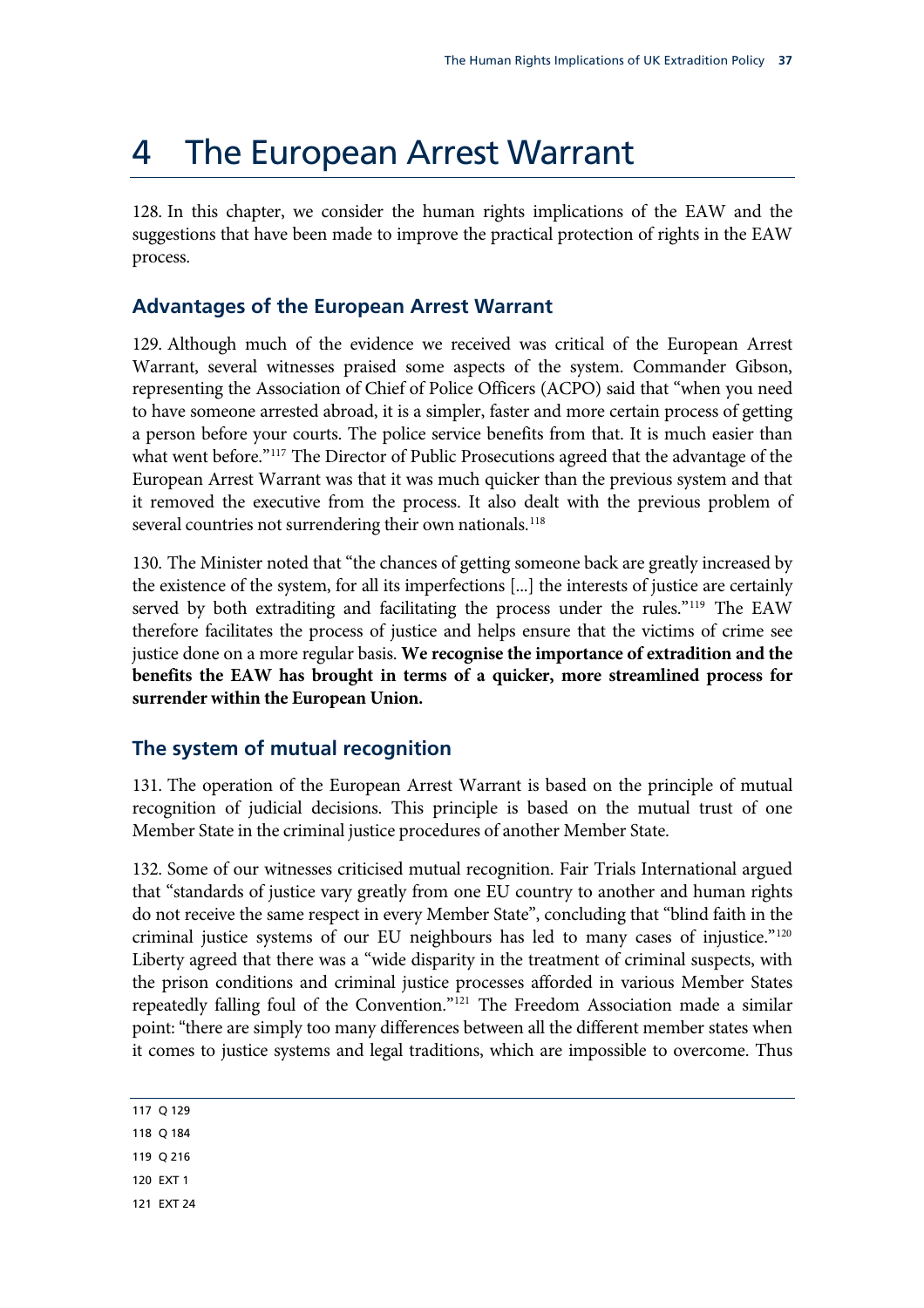# 4 The European Arrest Warrant

128. In this chapter, we consider the human rights implications of the EAW and the suggestions that have been made to improve the practical protection of rights in the EAW process.

### **Advantages of the European Arrest Warrant**

129. Although much of the evidence we received was critical of the European Arrest Warrant, several witnesses praised some aspects of the system. Commander Gibson, representing the Association of Chief of Police Officers (ACPO) said that "when you need to have someone arrested abroad, it is a simpler, faster and more certain process of getting a person before your courts. The police service benefits from that. It is much easier than what went before."<sup>[117](#page-40-0)</sup> The Director of Public Prosecutions agreed that the advantage of the European Arrest Warrant was that it was much quicker than the previous system and that it removed the executive from the process. It also dealt with the previous problem of several countries not surrendering their own nationals.<sup>[118](#page-40-1)</sup>

<span id="page-40-5"></span>130. The Minister noted that "the chances of getting someone back are greatly increased by the existence of the system, for all its imperfections [...] the interests of justice are certainly served by both extraditing and facilitating the process under the rules."<sup>[119](#page-40-2)</sup> The EAW therefore facilitates the process of justice and helps ensure that the victims of crime see justice done on a more regular basis. **We recognise the importance of extradition and the benefits the EAW has brought in terms of a quicker, more streamlined process for surrender within the European Union.**

## **The system of mutual recognition**

131. The operation of the European Arrest Warrant is based on the principle of mutual recognition of judicial decisions. This principle is based on the mutual trust of one Member State in the criminal justice procedures of another Member State.

132. Some of our witnesses criticised mutual recognition. Fair Trials International argued that "standards of justice vary greatly from one EU country to another and human rights do not receive the same respect in every Member State", concluding that "blind faith in the criminal justice systems of our EU neighbours has led to many cases of injustice."[120](#page-40-3) Liberty agreed that there was a "wide disparity in the treatment of criminal suspects, with the prison conditions and criminal justice processes afforded in various Member States repeatedly falling foul of the Convention."[121](#page-40-4) The Freedom Association made a similar point: "there are simply too many differences between all the different member states when it comes to justice systems and legal traditions, which are impossible to overcome. Thus

|  | ×<br>۰. |
|--|---------|
|--|---------|

<span id="page-40-1"></span><span id="page-40-0"></span>118 Q 184

<span id="page-40-2"></span>119 Q 216

<span id="page-40-3"></span>120 EXT 1

<span id="page-40-4"></span>121 EXT 24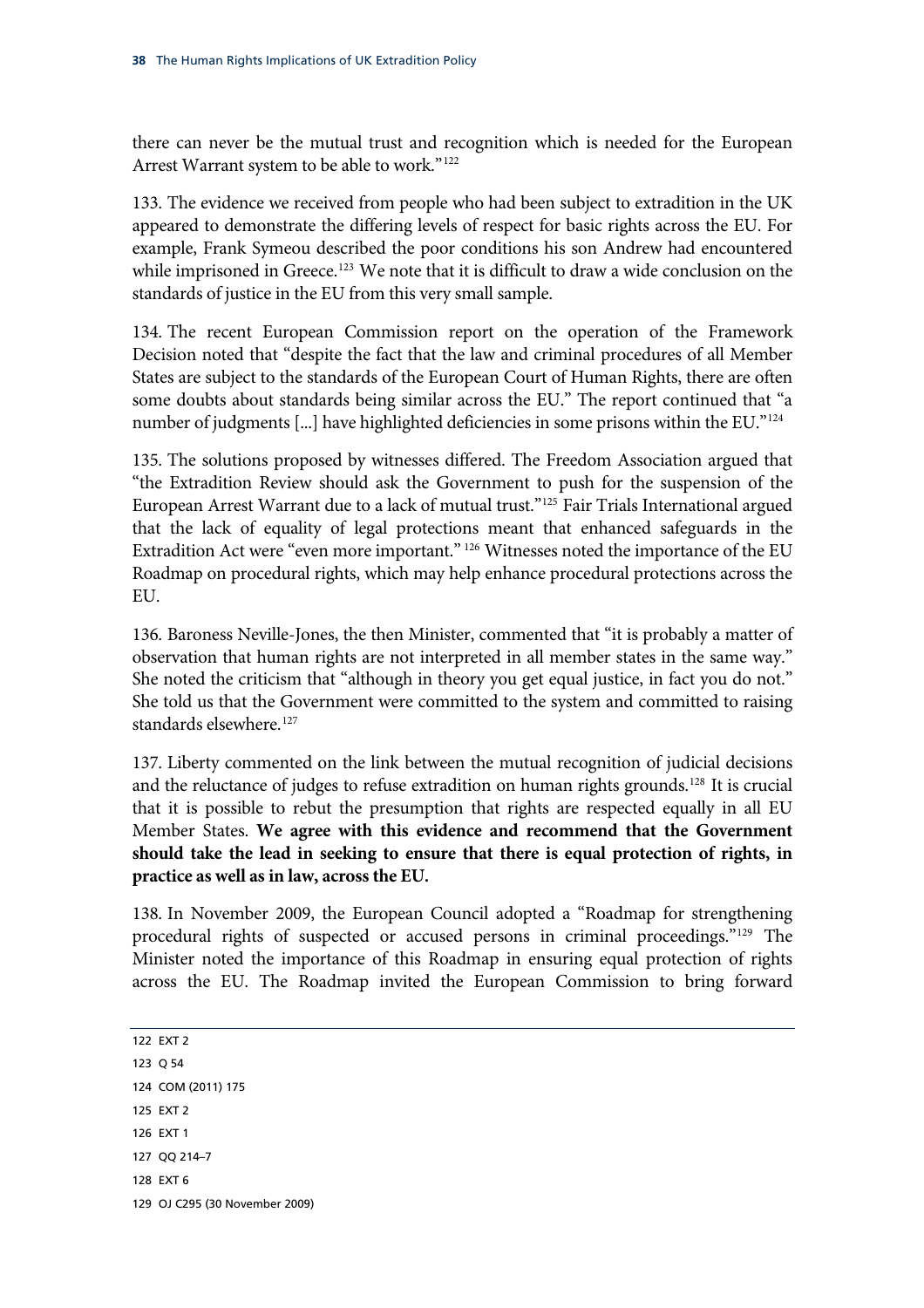there can never be the mutual trust and recognition which is needed for the European Arrest Warrant system to be able to work."<sup>122</sup>

133. The evidence we received from people who had been subject to extradition in the UK appeared to demonstrate the differing levels of respect for basic rights across the EU. For example, Frank Symeou described the poor conditions his son Andrew had encountered while imprisoned in Greece.<sup>[123](#page-41-0)</sup> We note that it is difficult to draw a wide conclusion on the standards of justice in the EU from this very small sample.

134. The recent European Commission report on the operation of the Framework Decision noted that "despite the fact that the law and criminal procedures of all Member States are subject to the standards of the European Court of Human Rights, there are often some doubts about standards being similar across the EU." The report continued that "a number of judgments [...] have highlighted deficiencies in some prisons within the EU."<sup>[124](#page-41-1)</sup>

135. The solutions proposed by witnesses differed. The Freedom Association argued that "the Extradition Review should ask the Government to push for the suspension of the European Arrest Warrant due to a lack of mutual trust."[125](#page-41-2) Fair Trials International argued that the lack of equality of legal protections meant that enhanced safeguards in the Extradition Act were "even more important."<sup>[126](#page-41-3)</sup> Witnesses noted the importance of the EU Roadmap on procedural rights, which may help enhance procedural protections across the EU.

136. Baroness Neville-Jones, the then Minister, commented that "it is probably a matter of observation that human rights are not interpreted in all member states in the same way." She noted the criticism that "although in theory you get equal justice, in fact you do not." She told us that the Government were committed to the system and committed to raising standards elsewhere.<sup>[127](#page-41-4)</sup>

<span id="page-41-7"></span>137. Liberty commented on the link between the mutual recognition of judicial decisions and the reluctance of judges to refuse extradition on human rights grounds.<sup>[128](#page-41-5)</sup> It is crucial that it is possible to rebut the presumption that rights are respected equally in all EU Member States. **We agree with this evidence and recommend that the Government should take the lead in seeking to ensure that there is equal protection of rights, in practice as well as in law, across the EU.**

138. In November 2009, the European Council adopted a "Roadmap for strengthening procedural rights of suspected or accused persons in criminal proceedings."[129](#page-41-6) The Minister noted the importance of this Roadmap in ensuring equal protection of rights across the EU. The Roadmap invited the European Commission to bring forward

<span id="page-41-6"></span><span id="page-41-5"></span><span id="page-41-4"></span><span id="page-41-3"></span><span id="page-41-2"></span><span id="page-41-1"></span><span id="page-41-0"></span>122 EXT 2 123 Q 54 124 COM (2011) 175 125 EXT 2 126 EXT 1 127 QQ 214–7 128 EXT 6 129 OJ C295 (30 November 2009)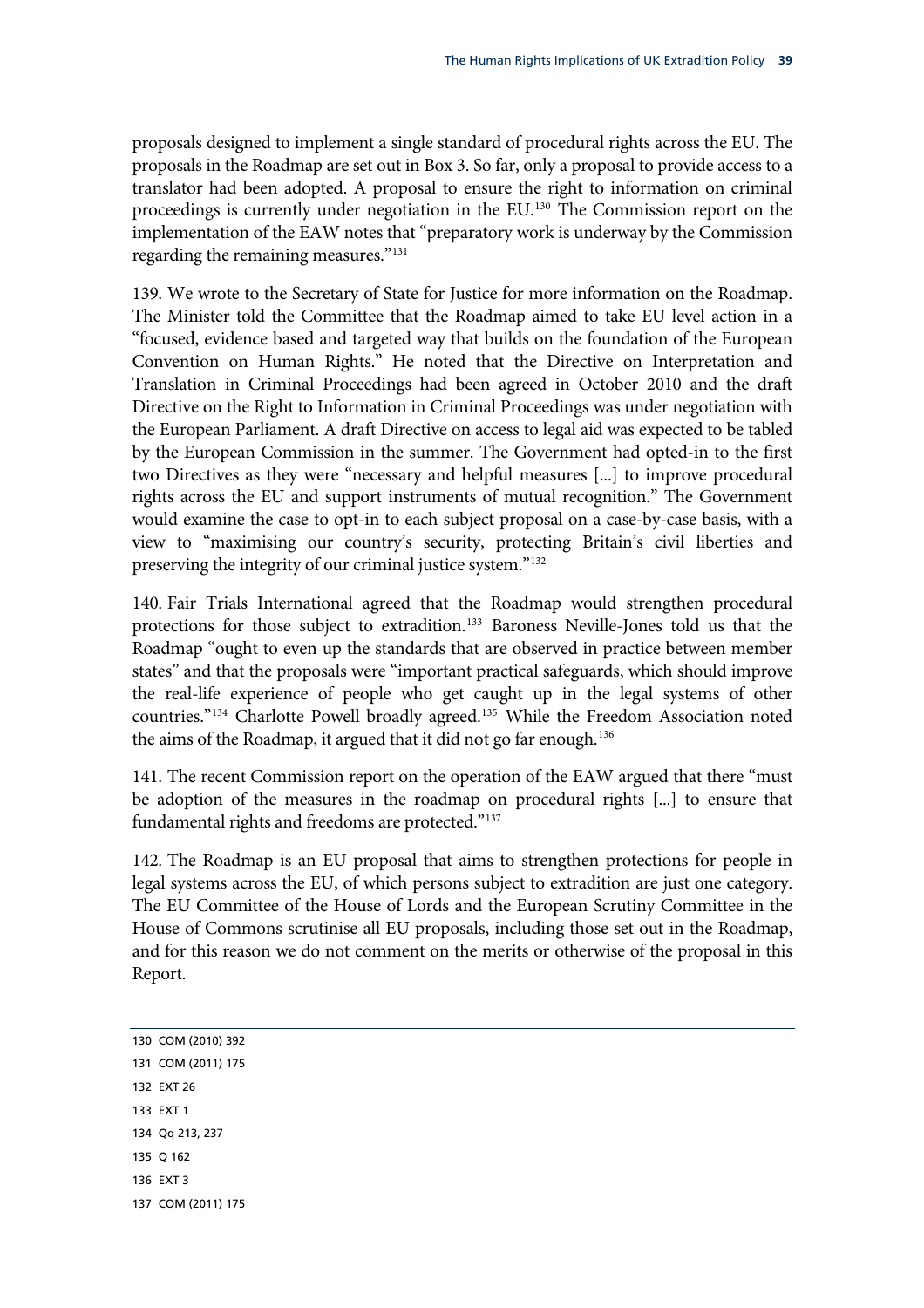proposals designed to implement a single standard of procedural rights across the EU. The proposals in the Roadmap are set out in Box 3. So far, only a proposal to provide access to a translator had been adopted. A proposal to ensure the right to information on criminal proceedings is currently under negotiation in the EU.<sup>130</sup> The Commission report on the implementation of the EAW notes that "preparatory work is underway by the Commission regarding the remaining measures."131

139. We wrote to the Secretary of State for Justice for more information on the Roadmap. The Minister told the Committee that the Roadmap aimed to take EU level action in a "focused, evidence based and targeted way that builds on the foundation of the European Convention on Human Rights." He noted that the Directive on Interpretation and Translation in Criminal Proceedings had been agreed in October 2010 and the draft Directive on the Right to Information in Criminal Proceedings was under negotiation with the European Parliament. A draft Directive on access to legal aid was expected to be tabled by the European Commission in the summer. The Government had opted-in to the first two Directives as they were "necessary and helpful measures [...] to improve procedural rights across the EU and support instruments of mutual recognition." The Government would examine the case to opt-in to each subject proposal on a case-by-case basis, with a view to "maximising our country's security, protecting Britain's civil liberties and preserving the integrity of our criminal justice system."[132](#page-42-0)

140. Fair Trials International agreed that the Roadmap would strengthen procedural protections for those subject to extradition.<sup>[133](#page-42-1)</sup> Baroness Neville-Jones told us that the Roadmap "ought to even up the standards that are observed in practice between member states" and that the proposals were "important practical safeguards, which should improve the real-life experience of people who get caught up in the legal systems of other countries."<sup>134</sup> Charlotte Powell broadly agreed.<sup>[135](#page-42-3)</sup> While the Freedom Association noted the aims of the Roadmap, it argued that it did not go far enough.<sup>[136](#page-42-4)</sup>

141. The recent Commission report on the operation of the EAW argued that there "must be adoption of the measures in the roadmap on procedural rights [...] to ensure that fundamental rights and freedoms are protected."<sup>[137](#page-42-5)</sup>

142. The Roadmap is an EU proposal that aims to strengthen protections for people in legal systems across the EU, of which persons subject to extradition are just one category. The EU Committee of the House of Lords and the European Scrutiny Committee in the House of Commons scrutinise all EU proposals, including those set out in the Roadmap, and for this reason we do not comment on the merits or otherwise of the proposal in this Report.

<span id="page-42-5"></span><span id="page-42-4"></span><span id="page-42-3"></span><span id="page-42-2"></span><span id="page-42-1"></span><span id="page-42-0"></span>130 COM (2010) 392 131 COM (2011) 175 132 EXT 26 133 EXT 1 134 Qq 213, 237 135 Q 162 136 EXT 3 137 COM (2011) 175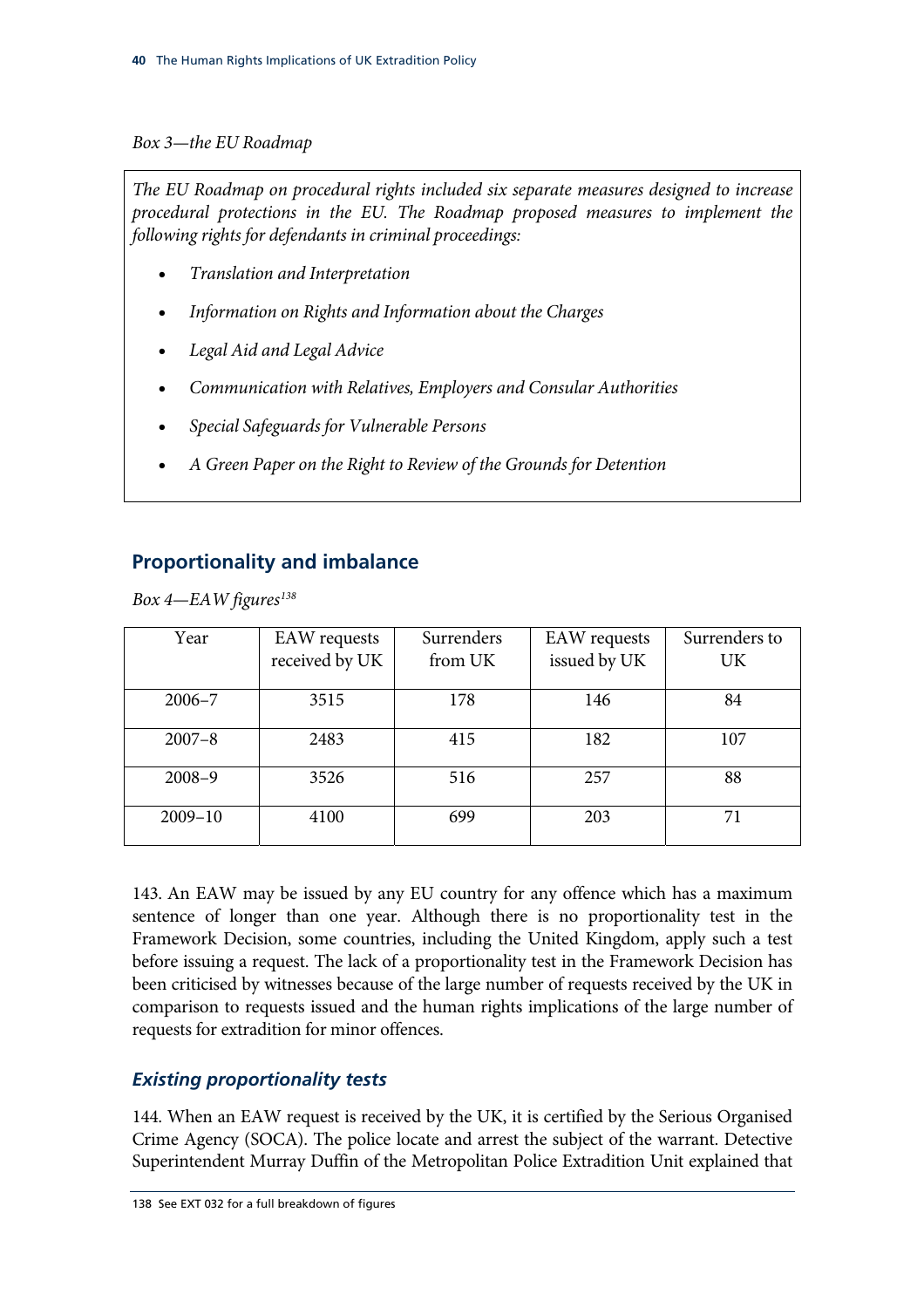### *Box 3—the EU Roadmap*

*The EU Roadmap on procedural rights included six separate measures designed to increase procedural protections in the EU. The Roadmap proposed measures to implement the following rights for defendants in criminal proceedings:* 

- *Translation and Interpretation*
- *Information on Rights and Information about the Charges*
- *Legal Aid and Legal Advice*
- *Communication with Relatives, Employers and Consular Authorities*
- *Special Safeguards for Vulnerable Persons*
- *A Green Paper on the Right to Review of the Grounds for Detention*

## **Proportionality and imbalance**

*Box 4—EAW figures[138](#page-43-0)*

| Year        | <b>EAW</b> requests | Surrenders | <b>EAW</b> requests | Surrenders to |
|-------------|---------------------|------------|---------------------|---------------|
|             | received by UK      | from UK    | issued by UK        | UK            |
| $2006 - 7$  | 3515                | 178        | 146                 | 84            |
| $2007 - 8$  | 2483                | 415        | 182                 | 107           |
| $2008 - 9$  | 3526                | 516        | 257                 | 88            |
| $2009 - 10$ | 4100                | 699        | 203                 | 71            |

143. An EAW may be issued by any EU country for any offence which has a maximum sentence of longer than one year. Although there is no proportionality test in the Framework Decision, some countries, including the United Kingdom, apply such a test before issuing a request. The lack of a proportionality test in the Framework Decision has been criticised by witnesses because of the large number of requests received by the UK in comparison to requests issued and the human rights implications of the large number of requests for extradition for minor offences.

## *Existing proportionality tests*

<span id="page-43-0"></span>144. When an EAW request is received by the UK, it is certified by the Serious Organised Crime Agency (SOCA). The police locate and arrest the subject of the warrant. Detective Superintendent Murray Duffin of the Metropolitan Police Extradition Unit explained that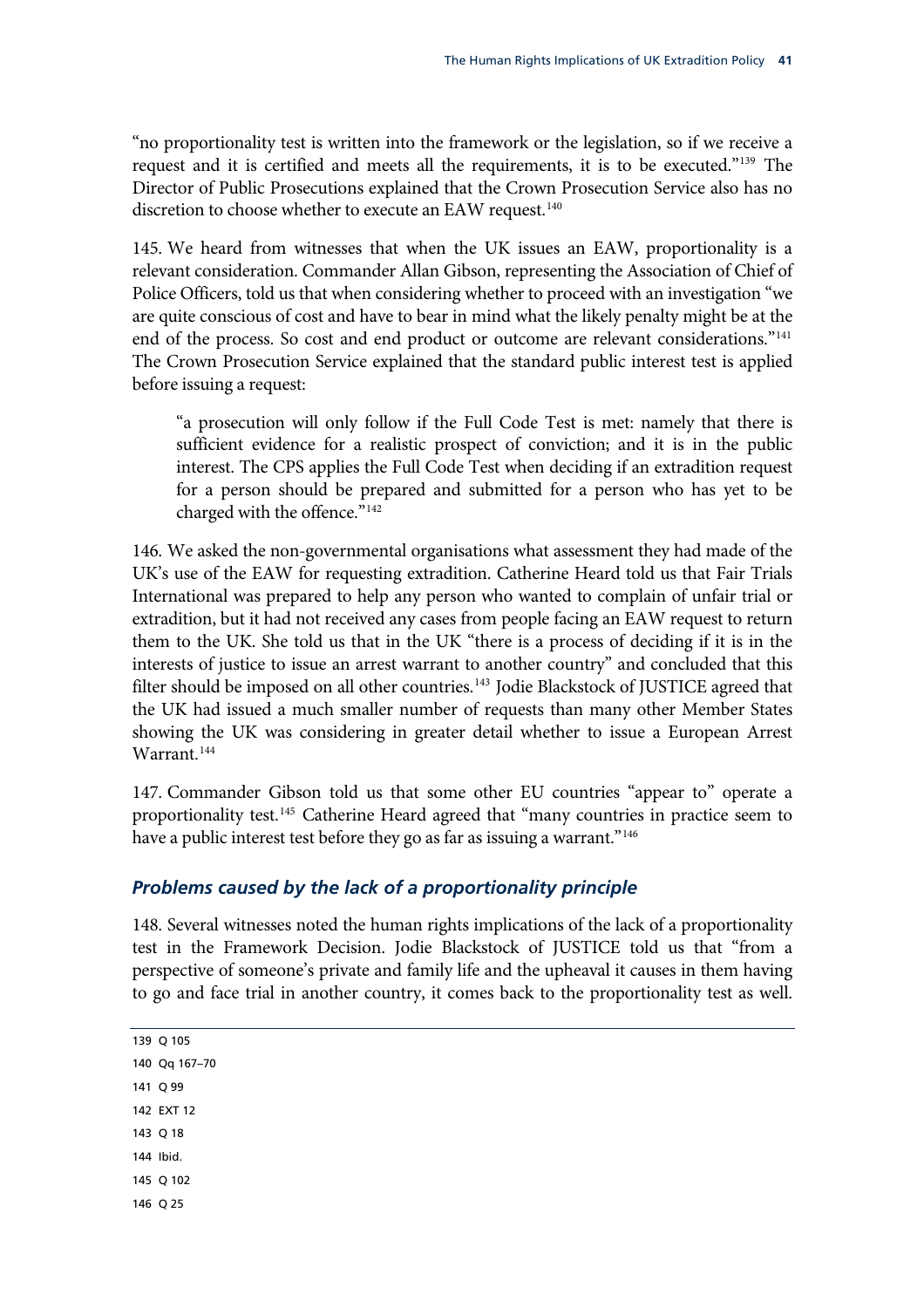"no proportionality test is written into the framework or the legislation, so if we receive a request and it is certified and meets all the requirements, it is to be executed."139 The Director of Public Prosecutions explained that the Crown Prosecution Service also has no discretion to choose whether to execute an EAW request.<sup>140</sup>

145. We heard from witnesses that when the UK issues an EAW, proportionality is a relevant consideration. Commander Allan Gibson, representing the Association of Chief of Police Officers, told us that when considering whether to proceed with an investigation "we are quite conscious of cost and have to bear in mind what the likely penalty might be at the end of the process. So cost and end product or outcome are relevant considerations."<sup>[141](#page-44-0)</sup> The Crown Prosecution Service explained that the standard public interest test is applied before issuing a request:

"a prosecution will only follow if the Full Code Test is met: namely that there is sufficient evidence for a realistic prospect of conviction; and it is in the public interest. The CPS applies the Full Code Test when deciding if an extradition request for a person should be prepared and submitted for a person who has yet to be charged with the offence."[142](#page-44-1)

146. [W](#page-44-1)e asked the non-governmental organisations what assessment they had made of the UK's use of the EAW for requesting extradition. Catherine Heard told us that Fair Trials International was prepared to help any person who wanted to complain of unfair trial or extradition, but it had not received any cases from people facing an EAW request to return them to the UK. She told us that in the UK "there is a process of deciding if it is in the interests of justice to issue an arrest warrant to another country" and concluded that this filter should be imposed on all other countries.<sup>[143](#page-44-2)</sup> Jodie Blackstock of JUSTICE agreed that the UK had issued a much smaller number of requests than many other Member States showing the UK was considering in greater detail whether to issue a European Arrest Warrant.<sup>144</sup>

147. [Commander Gibson tol](#page-44-3)d us that some other EU countries "appear to" operate a proportionality test.<sup>[145](#page-44-4)</sup> Catherine Heard agreed that "many countries in practice seem to have a public interest test before they go as far as issuing a warrant."<sup>[146](#page-44-5)</sup>

### *Problems caused by the lack of a proportionality principle*

<span id="page-44-5"></span><span id="page-44-4"></span><span id="page-44-3"></span><span id="page-44-2"></span><span id="page-44-1"></span><span id="page-44-0"></span>148. Several witnesses noted the human rights implications of the lack of a proportionality test in the Framework Decision. Jodie Blackstock of JUSTICE told us that "from a perspective of someone's private and family life and the upheaval it causes in them having to go and face trial in another country, it comes back to the proportionality test as well.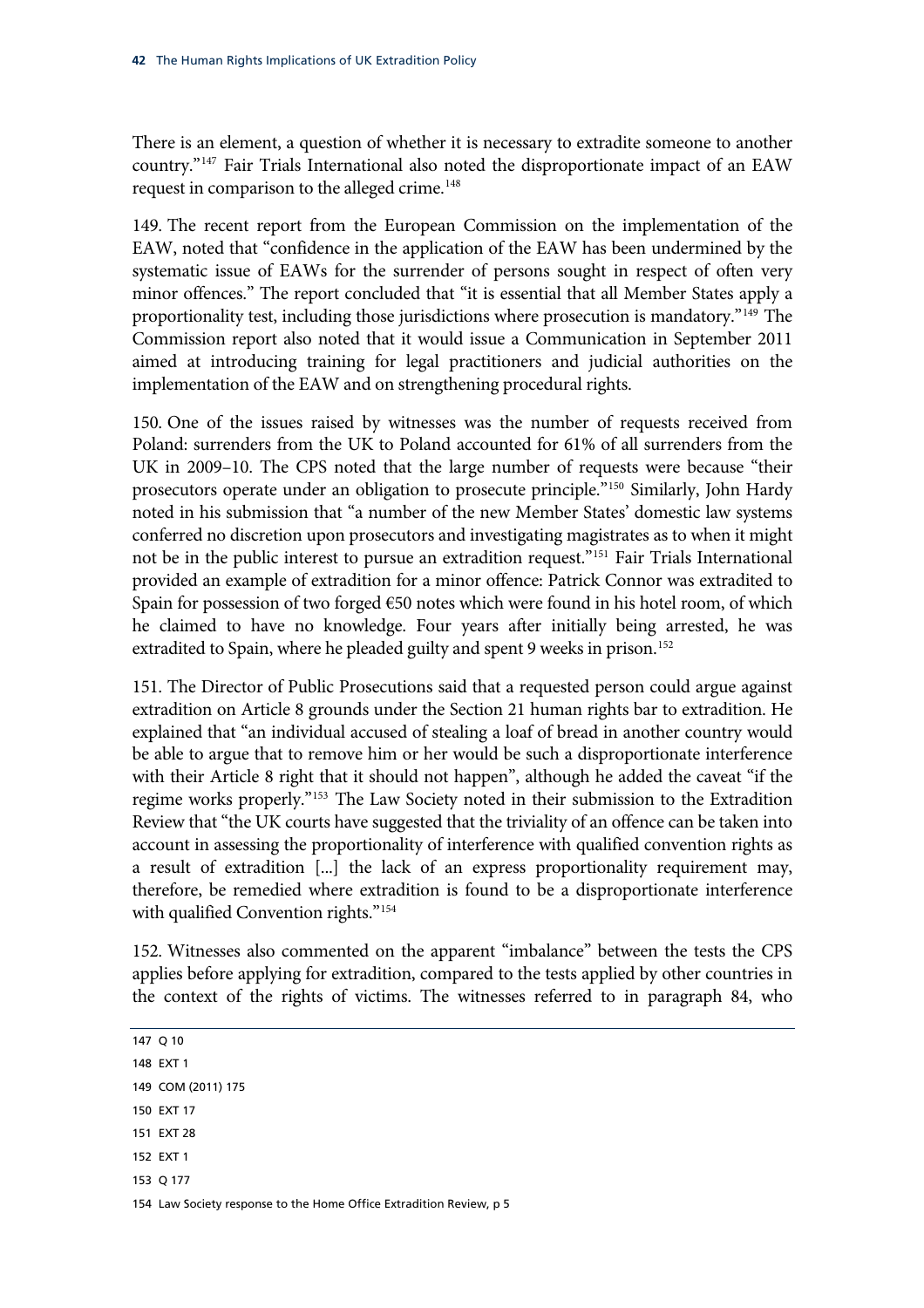There is an element, a question of whether it is necessary to extradite someone to another country."147 Fair Trials International also noted the disproportionate impact of an EAW request in comparison to the alleged crime.<sup>148</sup>

149. The recent report from the European Commission on the implementation of the EAW, noted that "confidence in the application of the EAW has been undermined by the systematic issue of EAWs for the surrender of persons sought in respect of often very minor offences." The report concluded that "it is essential that all Member States apply a proportionality test, including those jurisdictions where prosecution is mandatory."[149](#page-45-0) The Commission report also noted that it would issue a Communication in September 2011 aimed at introducing training for legal practitioners and judicial authorities on the implementation of the EAW and on strengthening procedural rights.

150. One of the issues raised by witnesses was the number of requests received from Poland: surrenders from the UK to Poland accounted for 61% of all surrenders from the UK in 2009–10. The CPS noted that the large number of requests were because "their prosecutors operate under an obligation to prosecute principle."[150](#page-45-1) Similarly, John Hardy noted in his submission that "a number of the new Member States' domestic law systems conferred no discretion upon prosecutors and investigating magistrates as to when it might not be in the public interest to pursue an extradition request."<sup>[151](#page-45-2)</sup> Fair Trials International provided an example of extradition for a minor offence: Patrick Connor was extradited to Spain for possession of two forged €50 notes which were found in his hotel room, of which he claimed to have no knowledge. Four years after initially being arrested, he was extradited to Spain, where he pleaded guilty and spent 9 weeks in prison.<sup>[152](#page-45-3)</sup>

151. [The Director of Public Prosecutions said that a requested person could](#page-45-3) argue against extradition on Article 8 grounds under the Section 21 human rights bar to extradition. He explained that "an individual accused of stealing a loaf of bread in another country would be able to argue that to remove him or her would be such a disproportionate interference with their Article 8 right that it should not happen", although he added the caveat "if the regime works properly."[153](#page-45-4) The Law Society noted in their submission to the Extradition Review that "the UK courts have suggested that the triviality of an offence can be taken into account in assessing the proportionality of interference with qualified convention rights as a result of extradition [...] the lack of an express proportionality requirement may, therefore, be remedied where extradition is found to be a disproportionate interference with qualified Convention rights."<sup>[154](#page-45-5)</sup>

152. [Witnesses also commented on the appar](#page-45-5)ent "imbalance" between the tests the CPS applies before applying for extradition, compared to the tests applied by other countries in the context of the rights of victims. The witnesses referred to in paragraph 84, who

- <span id="page-45-0"></span>149 COM (2011) 175
- <span id="page-45-1"></span>150 EXT 17
- <span id="page-45-2"></span>151 EXT 28
- <span id="page-45-3"></span>152 EXT 1
- <span id="page-45-4"></span>153 Q 177

<span id="page-45-5"></span>154 Law Society response to the Home Office Extradition Review, p 5

<sup>147</sup> Q 10

<sup>148</sup> EXT 1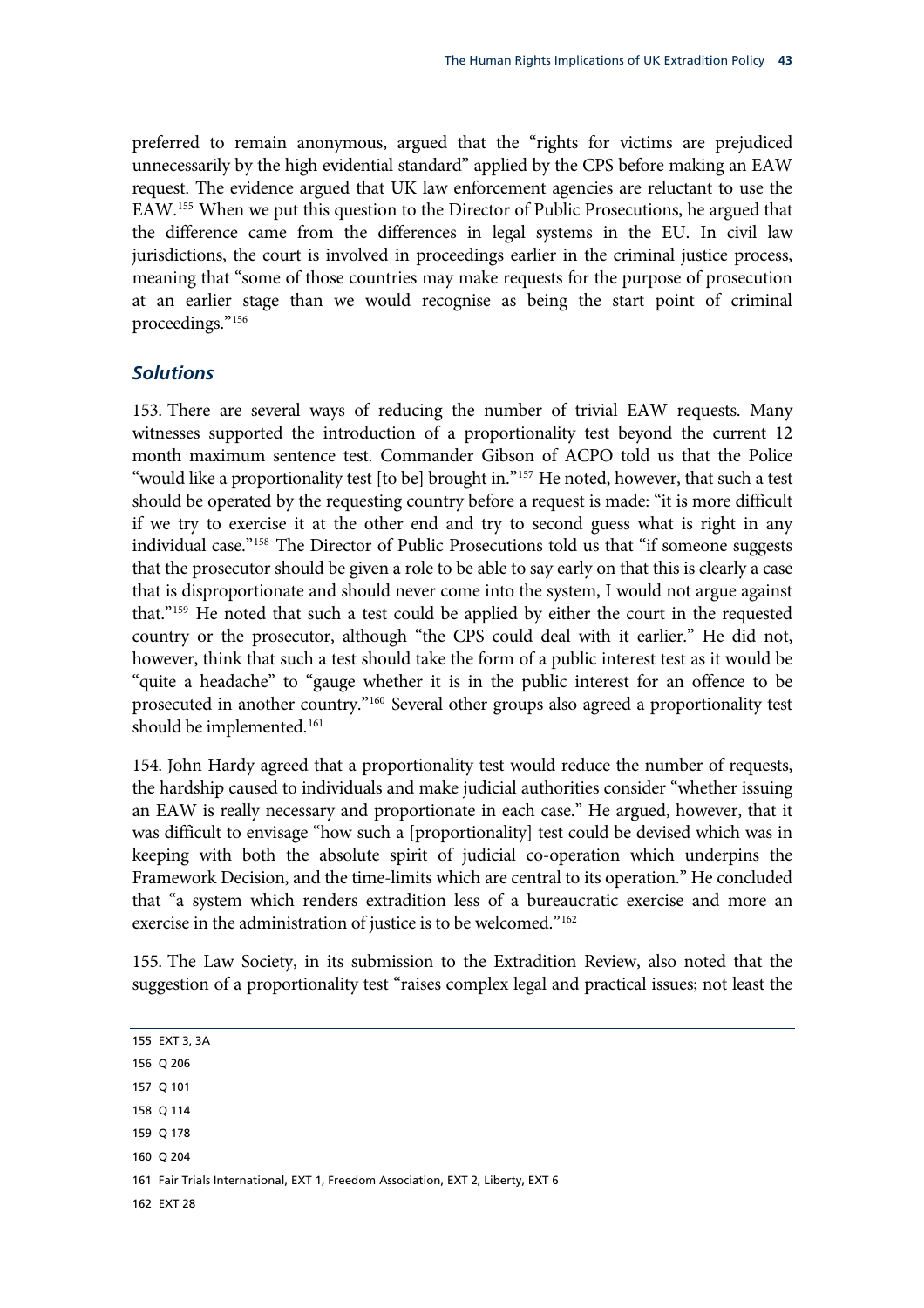preferred to remain anonymous, argued that the "rights for victims are prejudiced unnecessarily by the high evidential standard" applied by the CPS before making an EAW request. The evidence argued that UK law enforcement agencies are reluctant to use the EAW[.155](#page-46-0) When we put this question to the Director of Public Prosecutions, he argued that the difference came from the differences in legal systems in the EU. In civil law jurisdictions, the court is involved in proceedings earlier in the criminal justice process, meaning that "some of those countries may make requests for the purpose of prosecution at an earlier stage than we would recognise as being the start point of criminal proceedings.["156](#page-46-1)

### *Solutions*

153. There are several ways of reducing the number of trivial EAW requests. Many witnesses supported the introduction of a proportionality test beyond the current 12 month maximum sentence test. Commander Gibson of ACPO told us that the Police "would like a proportionality test [to be] brought in."<sup>157</sup> He noted, however, that such a test should be operated by the requesting country before a request is made: "it is more difficult if we try to exercise it at the other end and try to second guess what is right in any individual case."[158](#page-46-3) The Director of Public Prosecutions told us that "if someone suggests that the prosecutor should be given a role to be able to say early on that this is clearly a case that is disproportionate and should never come into the system, I would not argue against that."[159](#page-46-4) He noted that such a test could be applied by either the court in the requested country or the prosecutor, although "the CPS could deal with it earlier." He did not, however, think that such a test should take the form of a public interest test as it would be "quite a headache" to "gauge whether it is in the public interest for an offence to be prosecuted in another country."[160](#page-46-5) Several other groups also agreed a proportionality test should be implemented.<sup>[161](#page-46-6)</sup>

154. [John Hardy agreed that a proporti](#page-46-6)onality test would reduce the number of requests, the hardship caused to individuals and make judicial authorities consider "whether issuing an EAW is really necessary and proportionate in each case." He argued, however, that it was difficult to envisage "how such a [proportionality] test could be devised which was in keeping with both the absolute spirit of judicial co-operation which underpins the Framework Decision, and the time-limits which are central to its operation." He concluded that "a system which renders extradition less of a bureaucratic exercise and more an exercise in the administration of justice is to be welcomed."<sup>[162](#page-46-7)</sup>

155. [The Law Society, in its submission to the Extradition Review, al](#page-46-7)so noted that the suggestion of a proportionality test "raises complex legal and practical issues; not least the

- <span id="page-46-1"></span>156 Q 206
- <span id="page-46-2"></span>157 Q 101
- <span id="page-46-3"></span>158 Q 114
- <span id="page-46-4"></span>159 Q 178
- <span id="page-46-5"></span>160 Q 204
- <span id="page-46-6"></span>161 Fair Trials International, EXT 1, Freedom Association, EXT 2, Liberty, EXT 6
- <span id="page-46-7"></span>162 EXT 28

<span id="page-46-0"></span><sup>155</sup> EXT 3, 3A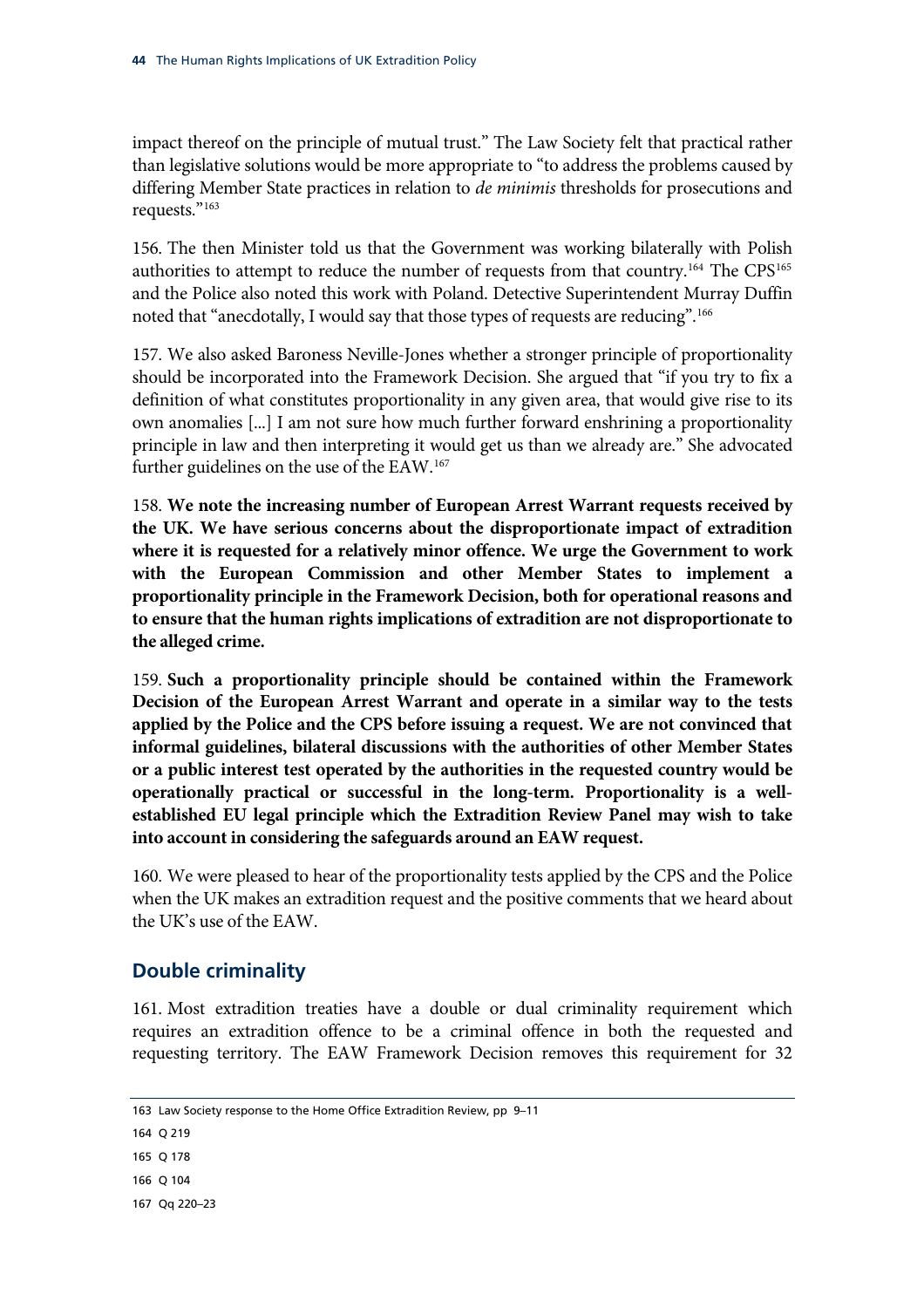impact thereof on the principle of mutual trust." The Law Society felt that practical rather than legislative solutions would be more appropriate to "to address the problems caused by differing Member State practices in relation to *de minimis* thresholds for prosecutions and requests."[163](#page-47-0)

156. [The then Minister told us that the Government was working bilaterally with Polish](#page-47-0)  [authorities](#page-47-0) to attempt to reduce the number of requests from that country.<sup>164</sup> The CPS<sup>165</sup> and the Police also noted this work with Poland. Detective Superintendent Murray Duffin noted that "anecdotally, I would say that those types of requests are reducing".[166](#page-47-1)

should be incorporated into the Framework Decision. She argued that "if you try to fix a 157. [We also asked Baroness Neville-Jones whether a stronger principle of proportionality](#page-47-1)  definition of what constitutes proportionality in any given area, that would give rise to its own anomalies [...] I am not sure how much further forward enshrining a proportionality principle in law and then interpreting it would get us than we already are." She advocated further guidelines on the use of the EAW.<sup>167</sup>

<span id="page-47-3"></span>[the UK. We have serious concerns abou](#page-47-2)t the disproportionate impact of extradition 158. **[We note the increasing number of European Arrest Warrant requests received by](#page-47-2)  where it is requested for a relatively minor offence. We urge the Government to work with the European Commission and other Member States to implement a proportionality principle in the Framework Decision, both for operational reasons and to ensure that the human rights implications of extradition are not disproportionate to the alleged crime.**

<span id="page-47-4"></span>Decision of the European Arrest Warrant and operate in a similar way to the tests 159. **Such a proportionality principle should be contained within the Framework applied by the Police and the CPS before issuing a request. We are not convinced that informal guidelines, bilateral discussions with the authorities of other Member States or a public interest test operated by the authorities in the requested country would be operationally practical or successful in the long-term. Proportionality is a wellestablished EU legal principle which the Extradition Review Panel may wish to take into account in considering the safeguards around an EAW request.**

when the UK makes an extradition request and the positive comments that we heard about 160. We were pleased to hear of the proportionality tests applied by the CPS and the Police the UK's use of the EAW.

## **Double criminality**

161. Most extradition treaties have a double or dual criminality requirement which requires an extradition offence to be a criminal offence in both the requested and requesting territory. The EAW Framework Decision removes this requirement for 32

```
163 Law Society response to the Home Office Extradition Review, pp 9–11
```

```
164 Q 219
```
165 Q 178

```
166 Q 104
```
<span id="page-47-2"></span>167 Qq 220–23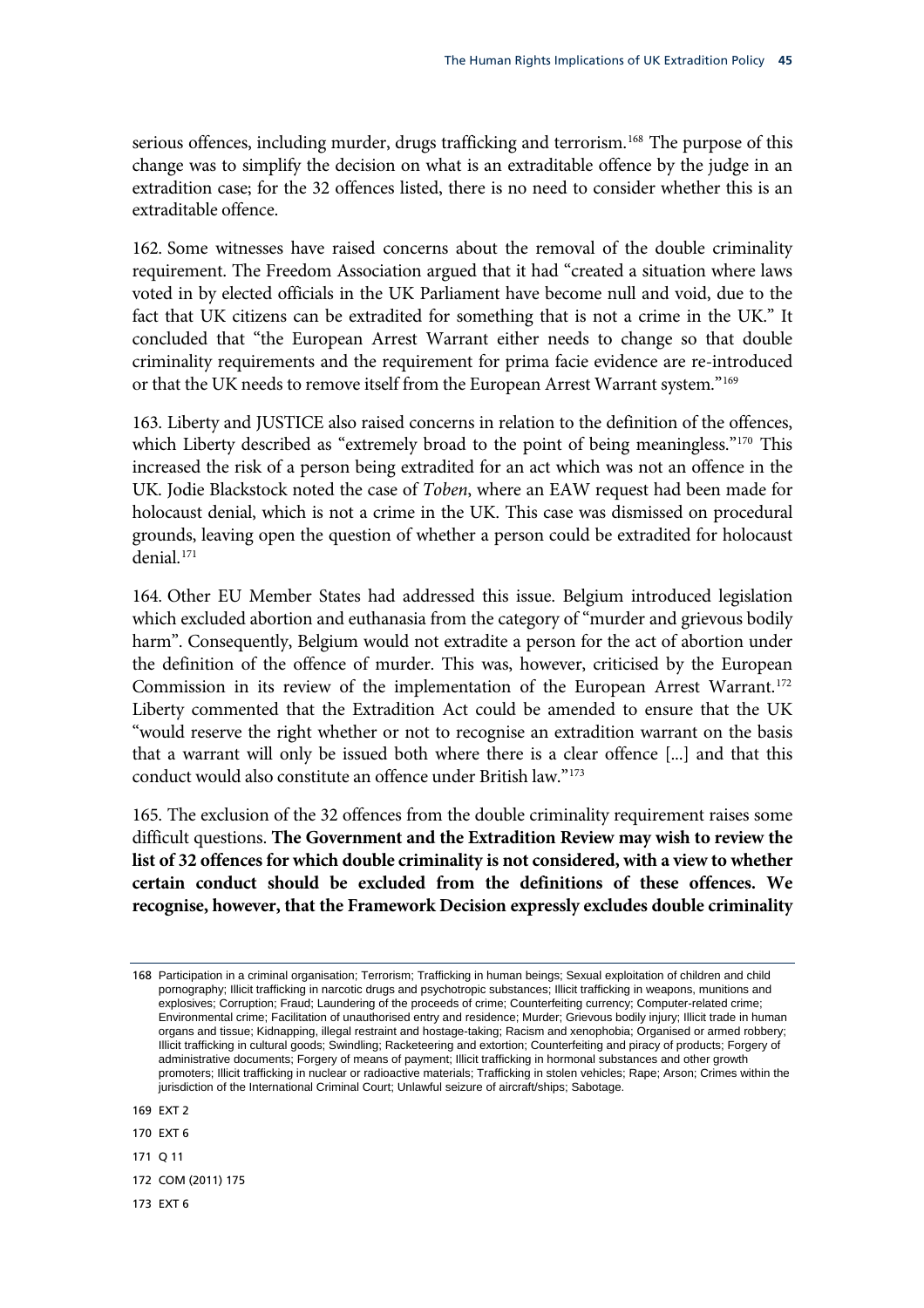serious offences, including murder, drugs trafficking and terrorism.<sup>168</sup> The purpose of this change was to simplify the decision on what is an extraditable offence by the judge in an extradition case; for the 32 offences listed, there is no need to consider whether this is an extraditable offence.

fact that UK citizens can be extradited for something that is not a crime in the UK." It 162. Some witnesses have raised concerns about the removal of the double criminality requirement. The Freedom Association argued that it had "created a situation where laws voted in by elected officials in the UK Parliament have become null and void, due to the concluded that "the European Arrest Warrant either needs to change so that double criminality requirements and the requirement for prima facie evidence are re-introduced or that the UK needs to remove itself from the European Arrest Warrant system.["169](#page-48-0)

[UK. Jodie Blackstock noted the case of](#page-48-0) *Toben*, where an EAW request had been made for 163. [Liberty and JUSTICE also raised concerns in relation to the definition of the offences,](#page-48-0)  which Liberty described as "extremely broad to the point of being meaningless."<sup>170</sup> This [increased the risk of a person being extradited for an act which was not an offence in the](#page-48-0)  holocaust denial, which is not a crime in the UK. This case was dismissed on procedural grounds, leaving open the question of whether a person could be extradited for holocaust denial.[171](#page-48-1)

[the defini](#page-48-1)tion of the offence of murder. This was, however, criticised by the European Commission in its review of the implementation of the European Arrest Warrant.<sup>172</sup> 164. [Other EU Member States had addressed this issue. Belgium introduced legislation](#page-48-1)  [which excluded abortion and euthanasia from the category of "murder and grievous bodily](#page-48-1)  [harm". Consequently, Belgium would not extradite a person for the act of abortion under](#page-48-1)  Liberty commented that the Extradition Act could be amended to ensure that the UK "would reserve the right whether or not to recognise an extradition warrant on the basis that a warrant will only be issued both where there is a clear offence [...] and that this conduct would also constitute an offence under British law.["173](#page-48-2)

**s of these offences. We [certain conduct should be excluded from the definition](#page-48-2) recognise, however, that the Framework Decision expressly excludes double criminality**  165. [The exclusion of the 32 offences from the double criminality requirement raises some](#page-48-2)  difficult questions. **[The Government and the Extradition Review may wish to review the](#page-48-2)  [list of 32 offences for which double criminality is not considered, with a view to whether](#page-48-2)** 

- 171 Q 11
- 172 COM (2011) 175
- <span id="page-48-2"></span>173 EXT 6

<sup>168</sup> Participation in a criminal organisation; Terrorism; Trafficking in human beings; Sexual exploitation of children and child pornography; Illicit trafficking in narcotic drugs and psychotropic substances; Illicit trafficking in weapons, munitions and explosives; Corruption; Fraud; Laundering of the proceeds of crime; Counterfeiting currency; Computer-related crime; Environmental crime; Facilitation of unauthorised entry and residence; Murder; Grievous bodily injury; Illicit trade in human organs and tissue; Kidnapping, illegal restraint and hostage-taking; Racism and xenophobia; Organised or armed robbery; Illicit trafficking in cultural goods; Swindling; Racketeering and extortion; Counterfeiting and piracy of products; Forgery of administrative documents; Forgery of means of payment; Illicit trafficking in hormonal substances and other growth promoters; Illicit trafficking in nuclear or radioactive materials; Trafficking in stolen vehicles; Rape; Arson; Crimes within the jurisdiction of the International Criminal Court; Unlawful seizure of aircraft/ships; Sabotage.

<span id="page-48-0"></span><sup>169</sup> EXT 2

<span id="page-48-1"></span><sup>170</sup> EXT 6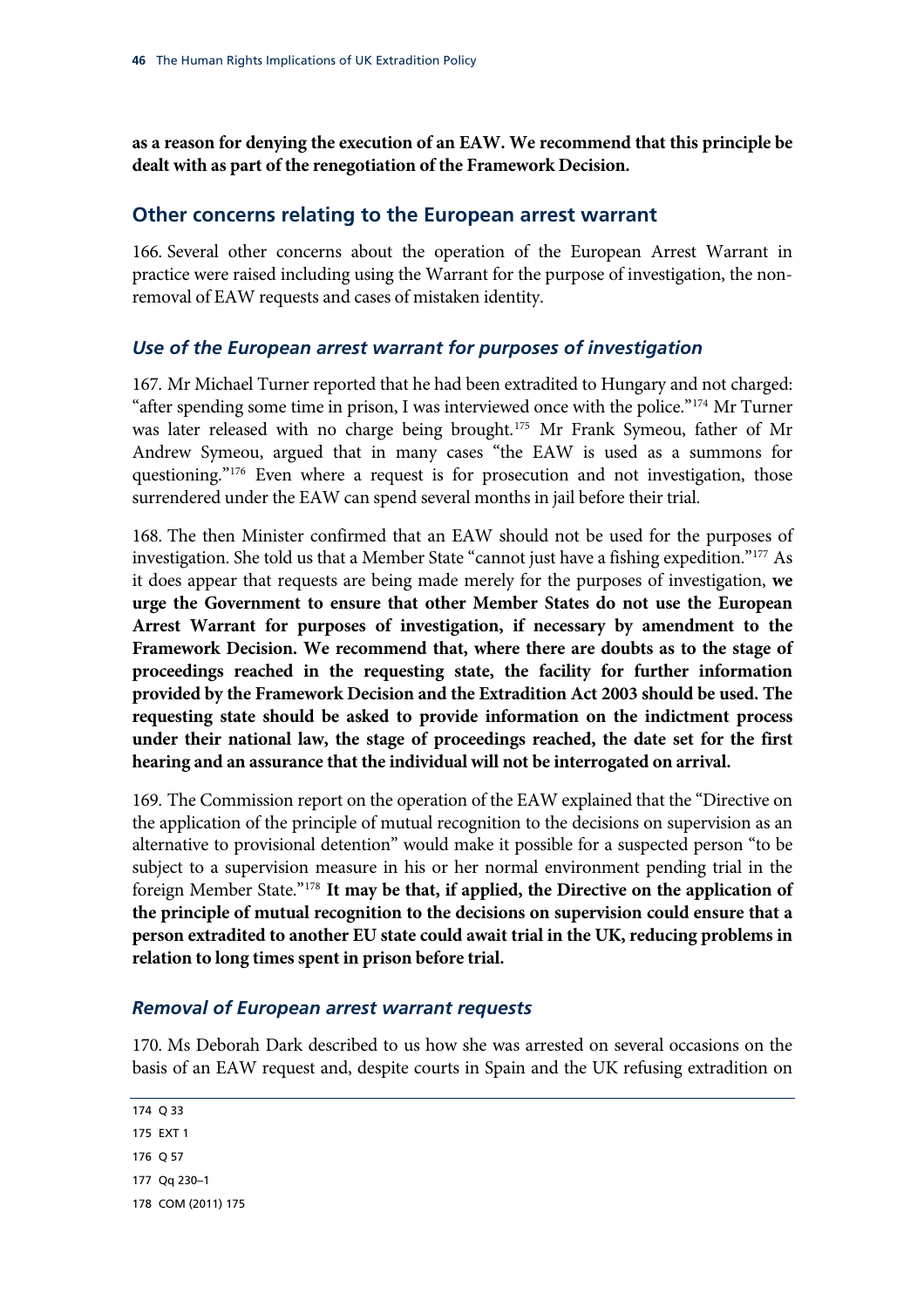**as a reason for denying the execution of an EAW. We recommend that this principle be dealt with as part of the renegotiation of the Framework Decision.** 

### **Other concerns relating to the European arrest warrant**

166. Several other concerns about the operation of the European Arrest Warrant in practice were raised including using the Warrant for the purpose of investigation, the nonremoval of EAW requests and cases of mistaken identity.

### *Use of the European arrest warrant for purposes of investigation*

"after spending some time in prison, I was interviewed once with the police." $174$  Mr Turner was later released with no charge being brought.<sup>175</sup> Mr Frank Symeou, father of Mr Andrew Symeou, argued that in many cases "the EAW is used as a summons for questioning."<sup>176</sup> Even where a request is for prosecution and not investigation, those 167. Mr Michael Turner reported that he had been extradited to Hungary and not charged: surrendered under the EAW can spend several months in jail before their trial.

<span id="page-49-2"></span>Arrest Warrant for purposes of investigation, if necessary by amendment to the 168. The then Minister confirmed that an EAW should not be used for the purposes of investigation. She told us that a Member State "cannot just have a fishing expedition."[177](#page-49-0) As it does appear that requests are being made merely for the purposes of investigation, **we urge the Government to ensure that other Member States do not use the European Framework Decision. We recommend that, where there are doubts as to the stage of proceedings reached in the requesting state, the facility for further information provided by the Framework Decision and the Extradition Act 2003 should be used. The requesting state should be asked to provide information on the indictment process under their national law, the stage of proceedings reached, the date set for the first hearing and an assurance that the individual will not be interrogated on arrival.**

<span id="page-49-3"></span><span id="page-49-1"></span>subject to a supervision measure in his or her normal environment pending trial in the foreign Member State."<sup>178</sup> It may be that, if applied, the Directive on the application of 169. The Commission report on the operation of the EAW explained that the "Directive on the application of the principle of mutual recognition to the decisions on supervision as an alternative to provisional detention" would make it possible for a suspected person "to be **the principle of mutual recognition to the decisions on supervision could ensure that a person extradited to another EU state could await trial in the UK, reducing problems in relation to long times spent in prison before trial.**

#### *Removal of European arrest warrant requests*

basis of an EAW request and, despite courts in Spain and the UK refusing extradition on 170. Ms Deborah Dark described to us how she was arrested on several occasions on the

<span id="page-49-0"></span>174 Q 33 175 EXT 1 176 Q 57 177 Qq 230–1 178 COM (2011) 175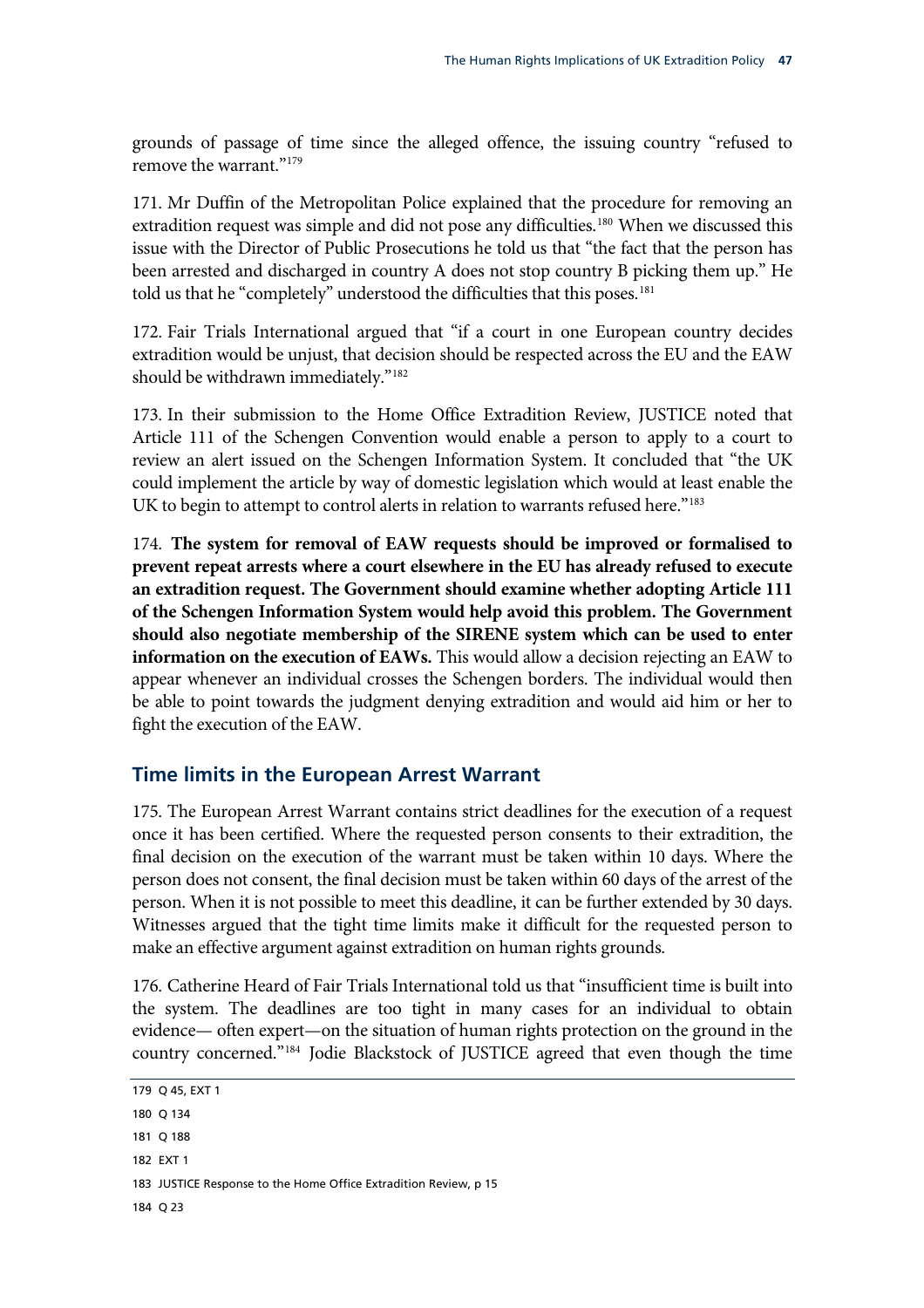grounds of passage of time since the alleged offence, the issuing country "refused to remove the warrant."<sup>179</sup>

issue with the Director of Public Prosecutions he told us that "the fact that the person has been arrested and discharged in country A does not stop country B picking them up." He 171. Mr Duffin of the Metropolitan Police explained that the procedure for removing an extradition request was simple and did not pose any difficulties.<sup>[180](#page-50-0)</sup> When we discussed this told us that he "completely" understood the difficulties that this poses.<sup>[181](#page-50-1)</sup>

172. [Fair Trials International argued that "if a court in one European country decides](#page-50-1)  [extradition would be unjust, that decision should be respected across the EU and the EAW](#page-50-1)  [should be withdrawn immediately."](#page-50-1)<sup>182</sup>

review an alert issued on the Schengen Information System. It concluded that "the UK 173. In their submission to the Home Office Extradition Review, JUSTICE noted that Article 111 of the Schengen Convention would enable a person to apply to a court to could implement the article by way of domestic legislation which would at least enable the UK to begin to attempt to control alerts in relation to warrants refused here."<sup>[183](#page-50-3)</sup>

<span id="page-50-5"></span>[an extradition request. The Government should examine whether adopting A](#page-50-3)rticle 111 174. **[The system for removal of EAW requests should be improved or formalised to](#page-50-3)  [prevent repeat arrests where a court elsewhere in the EU has already refused to execute](#page-50-3)  of the Schengen Information System would help avoid this problem. The Government should also negotiate membership of the SIRENE system which can be used to enter information on the execution of EAWs.** This would allow a decision rejecting an EAW to appear whenever an individual crosses the Schengen borders. The individual would then be able to point towards the judgment denying extradition and would aid him or her to fight the execution of the EAW.

## **Time limits in the European Arrest Warrant**

175. The European Arrest Warrant contains strict deadlines for the execution of a request once it has been certified. Where the requested person consents to their extradition, the final decision on the execution of the warrant must be taken within 10 days. Where the person does not consent, the final decision must be taken within 60 days of the arrest of the person. When it is not possible to meet this deadline, it can be further extended by 30 days. Witnesses argued that the tight time limits make it difficult for the requested person to make an effective argument against extradition on human rights grounds.

evidence— often expert—on the situation of human rights protection on the ground in the country concerned."184 Jodie Blackstock of JUSTICE agreed that even though the time 176. Catherine Heard of Fair Trials International told us that "insufficient time is built into the system. The deadlines are too tight in many cases for an individual to obtain

<span id="page-50-4"></span><span id="page-50-3"></span><span id="page-50-2"></span><span id="page-50-1"></span><span id="page-50-0"></span>179 Q 45, EXT 1 183 JUSTICE Response to the Home Office Extradition Review, p 15 180 Q 134 181 Q 188 182 EXT 1 184 Q 23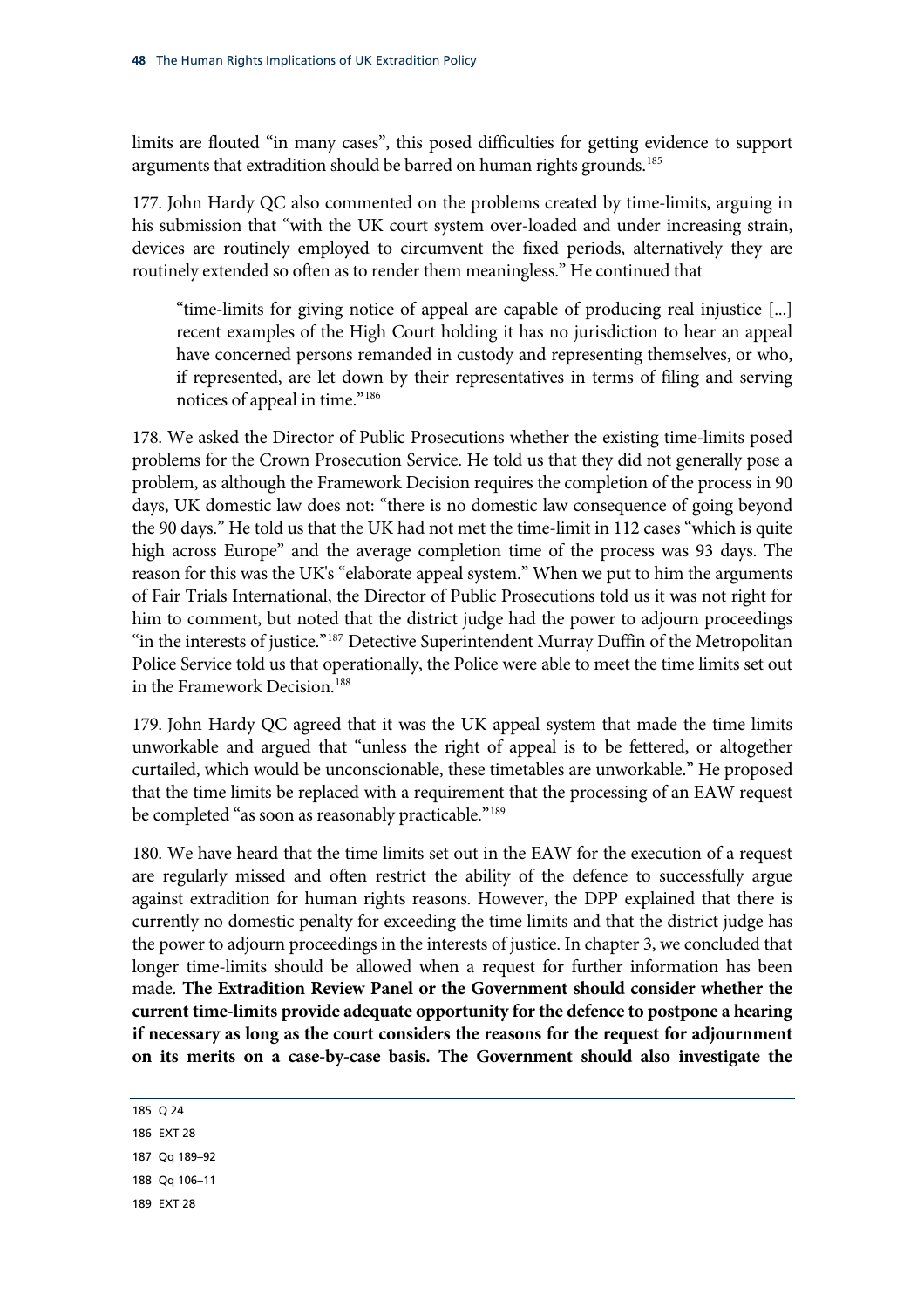limits are flouted "in many cases", this posed difficulties for getting evidence to support arguments that extradition should be barred on human rights grounds.<sup>185</sup>

177. [John Hardy QC also commented on the problems created by time-limits, arguing in](#page-50-4)  [his submission that "with the UK court system over-loaded and under increasing strain,](#page-50-4)  [devices are routinely employed to circumvent the fixed periods, alternatively they are](#page-50-4)  [routinely extended so often as to render them meaningless." He continued tha](#page-50-4)t

if represented, are let down by their representatives in terms of filing and serving "time-limits for giving notice of appeal are capable of producing real injustice [...] recent examples of the High Court holding it has no jurisdiction to hear an appeal have concerned persons remanded in custody and representing themselves, or who, notices of appeal in time."[186](#page-51-0)

[days, UK domestic law does not:](#page-51-0) "there is no domestic law consequence of going beyond 178. [We asked the Director of Public Prosecutions whether the existing time-limits posed](#page-51-0)  [problems for the Crown Prosecution Service. He told us that they did not generally pose a](#page-51-0)  [problem, as although the Framework Decision requires the completion of the process in 90](#page-51-0)  the 90 days." He told us that the UK had not met the time-limit in 112 cases "which is quite high across Europe" and the average completion time of the process was 93 days. The reason for this was the UK's "elaborate appeal system." When we put to him the arguments of Fair Trials International, the Director of Public Prosecutions told us it was not right for him to comment, but noted that the district judge had the power to adjourn proceedings "in the interests of justice."<sup>[187](#page-51-1)</sup> Detective Superintendent Murray Duffin of the Metropolitan Police Service told us that operationally, the Police were able to meet the time limits set out in the Framework Decision.[188](#page-51-2)

[curtailed, which would be unco](#page-51-2)nscionable, these timetables are unworkable." He proposed [that the time limits be replaced](#page-51-2) with a requirement that the processing of an EAW request 179. [John Hardy QC agreed that it was the UK appeal system that made the time limits](#page-51-2)  [unworkable and argued that "unless the right of appeal is to be fettered, or altogether](#page-51-2)  be completed "as soon as reasonably practicable."<sup>189</sup>

[currently no domestic penalty for exceeding the ti](#page-51-3)me limits and that the district judge has **on its merits on a case-by-case basis. The Government should also investigate the**  180. [We have heard that the time limits set out in the EAW for the execution of a request](#page-51-3)  [are regularly missed and often restrict the ability of the defence to successfully argue](#page-51-3)  [against extradition for human rights reasons. However, the DPP explained that there is](#page-51-3)  the power to adjourn proceedings in the interests of justice. In chapter 3, we concluded that longer time-limits should be allowed when a request for further information has been made. **The Extradition Review Panel or the Government should consider whether the current time-limits provide adequate opportunity for the defence to postpone a hearing if necessary as long as the court considers the reasons for the request for adjournment** 

<span id="page-51-3"></span><span id="page-51-2"></span><span id="page-51-1"></span><span id="page-51-0"></span>185 Q 24 186 EXT 28 187 Qq 189–92 188 Qq 106–11 189 EXT 28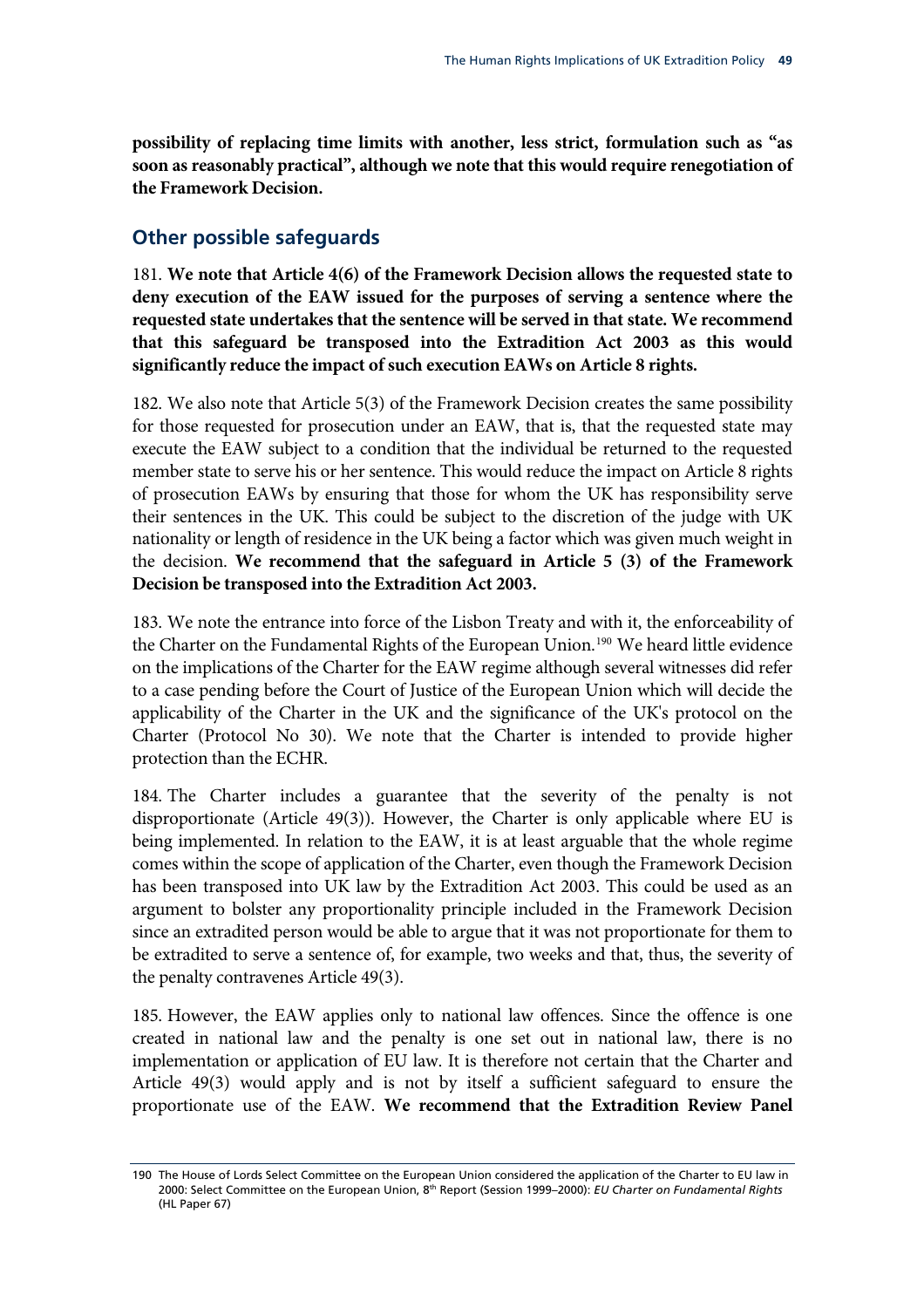**possibility of replacing time limits with another, less strict, formulation such as "as soon as reasonably practical", although we note that this would require renegotiation of the Framework Decision.**

## **Other possible safeguards**

<span id="page-52-1"></span>181. **We note that Article 4(6) of the Framework Decision allows the requested state to deny execution of the EAW issued for the purposes of serving a sentence where the requested state undertakes that the sentence will be served in that state. We recommend**  that this safeguard be transposed into the Extradition Act 2003 as this would  **execution EAWs on Article 8 rights. significantly reduce the impact of such**

182. We also note that Article 5(3) of the Framework Decision creates the same possibility for those requested for prosecution under an EAW, that is, that the requested state may execute the EAW subject to a condition that the individual be returned to the requested member state to serve his or her sentence. This would reduce the impact on Article 8 rights of prosecution EAWs by ensuring that those for whom the UK has responsibility serve their sentences in the UK. This could be subject to the discretion of the judge with UK nationality or length of residence in the UK being a factor which was given much weight in the decision. **We recommend that the safeguard in Article 5 (3) of the Framework Decision be transposed into the Extradition Act 2003.**

<span id="page-52-2"></span>applicability of the Charter in the UK and the significance of the UK's protocol on the 183. We note the entrance into force of the Lisbon Treaty and with it, the enforceability of the Charter on the Fundamental Rights of the European Union.<sup>190</sup> We heard little evidence on the implications of the Charter for the EAW regime although several witnesses did refer to a case pending before the Court of Justice of the European Union which will decide the Charter (Protocol No 30). We note that the Charter is intended to provide higher protection than the ECHR.

has been transposed into UK law by the Extradition Act 2003. This could be used as an 184. The Charter includes a guarantee that the severity of the penalty is not disproportionate (Article 49(3)). However, the Charter is only applicable where EU is being implemented. In relation to the EAW, it is at least arguable that the whole regime comes within the scope of application of the Charter, even though the Framework Decision argument to bolster any proportionality principle included in the Framework Decision since an extradited person would be able to argue that it was not proportionate for them to be extradited to serve a sentence of, for example, two weeks and that, thus, the severity of the penalty contravenes Article 49(3).

<span id="page-52-0"></span>proportionate use of the EAW. **We recommend that the Extradition Review Panel**  185. However, the EAW applies only to national law offences. Since the offence is one created in national law and the penalty is one set out in national law, there is no implementation or application of EU law. It is therefore not certain that the Charter and Article 49(3) would apply and is not by itself a sufficient safeguard to ensure the

<sup>190</sup> The House of Lords Select Committee on the European Union considered the application of the Charter to EU law in 2000: Select Committee on the European Union, 8th Report (Session 1999–2000): *EU Charter on Fundamental Rights* (HL Paper 67)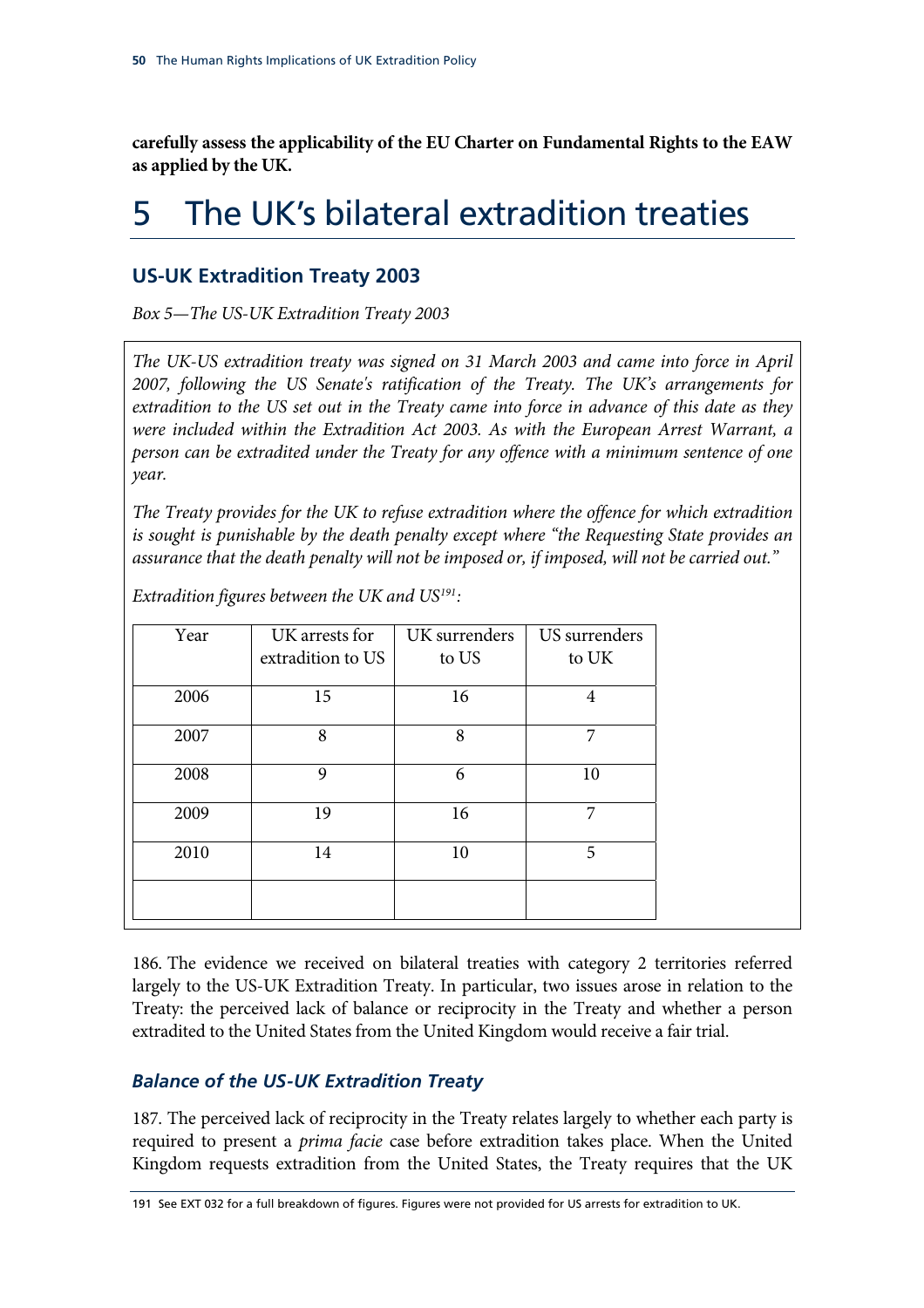**carefully assess the applicability of the EU Charter on Fundamental Rights to the EAW as applied by the UK.**

# 5 The UK's bilateral extradition treaties

## **US-UK Extradition Treaty 2003**

*Box 5—The US-UK Extradition Treaty 2003* 

*The UK-US extradition treaty was signed on 31 March 2003 and came into force in April tion of the Treaty. The UK's arrangements for 2007, following the US Senate's ratifica extradition to the US set out in the Treaty came into force in advance of this date as they*  were included within the Extradition Act 2003. As with the European Arrest Warrant, a *person can be extradited under the Treaty for any offence with a minimum sentence of one year.* 

*The Treaty provides for the UK to refuse extradition where the offence for which extradition is sought is punishable by the death penalty except where "the Requesting State provides an assurance that the death penalty will not be imposed or, if imposed, will not be carried out."* 

| Year | UK arrests for    | UK surrenders | US surrenders |
|------|-------------------|---------------|---------------|
|      | extradition to US | to US         | to UK         |
| 2006 | 15                | 16            | 4             |
| 2007 | 8                 | 8             | 7             |
| 2008 | 9                 | 6             | 10            |
| 2009 | 19                | 16            | 7             |
| 2010 | 14                | 10            | 5             |
|      |                   |               |               |

Extradition figures between the UK and US<sup>191</sup>:

186. The evidence we received on bilateral treaties with category 2 territories referred largely to the US-UK Extradition Treaty. In particular, two issues arose in relation to the Treaty: the perceived lack of balance or reciprocity in the Treaty and whether a person extradited to the United States from the United Kingdom would receive a fair trial.

## *Balance of the US-UK Extradition Treaty*

<span id="page-53-0"></span>required to present a *prima facie* case before extradition takes place. When the United Kingdom requests extradition from the United States, the Treaty requires that the UK 187. The perceived lack of reciprocity in the Treaty relates largely to whether each party is

<sup>191</sup> See EXT 032 for a full breakdown of figures. Figures were not provided for US arrests for extradition to UK.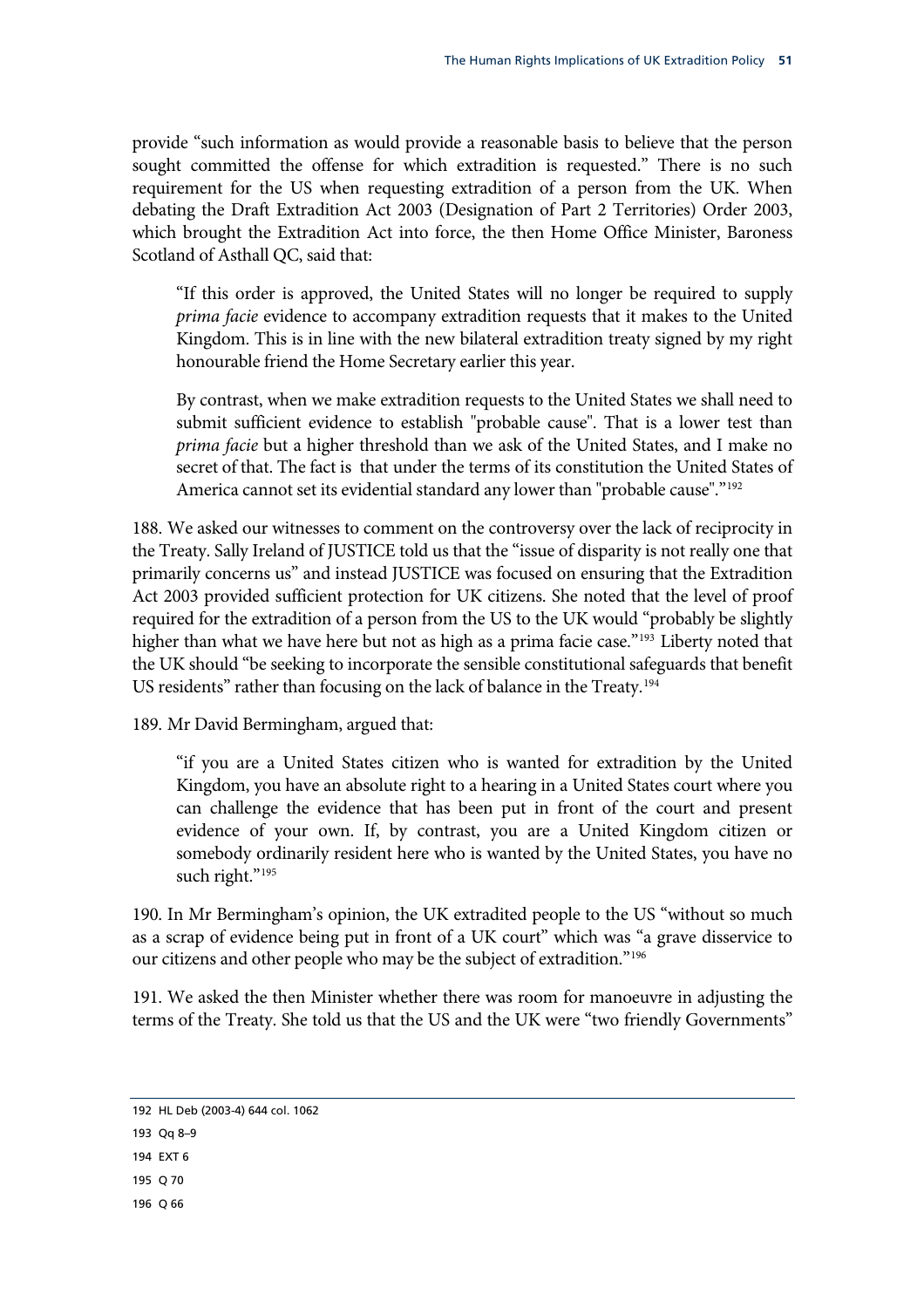provide "such information as would provide a reasonable basis to believe that the person sought committed the offense for which extradition is requested." There is no such requirement for the US when requesting extradition of a person from the UK. When debating the Draft Extradition Act 2003 (Designation of Part 2 Territories) Order 2003, which brought the Extradition Act into force, the then Home Office Minister, Baroness Scotland of Asthall QC, said that:

honourable friend the Home Secretary earlier this year. "If this order is approved, the United States will no longer be required to supply *prima facie* evidence to accompany extradition requests that it makes to the United Kingdom. This is in line with the new bilateral extradition treaty signed by my right

secret of that. The fact is that under the terms of its constitution the United States of America cannot set its evidential standard any lower than "probable cause"."<sup>192</sup> By contrast, when we make extradition requests to the United States we shall need to submit sufficient evidence to establish "probable cause". That is a lower test than *prima facie* but a higher threshold than we ask of the United States, and I make no

Act 2003 provided sufficient protection for UK citizens. She noted that the level of proof required for the extradition of a person from the US to the UK would "probably be slightly [188.](#page-54-0) We asked our witnesses to comment on the controversy over the lack of reciprocity in the Treaty. Sally Ireland of JUSTICE told us that the "issue of disparity is not really one that primarily concerns us" and instead JUSTICE was focused on ensuring that the Extradition higher than what we have here but not as high as a prima facie case."<sup>193</sup> Liberty noted that the UK should "be seeking to incorporate the sensible constitutional safeguards that benefit US residents" rather than focusing on the lack of balance in the Treaty.<sup>194</sup>

189. [Mr David Bermingham, argued that:](#page-54-2) 

[Kingdom, you have an absolute right to a hearing in a United States](#page-54-2) court where you [can challenge the evidence that has been put in front of the court a](#page-54-2)nd present evidence of your own. If, by contrast, you are a United Kingdom citizen or somebody ordinarily resident here who is wanted by the United States, you have no ["if you are a United States citizen who is wanted for extradition by the United](#page-54-2)  such right."<sup>[195](#page-54-3)</sup>

190. [In Mr Bermingham's opinion, the UK extradited people to the US "without so much](#page-54-3)  [as a scrap of evidence being put in front of a UK court" which was "a grave disservice to](#page-54-3)  [our citizens and other people who may be the subject of extradition."](#page-54-3)196

191. We asked the then Minister whether there was room for manoeuvre in adjusting the terms of the Treaty. She told us that the US and the UK were "two friendly Governments"

<span id="page-54-0"></span><sup>192</sup> HL Deb (2003-4) 644 col. 1062

<span id="page-54-1"></span><sup>193</sup> Qq 8–9

<span id="page-54-2"></span><sup>194</sup> EXT 6

<span id="page-54-3"></span><sup>195</sup> Q 70

<sup>196</sup> Q 66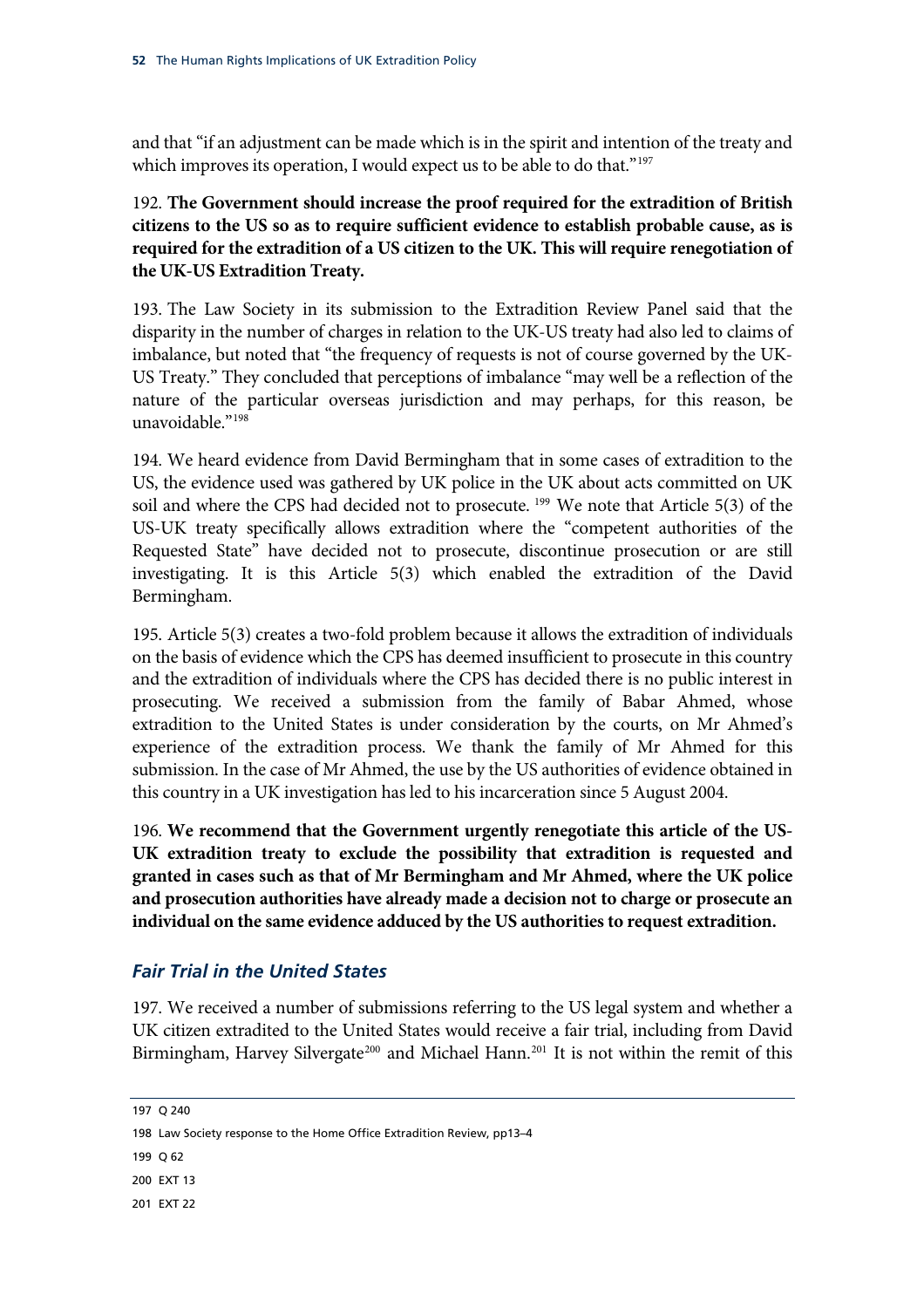and that "if an adjustment can be made which is in the spirit and intention of the treaty and which improves its operation, I would expect us to be able to do that."<sup>[197](#page-55-0)</sup>

### <span id="page-55-5"></span>192. [The Government should increase the proof required for the extra](#page-55-0)dition of British [citizens to the US so as to require sufficient evidence to establish prob](#page-55-0)able cause, as is **required for the extradition of a US citizen to the UK. This will require renegotiation of the UK-US Extradition Treaty.**

disparity in the number of charges in relation to the UK-US treaty had also led to claims of 193. The Law Society in its submission to the Extradition Review Panel said that the imbalance, but noted that "the frequency of requests is not of course governed by the UK-US Treaty." They concluded that perceptions of imbalance "may well be a reflection of the nature of the particular overseas jurisdiction and may perhaps, for this reason, be unavoidable."[198](#page-55-1)

[US, the evidenc](#page-55-1)e used was gathered by UK police in the UK about acts committed on UK 194. [We heard evidence from David Bermingham that in some cases of extradition to the](#page-55-1)  soil and where the CPS had decided not to prosecute. <sup>[199](#page-55-2)</sup> We note that Article 5(3) of the US-UK treaty specifically allows extradition where the "competent authorities of the Requested State" have decided not to prosecute, discontinue prosecution or are still investigating. It is this Article 5(3) which enabled the extradition of the David Bermingham.

on the basis of evidence which the CPS has deemed insufficient to prosecute in this country 195. Article 5(3) creates a two-fold problem because it allows the extradition of individuals and the extradition of individuals where the CPS has decided there is no public interest in prosecuting. We received a submission from the family of Babar Ahmed, whose extradition to the United States is under consideration by the courts, on Mr Ahmed's experience of the extradition process. We thank the family of Mr Ahmed for this submission. In the case of Mr Ahmed, the use by the US authorities of evidence obtained in this country in a UK investigation has led to his incarceration since 5 August 2004.

<span id="page-55-6"></span>196. We recommend that the Government urgently renegotiate this article of the US-UK extradition treaty to exclude the possibility that extradition is requested and **granted in cases such as that of Mr Bermingham and Mr Ahmed, where the UK police and prosecution authorities have already made a decision not to charge or prosecute an individual on the same evidence adduced by the US authorities to request extradition.**

## *Fair Trial in the United States*

197. We received a number of submissions referring to the US legal system and whether a UK citizen extradited to the United States would receive a fair trial, including from David Birmingham, Harvey Silvergate<sup>[200](#page-55-3)</sup> and Michael Hann.<sup>[201](#page-55-4)</sup> It is not within the remit of this

<span id="page-55-2"></span> $199, 062$ 

<span id="page-55-0"></span><sup>197</sup> Q 240

<span id="page-55-1"></span><sup>198</sup> Law Society response to the Home Office Extradition Review, pp13–4

<span id="page-55-3"></span><sup>200</sup> EXT 13

<span id="page-55-4"></span><sup>201</sup> EXT 22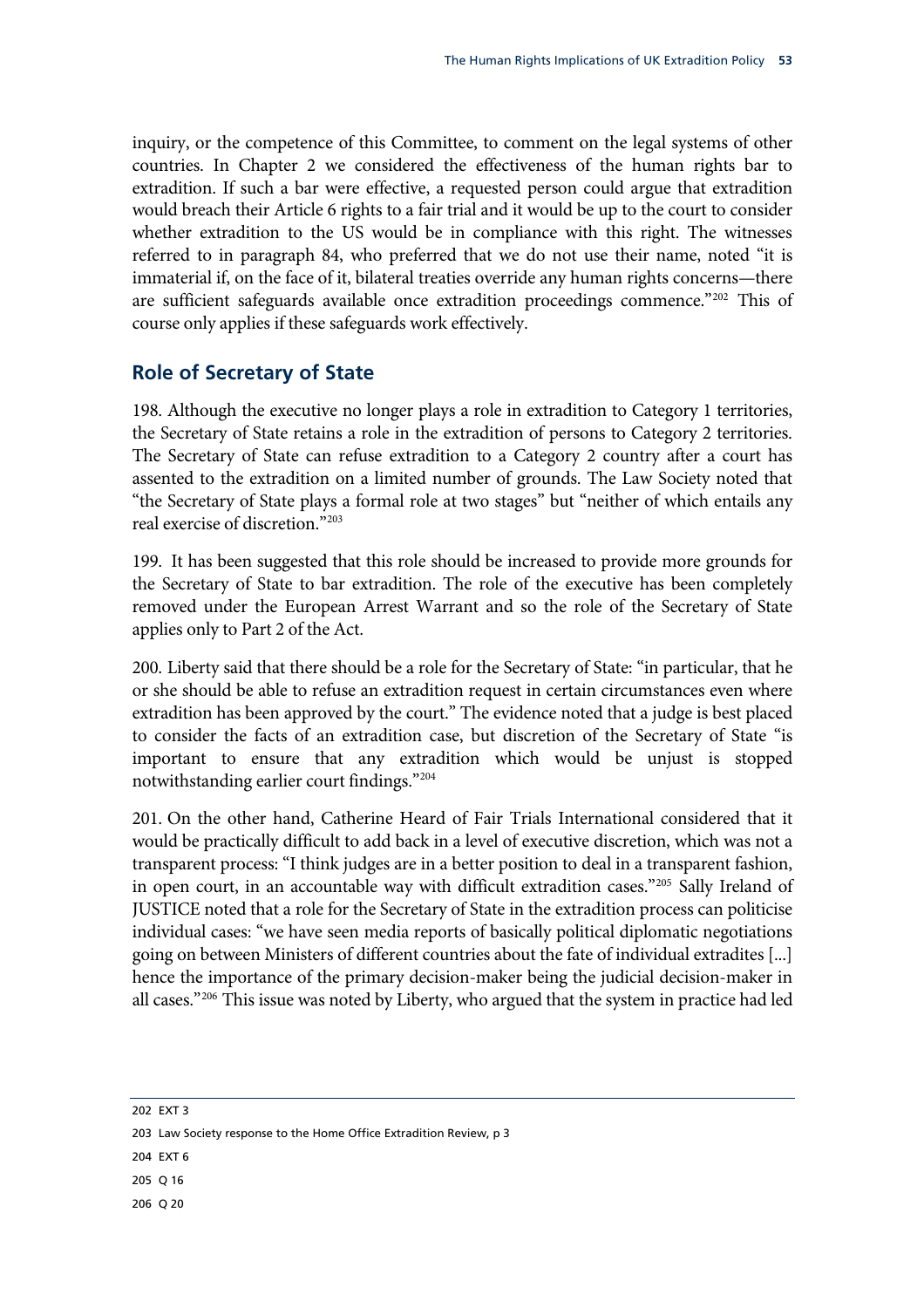inquiry, or the competence of this Committee, to comment on the legal systems of other countries. In Chapter 2 we considered the effectiveness of the human rights bar to extradition. If such a bar were effective, a requested person could argue that extradition would breach their Article 6 rights to a fair trial and it would be up to the court to consider whether extradition to the US would be in compliance with this right. The witnesses referred to in paragraph 84, who preferred that we do not use their name, noted "it is immaterial if, on the face of it, bilateral treaties override any human rights concerns—there are sufficient safeguards available once extradition proceedings commence."[202](#page-56-0) This of course only applies if these safeguards work effectively.

## **Role of Secretary of State**

198. Although the executive no longer plays a role in extradition to Category 1 territories, the Secretary of State retains a role in the extradition of persons to Category 2 territories. The Secretary of State can refuse extradition to a Category 2 country after a court has assented to the extradition on a limited number of grounds. The Law Society noted that "the Secretary of State plays a formal role at two stages" but "neither of which entails any real exercise of discretion."[203](#page-56-1)

199. It has been suggested that this role should be increased to provide more grounds for the Secretary of State to bar extradition. The role of the executive has been completely removed under the European Arrest Warrant and so the role of the Secretary of State applies only to Part 2 of the Act.

200. Liberty said that there should be a role for the Secretary of State: "in particular, that he or she should be able to refuse an extradition request in certain circumstances even where extradition has been approved by the court." The evidence noted that a judge is best placed to consider the facts of an extradition case, but discretion of the Secretary of State "is important to ensure that any extradition which would be unjust is stopped notwithstanding earlier court findings."[204](#page-56-2)

201. On the other hand, Catherine Heard of Fair Trials International considered that it would be practically difficult to add back in a level of executive discretion, which was not a transparent process: "I think judges are in a better position to deal in a transparent fashion, in open court, in an accountable way with difficult extradition cases."[205](#page-56-3) Sally Ireland of JUSTICE noted that a role for the Secretary of State in the extradition process can politicise individual cases: "we have seen media reports of basically political diplomatic negotiations going on between Ministers of different countries about the fate of individual extradites [...] hence the importance of the primary decision-maker being the judicial decision-maker in all cases."<sup>[206](#page-56-4)</sup> This issue was noted by Liberty, who argued that the system in practice had led

<span id="page-56-0"></span>202 EXT 3

<span id="page-56-1"></span>203 Law Society response to the Home Office Extradition Review, p 3

<span id="page-56-2"></span>204 EXT 6

<span id="page-56-3"></span>205 Q 16

<span id="page-56-4"></span>206 Q 20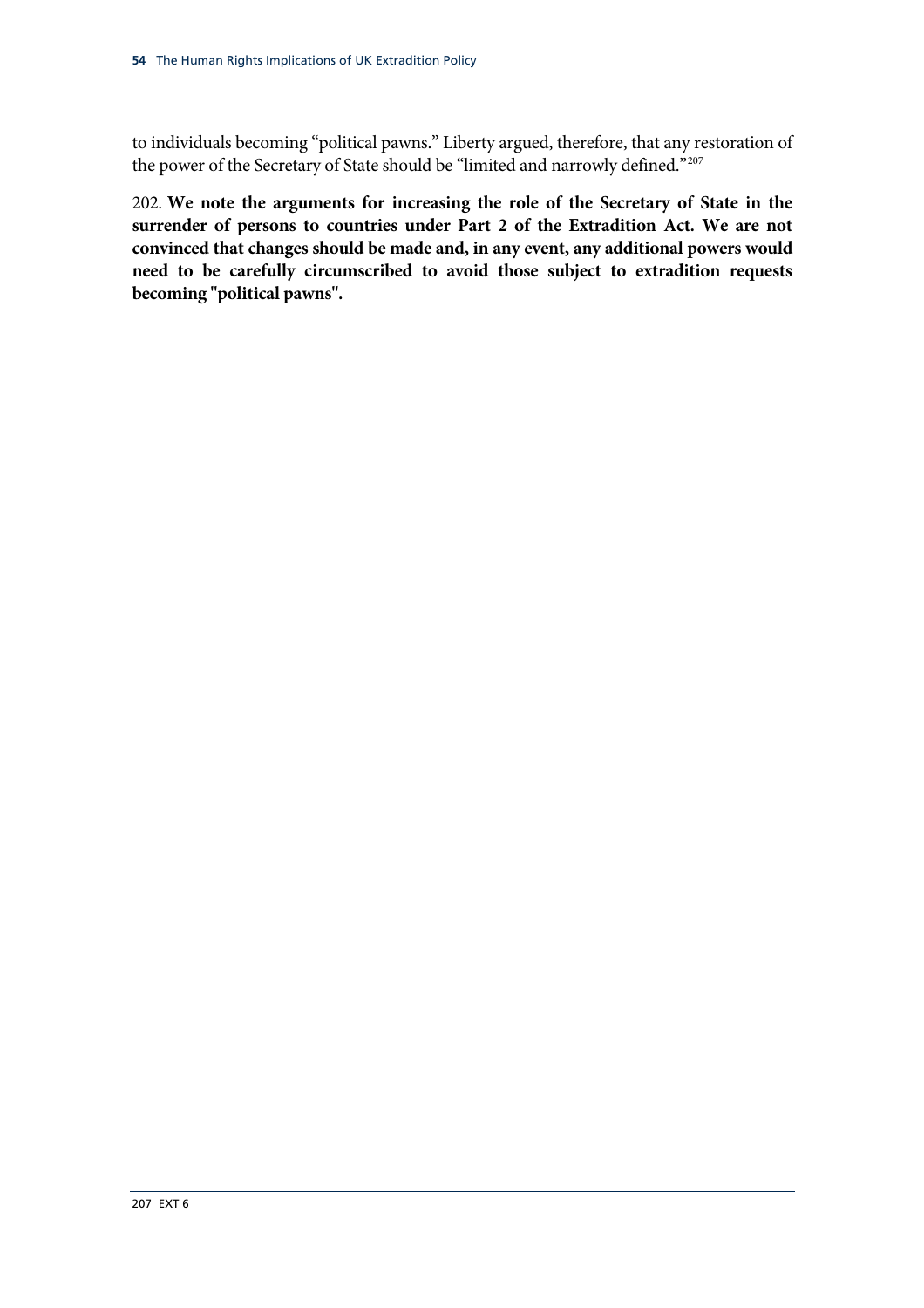to individuals becoming "political pawns." Liberty argued, therefore, that any restoration of the power of the Secretary of State should be "limited and narrowly defined."207

<span id="page-57-0"></span>202. **We note the arguments for increasing the role of the Secretary of State in the surrender of persons to countries under Part 2 of the Extradition Act. We are not convinced that changes should be made and, in any event, any additional powers would need to be carefully circumscribed to avoid those subject to extradition requests becoming "political pawns".**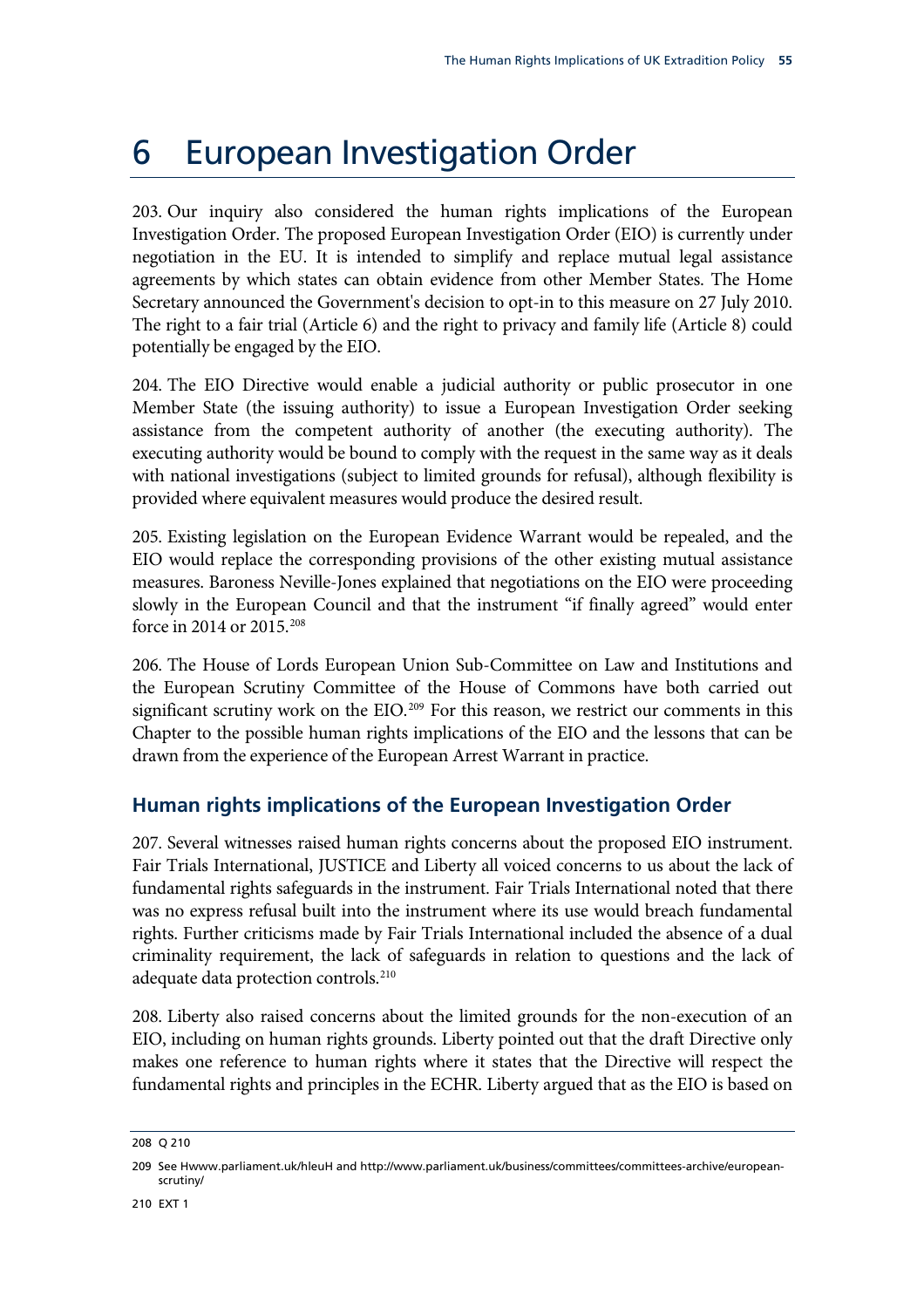# 6 European Investigation Order

203. Our inquiry also considered the human rights implications of the European Investigation Order. The proposed European Investigation Order (EIO) is currently under negotiation in the EU. It is intended to simplify and replace mutual legal assistance agreements by which states can obtain evidence from other Member States. The Home Secretary announced the Government's decision to opt-in to this measure on 27 July 2010. The right to a fair trial (Article 6) and the right to privacy and family life (Article 8) could potentially be engaged by the EIO.

204. The EIO Directive would enable a judicial authority or public prosecutor in one Member State (the issuing authority) to issue a European Investigation Order seeking assistance from the competent authority of another (the executing authority). The executing authority would be bound to comply with the request in the same way as it deals with national investigations (subject to limited grounds for refusal), although flexibility is provided where equivalent measures would produce the desired result.

205. Existing legislation on the European Evidence Warrant would be repealed, and the EIO would replace the corresponding provisions of the other existing mutual assistance measures. Baroness Neville-Jones explained that negotiations on the EIO were proceeding slowly in the European Council and that the instrument "if finally agreed" would enter force in 2014 or 2015.[208](#page-58-0)

206. The House of Lords European Union Sub-Committee on Law and Institutions and the European Scrutiny Committee of the House of Commons have both carried out significant scrutiny work on the EIO.<sup>[209](#page-58-1)</sup> For this reason, we restrict our comments in this Chapter to the possible human rights implications of the EIO and the lessons that can be drawn from the experience of the European Arrest Warrant in practice.

## **Human rights implications of the European Investigation Order**

207. Several witnesses raised human rights concerns about the proposed EIO instrument. Fair Trials International, JUSTICE and Liberty all voiced concerns to us about the lack of fundamental rights safeguards in the instrument. Fair Trials International noted that there was no express refusal built into the instrument where its use would breach fundamental rights. Further criticisms made by Fair Trials International included the absence of a dual criminality requirement, the lack of safeguards in relation to questions and the lack of adequate data protection controls.<sup>[210](#page-58-2)</sup>

208. Liberty also raised concerns about the limited grounds for the non-execution of an EIO, including on human rights grounds. Liberty pointed out that the draft Directive only makes one reference to human rights where it states that the Directive will respect the fundamental rights and principles in the ECHR. Liberty argued that as the EIO is based on

<span id="page-58-0"></span><sup>208</sup> Q 210

<span id="page-58-2"></span><span id="page-58-1"></span><sup>209</sup> See Hwww.parliament.uk/hleuH and http://www.parliament.uk/business/committees/committees-archive/europeanscrutiny/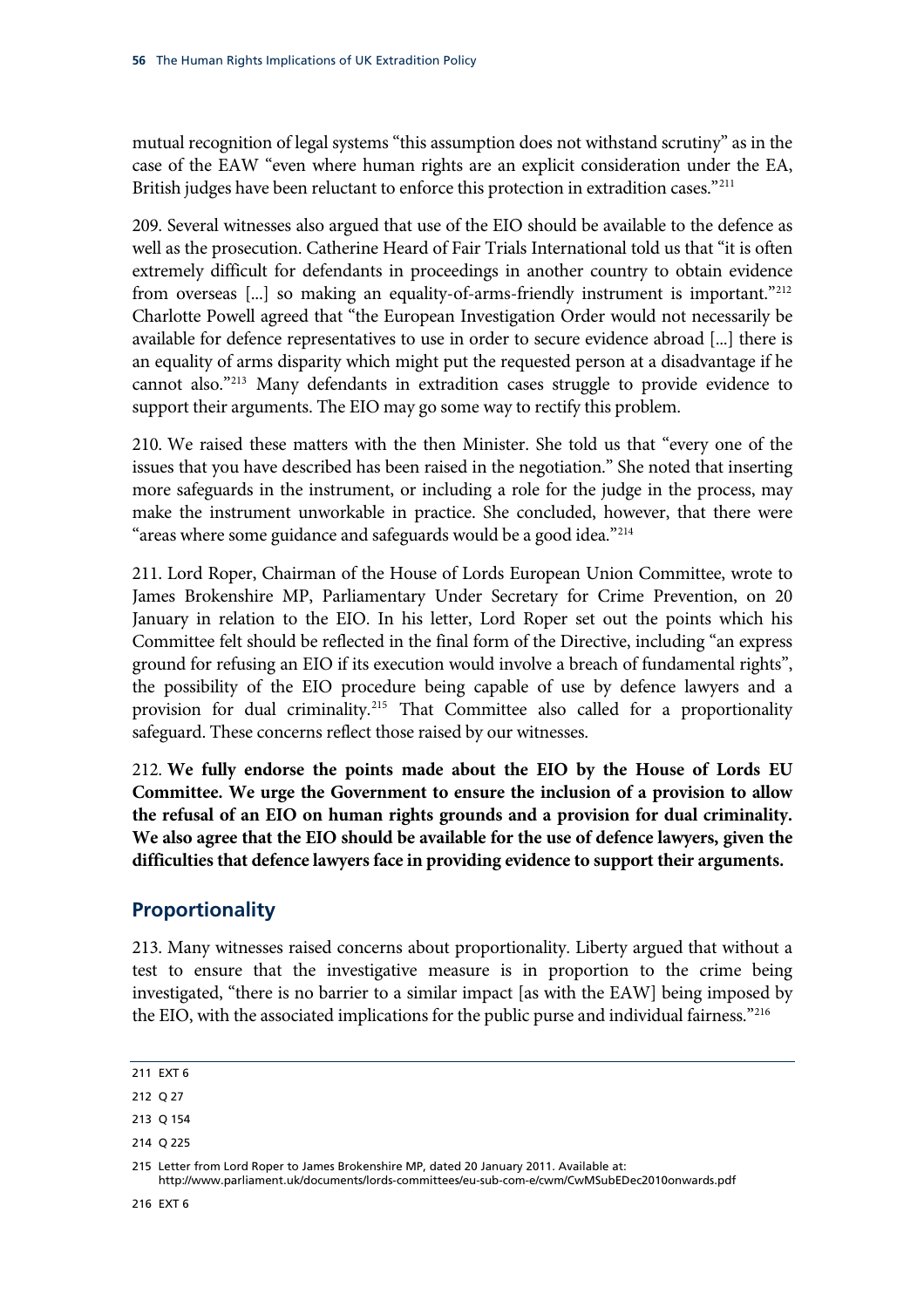mutual recognition of legal systems "this assumption does not withstand scrutiny" as in the case of the EAW "even where human rights are an explicit consideration under the EA, British judges have been reluctant to enforce this protection in extradition cases."<sup>211</sup>

209. Several witnesses also argued that use of the EIO should be available to the defence as well as the prosecution. Catherine Heard of Fair Trials International told us that "it is often extremely difficult for defendants in proceedings in another country to obtain evidence from overseas [...] so making an equality-of-arms-friendly instrument is important."<sup>[212](#page-59-0)</sup> Charlotte Powell agreed that "the European Investigation Order would not necessarily be available for defence representatives to use in order to secure evidence abroad [...] there is an equality of arms disparity which might put the requested person at a disadvantage if he cannot also."[213](#page-59-1) Many defendants in extradition cases struggle to provide evidence to support their arguments. The EIO may go some way to rectify this problem.

210. We raised these matters with the then Minister. She told us that "every one of the issues that you have described has been raised in the negotiation." She noted that inserting more safeguards in the instrument, or including a role for the judge in the process, may make the instrument unworkable in practice. She concluded, however, that there were "areas where some guidance and safeguards would be a good idea."<sup>[214](#page-59-2)</sup>

211. Lord Roper, Chairman of the House of Lords European Union Committee, wrote to James Brokenshire MP, Parliamentary Under Secretary for Crime Prevention, on 20 January in relation to the EIO. In his letter, Lord Roper set out the points which his Committee felt should be reflected in the final form of the Directive, including "an express ground for refusing an EIO if its execution would involve a breach of fundamental rights", the possibility of the EIO procedure being capable of use by defence lawyers and a provision for dual criminality.[215](#page-59-3) That Committee also called for a proportionality safeguard. These concerns reflect those raised by our witnesses.

<span id="page-59-5"></span>212. **We fully endorse the points made about the EIO by the House of Lords EU Committee. We urge the Government to ensure the inclusion of a provision to allow the refusal of an EIO on human rights grounds and a provision for dual criminality. We also agree that the EIO should be available for the use of defence lawyers, given the difficulties that defence lawyers face in providing evidence to support their arguments.**

## **Proportionality**

213. Many witnesses raised concerns about proportionality. Liberty argued that without a test to ensure that the investigative measure is in proportion to the crime being investigated, "there is no barrier to a similar impact [as with the EAW] being imposed by the EIO, with the associated implications for the public purse and individual fairness."[216](#page-59-4)

<sup>211</sup> EXT 6

<span id="page-59-0"></span><sup>212</sup> Q 27

<span id="page-59-1"></span><sup>213</sup> Q 154

<span id="page-59-2"></span><sup>214</sup> Q 225

<span id="page-59-4"></span><span id="page-59-3"></span><sup>215</sup> Letter from Lord Roper to James Brokenshire MP, dated 20 January 2011. Available at: http://www.parliament.uk/documents/lords-committees/eu-sub-com-e/cwm/CwMSubEDec2010onwards.pdf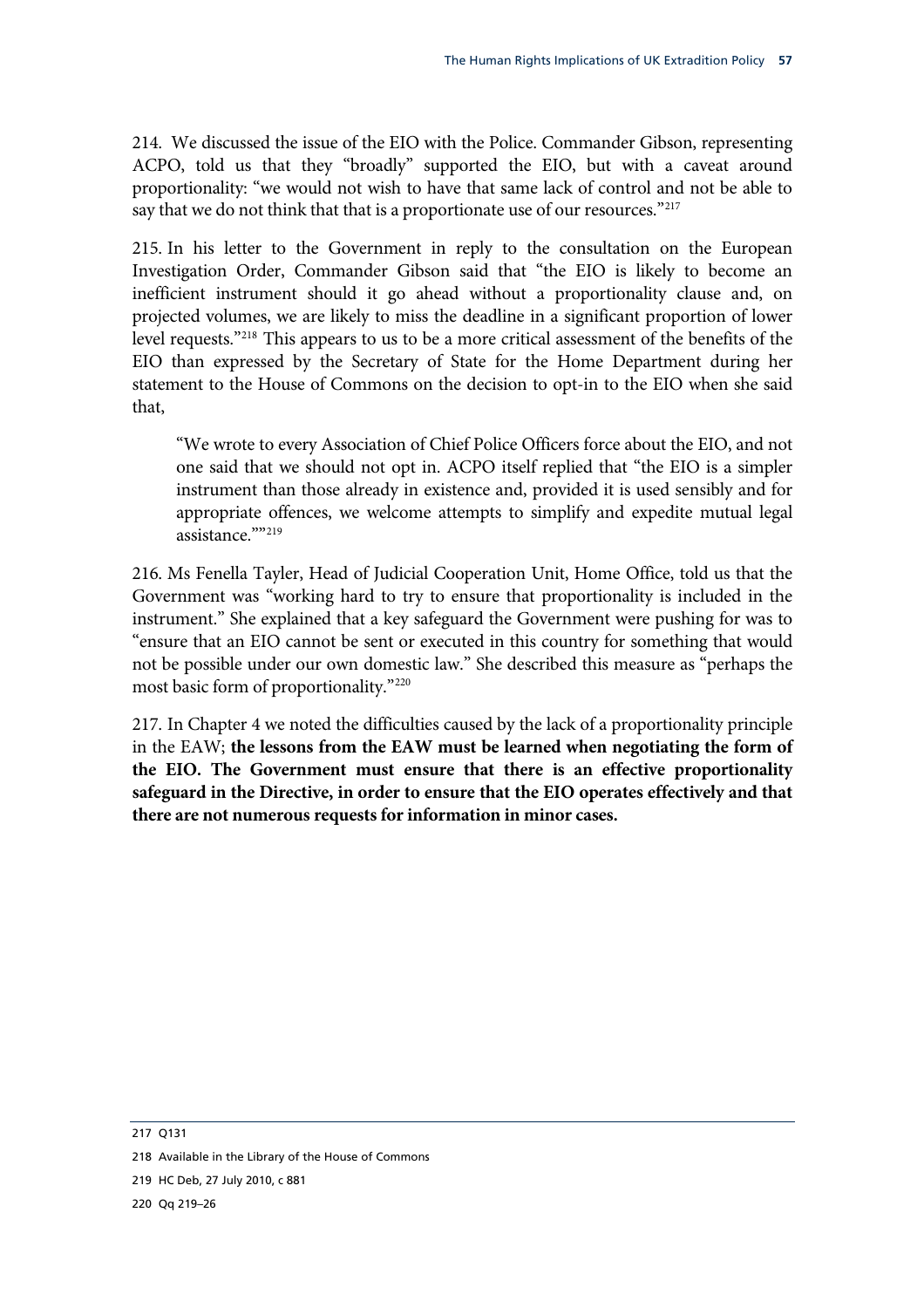214. We discussed the issue of the EIO with the Police. Commander Gibson, representing ACPO, told us that they "broadly" supported the EIO, but with a caveat around proportionality: "we would not wish to have that same lack of control and not be able to say that we do not think that that is a proportionate use of our resources."<sup>[217](#page-60-0)</sup>

215. In his letter to the Government in reply to the consultation on the European Investigation Order, Commander Gibson said that "the EIO is likely to become an inefficient instrument should it go ahead without a proportionality clause and, on projected volumes, we are likely to miss the deadline in a significant proportion of lower level requests."[218](#page-60-1) This appears to us to be a more critical assessment of the benefits of the EIO than expressed by the Secretary of State for the Home Department during her statement to the House of Commons on the decision to opt-in to the EIO when she said that,

"We wrote to every Association of Chief Police Officers force about the EIO, and not one said that we should not opt in. ACPO itself replied that "the EIO is a simpler instrument than those already in existence and, provided it is used sensibly and for appropriate offences, we welcome attempts to simplify and expedite mutual legal assistance.""[219](#page-60-2)

216. Ms Fenella Tayler, Head of Judicial Cooperation Unit, Home Office, told us that the Government was "working hard to try to ensure that proportionality is included in the instrument." She explained that a key safeguard the Government were pushing for was to "ensure that an EIO cannot be sent or executed in this country for something that would not be possible under our own domestic law." She described this measure as "perhaps the most basic form of proportionality."[220](#page-60-3)

<span id="page-60-4"></span>217. In Chapter 4 we noted the difficulties caused by the lack of a proportionality principle in the EAW; **the lessons from the EAW must be learned when negotiating the form of the EIO. The Government must ensure that there is an effective proportionality safeguard in the Directive, in order to ensure that the EIO operates effectively and that there are not numerous requests for information in minor cases.** 

<span id="page-60-0"></span>217 Q131

<span id="page-60-1"></span>218 Available in the Library of the House of Commons

<span id="page-60-2"></span>219 HC Deb, 27 July 2010, c 881

<span id="page-60-3"></span>220 Qq 219–26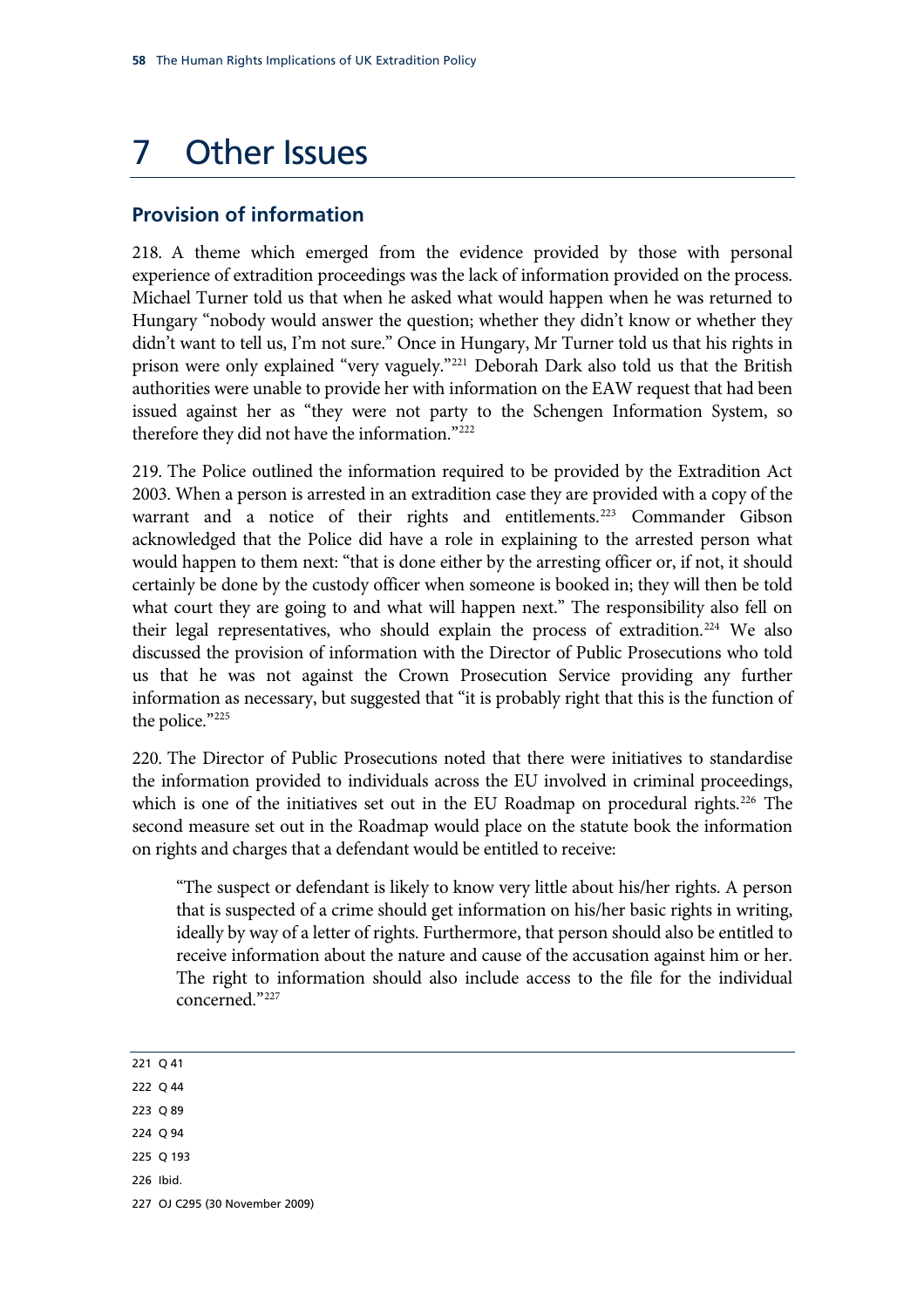# 7 Other Issues

## **Provision of information**

218. A theme which emerged from the evidence provided by those with personal experience of extradition proceedings was the lack of information provided on the process. Michael Turner told us that when he asked what would happen when he was returned to Hungary "nobody would answer the question; whether they didn't know or whether they didn't want to tell us, I'm not sure." Once in Hungary, Mr Turner told us that his rights in prison were only explained "very vaguely."<sup>[221](#page-61-0)</sup> Deborah Dark also told us that the British authorities were unable to provide her with information on the EAW request that had been issued against her as "they were not party to the Schengen Information System, so therefore they did not have the information."[222](#page-61-1)

219. The Police outlined the information required to be provided by the Extradition Act 2003. When a person is arrested in an extradition case they are provided with a copy of the warrant and a notice of their rights and entitlements.<sup>[223](#page-61-2)</sup> Commander Gibson acknowledged that the Police did have a role in explaining to the arrested person what would happen to them next: "that is done either by the arresting officer or, if not, it should certainly be done by the custody officer when someone is booked in; they will then be told what court they are going to and what will happen next." The responsibility also fell on their legal representatives, who should explain the process of extradition.<sup>[224](#page-61-3)</sup> We also discussed the provision of information with the Director of Public Prosecutions who told us that he was not against the Crown Prosecution Service providing any further information as necessary, but suggested that "it is probably right that this is the function of the police."[225](#page-61-4)

220. The Director of Public Prosecutions noted that there were initiatives to standardise the information provided to individuals across the EU involved in criminal proceedings, which is one of the initiatives set out in the EU Roadmap on procedural rights.<sup>[226](#page-61-5)</sup> The second measure set out in the Roadmap would place on the statute book the information on rights and charges that a defendant would be entitled to receive:

"The suspect or defendant is likely to know very little about his/her rights. A person that is suspected of a crime should get information on his/her basic rights in writing, ideally by way of a letter of rights. Furthermore, that person should also be entitled to receive information about the nature and cause of the accusation against him or her. The right to information should also include access to the file for the individual concerned."[227](#page-61-6)

<span id="page-61-2"></span><span id="page-61-1"></span><span id="page-61-0"></span>221 Q 41 222 Q 44 223 Q 89 224 Q 94 225 Q 193 226 Ibid.

<span id="page-61-6"></span><span id="page-61-5"></span><span id="page-61-4"></span><span id="page-61-3"></span>227 OJ C295 (30 November 2009)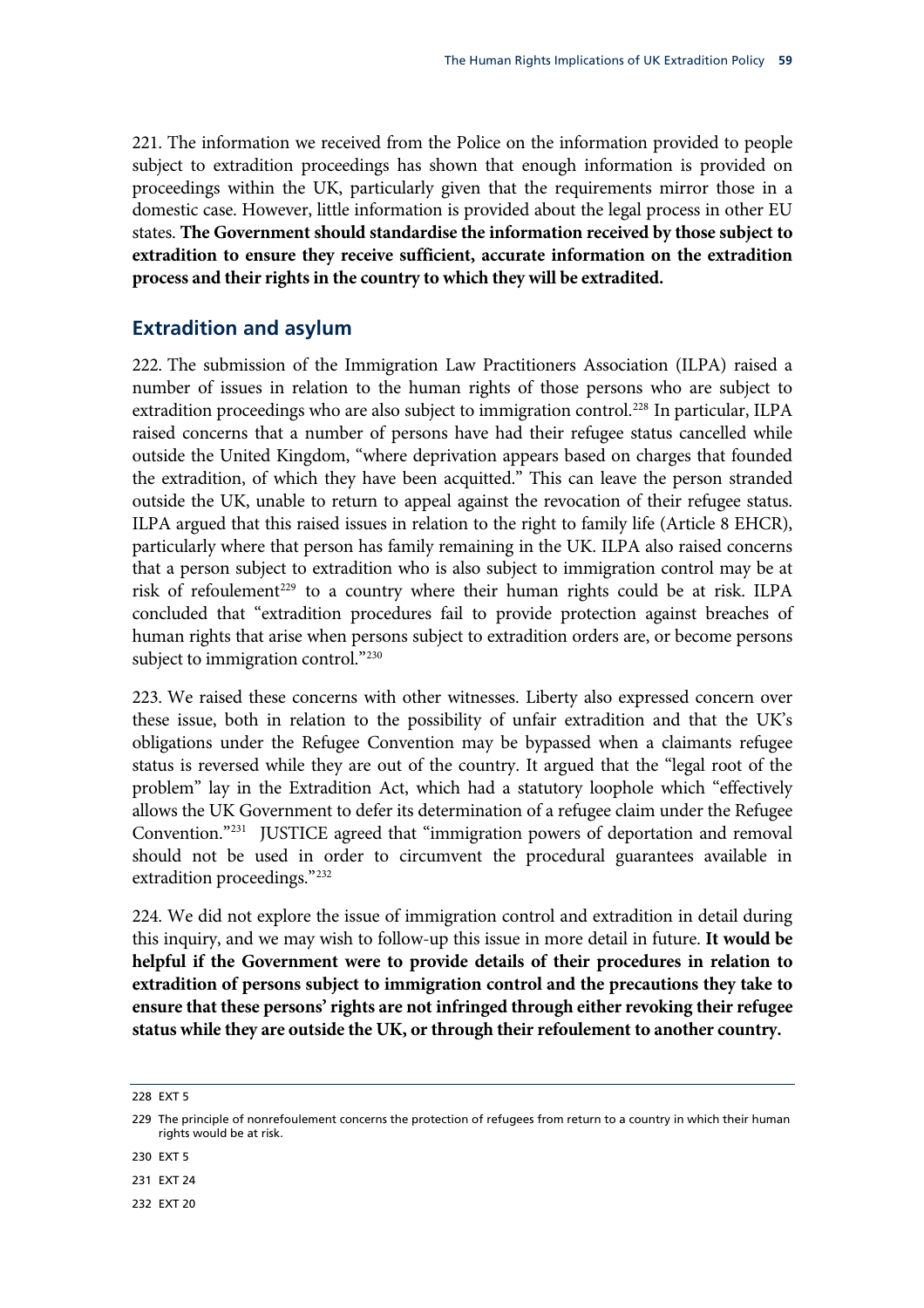<span id="page-62-5"></span>221. The information we received from the Police on the information provided to people subject to extradition proceedings has shown that enough information is provided on proceedings within the UK, particularly given that the requirements mirror those in a domestic case. However, little information is provided about the legal process in other EU states. **The Government should standardise the information received by those subject to extradition to ensure they receive sufficient, accurate information on the extradition process and their rights in the country to which they will be extradited.** 

### **Extradition and asylum**

222. The submission of the Immigration Law Practitioners Association (ILPA) raised a number of issues in relation to the human rights of those persons who are subject to extradition proceedings who are also subject to immigration control.<sup>[228](#page-62-0)</sup> In particular, ILPA raised concerns that a number of persons have had their refugee status cancelled while outside the United Kingdom, "where deprivation appears based on charges that founded the extradition, of which they have been acquitted." This can leave the person stranded outside the UK, unable to return to appeal against the revocation of their refugee status. ILPA argued that this raised issues in relation to the right to family life (Article 8 EHCR), particularly where that person has family remaining in the UK. ILPA also raised concerns that a person subject to extradition who is also subject to immigration control may be at risk of refoulement<sup>[229](#page-62-1)</sup> to a country where their human rights could be at risk. ILPA concluded that "extradition procedures fail to provide protection against breaches of human rights that arise when persons subject to extradition orders are, or become persons subject to immigration control."<sup>[230](#page-62-2)</sup>

223. We raised these concerns with other witnesses. Liberty also expressed concern over these issue, both in relation to the possibility of unfair extradition and that the UK's obligations under the Refugee Convention may be bypassed when a claimants refugee status is reversed while they are out of the country. It argued that the "legal root of the problem" lay in the Extradition Act, which had a statutory loophole which "effectively allows the UK Government to defer its determination of a refugee claim under the Refugee Convention."[231](#page-62-3) JUSTICE agreed that "immigration powers of deportation and removal should not be used in order to circumvent the procedural guarantees available in extradition proceedings."[232](#page-62-4)

<span id="page-62-6"></span>224. We did not explore the issue of immigration control and extradition in detail during this inquiry, and we may wish to follow-up this issue in more detail in future. **It would be helpful if the Government were to provide details of their procedures in relation to extradition of persons subject to immigration control and the precautions they take to ensure that these persons' rights are not infringed through either revoking their refugee status while they are outside the UK, or through their refoulement to another country.** 

<span id="page-62-0"></span>228 EXT 5

<span id="page-62-2"></span>230 EXT 5

<span id="page-62-3"></span>231 EXT 24

<span id="page-62-4"></span>232 EXT 20

<span id="page-62-1"></span><sup>229</sup> The principle of nonrefoulement concerns the protection of refugees from return to a country in which their human rights would be at risk.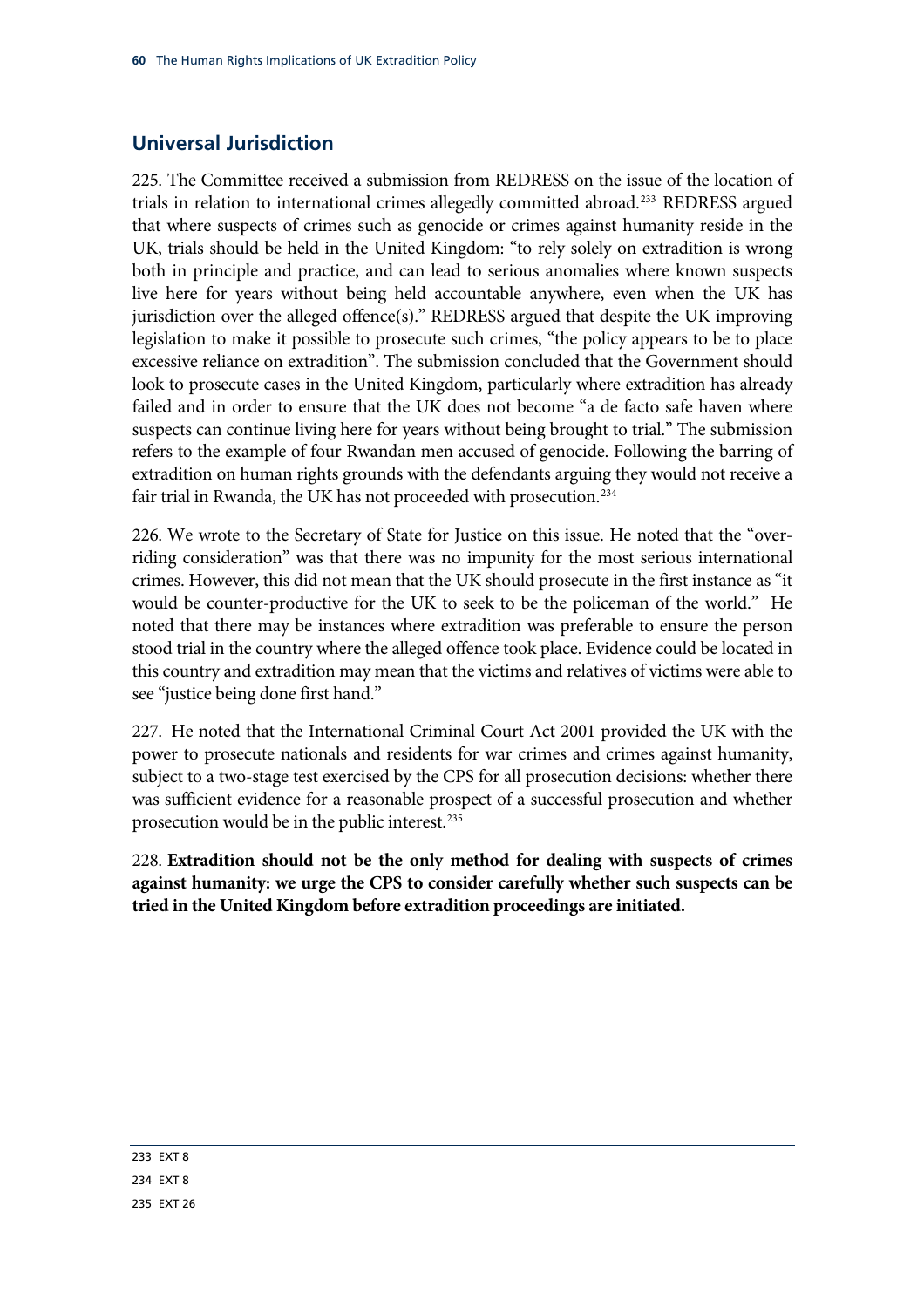## **Universal Jurisdiction**

225. The Committee received a submission from REDRESS on the issue of the location of trials in relation to international crimes allegedly committed abroad.<sup>233</sup> REDRESS argued that where suspects of crimes such as genocide or crimes against humanity reside in the UK, trials should be held in the United Kingdom: "to rely solely on extradition is wrong both in principle and practice, and can lead to serious anomalies where known suspects live here for years without being held accountable anywhere, even when the UK has jurisdiction over the alleged offence(s)." REDRESS argued that despite the UK improving legislation to make it possible to prosecute such crimes, "the policy appears to be to place excessive reliance on extradition". The submission concluded that the Government should look to prosecute cases in the United Kingdom, particularly where extradition has already failed and in order to ensure that the UK does not become "a de facto safe haven where suspects can continue living here for years without being brought to trial." The submission refers to the example of four Rwandan men accused of genocide. Following the barring of extradition on human rights grounds with the defendants arguing they would not receive a fair trial in Rwanda, the UK has not proceeded with prosecution.<sup>[234](#page-63-1)</sup>

226. We wrote to the Secretary of State for Justice on this issue. He noted that the "overriding consideration" was that there was no impunity for the most serious international crimes. However, this did not mean that the UK should prosecute in the first instance as "it would be counter-productive for the UK to seek to be the policeman of the world." He noted that there may be instances where extradition was preferable to ensure the person stood trial in the country where the alleged offence took place. Evidence could be located in this country and extradition may mean that the victims and relatives of victims were able to see "justice being done first hand."

227. He noted that the International Criminal Court Act 2001 provided the UK with the power to prosecute nationals and residents for war crimes and crimes against humanity, subject to a two-stage test exercised by the CPS for all prosecution decisions: whether there was sufficient evidence for a reasonable prospect of a successful prosecution and whether prosecution would be in the public interest.<sup>[235](#page-63-2)</sup>

<span id="page-63-3"></span><span id="page-63-2"></span><span id="page-63-1"></span><span id="page-63-0"></span>228. **Extradition should not be the only method for dealing with suspects of crimes against humanity: we urge the CPS to consider carefully whether such suspects can be tried in the United Kingdom before extradition proceedings are initiated.**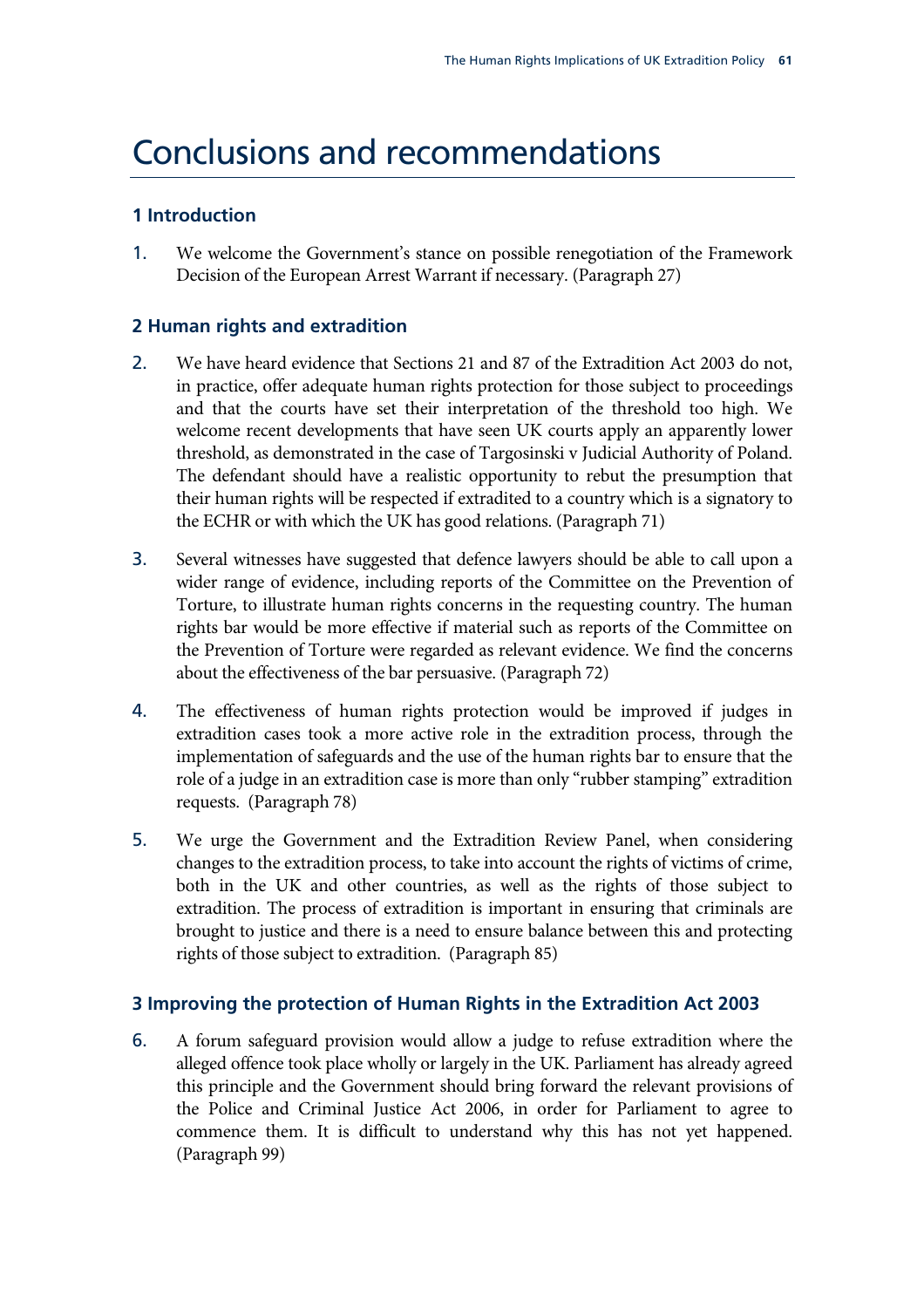## Conclusions and recommendations

### **1 Introduction**

1. [We welcome the Government's stance on possible renegotiation of the Framework](#page-17-0)  [Decision of the European Arrest Warrant if necessary.](#page-17-0) (Paragraph [27\)](#page-17-0)

### **2 Human rights and extradition**

- 2. [We have heard evidence that Sections 21 and 87 of the Extradition Act 2003 do not,](#page-27-0)  [in practice, offer adequate human rights protection for those subject to proceedings](#page-27-0)  [and that the courts have set their interpretation of the threshold too high. We](#page-27-0)  [welcome recent developments that have seen UK courts apply an apparently lower](#page-27-0)  [threshold, as demonstrated in the case of Targosinski v Judicial Authority of Poland.](#page-27-0)  [The defendant should have a realistic opportunity to rebut the presumption that](#page-27-0)  [their human rights will be respected if extradited to a country which is a signatory to](#page-27-0)  [the ECHR or with which the UK has good relations.](#page-27-0) (Paragraph [71](#page-27-0))
- 3. [Several witnesses have suggested that defence lawyers should be able to call upon a](#page-28-0)  [wider range of evidence, including reports of the Committee on the Prevention of](#page-28-0)  [Torture, to illustrate human rights concerns in the requesting country. The human](#page-28-0)  [rights bar would be more effective if material such as reports of the Committee on](#page-28-0)  [the Prevention of Torture were regarded as relevant evidence. We find the concerns](#page-28-0)  [about the effectiveness of the bar persuasive.](#page-28-0) (Paragraph [72](#page-28-0))
- 4. [The effectiveness of human rights protection would be improved if judges in](#page-28-1)  [extradition cases took a more active role in the extradition process, through the](#page-28-1)  [implementation of safeguards and the use of the human rights bar to ensure that the](#page-28-1)  [role of a judge in an extradition case is more than only "rubber stamping" extradition](#page-28-1)  [requests.](#page-28-1) (Paragraph [78\)](#page-28-1)
- 5. [We urge the Government and the Extradition Review Panel, when considering](#page-30-0)  [changes to the extradition process, to take into account the rights of victims of crime,](#page-30-0)  [both in the UK and other countries, as well as the rights of those subject to](#page-30-0)  [extradition. The process of extradition is important in ensuring that criminals are](#page-30-0)  [brought to justice and there is a need to ensure balance between this and protecting](#page-30-0)  [rights of those subject to extradition.](#page-30-0) (Paragraph [85](#page-30-0))

### **3 Improving the protection of Human Rights in the Extradition Act 2003**

6. [A forum safeguard provision would allow a judge to refuse extradition where the](#page-33-0)  [alleged offence took place wholly or largely in the UK. Parliament has already agreed](#page-33-0)  [this principle and the Government should bring forward the relevant provisions of](#page-33-0)  [the Police and Criminal Justice Act 2006, in order for Parliament to agree to](#page-33-0)  [commence them. It is difficult to understand why this has not yet happened.](#page-33-0) (Paragraph [99\)](#page-33-0)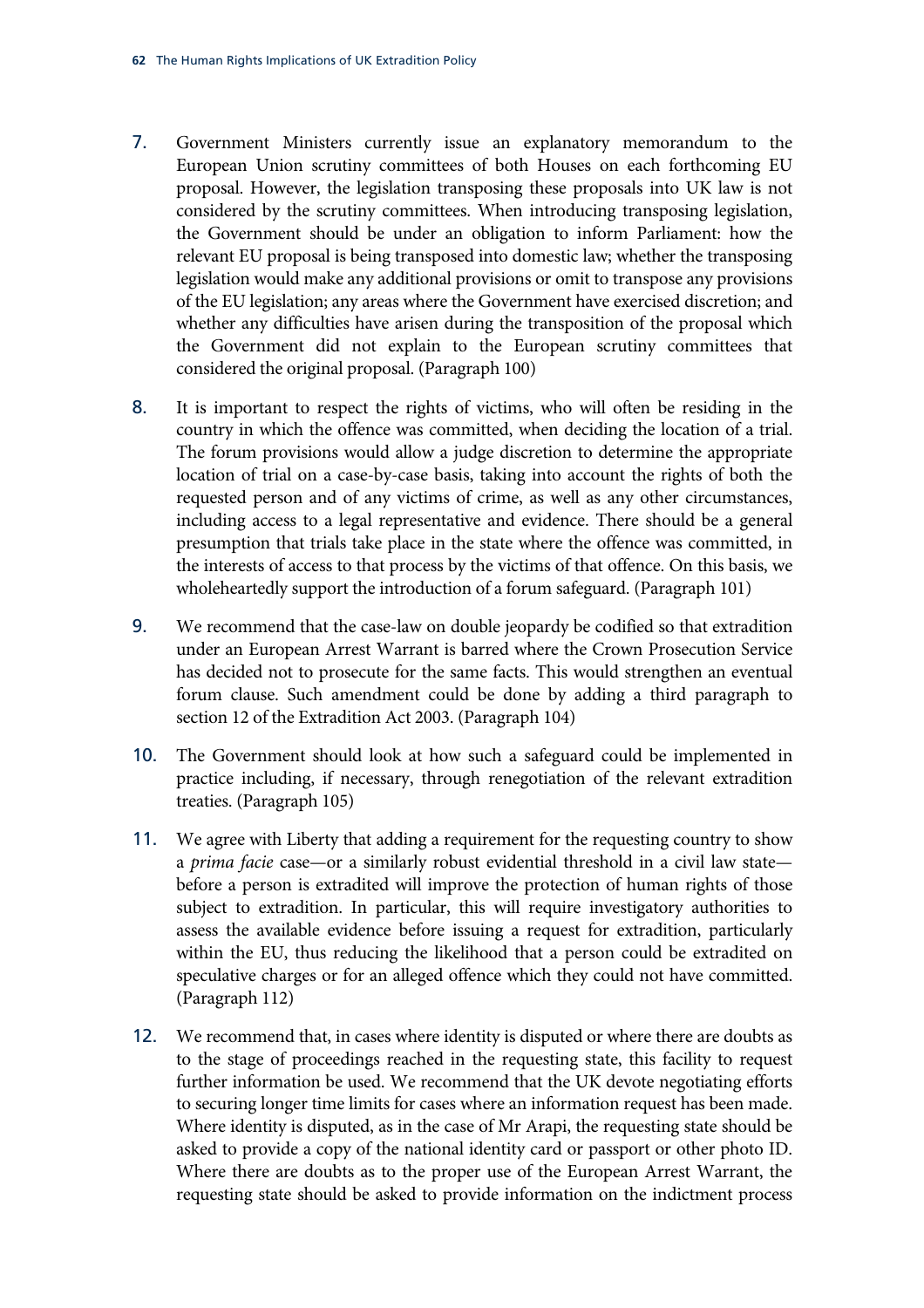- 7. [Government Ministers currently issue an explanatory memorandum to the](#page-34-0)  [European Union scrutiny committees of both Houses on each forthcoming EU](#page-34-0)  [proposal. However, the legislation transposing these proposals into UK law is not](#page-34-0)  [considered by the scrutiny committees. When introducing transposing legislation,](#page-34-0)  [the Government should be under an obligation to inform Parliament: how the](#page-34-0)  [relevant EU proposal is being transposed into domestic law; whether the transposing](#page-34-0)  [legislation would make any additional provisions or omit to transpose any provisions](#page-34-0)  [of the EU legislation; any areas where the Government have exercised discretion; and](#page-34-0)  [whether any difficulties have arisen during the transposition of the proposal which](#page-34-0)  [the Government did not explain to the European scrutiny committees that](#page-34-0)  [considered the original proposal.](#page-34-0) (Paragraph [100](#page-34-0))
- 8. [It is important to respect the rights of victims, who will often be residing in the](#page-34-1)  [country in which the offence was committed, when deciding the location of a trial.](#page-34-1)  [The forum provisions would allow a judge discretion to determine the appropriate](#page-34-1)  [location of trial on a case-by-case basis, taking into account the rights of both the](#page-34-1)  [requested person and of any victims of crime, as well as any other circumstances,](#page-34-1)  [including access to a legal representative and evidence. There should be a general](#page-34-1)  [presumption that trials take place in the state where the offence was committed, in](#page-34-1)  [the interests of access to that process by the victims of that offence. On this basis, we](#page-34-1)  [wholeheartedly support the introduction of a forum safeguard.](#page-34-1) (Paragraph [101](#page-34-1))
- 9. We recommend that the case-law on double jeopardy be codified so that extradition under an European Arrest Warrant is barred where the Crown Prosecution Service has decided not to prosecute for the same facts. This would strengthen an eventual forum clause. Such amendment could be done by adding a third paragraph to section 12 of the Extradition Act 2003. (Paragraph [104\)](#page-34-2)
- 10. [The Government should look at how such a safeguard could be implemented in](#page-34-3)  [practice including, if necessary, through renegotiation of the relevant extradition](#page-34-3)  [treaties.](#page-34-3) (Paragraph [105](#page-34-3))
- 11. We agree with Liberty that adding a requirement for the requesting country to show a *prima facie* case—or a similarly robust evidential threshold in a civil law state before a person is extradited will improve the protection of human rights of those subject to extradition. In particular, this will require investigatory authorities to assess the available evidence before issuing a request for extradition, particularly within the EU, thus reducing the likelihood that a person could be extradited on speculative charges or for an alleged offence which they could not have committed. (Paragraph [112](#page-36-4))
- 12. We recommend that, in cases where identity is disputed or where there are doubts as to the stage of proceedings reached in the requesting state, this facility to request further information be used. We recommend that the UK devote negotiating efforts to securing longer time limits for cases where an information request has been made. Where identity is disputed, as in the case of Mr Arapi, the requesting state should be asked to provide a copy of the national identity card or passport or other photo ID. Where there are doubts as to the proper use of the European Arrest Warrant, the requesting state should be asked to provide information on the indictment process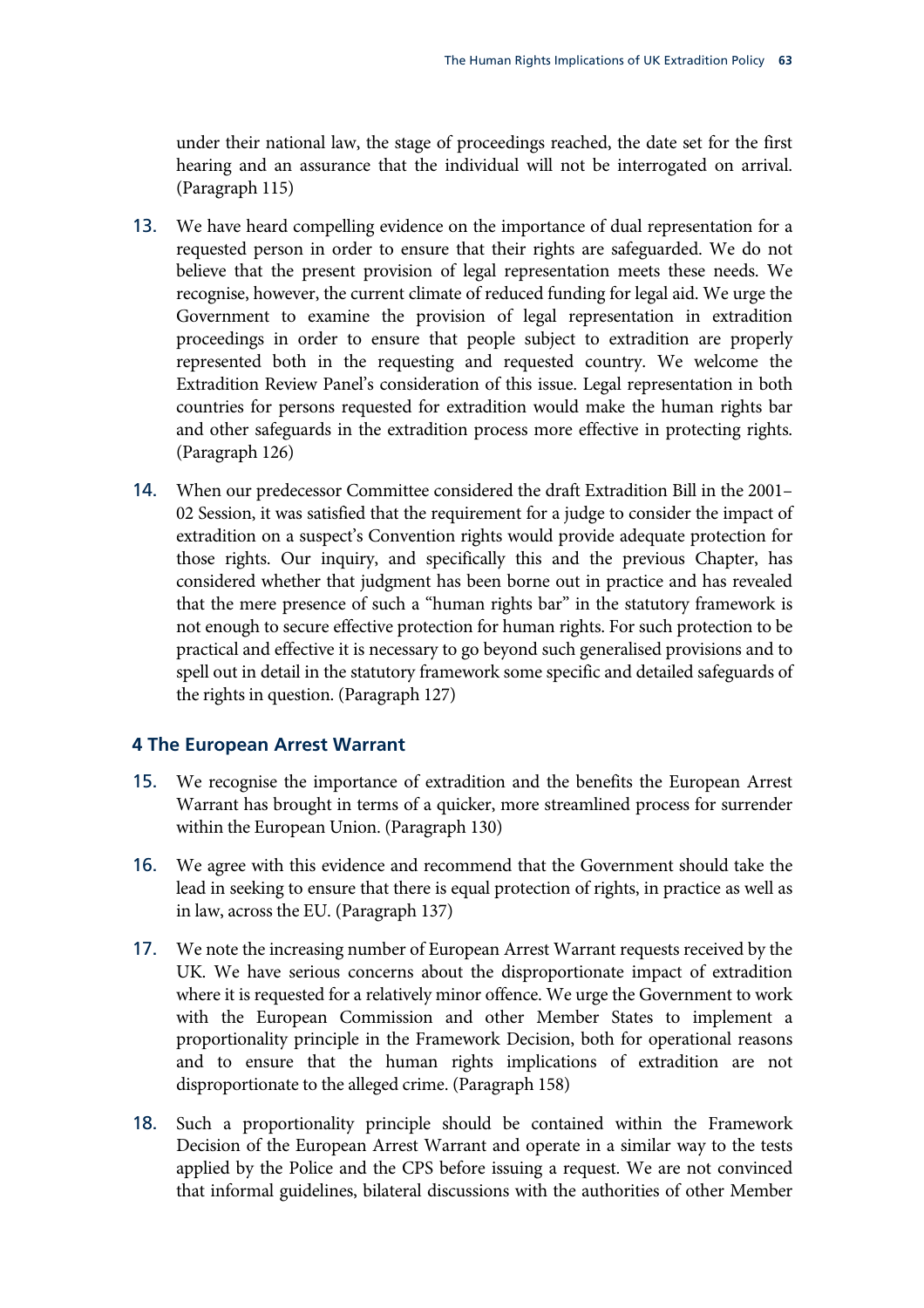under their national law, the stage of proceedings reached, the date set for the first hearing and an assurance that the individual will not be interrogated on arrival. (Paragraph [115](#page-37-2))

- 13. [We have heard compelling evidence on the importance of dual representation for a](#page-39-0)  [requested person in order to ensure that their rights are safeguarded. We do not](#page-39-0)  [believe that the present provision of legal representation meets these needs. We](#page-39-0)  [recognise, however, the current climate of reduced funding for legal aid. We urge the](#page-39-0)  [Government to examine the provision of legal representation in extradition](#page-39-0)  [proceedings in order to ensure that people subject to extradition are properly](#page-39-0)  [represented both in the requesting and requested country. We welcome the](#page-39-0)  [Extradition Review Panel's consideration of this issue. Legal representation in both](#page-39-0)  [countries for persons requested for extradition would make the human rights bar](#page-39-0)  [and other safeguards in the extradition process more effective in protecting rights.](#page-39-0) (Paragraph [126](#page-39-0))
- 14. [When our predecessor Committee considered the draft Extradition Bill in the 2001–](#page-39-1) [02 Session, it was satisfied that the requirement for a judge to consider the impact of](#page-39-1)  [extradition on a suspect's Convention rights would provide adequate protection for](#page-39-1)  [those rights. Our inquiry, and specifically this and the previous Chapter, has](#page-39-1)  [considered whether that judgment has been borne out in practice and has revealed](#page-39-1)  [that the mere presence of such a "human rights bar" in the statutory framework is](#page-39-1)  [not enough to secure effective protection for human rights. For such protection to be](#page-39-1)  [practical and effective it is necessary to go beyond such generalised provisions and to](#page-39-1)  [spell out in detail in the statutory framework some specific and detailed safeguards of](#page-39-1)  [the rights in question.](#page-39-1) (Paragraph [127\)](#page-39-1)

#### **4 The European Arrest Warrant**

- 15. We recognise the importance of extradition and the benefits the European Arrest Warrant has brought in terms of a quicker, more streamlined process for surrender within the European Union. (Paragraph [130\)](#page-40-5)
- 16. [We agree with this evidence and recommend that the Government should take the](#page-41-7)  [lead in seeking to ensure that there is equal protection of rights, in practice as well as](#page-41-7)  [in law, across the EU.](#page-41-7) (Paragraph [137\)](#page-41-7)
- 17. [We note the increasing number of European Arrest Warrant requests received by the](#page-47-3)  [UK. We have serious concerns about the disproportionate impact of extradition](#page-47-3)  [where it is requested for a relatively minor offence. We urge the Government to work](#page-47-3)  [with the European Commission and other Member States to implement a](#page-47-3)  [proportionality principle in the Framework Decision, both for operational reasons](#page-47-3)  [and to ensure that the human rights implications of extradition are not](#page-47-3)  [disproportionate to the alleged crime.](#page-47-3) (Paragraph [158](#page-47-3))
- 18. Such a proportionality principle should be contained within the Framework Decision of the European Arrest Warrant and operate in a similar way to the tests applied by the Police and the CPS before issuing a request. We are not convinced that informal guidelines, bilateral discussions with the authorities of other Member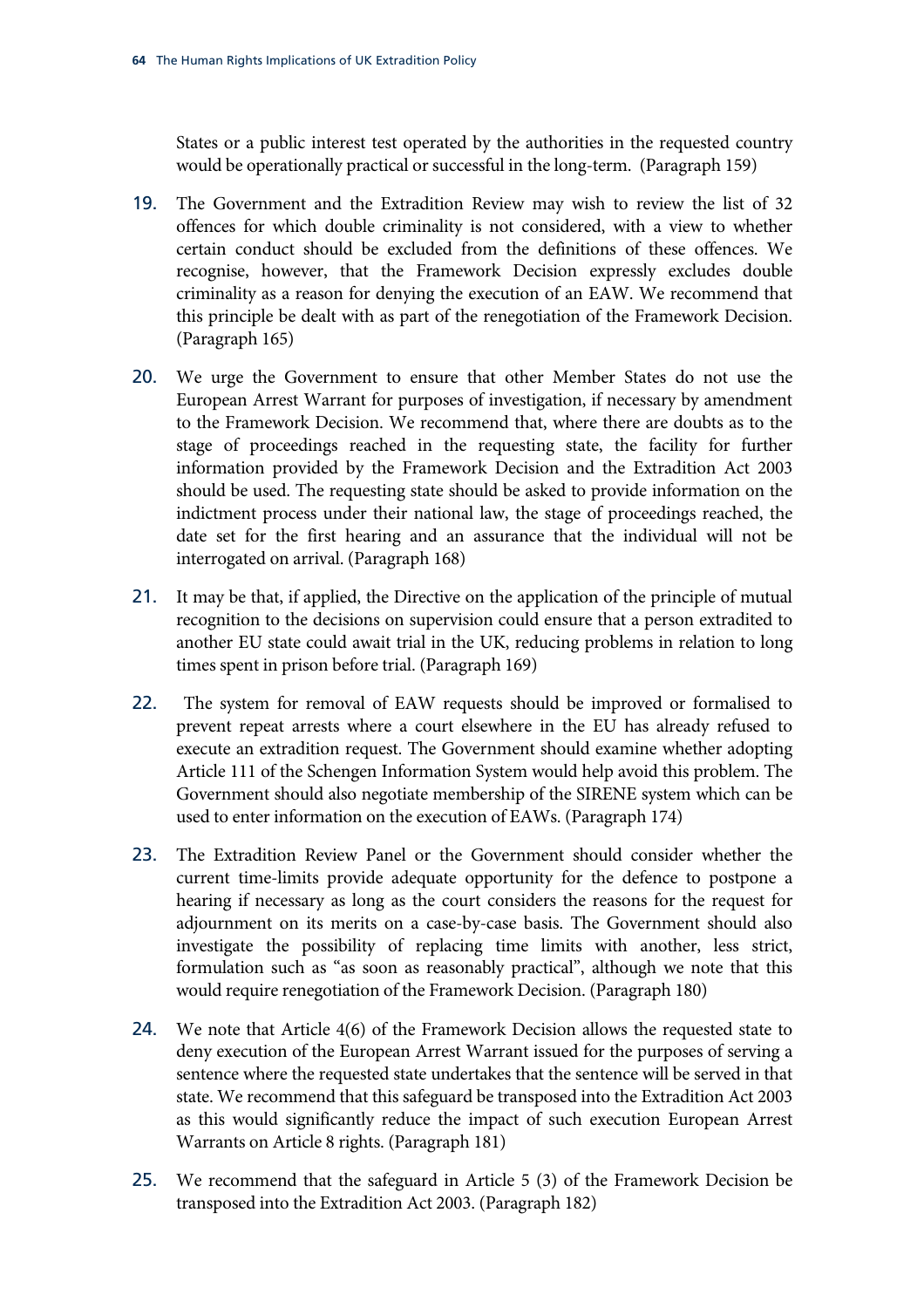States or a public interest test operated by the authorities in the requested country would be operationally practical or successful in the long-term. (Paragraph [159\)](#page-47-4)

- 19. The Government and the Extradition Review may wish to review the list of 32 offences for which double criminality is not considered, with a view to whether certain conduct should be excluded from the definitions of these offences. We recognise, however, that the Framework Decision expressly excludes double criminality as a reason for denying the execution of an EAW. We recommend that this principle be dealt with as part of the renegotiation of the Framework Decision. (Paragraph [165](#page-49-1))
- 20. We urge the Government to ensure that other Member States do not use the European Arrest Warrant for purposes of investigation, if necessary by amendment to the Framework Decision. We recommend that, where there are doubts as to the stage of proceedings reached in the requesting state, the facility for further information provided by the Framework Decision and the Extradition Act 2003 should be used. The requesting state should be asked to provide information on the indictment process under their national law, the stage of proceedings reached, the date set for the first hearing and an assurance that the individual will not be interrogated on arrival. (Paragraph [168\)](#page-49-2)
- 21. [It may be that, if applied, the Directive on the application of the principle of mutual](#page-49-3)  [recognition to the decisions on supervision could ensure that a person extradited to](#page-49-3)  [another EU state could await trial in the UK, reducing problems in relation to long](#page-49-3)  [times spent in prison before trial.](#page-49-3) (Paragraph [169](#page-49-3))
- 22. [The system for removal of EAW requests should be improved or formalised to](#page-50-5)  [prevent repeat arrests where a court elsewhere in the EU has already refused to](#page-50-5)  [execute an extradition request. The Government should examine whether adopting](#page-50-5)  [Article 111 of the Schengen Information System would help avoid this problem. The](#page-50-5)  [Government should also negotiate membership of the SIRENE system which can be](#page-50-5)  [used to enter information on the execution of EAWs.](#page-50-5) (Paragraph [174\)](#page-50-5)
- 23. [The Extradition Review Panel or the Government should consider whether the](#page-52-0)  [current time-limits provide adequate opportunity for the defence to postpone a](#page-52-0)  [hearing if necessary as long as the court considers the reasons for the request for](#page-52-0)  [adjournment on its merits on a case-by-case basis. The Government should also](#page-52-0)  [investigate the possibility of replacing time limits with another, less strict,](#page-52-0)  [formulation such as "as soon as reasonably practical", although we note that this](#page-52-0)  [would require renegotiation of the Framework Decision.](#page-52-0) (Paragraph [180](#page-52-0))
- 24. We note that Article 4(6) of the Framework Decision allows the requested state to deny execution of the European Arrest Warrant issued for the purposes of serving a sentence where the requested state undertakes that the sentence will be served in that state. We recommend that this safeguard be transposed into the Extradition Act 2003 as this would significantly reduce the impact of such execution European Arrest Warrants on Article 8 rights. (Paragraph [181\)](#page-52-1)
- 25. [We recommend that the safeguard in Article 5 \(3\) of the Framework Decision be](#page-52-2)  [transposed into the Extradition Act 2003.](#page-52-2) (Paragraph [182](#page-52-2))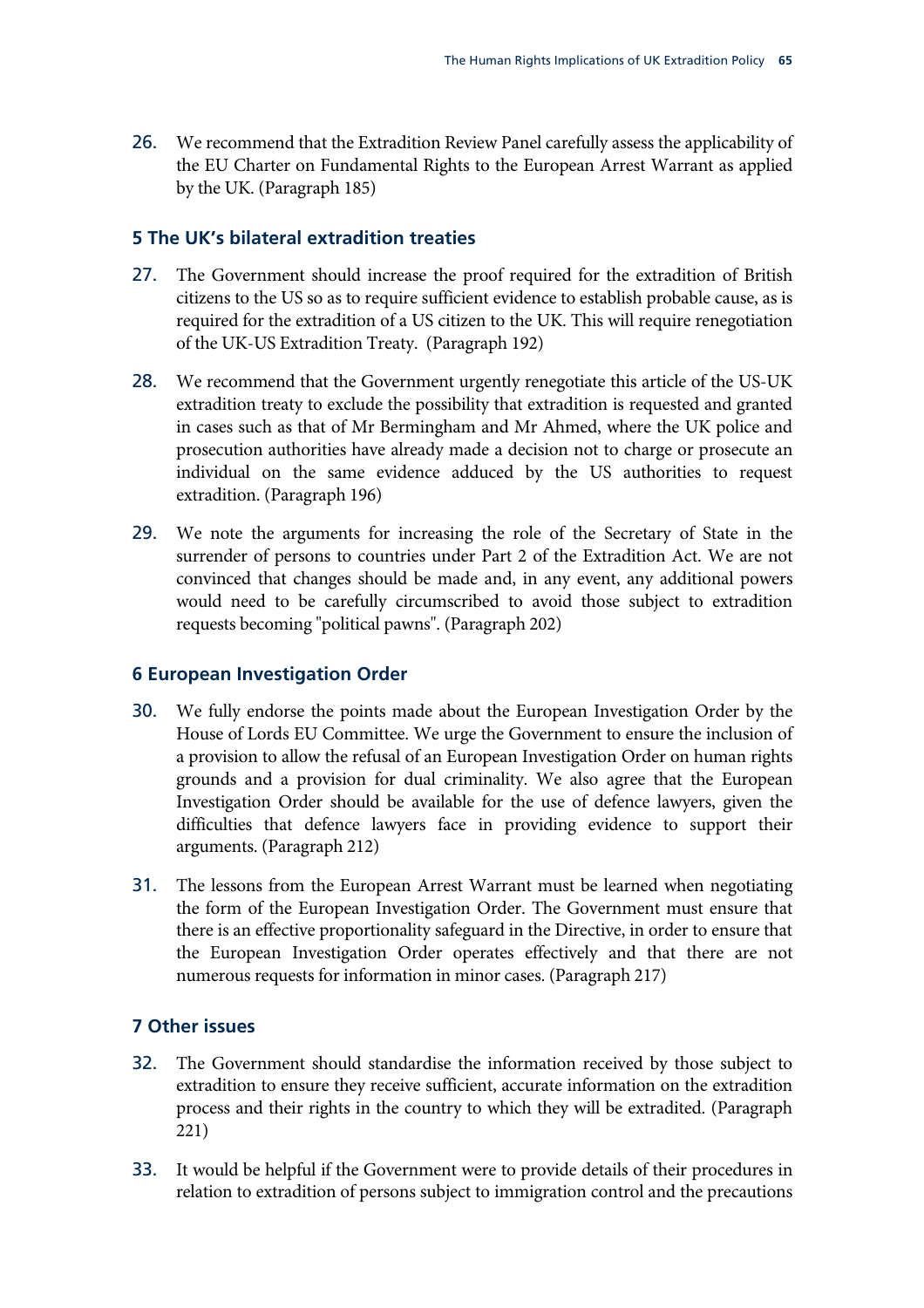26. We recommend that the Extradition Review Panel carefully assess the applicability of the EU Charter on Fundamental Rights to the European Arrest Warrant as applied by the UK. (Paragraph [185](#page-53-0))

#### **5 The UK's bilateral extradition treaties**

- 27. [The Government should increase the proof required for the extradition of British](#page-55-5)  [citizens to the US so as to require sufficient evidence to establish probable cause, as is](#page-55-5)  [required for the extradition of a US citizen to the UK. This will require renegotiation](#page-55-5)  [of the UK-US Extradition Treaty.](#page-55-5) (Paragraph [192](#page-55-5))
- 28. [We recommend that the Government urgently renegotiate this article of the US-UK](#page-55-6)  [extradition treaty to exclude the possibility that extradition is requested and granted](#page-55-6)  [in cases such as that of Mr Bermingham and Mr Ahmed, where the UK police and](#page-55-6)  [prosecution authorities have already made a decision not to charge or prosecute an](#page-55-6)  [individual on the same evidence adduced by the US authorities to request](#page-55-6)  [extradition.](#page-55-6) (Paragraph [196](#page-55-6))
- 29. [We note the arguments for increasing the role of the Secretary of State in the](#page-57-0)  [surrender of persons to countries under Part 2 of the Extradition Act. We are not](#page-57-0)  [convinced that changes should be made and, in any event, any additional powers](#page-57-0)  [would need to be carefully circumscribed to avoid those subject to extradition](#page-57-0)  [requests becoming "political pawns".](#page-57-0) (Paragraph [202\)](#page-57-0)

#### **6 European Investigation Order**

- 30. We fully endorse the points made about the European Investigation Order by the House of Lords EU Committee. We urge the Government to ensure the inclusion of a provision to allow the refusal of an European Investigation Order on human rights grounds and a provision for dual criminality. We also agree that the European Investigation Order should be available for the use of defence lawyers, given the difficulties that defence lawyers face in providing evidence to support their arguments. (Paragraph [212](#page-59-5))
- 31. The lessons from the European Arrest Warrant must be learned when negotiating the form of the European Investigation Order. The Government must ensure that there is an effective proportionality safeguard in the Directive, in order to ensure that the European Investigation Order operates effectively and that there are not numerous requests for information in minor cases. (Paragraph [217](#page-60-4))

#### **7 Other issues**

- 32. [The Government should standardise the information received by those subject to](#page-62-5)  [extradition to ensure they receive sufficient, accurate information on the extradition](#page-62-5)  [process and their rights in the country to which they will be extradited.](#page-62-5) (Paragraph [221](#page-62-5))
- 33. [It would be helpful if the Government were to provide details of their procedures in](#page-62-6)  [relation to extradition of persons subject to immigration control and the precautions](#page-62-6)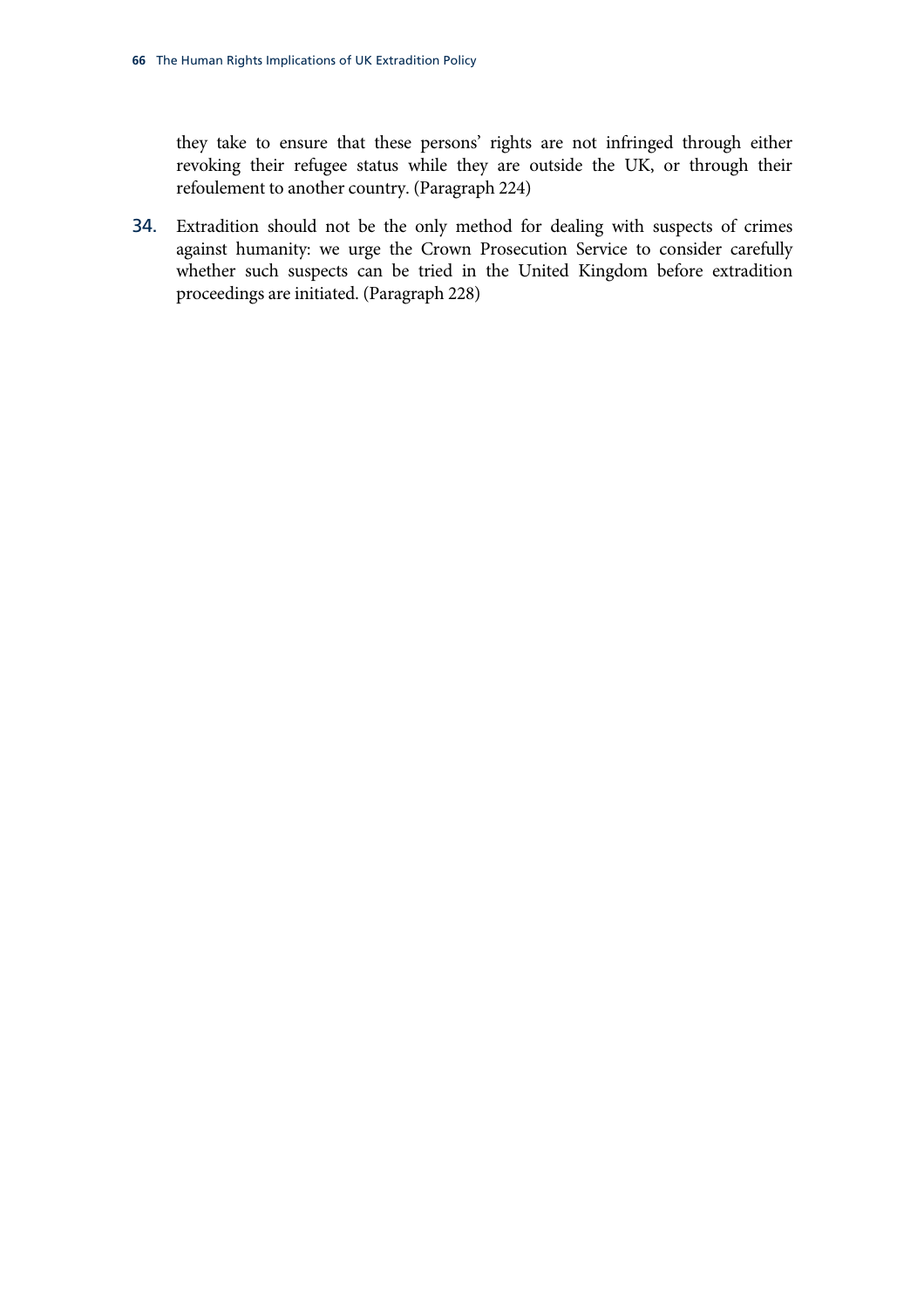[they take to ensure that these persons' rights are not infringed through either](#page-62-6)  [revoking their refugee status while they are outside the UK, or through their](#page-62-6)  [refoulement to another country.](#page-62-6) (Paragraph [224](#page-62-6))

34. Extradition should not be the only method for dealing with suspects of crimes against humanity: we urge the Crown Prosecution Service to consider carefully whether such suspects can be tried in the United Kingdom before extradition proceedings are initiated. (Paragraph [228](#page-63-3))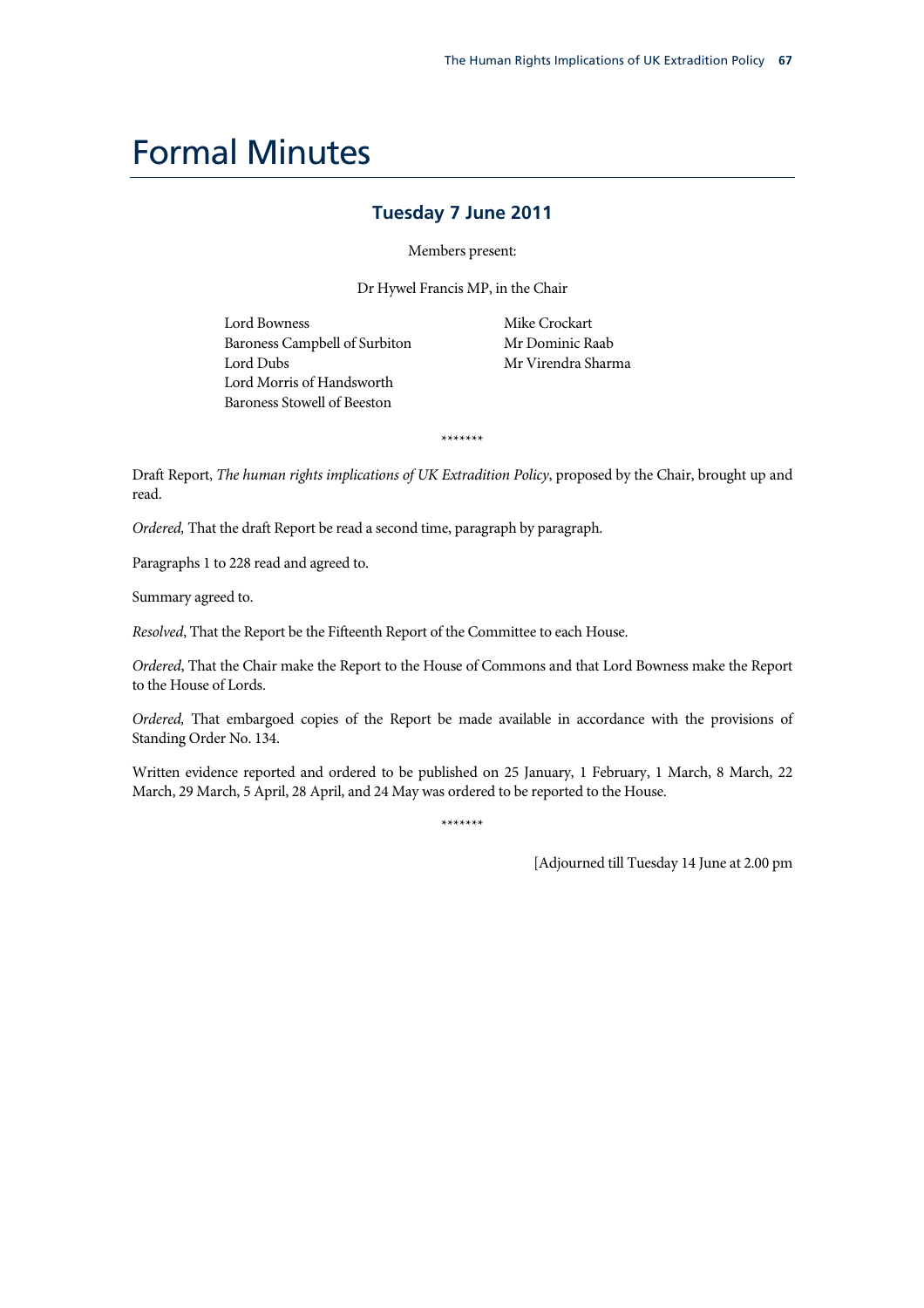# Formal Minutes

### **Tuesday 7 June 2011**

Members present:

Dr Hywel Francis MP, in the Chair

Lord Bowness Baroness Campbell of Surbiton Lord Dubs Lord Morris of Handsworth Baroness Stowell of Beeston

Mike Crockart Mr Dominic Raab Mr Virendra Sharma

Draft Report, *The human rights implications of UK Extradition Policy*, proposed by the Chair, brought up and read.

\*\*\*\*\*\*\*

*Ordered,* That the draft Report be read a second time, paragraph by paragraph.

Paragraphs 1 to 228 read and agreed to.

Summary agreed to.

*Resolved*, That the Report be the Fifteenth Report of the Committee to each House.

*Ordered*, That the Chair make the Report to the House of Commons and that Lord Bowness make the Report to the House of Lords.

*Ordered,* That embargoed copies of the Report be made available in accordance with the provisions of Standing Order No. 134.

Written evidence reported and ordered to be published on 25 January, 1 February, 1 March, 8 March, 22 March, 29 March, 5 April, 28 April, and 24 May was ordered to be reported to the House.

\*\*\*\*\*\*\*

[Adjourned till Tuesday 14 June at 2.00 pm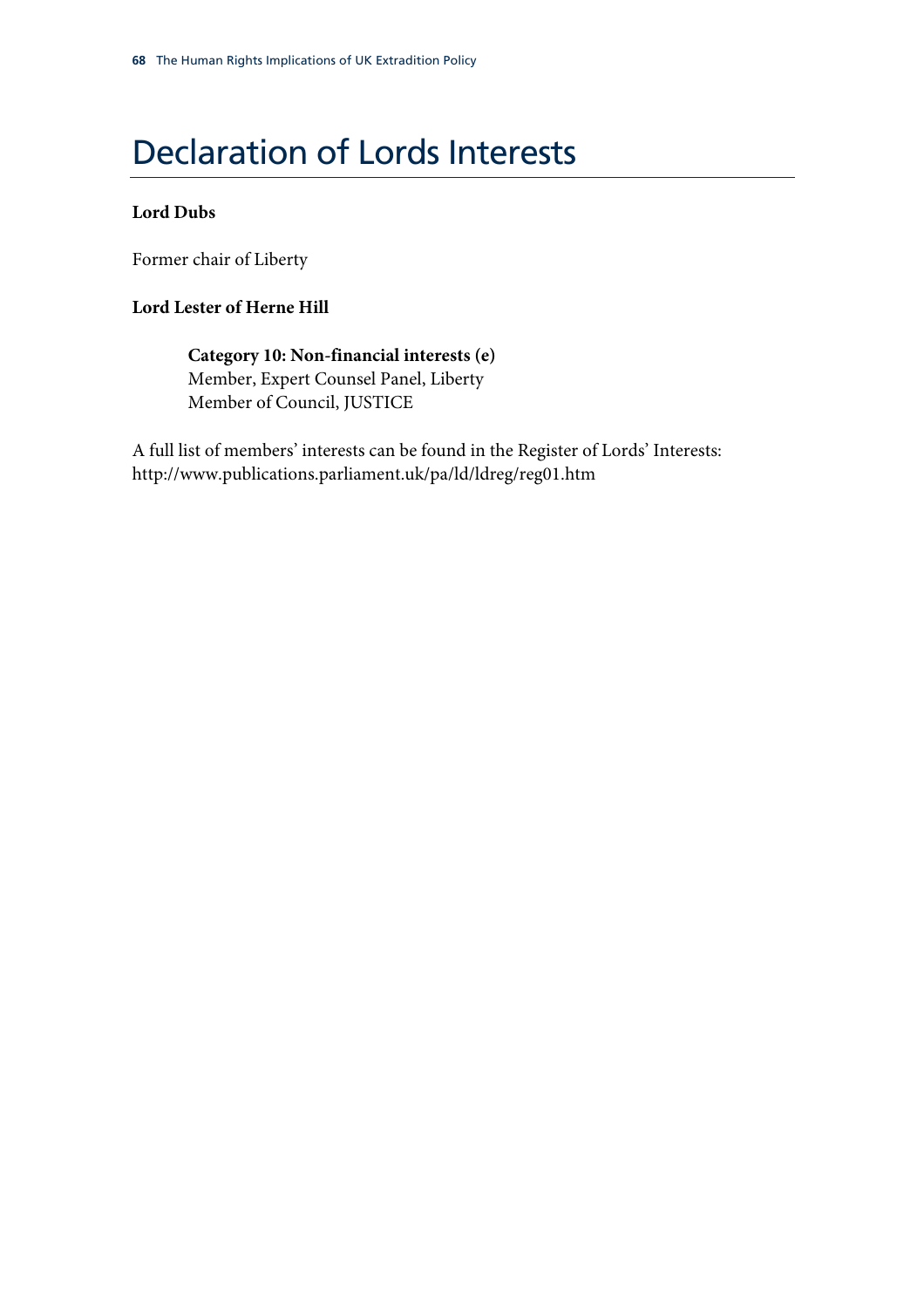# Declaration of Lords Interests

### **Lord Dubs**

Former chair of Liberty

### **Lord Lester of Herne Hill**

**Category 10: Non-financial interests (e)**  Member, Expert Counsel Panel, Liberty Member of Council, JUSTICE

A full list of members' interests can be found in the Register of Lords' Interests: http://www.publications.parliament.uk/pa/ld/ldreg/reg01.htm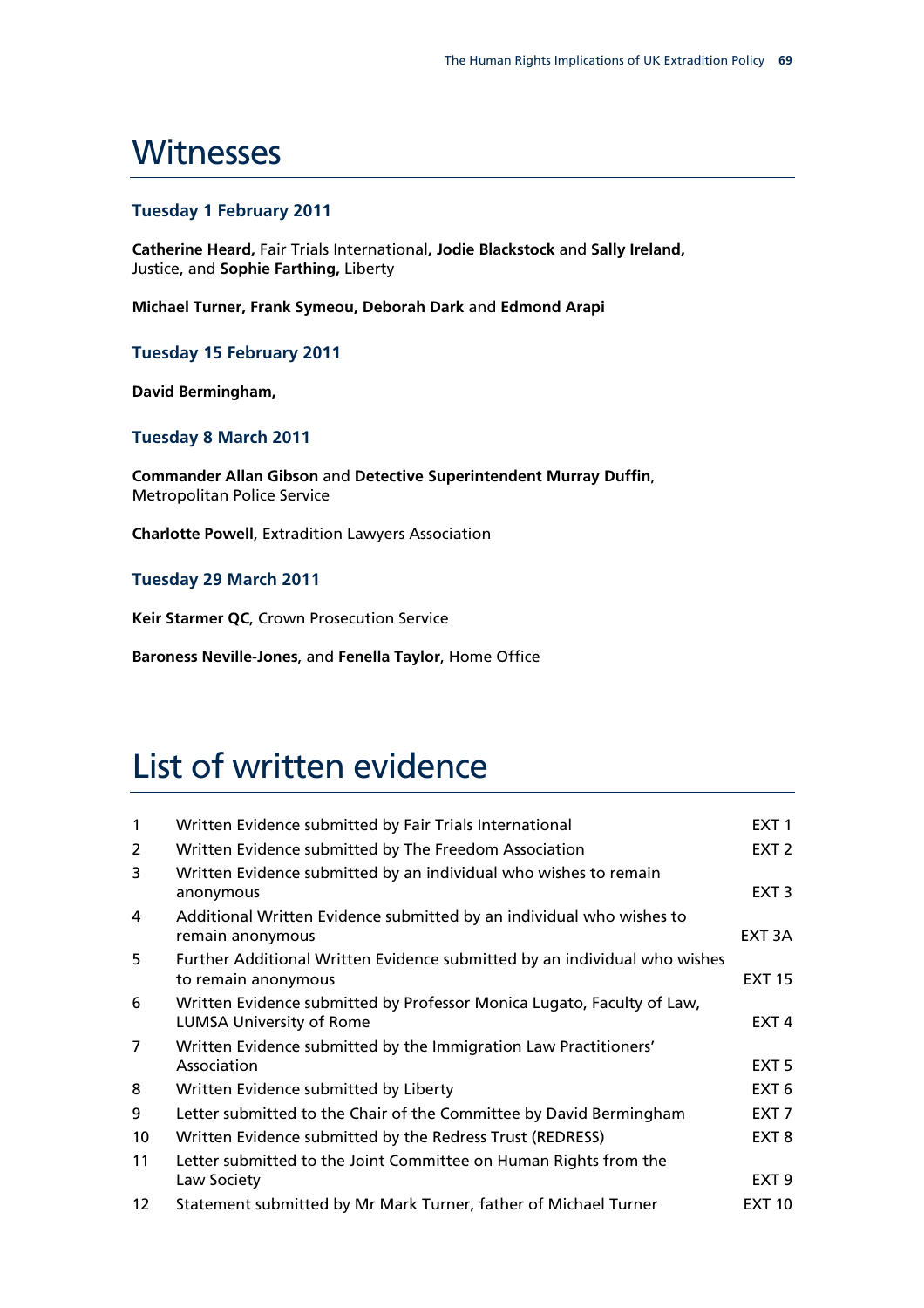### **Witnesses**

### **Tuesday 1 February 2011**

**Catherine Heard,** Fair Trials International**, Jodie Blackstock** and **Sally Ireland,**  Justice, and **Sophie Farthing,** Liberty

**Michael Turner, Frank Symeou, Deborah Dark** and **Edmond Arapi**

**Tuesday 15 February 2011** 

**David Bermingham,**

#### **Tuesday 8 March 2011**

**Commander Allan Gibson** and **Detective Superintendent Murray Duffin**, Metropolitan Police Service

**Charlotte Powell**, Extradition Lawyers Association

**Tuesday 29 March 2011** 

**Keir Starmer QC**, Crown Prosecution Service

**Baroness Neville-Jones**, and **Fenella Taylor**, Home Office

# List of written evidence

| $\mathbf{1}$      | Written Evidence submitted by Fair Trials International                                                   | EXT <sub>1</sub> |
|-------------------|-----------------------------------------------------------------------------------------------------------|------------------|
| 2                 | Written Evidence submitted by The Freedom Association                                                     | EXT <sub>2</sub> |
| 3                 | Written Evidence submitted by an individual who wishes to remain<br>anonymous                             | EXT <sub>3</sub> |
| 4                 | Additional Written Evidence submitted by an individual who wishes to<br>remain anonymous                  | EXT 3A           |
| 5                 | Further Additional Written Evidence submitted by an individual who wishes<br>to remain anonymous          | <b>EXT 15</b>    |
| 6                 | Written Evidence submitted by Professor Monica Lugato, Faculty of Law,<br><b>LUMSA University of Rome</b> | EXT <sub>4</sub> |
| $\overline{7}$    | Written Evidence submitted by the Immigration Law Practitioners'<br>Association                           | EXT <sub>5</sub> |
| 8                 | Written Evidence submitted by Liberty                                                                     | EXT <sub>6</sub> |
| 9                 | Letter submitted to the Chair of the Committee by David Bermingham                                        | EXT <sub>7</sub> |
| 10                | Written Evidence submitted by the Redress Trust (REDRESS)                                                 | EXT <sub>8</sub> |
| 11                | Letter submitted to the Joint Committee on Human Rights from the                                          |                  |
|                   | Law Society                                                                                               | EXT <sub>9</sub> |
| $12 \overline{ }$ | Statement submitted by Mr Mark Turner, father of Michael Turner                                           | <b>EXT 10</b>    |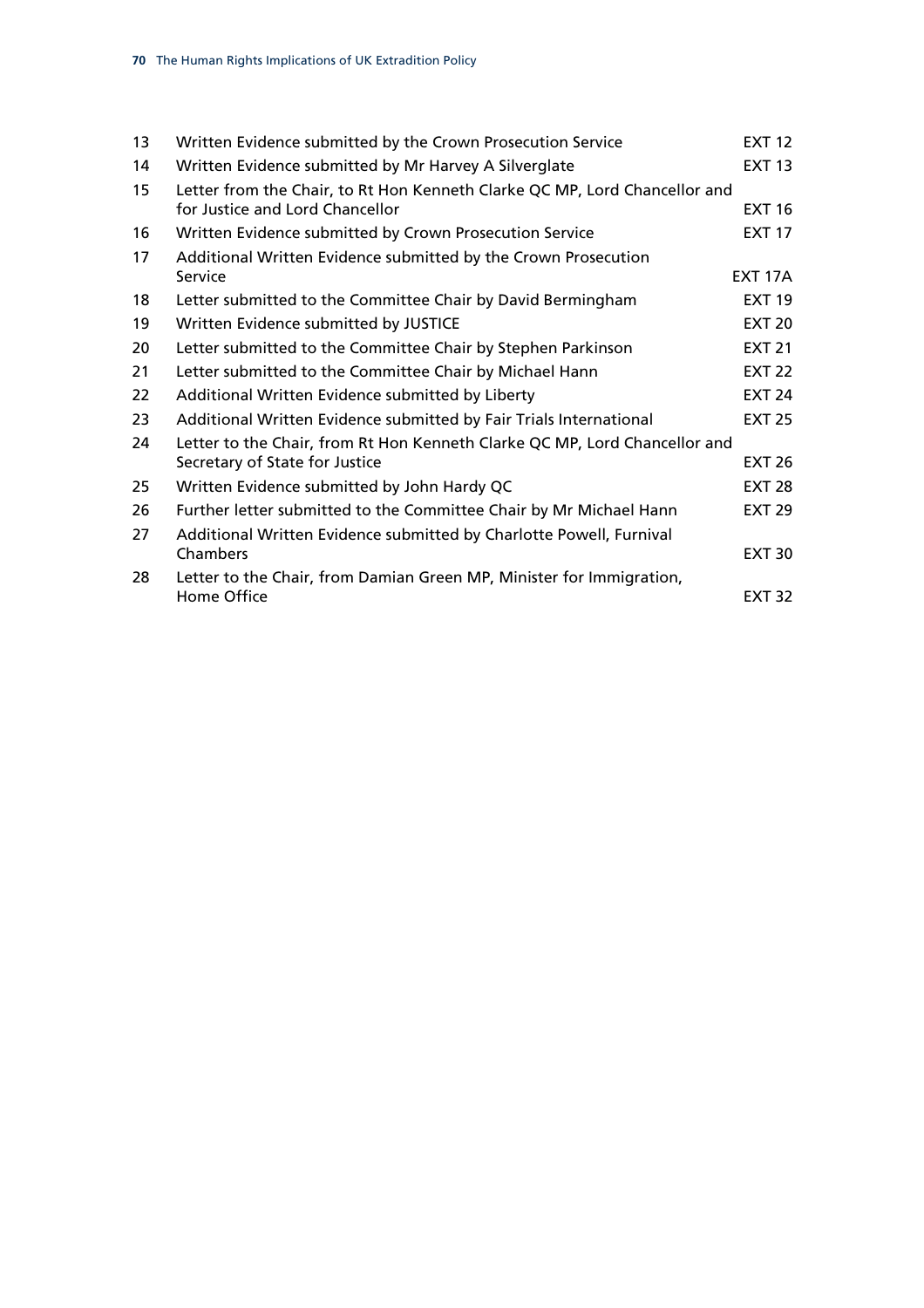| 13 | Written Evidence submitted by the Crown Prosecution Service                | <b>EXT 12</b>  |
|----|----------------------------------------------------------------------------|----------------|
| 14 | Written Evidence submitted by Mr Harvey A Silverglate                      | <b>EXT 13</b>  |
| 15 | Letter from the Chair, to Rt Hon Kenneth Clarke QC MP, Lord Chancellor and |                |
|    | for Justice and Lord Chancellor                                            | <b>EXT 16</b>  |
| 16 | Written Evidence submitted by Crown Prosecution Service                    | <b>EXT 17</b>  |
| 17 | Additional Written Evidence submitted by the Crown Prosecution             |                |
|    | Service                                                                    | <b>EXT 17A</b> |
| 18 | Letter submitted to the Committee Chair by David Bermingham                | <b>EXT 19</b>  |
| 19 | Written Evidence submitted by JUSTICE                                      | <b>EXT 20</b>  |
| 20 | Letter submitted to the Committee Chair by Stephen Parkinson               | <b>EXT 21</b>  |
| 21 | Letter submitted to the Committee Chair by Michael Hann                    | <b>EXT 22</b>  |
| 22 | Additional Written Evidence submitted by Liberty                           | <b>EXT 24</b>  |
| 23 | Additional Written Evidence submitted by Fair Trials International         | <b>EXT 25</b>  |
| 24 | Letter to the Chair, from Rt Hon Kenneth Clarke QC MP, Lord Chancellor and |                |
|    | Secretary of State for Justice                                             | <b>EXT 26</b>  |
| 25 | Written Evidence submitted by John Hardy QC                                | <b>EXT 28</b>  |
| 26 | Further letter submitted to the Committee Chair by Mr Michael Hann         | <b>EXT 29</b>  |
| 27 | Additional Written Evidence submitted by Charlotte Powell, Furnival        |                |
|    | Chambers                                                                   | <b>EXT 30</b>  |
| 28 | Letter to the Chair, from Damian Green MP, Minister for Immigration,       |                |
|    | Home Office                                                                | <b>EXT 32</b>  |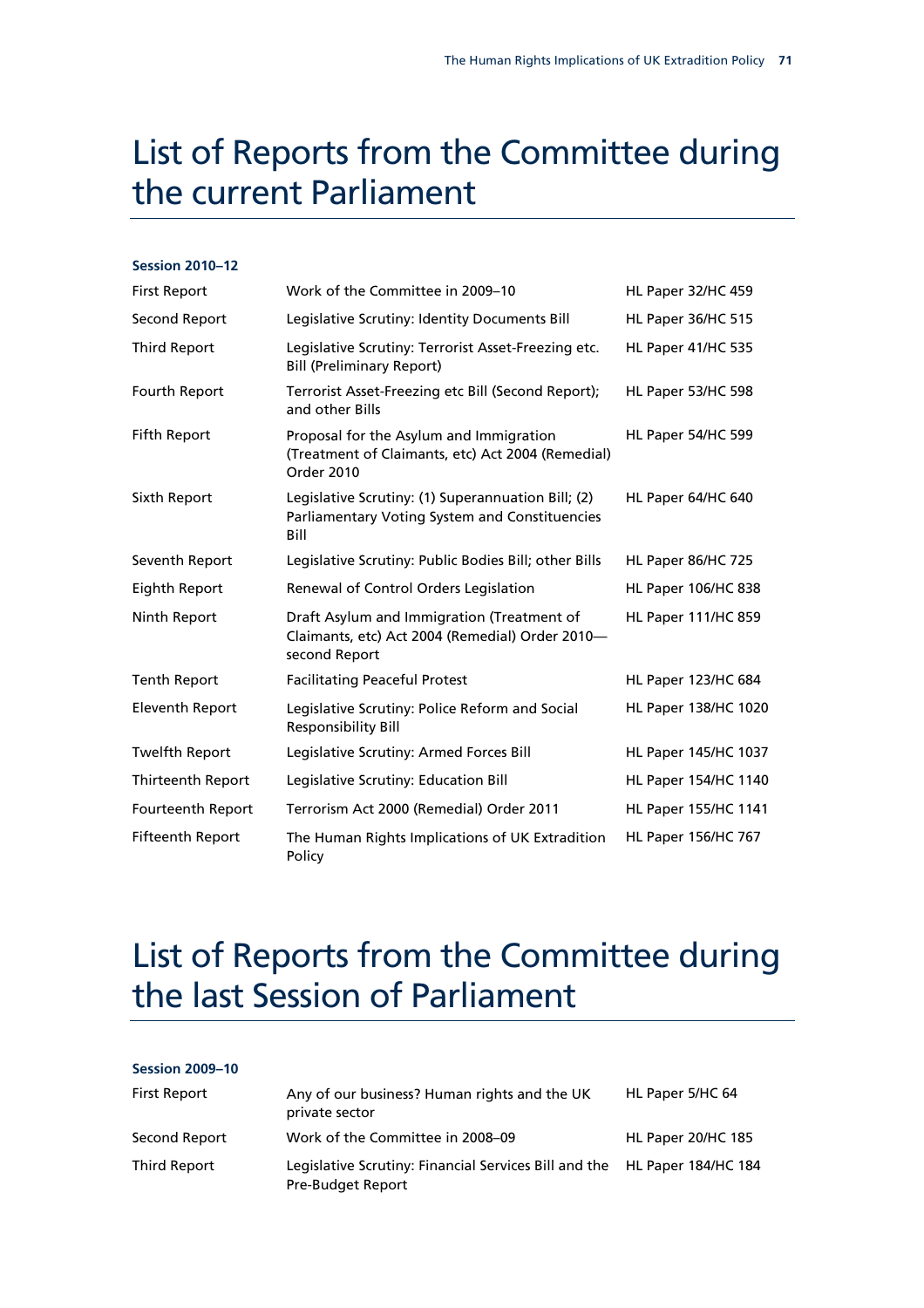## List of Reports from the Committee during the current Parliament

#### **Session 2010–12**

| <b>First Report</b>      | Work of the Committee in 2009–10                                                                               | HL Paper 32/HC 459         |
|--------------------------|----------------------------------------------------------------------------------------------------------------|----------------------------|
| Second Report            | Legislative Scrutiny: Identity Documents Bill                                                                  | <b>HL Paper 36/HC 515</b>  |
| <b>Third Report</b>      | Legislative Scrutiny: Terrorist Asset-Freezing etc.<br><b>Bill (Preliminary Report)</b>                        | HL Paper 41/HC 535         |
| Fourth Report            | Terrorist Asset-Freezing etc Bill (Second Report);<br>and other Bills                                          | HL Paper 53/HC 598         |
| Fifth Report             | Proposal for the Asylum and Immigration<br>(Treatment of Claimants, etc) Act 2004 (Remedial)<br>Order 2010     | HL Paper 54/HC 599         |
| Sixth Report             | Legislative Scrutiny: (1) Superannuation Bill; (2)<br>Parliamentary Voting System and Constituencies<br>Bill   | HL Paper 64/HC 640         |
| Seventh Report           | Legislative Scrutiny: Public Bodies Bill; other Bills                                                          | HL Paper 86/HC 725         |
| Eighth Report            | Renewal of Control Orders Legislation                                                                          | <b>HL Paper 106/HC 838</b> |
| Ninth Report             | Draft Asylum and Immigration (Treatment of<br>Claimants, etc) Act 2004 (Remedial) Order 2010-<br>second Report | HL Paper 111/HC 859        |
| <b>Tenth Report</b>      | <b>Facilitating Peaceful Protest</b>                                                                           | HL Paper 123/HC 684        |
| <b>Eleventh Report</b>   | Legislative Scrutiny: Police Reform and Social<br><b>Responsibility Bill</b>                                   | HL Paper 138/HC 1020       |
| <b>Twelfth Report</b>    | Legislative Scrutiny: Armed Forces Bill                                                                        | HL Paper 145/HC 1037       |
| <b>Thirteenth Report</b> | Legislative Scrutiny: Education Bill                                                                           | HL Paper 154/HC 1140       |
| <b>Fourteenth Report</b> | Terrorism Act 2000 (Remedial) Order 2011                                                                       | HL Paper 155/HC 1141       |
| <b>Fifteenth Report</b>  | The Human Rights Implications of UK Extradition<br>Policy                                                      | <b>HL Paper 156/HC 767</b> |

### List of Reports from the Committee during the last Session of Parliament

| <b>Session 2009-10</b> |                                                                            |                            |
|------------------------|----------------------------------------------------------------------------|----------------------------|
| <b>First Report</b>    | Any of our business? Human rights and the UK<br>private sector             | HL Paper 5/HC 64           |
| Second Report          | Work of the Committee in 2008–09                                           | HL Paper 20/HC 185         |
| Third Report           | Legislative Scrutiny: Financial Services Bill and the<br>Pre-Budget Report | <b>HL Paper 184/HC 184</b> |